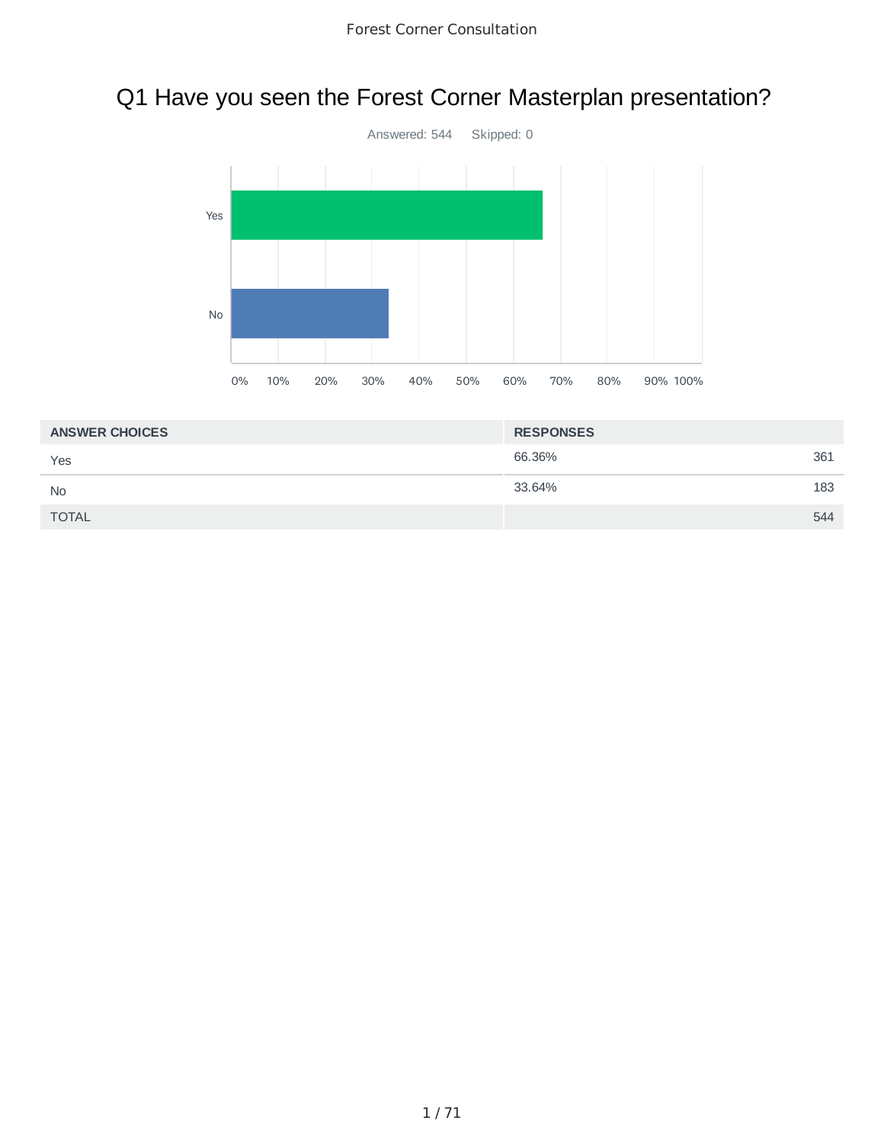# Q1 Have you seen the Forest Corner Masterplan presentation?



| <b>ANSWER CHOICES</b> | <b>RESPONSES</b> |     |
|-----------------------|------------------|-----|
| Yes                   | 66.36%           | 361 |
| <b>No</b>             | 33.64%           | 183 |
| <b>TOTAL</b>          |                  | 544 |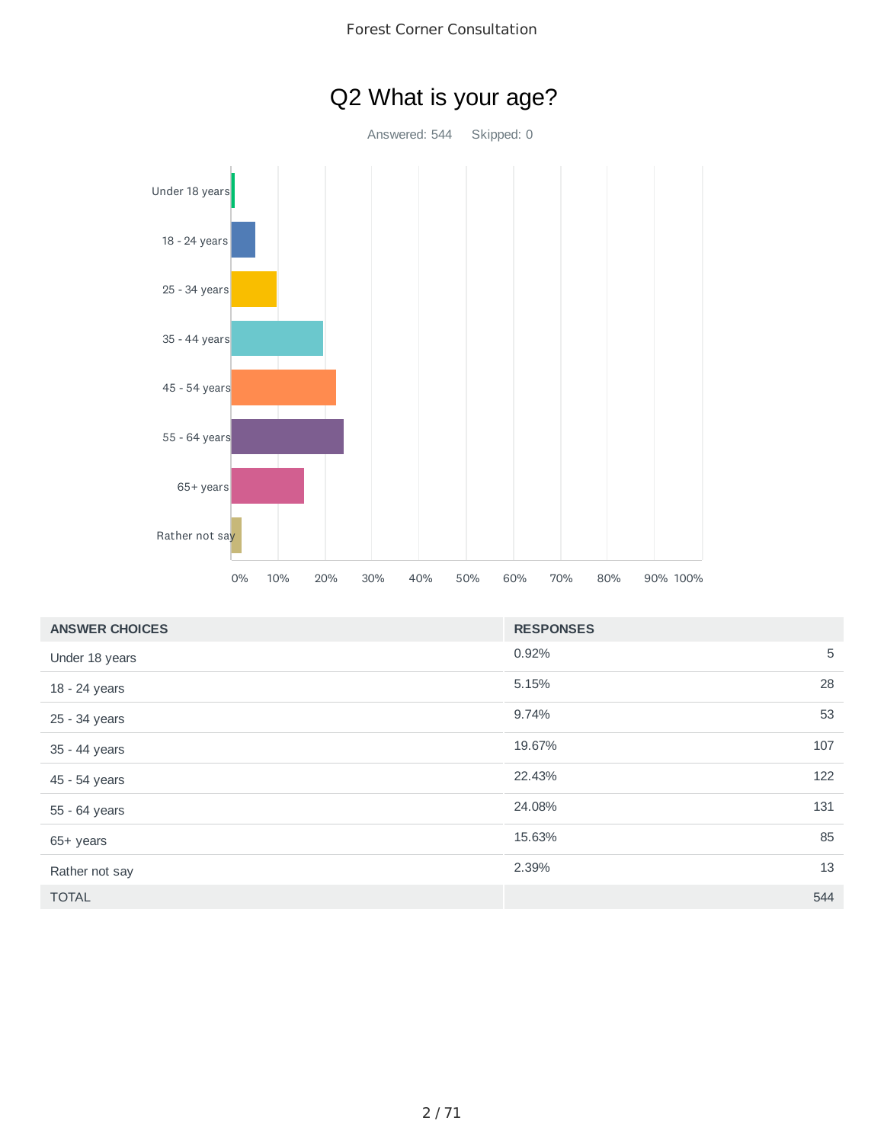



| <b>ANSWER CHOICES</b> | <b>RESPONSES</b> |     |
|-----------------------|------------------|-----|
| Under 18 years        | 0.92%            | 5   |
| 18 - 24 years         | 5.15%            | 28  |
| 25 - 34 years         | 9.74%            | 53  |
| 35 - 44 years         | 19.67%           | 107 |
| 45 - 54 years         | 22.43%           | 122 |
| 55 - 64 years         | 24.08%           | 131 |
| 65+ years             | 15.63%           | 85  |
| Rather not say        | 2.39%            | 13  |
| <b>TOTAL</b>          |                  | 544 |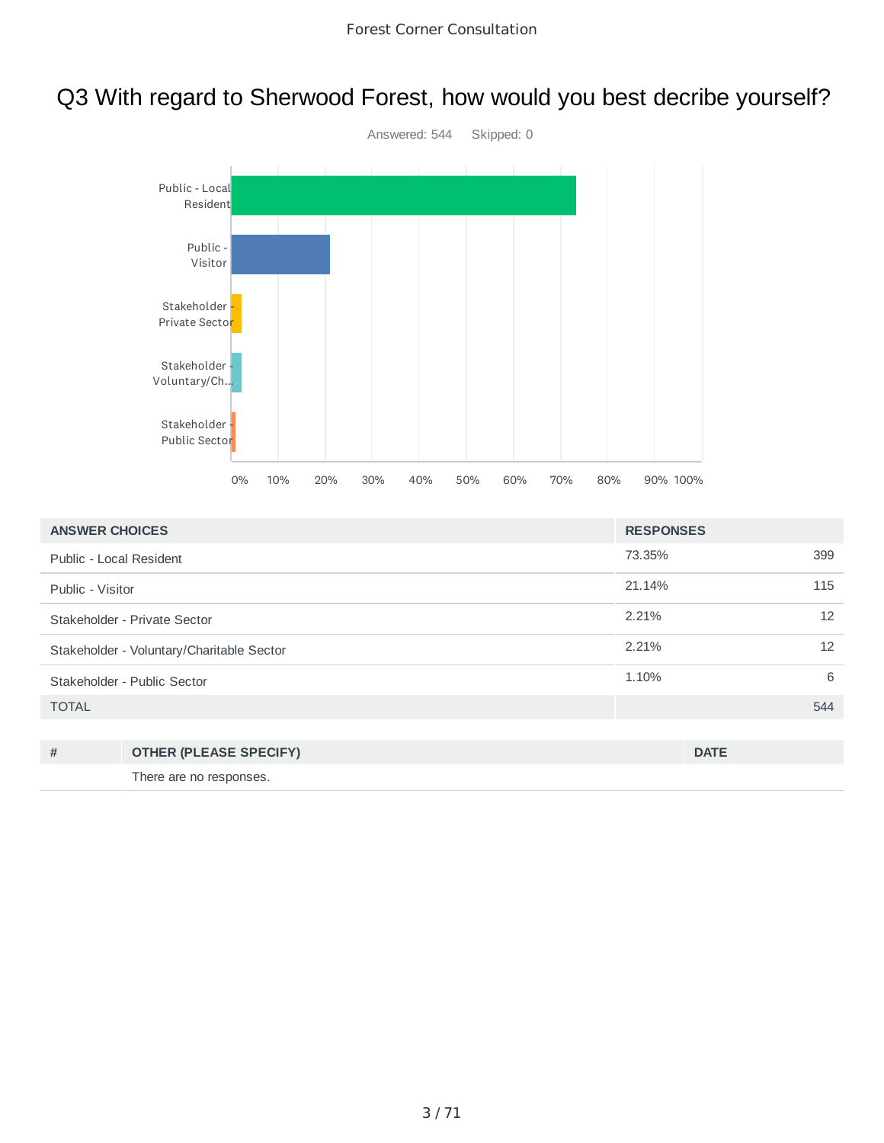# Q3 With regard to Sherwood Forest, how would you best decribe yourself?



| <b>ANSWER CHOICES</b>   |                                           | <b>RESPONSES</b> |             |     |
|-------------------------|-------------------------------------------|------------------|-------------|-----|
| Public - Local Resident |                                           | 73.35%           |             | 399 |
| Public - Visitor        |                                           | 21.14%           |             | 115 |
|                         | Stakeholder - Private Sector              | 2.21%            |             | 12  |
|                         | Stakeholder - Voluntary/Charitable Sector | 2.21%            |             | 12  |
|                         | Stakeholder - Public Sector               | 1.10%            |             | 6   |
| <b>TOTAL</b>            |                                           |                  |             | 544 |
|                         |                                           |                  |             |     |
| #                       | <b>OTHER (PLEASE SPECIFY)</b>             |                  | <b>DATE</b> |     |
|                         | There are no responses.                   |                  |             |     |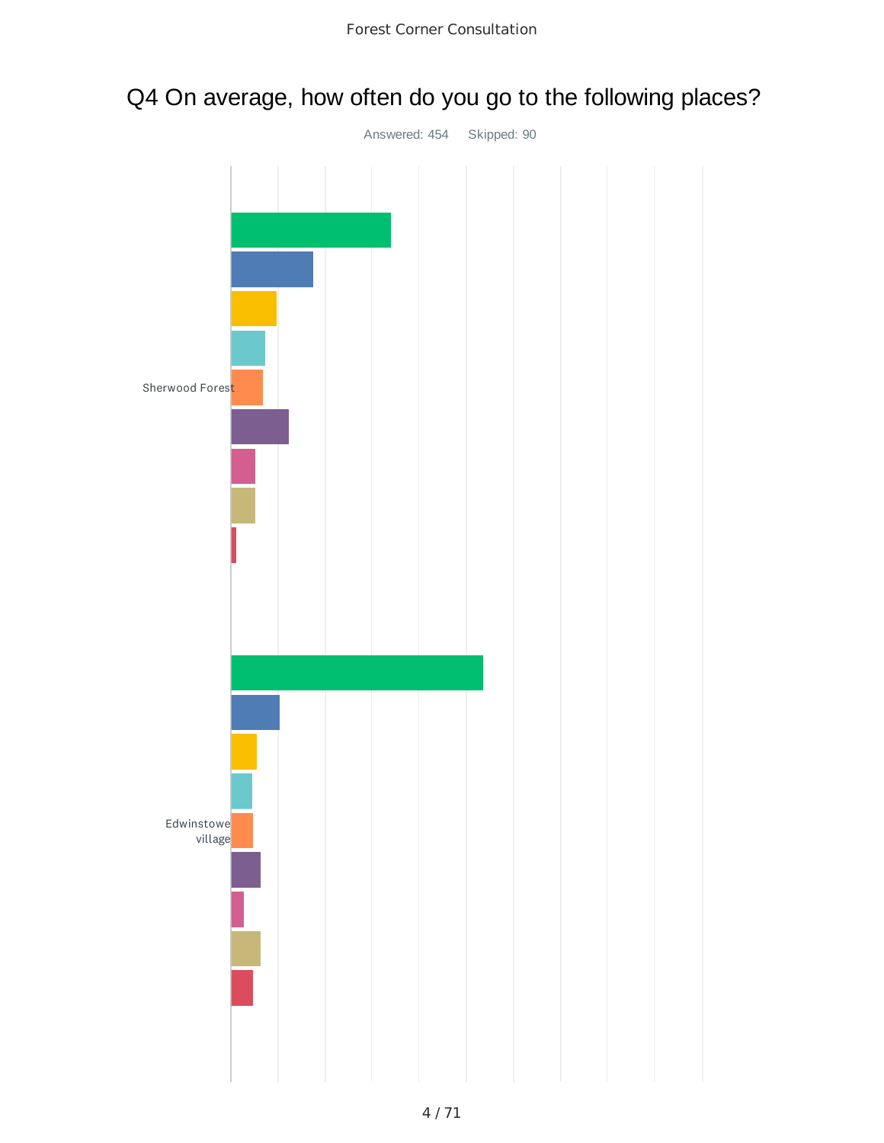# Q4 On average, how often do you go to the following places?

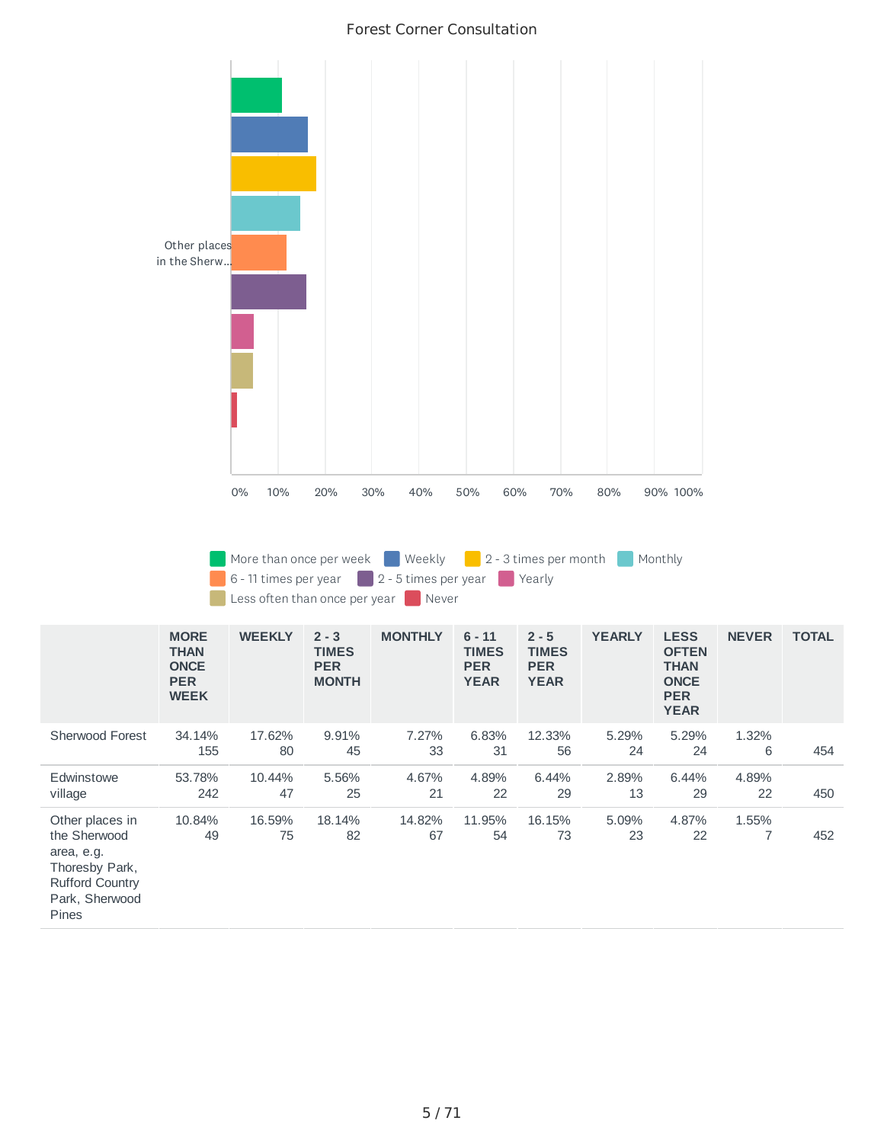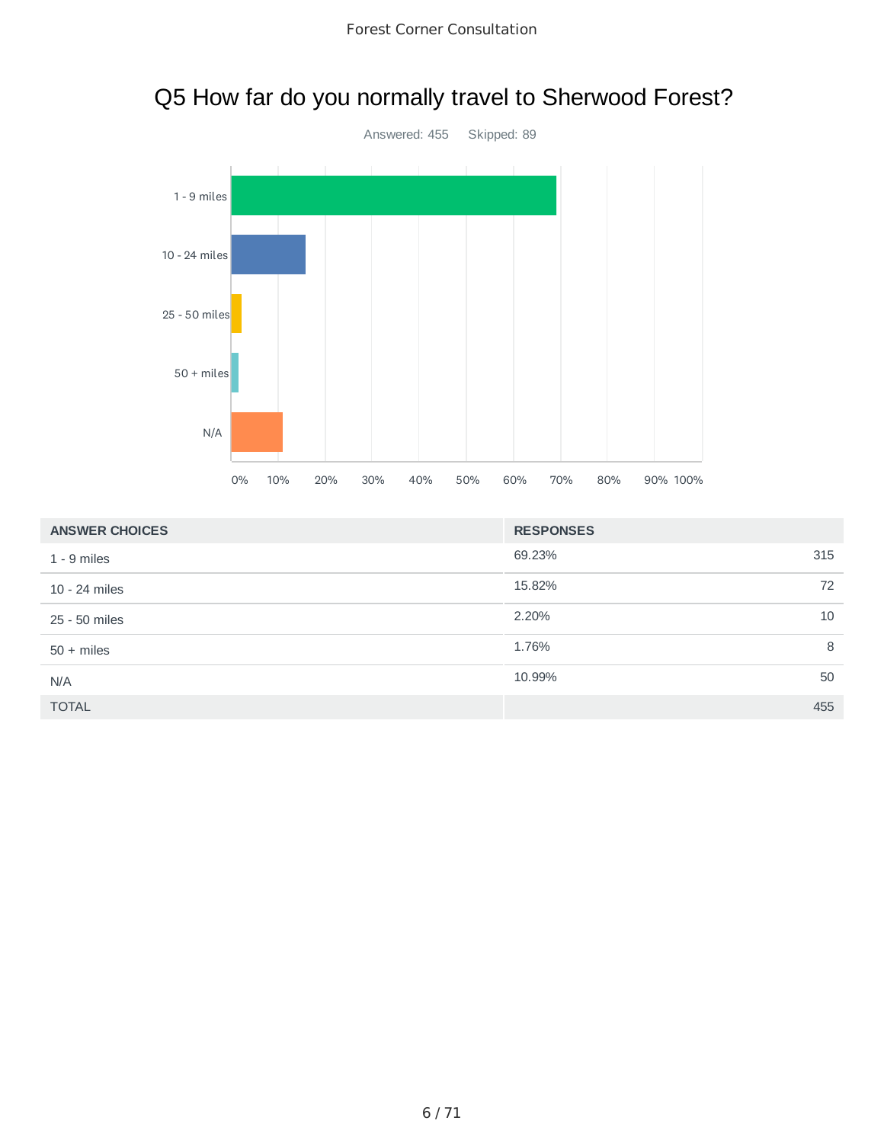# Q5 How far do you normally travel to Sherwood Forest?



| <b>ANSWER CHOICES</b> | <b>RESPONSES</b> |     |
|-----------------------|------------------|-----|
| $1 - 9$ miles         | 69.23%           | 315 |
| 10 - 24 miles         | 15.82%           | 72  |
| 25 - 50 miles         | 2.20%            | 10  |
| $50 + miles$          | 1.76%            | 8   |
| N/A                   | 10.99%           | 50  |
| <b>TOTAL</b>          |                  | 455 |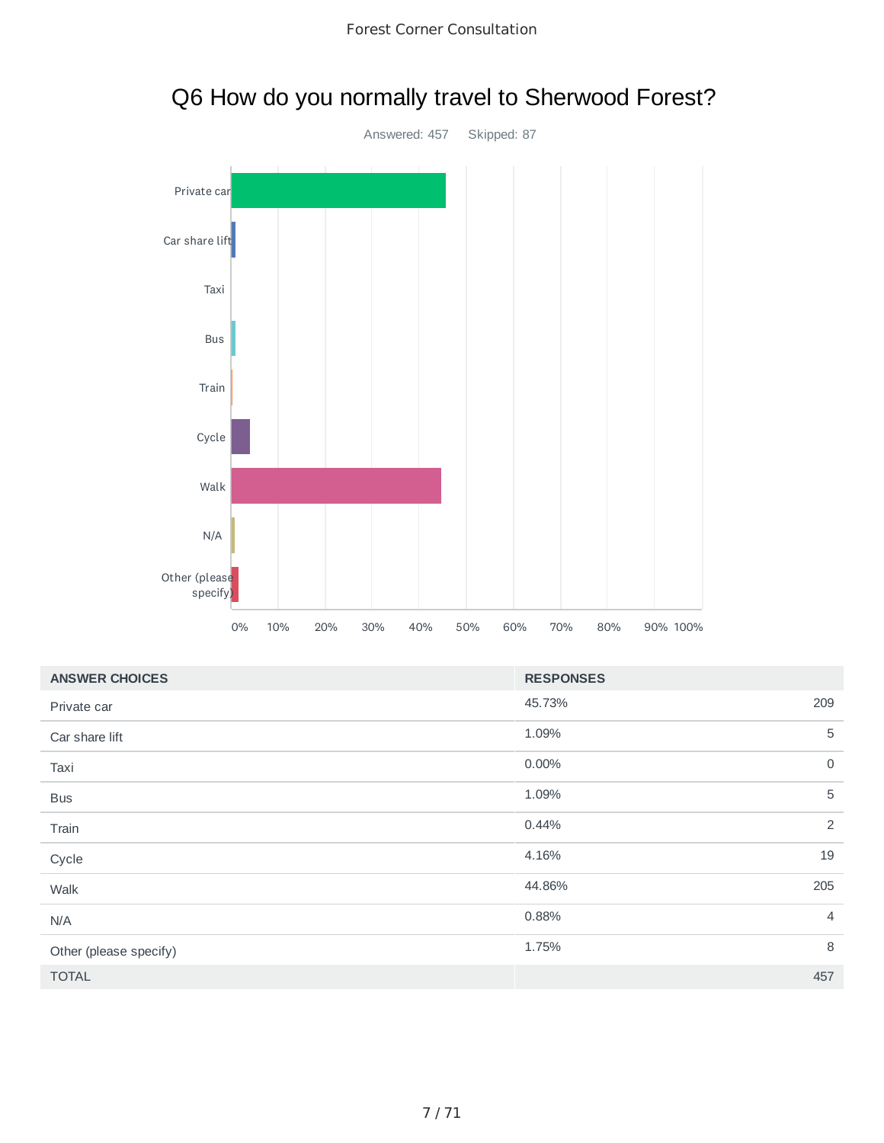

|  | Q6 How do you normally travel to Sherwood Forest? |  |  |  |
|--|---------------------------------------------------|--|--|--|
|--|---------------------------------------------------|--|--|--|

| <b>ANSWER CHOICES</b>  | <b>RESPONSES</b> |                |
|------------------------|------------------|----------------|
| Private car            | 45.73%           | 209            |
| Car share lift         | 1.09%            | 5              |
| Taxi                   | 0.00%            | $\mathbf 0$    |
| <b>Bus</b>             | 1.09%            | 5              |
| Train                  | 0.44%            | 2              |
| Cycle                  | 4.16%            | 19             |
| Walk                   | 44.86%           | 205            |
| N/A                    | 0.88%            | $\overline{4}$ |
| Other (please specify) | 1.75%            | 8              |
| <b>TOTAL</b>           |                  | 457            |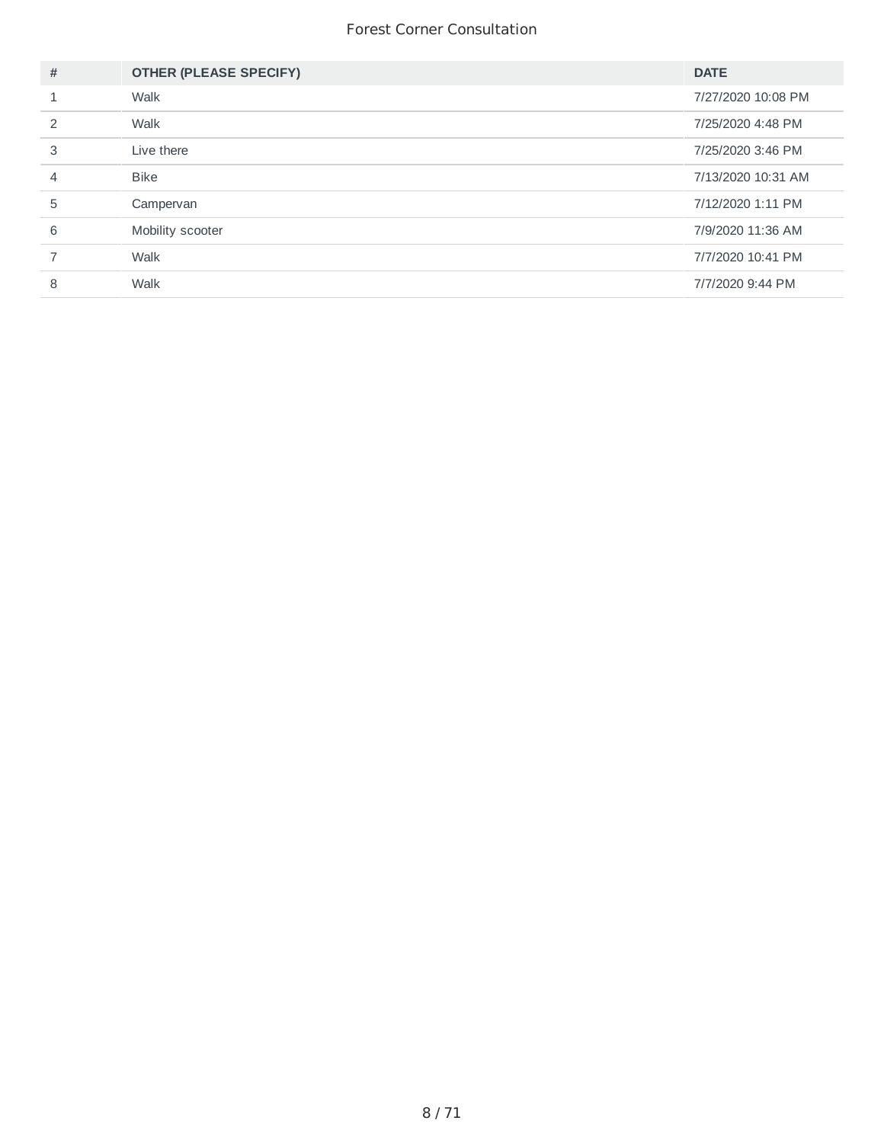| #                       | <b>OTHER (PLEASE SPECIFY)</b> | <b>DATE</b>        |
|-------------------------|-------------------------------|--------------------|
| $\mathbf{\overline{1}}$ | Walk                          | 7/27/2020 10:08 PM |
| $\mathcal{P}$           | Walk                          | 7/25/2020 4:48 PM  |
| 3                       | Live there                    | 7/25/2020 3:46 PM  |
| 4                       | <b>Bike</b>                   | 7/13/2020 10:31 AM |
| 5                       | Campervan                     | 7/12/2020 1:11 PM  |
| 6                       | Mobility scooter              | 7/9/2020 11:36 AM  |
|                         | Walk                          | 7/7/2020 10:41 PM  |
| 8                       | Walk                          | 7/7/2020 9:44 PM   |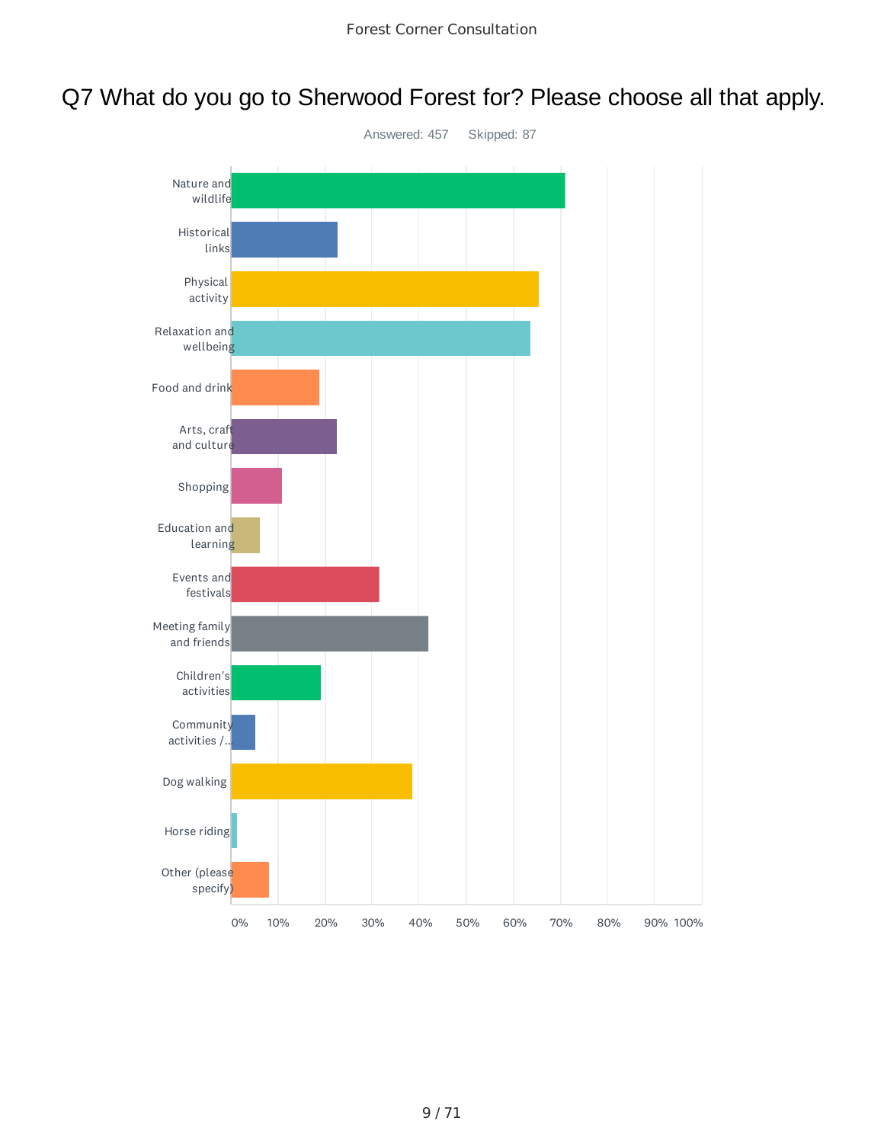# Q7 What do you go to Sherwood Forest for? Please choose all that apply.

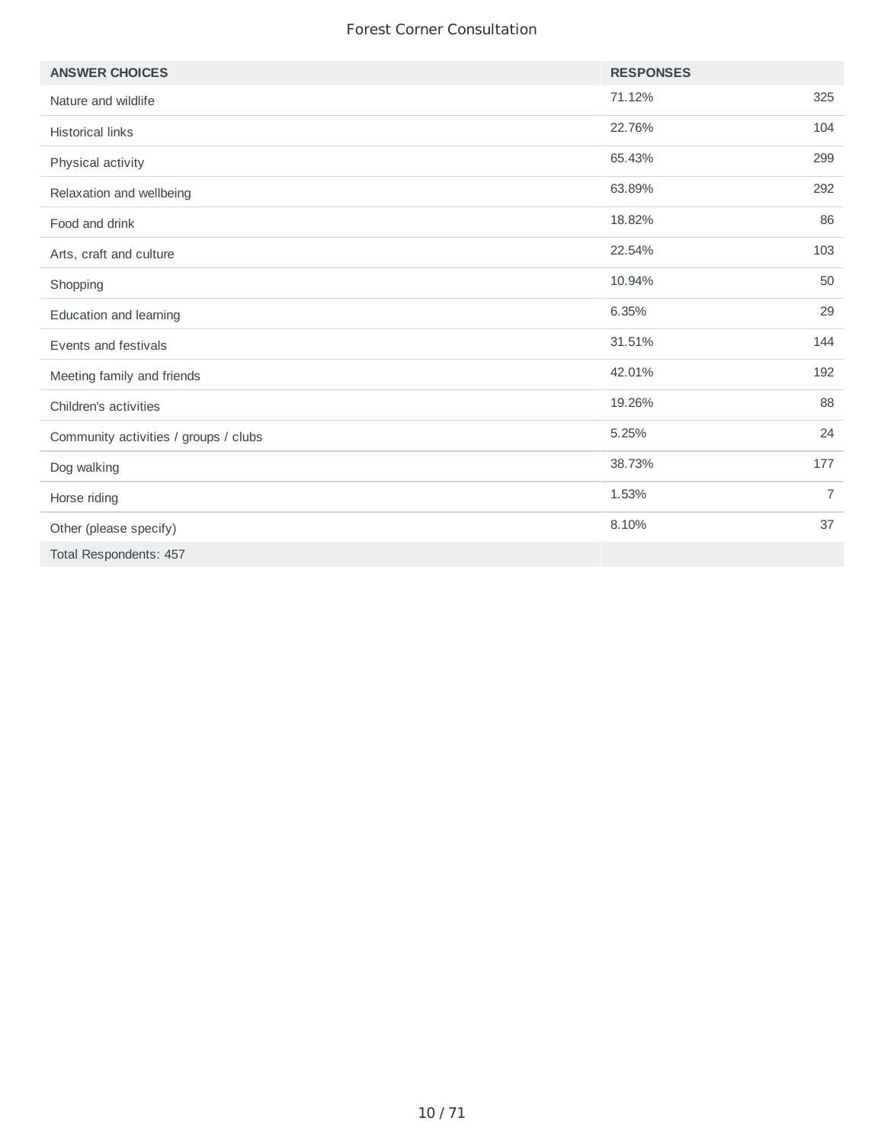| <b>ANSWER CHOICES</b>                 | <b>RESPONSES</b> |                |
|---------------------------------------|------------------|----------------|
| Nature and wildlife                   | 71.12%           | 325            |
| <b>Historical links</b>               | 22.76%           | 104            |
| Physical activity                     | 65.43%           | 299            |
| Relaxation and wellbeing              | 63.89%           | 292            |
| Food and drink                        | 18.82%           | 86             |
| Arts, craft and culture               | 22.54%           | 103            |
| Shopping                              | 10.94%           | 50             |
| Education and learning                | 6.35%            | 29             |
| Events and festivals                  | 31.51%           | 144            |
| Meeting family and friends            | 42.01%           | 192            |
| Children's activities                 | 19.26%           | 88             |
| Community activities / groups / clubs | 5.25%            | 24             |
| Dog walking                           | 38.73%           | 177            |
| Horse riding                          | 1.53%            | $\overline{7}$ |
| Other (please specify)                | 8.10%            | 37             |
| Total Respondents: 457                |                  |                |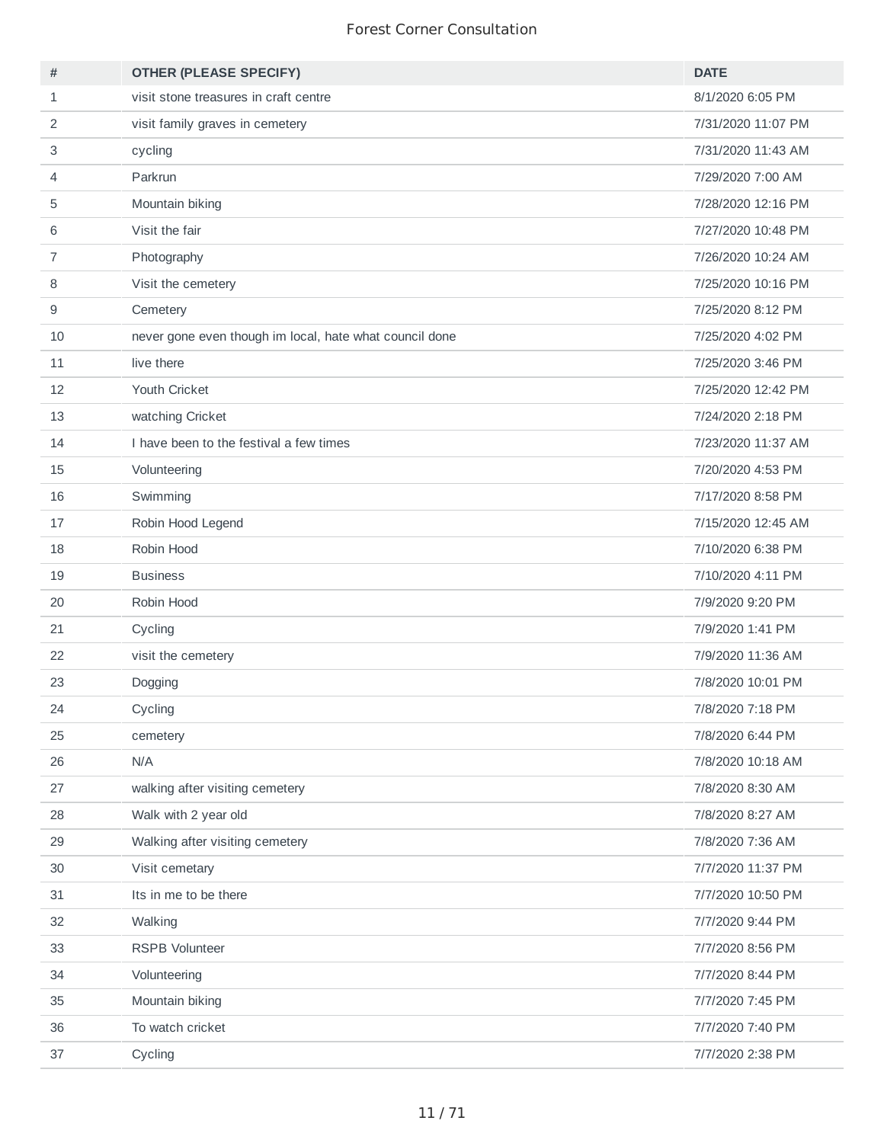| #  | <b>OTHER (PLEASE SPECIFY)</b>                           | <b>DATE</b>        |
|----|---------------------------------------------------------|--------------------|
| 1  | visit stone treasures in craft centre                   | 8/1/2020 6:05 PM   |
| 2  | visit family graves in cemetery                         | 7/31/2020 11:07 PM |
| 3  | cycling                                                 | 7/31/2020 11:43 AM |
| 4  | Parkrun                                                 | 7/29/2020 7:00 AM  |
| 5  | Mountain biking                                         | 7/28/2020 12:16 PM |
| 6  | Visit the fair                                          | 7/27/2020 10:48 PM |
| 7  | Photography                                             | 7/26/2020 10:24 AM |
| 8  | Visit the cemetery                                      | 7/25/2020 10:16 PM |
| 9  | Cemetery                                                | 7/25/2020 8:12 PM  |
| 10 | never gone even though im local, hate what council done | 7/25/2020 4:02 PM  |
| 11 | live there                                              | 7/25/2020 3:46 PM  |
| 12 | Youth Cricket                                           | 7/25/2020 12:42 PM |
| 13 | watching Cricket                                        | 7/24/2020 2:18 PM  |
| 14 | I have been to the festival a few times                 | 7/23/2020 11:37 AM |
| 15 | Volunteering                                            | 7/20/2020 4:53 PM  |
| 16 | Swimming                                                | 7/17/2020 8:58 PM  |
| 17 | Robin Hood Legend                                       | 7/15/2020 12:45 AM |
| 18 | Robin Hood                                              | 7/10/2020 6:38 PM  |
| 19 | <b>Business</b>                                         | 7/10/2020 4:11 PM  |
| 20 | Robin Hood                                              | 7/9/2020 9:20 PM   |
| 21 | Cycling                                                 | 7/9/2020 1:41 PM   |
| 22 | visit the cemetery                                      | 7/9/2020 11:36 AM  |
| 23 | Dogging                                                 | 7/8/2020 10:01 PM  |
| 24 | Cycling                                                 | 7/8/2020 7:18 PM   |
| 25 | cemetery                                                | 7/8/2020 6:44 PM   |
| 26 | N/A                                                     | 7/8/2020 10:18 AM  |
| 27 | walking after visiting cemetery                         | 7/8/2020 8:30 AM   |
| 28 | Walk with 2 year old                                    | 7/8/2020 8:27 AM   |
| 29 | Walking after visiting cemetery                         | 7/8/2020 7:36 AM   |
| 30 | Visit cemetary                                          | 7/7/2020 11:37 PM  |
| 31 | Its in me to be there                                   | 7/7/2020 10:50 PM  |
| 32 | Walking                                                 | 7/7/2020 9:44 PM   |
| 33 | RSPB Volunteer                                          | 7/7/2020 8:56 PM   |
| 34 | Volunteering                                            | 7/7/2020 8:44 PM   |
| 35 | Mountain biking                                         | 7/7/2020 7:45 PM   |
| 36 | To watch cricket                                        | 7/7/2020 7:40 PM   |
| 37 | Cycling                                                 | 7/7/2020 2:38 PM   |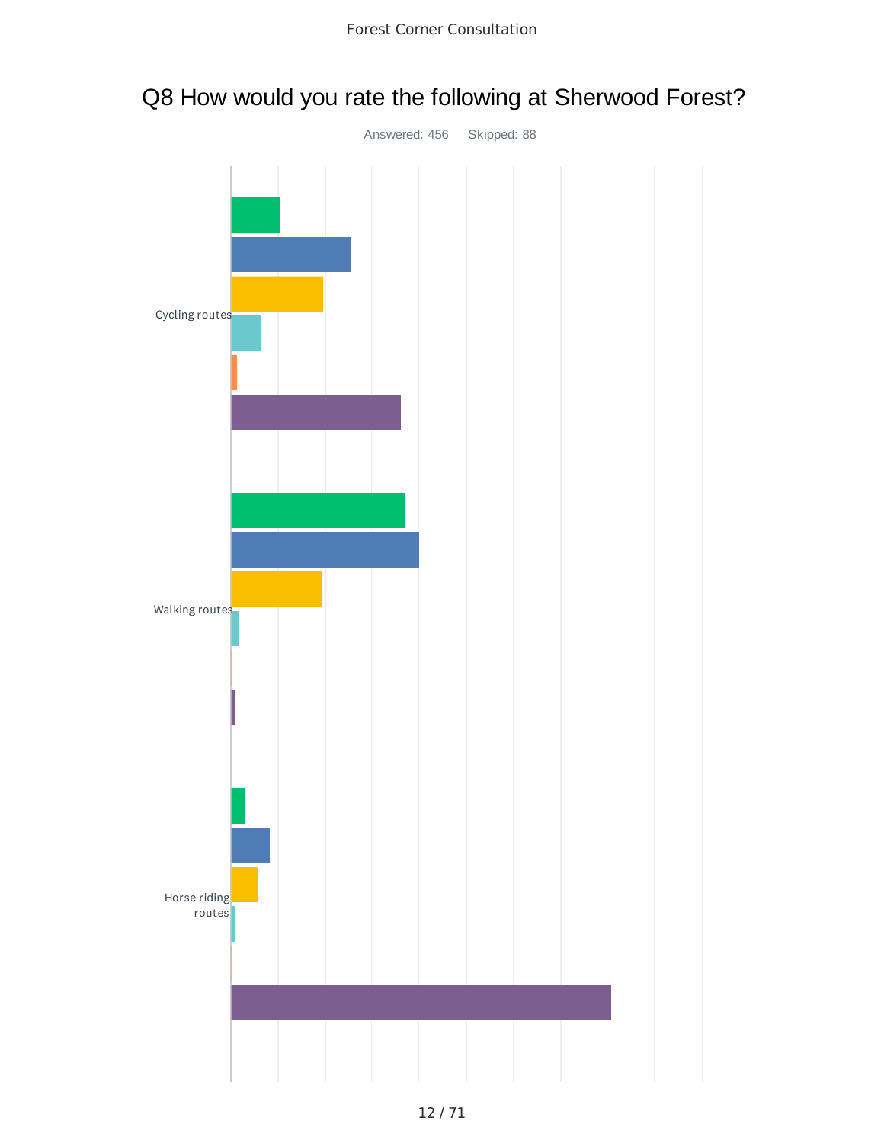# Q8 How would you rate the following at Sherwood Forest?

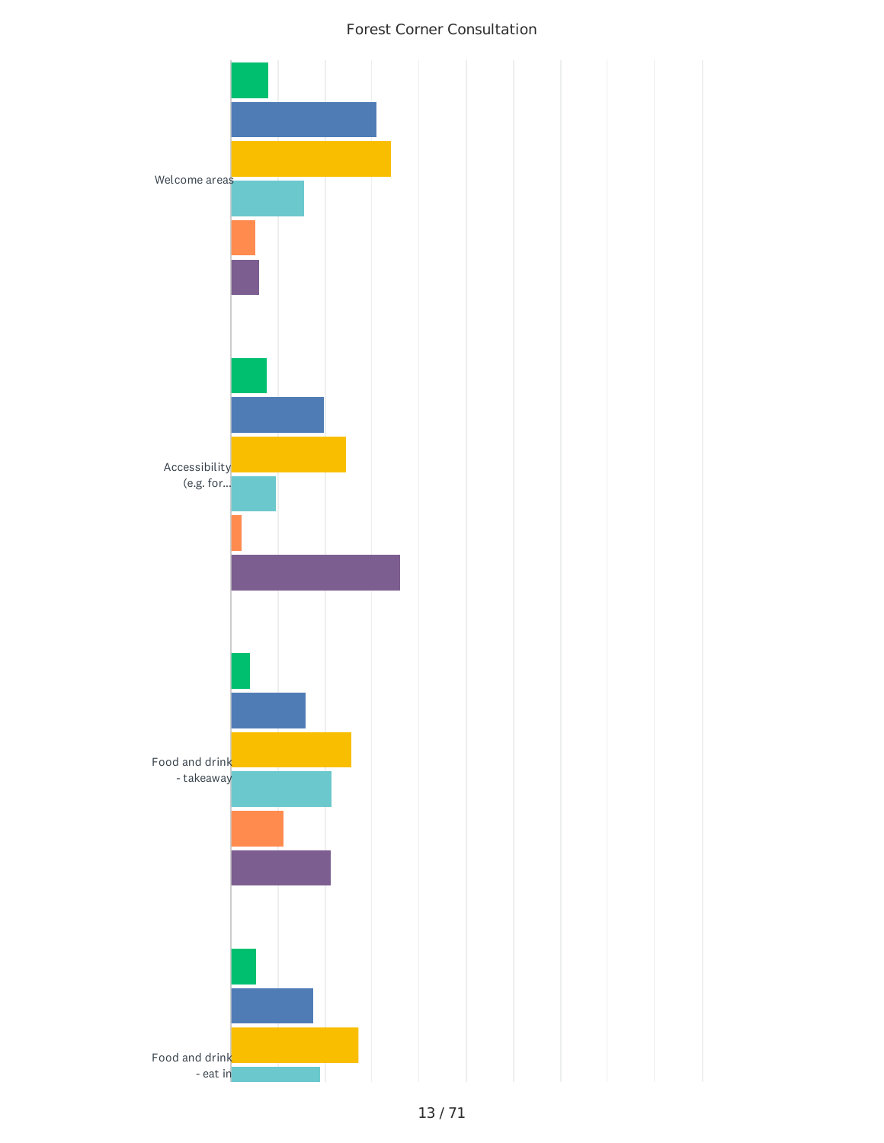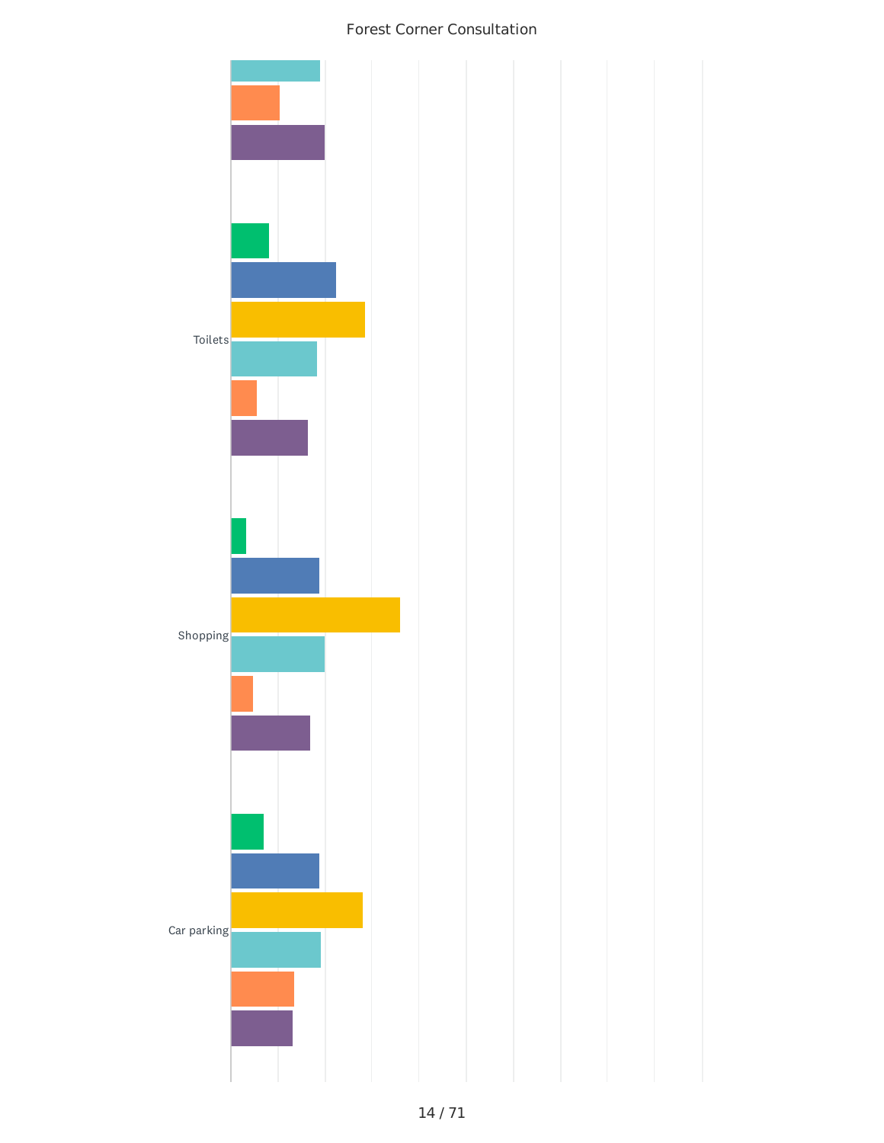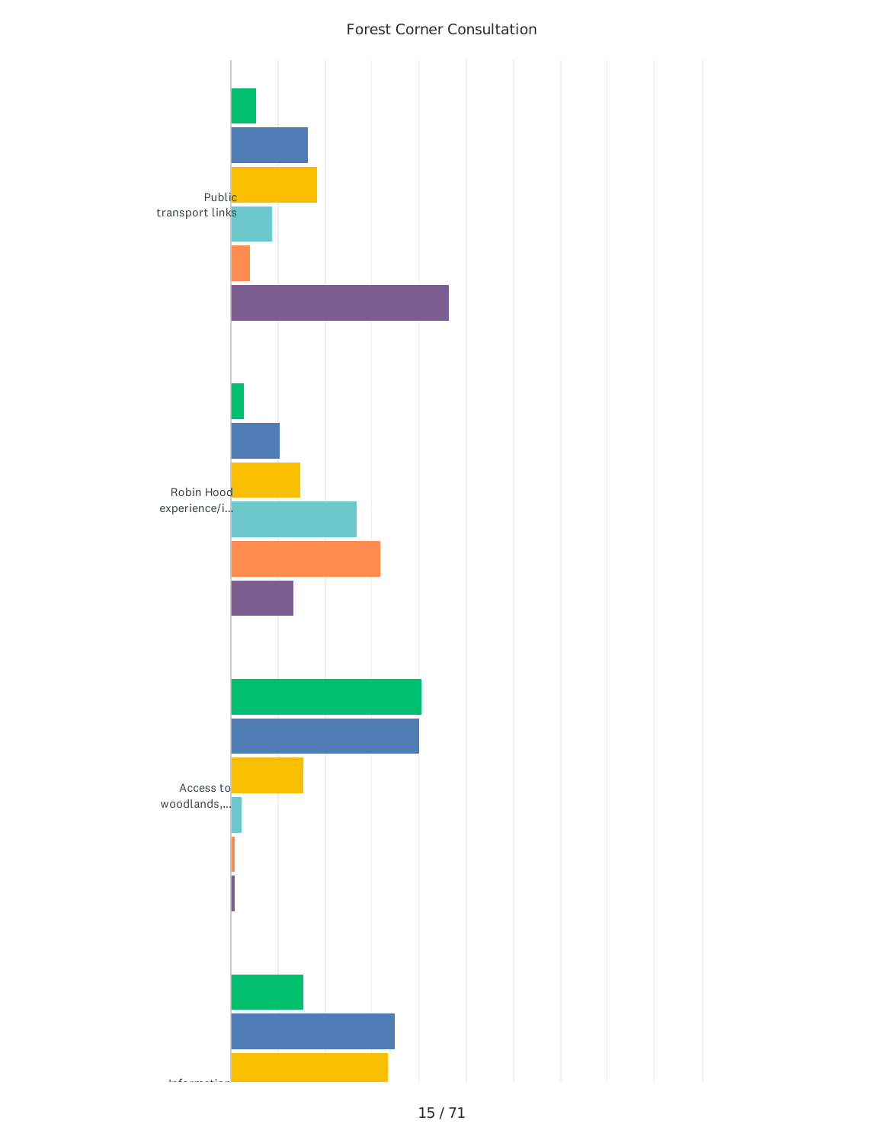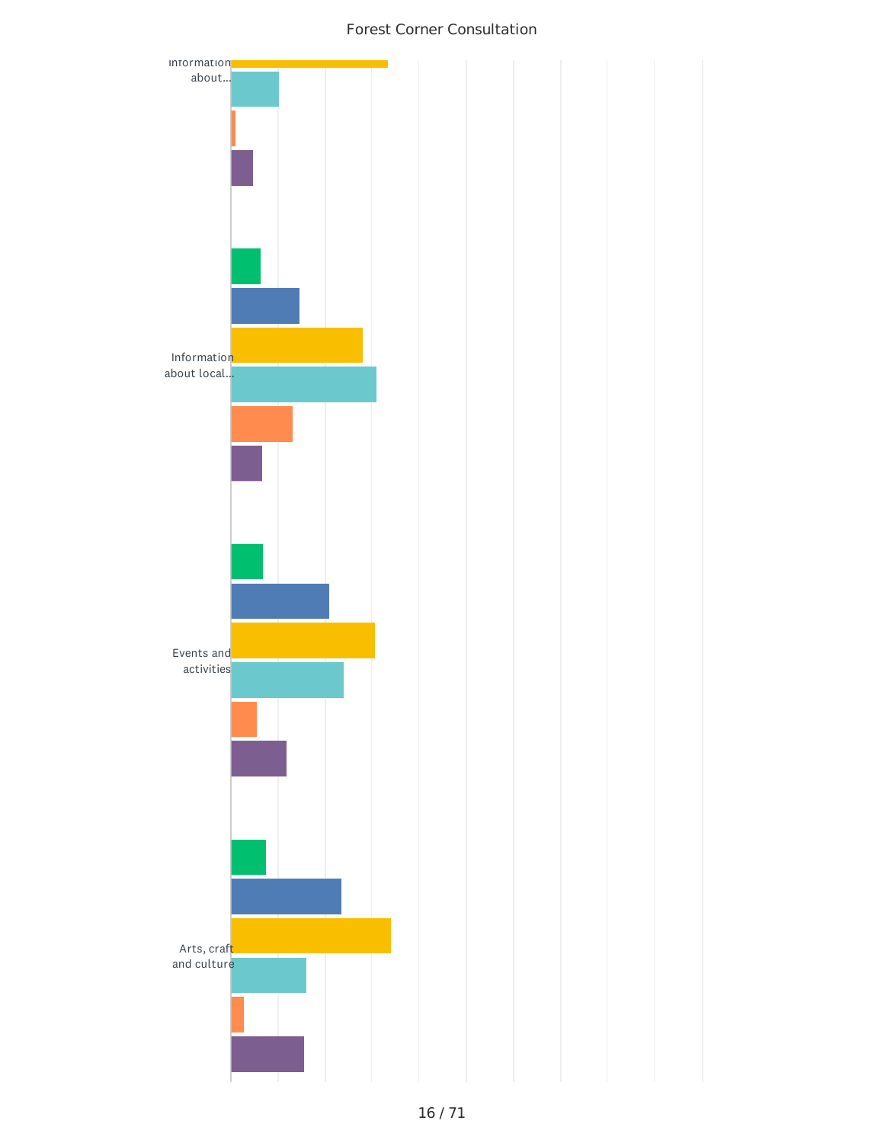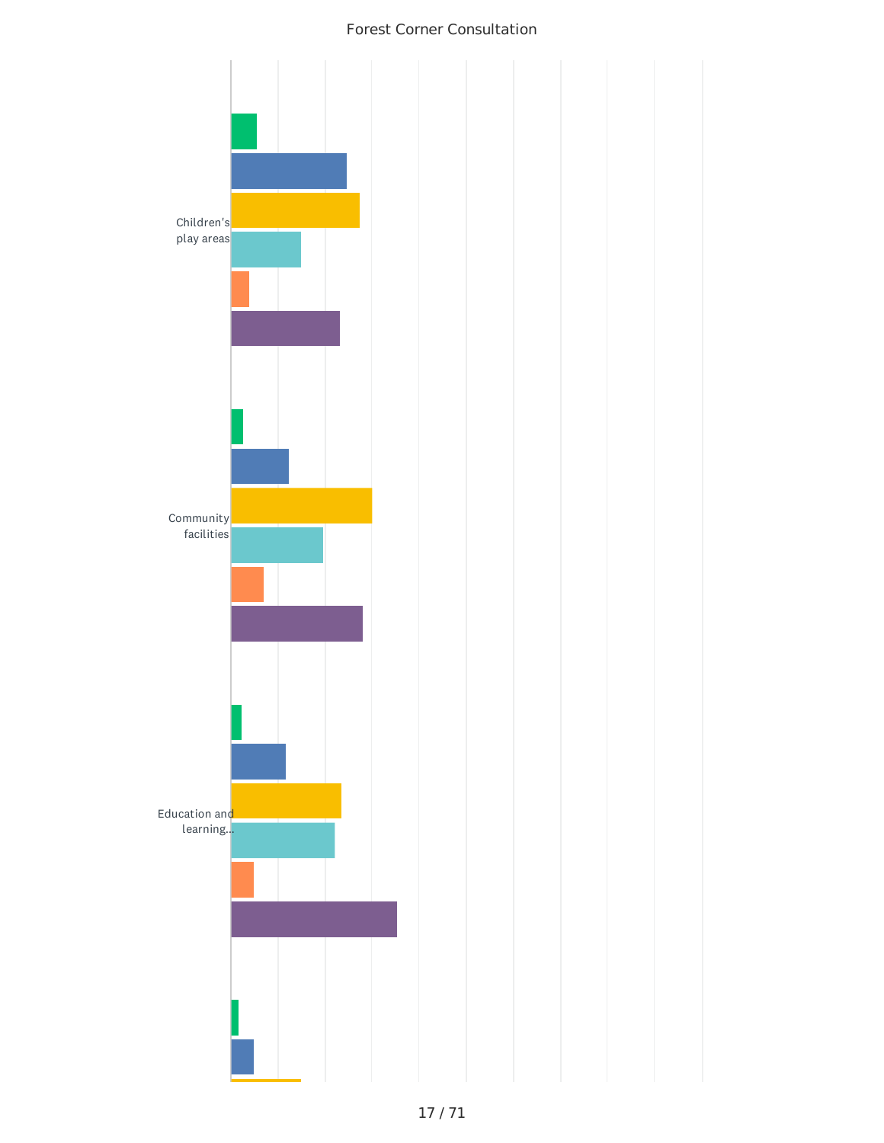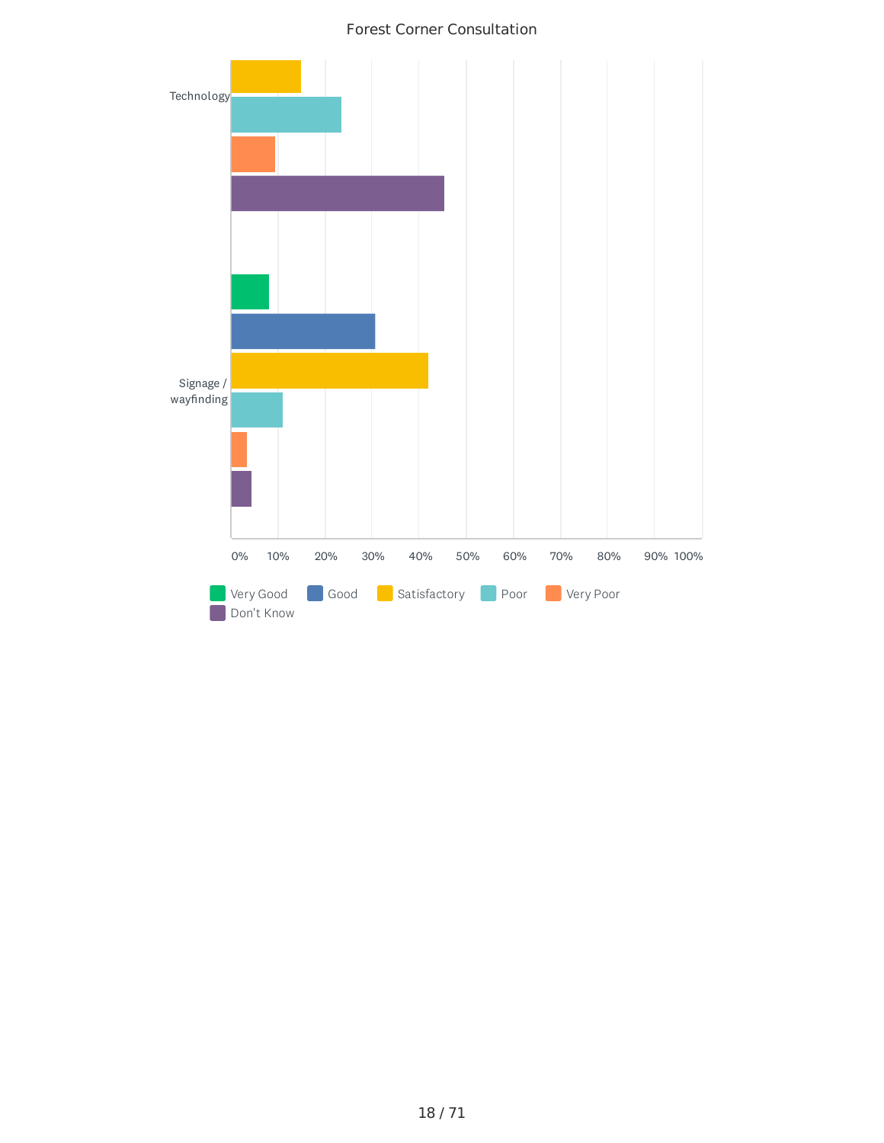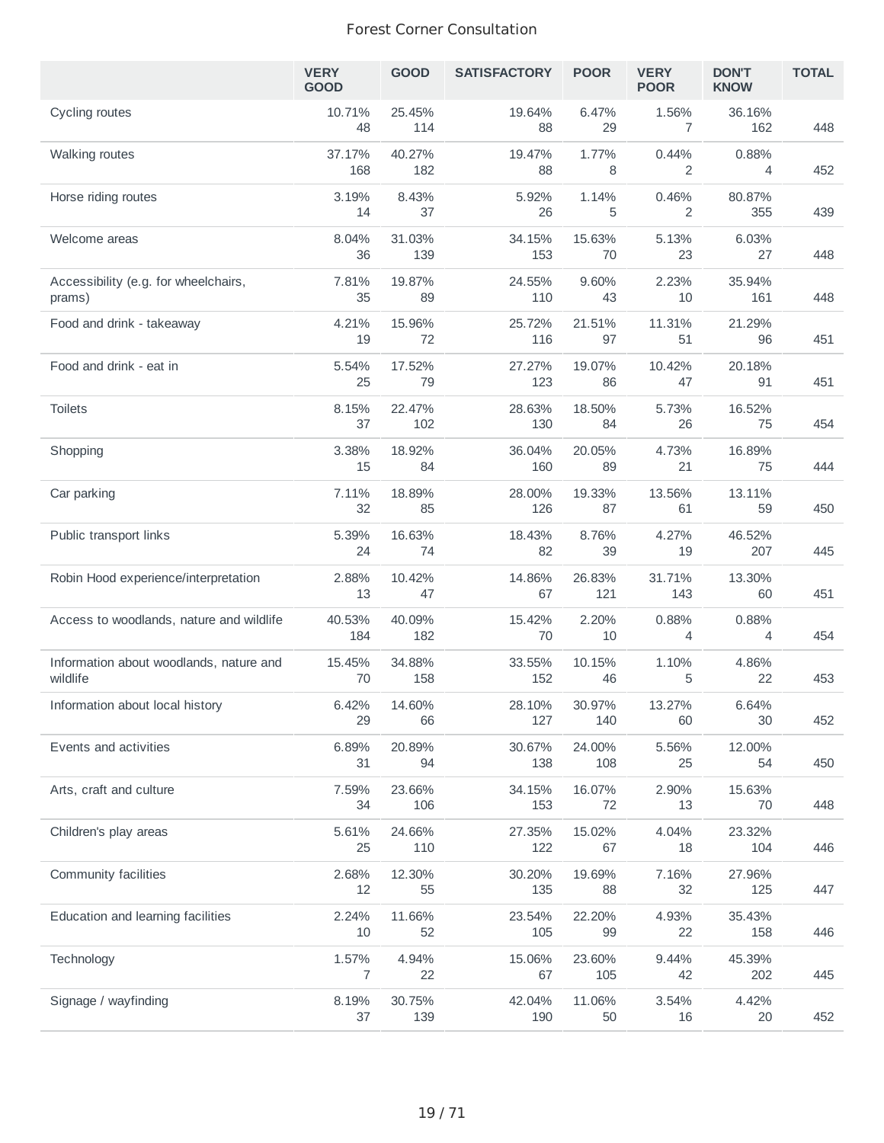|                                                     | <b>VERY</b><br><b>GOOD</b> | <b>GOOD</b>   | <b>SATISFACTORY</b> | <b>POOR</b>   | <b>VERY</b><br><b>POOR</b> | <b>DON'T</b><br><b>KNOW</b> | <b>TOTAL</b> |
|-----------------------------------------------------|----------------------------|---------------|---------------------|---------------|----------------------------|-----------------------------|--------------|
| Cycling routes                                      | 10.71%<br>48               | 25.45%<br>114 | 19.64%<br>88        | 6.47%<br>29   | 1.56%<br>7                 | 36.16%<br>162               | 448          |
| <b>Walking routes</b>                               | 37.17%<br>168              | 40.27%<br>182 | 19.47%<br>88        | 1.77%<br>8    | 0.44%<br>2                 | 0.88%<br>4                  | 452          |
| Horse riding routes                                 | 3.19%<br>14                | 8.43%<br>37   | 5.92%<br>26         | 1.14%<br>5    | 0.46%<br>2                 | 80.87%<br>355               | 439          |
| Welcome areas                                       | 8.04%<br>36                | 31.03%<br>139 | 34.15%<br>153       | 15.63%<br>70  | 5.13%<br>23                | 6.03%<br>27                 | 448          |
| Accessibility (e.g. for wheelchairs,<br>prams)      | 7.81%<br>35                | 19.87%<br>89  | 24.55%<br>110       | 9.60%<br>43   | 2.23%<br>10                | 35.94%<br>161               | 448          |
| Food and drink - takeaway                           | 4.21%<br>19                | 15.96%<br>72  | 25.72%<br>116       | 21.51%<br>97  | 11.31%<br>51               | 21.29%<br>96                | 451          |
| Food and drink - eat in                             | 5.54%<br>25                | 17.52%<br>79  | 27.27%<br>123       | 19.07%<br>86  | 10.42%<br>47               | 20.18%<br>91                | 451          |
| <b>Toilets</b>                                      | 8.15%<br>37                | 22.47%<br>102 | 28.63%<br>130       | 18.50%<br>84  | 5.73%<br>26                | 16.52%<br>75                | 454          |
| Shopping                                            | 3.38%<br>15                | 18.92%<br>84  | 36.04%<br>160       | 20.05%<br>89  | 4.73%<br>21                | 16.89%<br>75                | 444          |
| Car parking                                         | 7.11%<br>32                | 18.89%<br>85  | 28.00%<br>126       | 19.33%<br>87  | 13.56%<br>61               | 13.11%<br>59                | 450          |
| Public transport links                              | 5.39%<br>24                | 16.63%<br>74  | 18.43%<br>82        | 8.76%<br>39   | 4.27%<br>19                | 46.52%<br>207               | 445          |
| Robin Hood experience/interpretation                | 2.88%<br>13                | 10.42%<br>47  | 14.86%<br>67        | 26.83%<br>121 | 31.71%<br>143              | 13.30%<br>60                | 451          |
| Access to woodlands, nature and wildlife            | 40.53%<br>184              | 40.09%<br>182 | 15.42%<br>70        | 2.20%<br>10   | 0.88%<br>4                 | 0.88%<br>4                  | 454          |
| Information about woodlands, nature and<br>wildlife | 15.45%<br>70               | 34.88%<br>158 | 33.55%<br>152       | 10.15%<br>46  | 1.10%<br>5                 | 4.86%<br>22                 | 453          |
| Information about local history                     | 6.42%<br>29                | 14.60%<br>66  | 28.10%<br>127       | 30.97%<br>140 | 13.27%<br>60               | 6.64%<br>30                 | 452          |
| Events and activities                               | 6.89%<br>31                | 20.89%<br>94  | 30.67%<br>138       | 24.00%<br>108 | 5.56%<br>25                | 12.00%<br>54                | 450          |
| Arts, craft and culture                             | 7.59%<br>34                | 23.66%<br>106 | 34.15%<br>153       | 16.07%<br>72  | 2.90%<br>13                | 15.63%<br>70                | 448          |
| Children's play areas                               | 5.61%<br>25                | 24.66%<br>110 | 27.35%<br>122       | 15.02%<br>67  | 4.04%<br>18                | 23.32%<br>104               | 446          |
| Community facilities                                | 2.68%<br>12                | 12.30%<br>55  | 30.20%<br>135       | 19.69%<br>88  | 7.16%<br>32                | 27.96%<br>125               | 447          |
| Education and learning facilities                   | 2.24%<br>10                | 11.66%<br>52  | 23.54%<br>105       | 22.20%<br>99  | 4.93%<br>22                | 35.43%<br>158               | 446          |
| Technology                                          | 1.57%<br>7                 | 4.94%<br>22   | 15.06%<br>67        | 23.60%<br>105 | 9.44%<br>42                | 45.39%<br>202               | 445          |
| Signage / wayfinding                                | 8.19%<br>37                | 30.75%<br>139 | 42.04%<br>190       | 11.06%<br>50  | 3.54%<br>16                | 4.42%<br>20                 | 452          |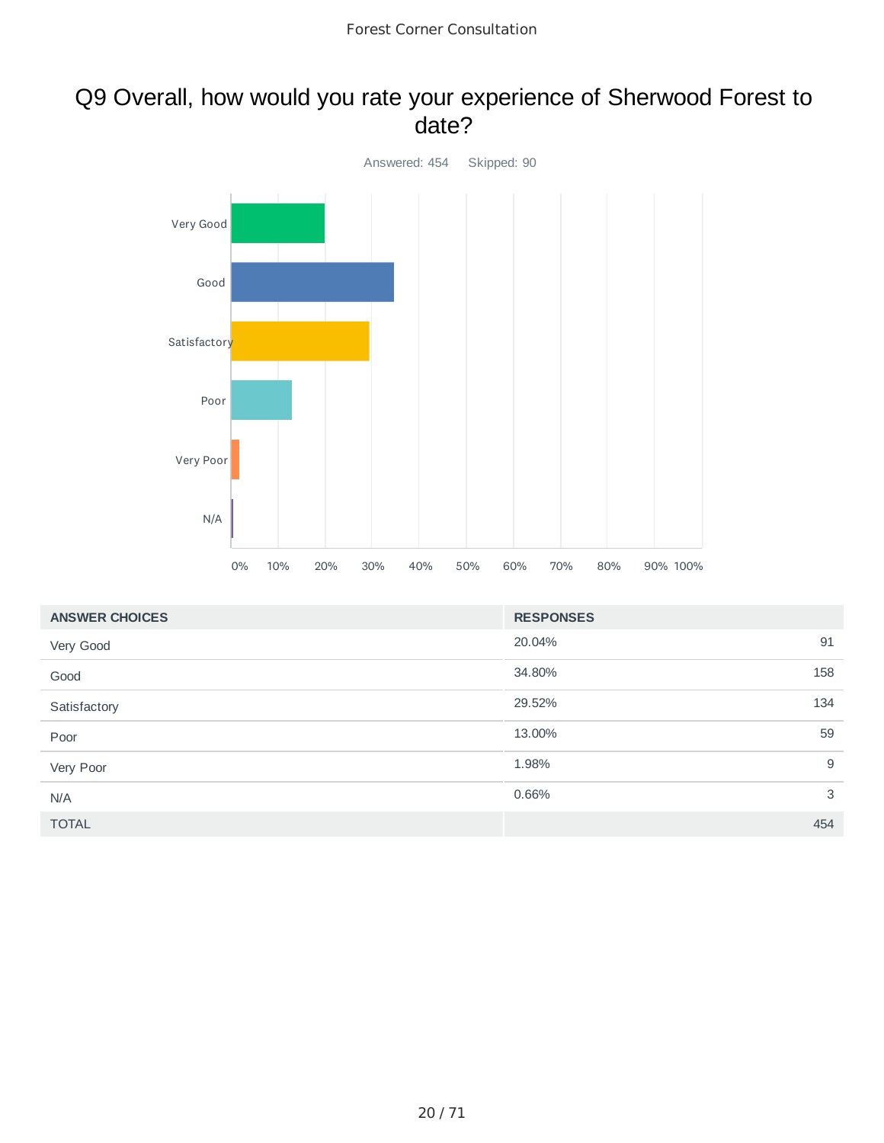## Q9 Overall, how would you rate your experience of Sherwood Forest to date?



| <b>ANSWER CHOICES</b> | <b>RESPONSES</b> |     |
|-----------------------|------------------|-----|
| Very Good             | 20.04%           | 91  |
| Good                  | 34.80%           | 158 |
| Satisfactory          | 29.52%           | 134 |
| Poor                  | 13.00%           | 59  |
| Very Poor             | 1.98%            | 9   |
| N/A                   | 0.66%            | 3   |
| <b>TOTAL</b>          |                  | 454 |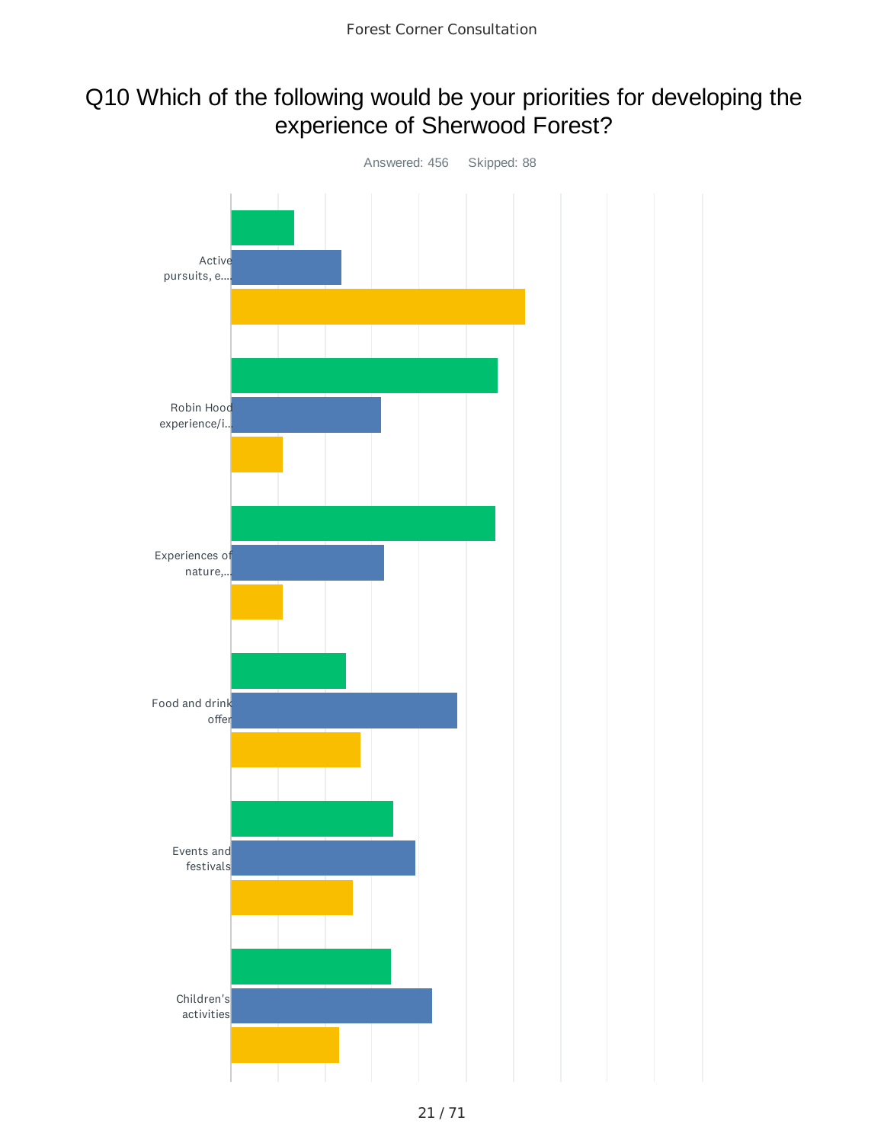## Q10 Which of the following would be your priorities for developing the experience of Sherwood Forest?

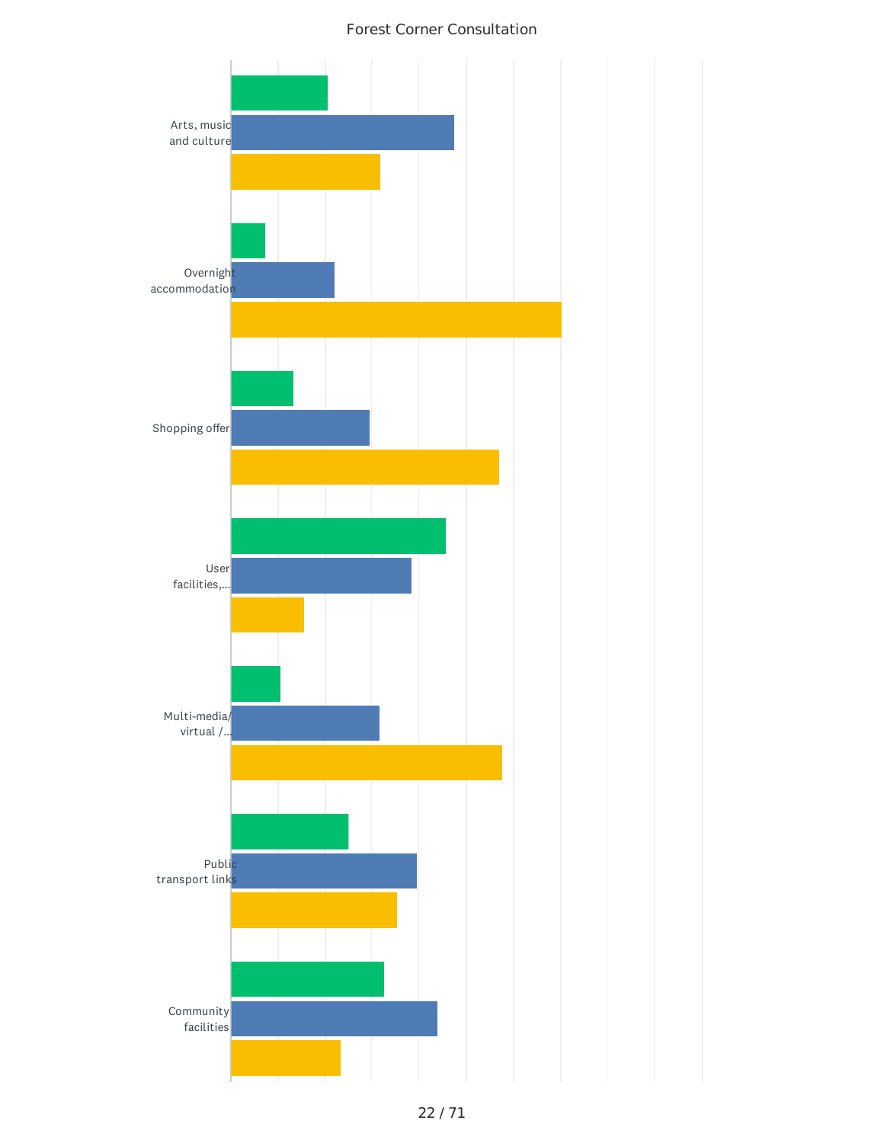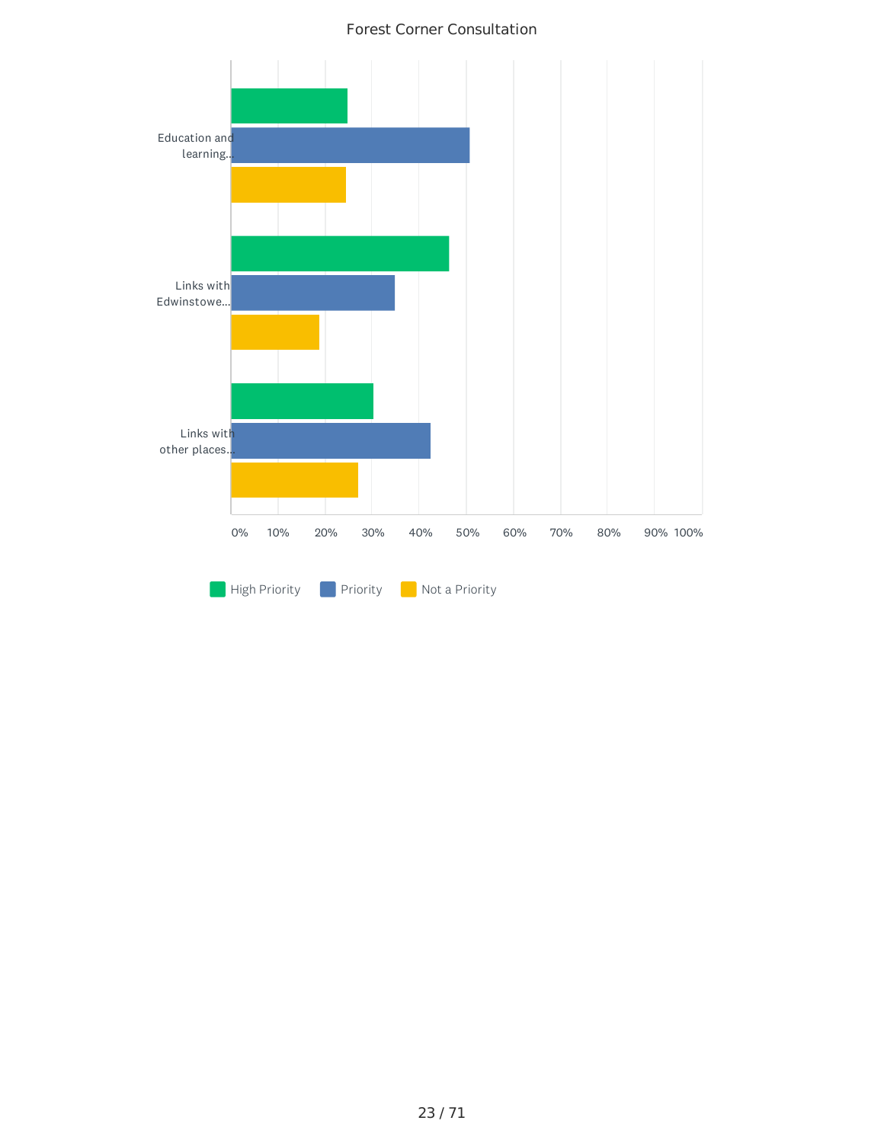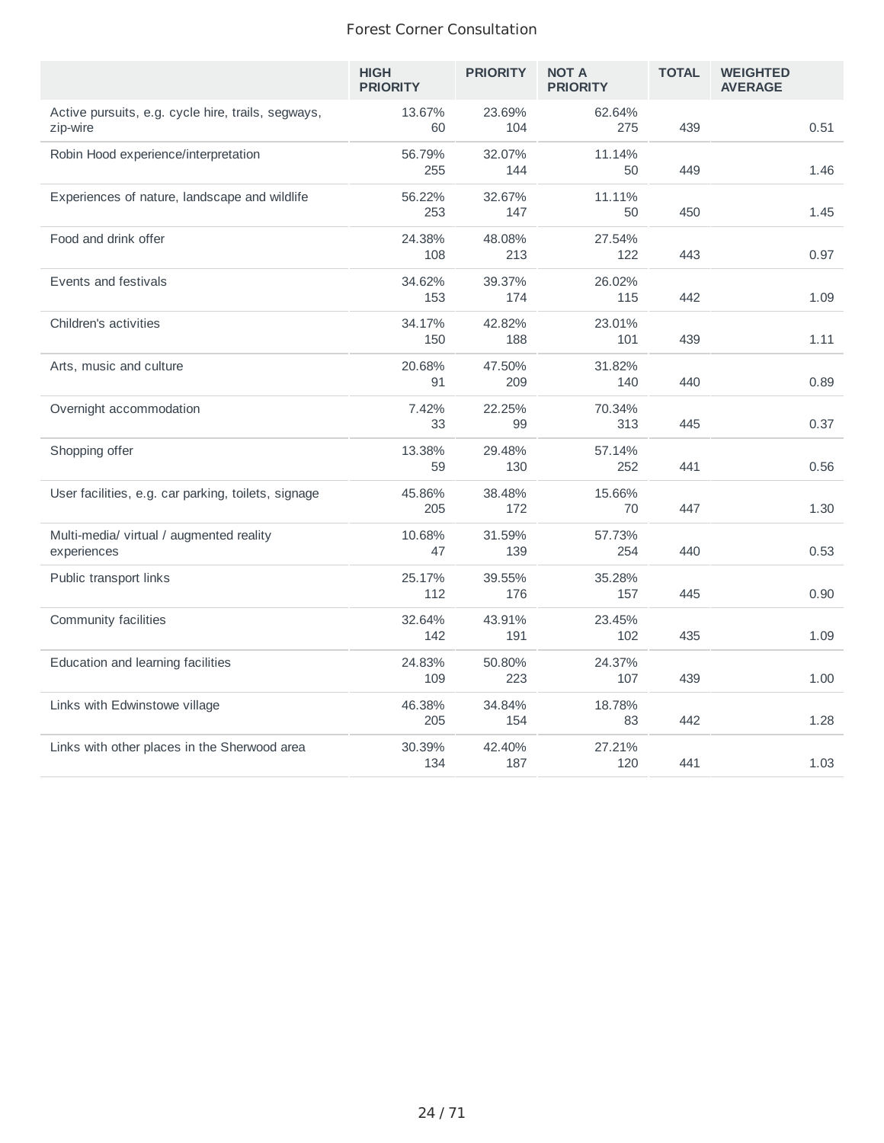|                                                                | <b>HIGH</b><br><b>PRIORITY</b> | <b>PRIORITY</b> | <b>NOT A</b><br><b>PRIORITY</b> | <b>TOTAL</b> | <b>WEIGHTED</b><br><b>AVERAGE</b> |
|----------------------------------------------------------------|--------------------------------|-----------------|---------------------------------|--------------|-----------------------------------|
| Active pursuits, e.g. cycle hire, trails, segways,<br>zip-wire | 13.67%<br>60                   | 23.69%<br>104   | 62.64%<br>275                   | 439          | 0.51                              |
| Robin Hood experience/interpretation                           | 56.79%<br>255                  | 32.07%<br>144   | 11.14%<br>50                    | 449          | 1.46                              |
| Experiences of nature, landscape and wildlife                  | 56.22%<br>253                  | 32.67%<br>147   | 11.11%<br>50                    | 450          | 1.45                              |
| Food and drink offer                                           | 24.38%<br>108                  | 48.08%<br>213   | 27.54%<br>122                   | 443          | 0.97                              |
| Events and festivals                                           | 34.62%<br>153                  | 39.37%<br>174   | 26.02%<br>115                   | 442          | 1.09                              |
| Children's activities                                          | 34.17%<br>150                  | 42.82%<br>188   | 23.01%<br>101                   | 439          | 1.11                              |
| Arts, music and culture                                        | 20.68%<br>91                   | 47.50%<br>209   | 31.82%<br>140                   | 440          | 0.89                              |
| Overnight accommodation                                        | 7.42%<br>33                    | 22.25%<br>99    | 70.34%<br>313                   | 445          | 0.37                              |
| Shopping offer                                                 | 13.38%<br>59                   | 29.48%<br>130   | 57.14%<br>252                   | 441          | 0.56                              |
| User facilities, e.g. car parking, toilets, signage            | 45.86%<br>205                  | 38.48%<br>172   | 15.66%<br>70                    | 447          | 1.30                              |
| Multi-media/ virtual / augmented reality<br>experiences        | 10.68%<br>47                   | 31.59%<br>139   | 57.73%<br>254                   | 440          | 0.53                              |
| Public transport links                                         | 25.17%<br>112                  | 39.55%<br>176   | 35.28%<br>157                   | 445          | 0.90                              |
| Community facilities                                           | 32.64%<br>142                  | 43.91%<br>191   | 23.45%<br>102                   | 435          | 1.09                              |
| Education and learning facilities                              | 24.83%<br>109                  | 50.80%<br>223   | 24.37%<br>107                   | 439          | 1.00                              |
| Links with Edwinstowe village                                  | 46.38%<br>205                  | 34.84%<br>154   | 18.78%<br>83                    | 442          | 1.28                              |
| Links with other places in the Sherwood area                   | 30.39%<br>134                  | 42.40%<br>187   | 27.21%<br>120                   | 441          | 1.03                              |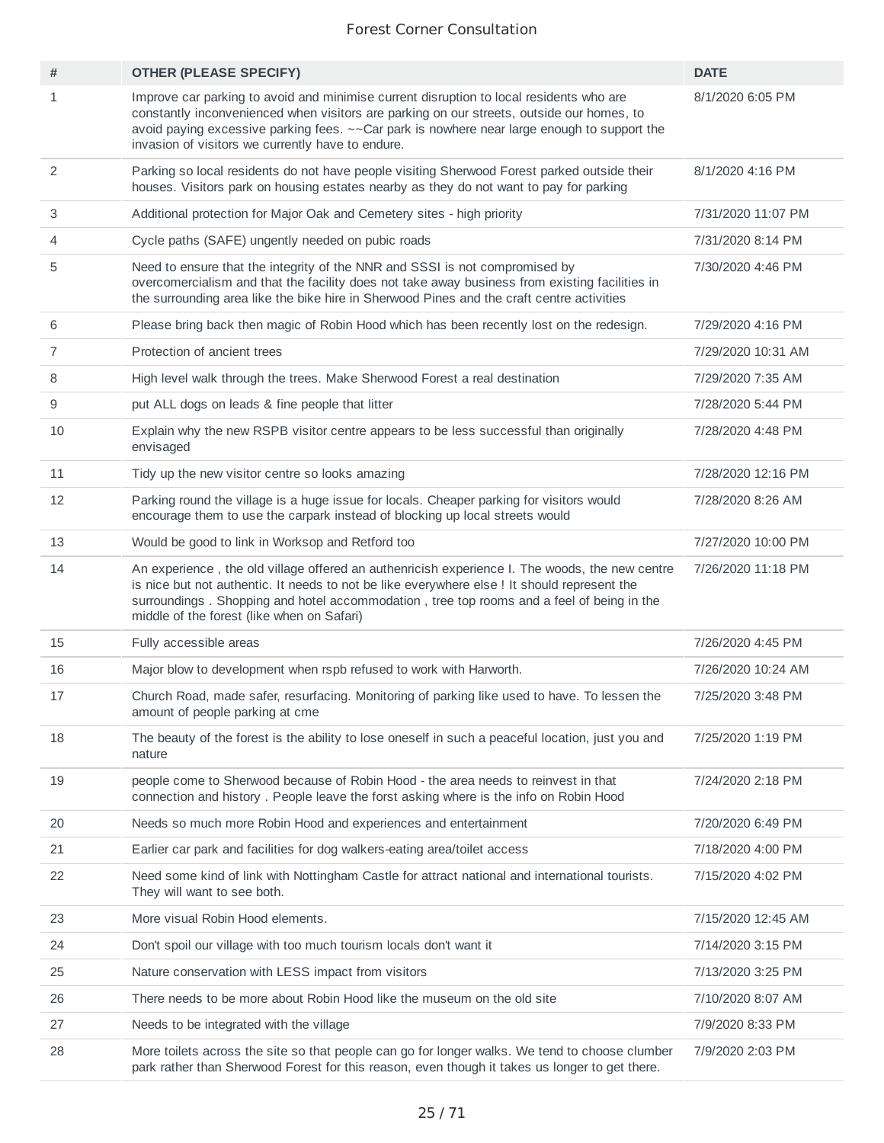| #              | <b>OTHER (PLEASE SPECIFY)</b>                                                                                                                                                                                                                                                                                                             | <b>DATE</b>        |
|----------------|-------------------------------------------------------------------------------------------------------------------------------------------------------------------------------------------------------------------------------------------------------------------------------------------------------------------------------------------|--------------------|
| $\mathbf{1}$   | Improve car parking to avoid and minimise current disruption to local residents who are<br>constantly inconvenienced when visitors are parking on our streets, outside our homes, to<br>avoid paying excessive parking fees. ~~ Car park is nowhere near large enough to support the<br>invasion of visitors we currently have to endure. | 8/1/2020 6:05 PM   |
| $\overline{c}$ | Parking so local residents do not have people visiting Sherwood Forest parked outside their<br>houses. Visitors park on housing estates nearby as they do not want to pay for parking                                                                                                                                                     | 8/1/2020 4:16 PM   |
| 3              | Additional protection for Major Oak and Cemetery sites - high priority                                                                                                                                                                                                                                                                    | 7/31/2020 11:07 PM |
| 4              | Cycle paths (SAFE) ungently needed on pubic roads                                                                                                                                                                                                                                                                                         | 7/31/2020 8:14 PM  |
| 5              | Need to ensure that the integrity of the NNR and SSSI is not compromised by<br>overcomercialism and that the facility does not take away business from existing facilities in<br>the surrounding area like the bike hire in Sherwood Pines and the craft centre activities                                                                | 7/30/2020 4:46 PM  |
| 6              | Please bring back then magic of Robin Hood which has been recently lost on the redesign.                                                                                                                                                                                                                                                  | 7/29/2020 4:16 PM  |
| $\overline{7}$ | Protection of ancient trees                                                                                                                                                                                                                                                                                                               | 7/29/2020 10:31 AM |
| 8              | High level walk through the trees. Make Sherwood Forest a real destination                                                                                                                                                                                                                                                                | 7/29/2020 7:35 AM  |
| 9              | put ALL dogs on leads & fine people that litter                                                                                                                                                                                                                                                                                           | 7/28/2020 5:44 PM  |
| 10             | Explain why the new RSPB visitor centre appears to be less successful than originally<br>envisaged                                                                                                                                                                                                                                        | 7/28/2020 4:48 PM  |
| 11             | Tidy up the new visitor centre so looks amazing                                                                                                                                                                                                                                                                                           | 7/28/2020 12:16 PM |
| 12             | Parking round the village is a huge issue for locals. Cheaper parking for visitors would<br>encourage them to use the carpark instead of blocking up local streets would                                                                                                                                                                  | 7/28/2020 8:26 AM  |
| 13             | Would be good to link in Worksop and Retford too                                                                                                                                                                                                                                                                                          | 7/27/2020 10:00 PM |
| 14             | An experience, the old village offered an authenricish experience I. The woods, the new centre<br>is nice but not authentic. It needs to not be like everywhere else ! It should represent the<br>surroundings. Shopping and hotel accommodation, tree top rooms and a feel of being in the<br>middle of the forest (like when on Safari) | 7/26/2020 11:18 PM |
| 15             | Fully accessible areas                                                                                                                                                                                                                                                                                                                    | 7/26/2020 4:45 PM  |
| 16             | Major blow to development when rspb refused to work with Harworth.                                                                                                                                                                                                                                                                        | 7/26/2020 10:24 AM |
| 17             | Church Road, made safer, resurfacing. Monitoring of parking like used to have. To lessen the<br>amount of people parking at cme                                                                                                                                                                                                           | 7/25/2020 3:48 PM  |
| 18             | The beauty of the forest is the ability to lose oneself in such a peaceful location, just you and<br>nature                                                                                                                                                                                                                               | 7/25/2020 1:19 PM  |
| 19             | people come to Sherwood because of Robin Hood - the area needs to reinvest in that<br>connection and history. People leave the forst asking where is the info on Robin Hood                                                                                                                                                               | 7/24/2020 2:18 PM  |
| 20             | Needs so much more Robin Hood and experiences and entertainment                                                                                                                                                                                                                                                                           | 7/20/2020 6:49 PM  |
| 21             | Earlier car park and facilities for dog walkers-eating area/toilet access                                                                                                                                                                                                                                                                 | 7/18/2020 4:00 PM  |
| 22             | Need some kind of link with Nottingham Castle for attract national and international tourists.<br>They will want to see both.                                                                                                                                                                                                             | 7/15/2020 4:02 PM  |
| 23             | More visual Robin Hood elements.                                                                                                                                                                                                                                                                                                          | 7/15/2020 12:45 AM |
| 24             | Don't spoil our village with too much tourism locals don't want it                                                                                                                                                                                                                                                                        | 7/14/2020 3:15 PM  |
| 25             | Nature conservation with LESS impact from visitors                                                                                                                                                                                                                                                                                        | 7/13/2020 3:25 PM  |
| 26             | There needs to be more about Robin Hood like the museum on the old site                                                                                                                                                                                                                                                                   | 7/10/2020 8:07 AM  |
| 27             | Needs to be integrated with the village                                                                                                                                                                                                                                                                                                   | 7/9/2020 8:33 PM   |
| 28             | More toilets across the site so that people can go for longer walks. We tend to choose clumber<br>park rather than Sherwood Forest for this reason, even though it takes us longer to get there.                                                                                                                                          | 7/9/2020 2:03 PM   |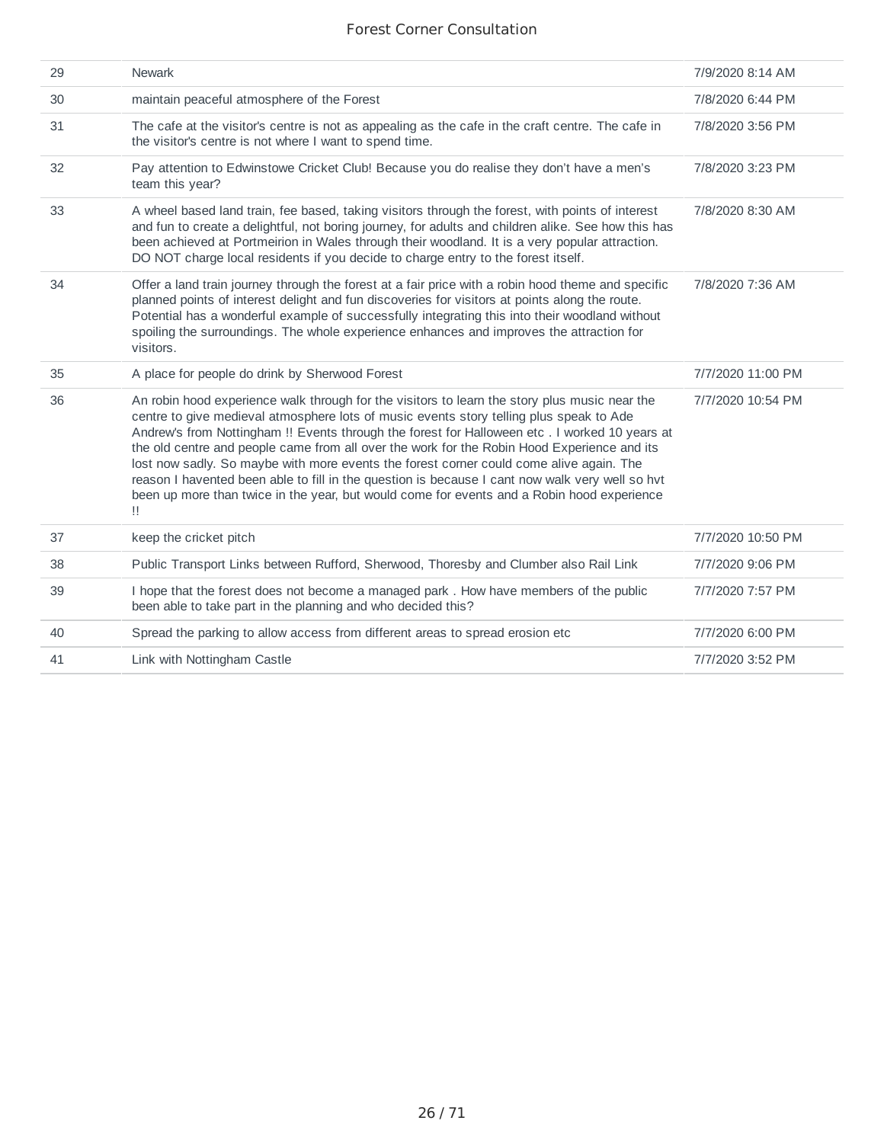| <b>Newark</b>                                                                                                                                                                                                                                                                                                                                                                                                                                                                                                                                                                                                                                                                               | 7/9/2020 8:14 AM  |
|---------------------------------------------------------------------------------------------------------------------------------------------------------------------------------------------------------------------------------------------------------------------------------------------------------------------------------------------------------------------------------------------------------------------------------------------------------------------------------------------------------------------------------------------------------------------------------------------------------------------------------------------------------------------------------------------|-------------------|
| maintain peaceful atmosphere of the Forest                                                                                                                                                                                                                                                                                                                                                                                                                                                                                                                                                                                                                                                  | 7/8/2020 6:44 PM  |
| The cafe at the visitor's centre is not as appealing as the cafe in the craft centre. The cafe in<br>the visitor's centre is not where I want to spend time.                                                                                                                                                                                                                                                                                                                                                                                                                                                                                                                                | 7/8/2020 3:56 PM  |
| Pay attention to Edwinstowe Cricket Club! Because you do realise they don't have a men's<br>team this year?                                                                                                                                                                                                                                                                                                                                                                                                                                                                                                                                                                                 | 7/8/2020 3:23 PM  |
| A wheel based land train, fee based, taking visitors through the forest, with points of interest<br>and fun to create a delightful, not boring journey, for adults and children alike. See how this has<br>been achieved at Portmeirion in Wales through their woodland. It is a very popular attraction.<br>DO NOT charge local residents if you decide to charge entry to the forest itself.                                                                                                                                                                                                                                                                                              | 7/8/2020 8:30 AM  |
| Offer a land train journey through the forest at a fair price with a robin hood theme and specific<br>planned points of interest delight and fun discoveries for visitors at points along the route.<br>Potential has a wonderful example of successfully integrating this into their woodland without<br>spoiling the surroundings. The whole experience enhances and improves the attraction for<br>visitors.                                                                                                                                                                                                                                                                             | 7/8/2020 7:36 AM  |
| A place for people do drink by Sherwood Forest                                                                                                                                                                                                                                                                                                                                                                                                                                                                                                                                                                                                                                              | 7/7/2020 11:00 PM |
| An robin hood experience walk through for the visitors to learn the story plus music near the<br>centre to give medieval atmosphere lots of music events story telling plus speak to Ade<br>Andrew's from Nottingham !! Events through the forest for Halloween etc . I worked 10 years at<br>the old centre and people came from all over the work for the Robin Hood Experience and its<br>lost now sadly. So maybe with more events the forest corner could come alive again. The<br>reason I havented been able to fill in the question is because I cant now walk very well so hvt<br>been up more than twice in the year, but would come for events and a Robin hood experience<br>Π. | 7/7/2020 10:54 PM |
| keep the cricket pitch                                                                                                                                                                                                                                                                                                                                                                                                                                                                                                                                                                                                                                                                      | 7/7/2020 10:50 PM |
| Public Transport Links between Rufford, Sherwood, Thoresby and Clumber also Rail Link                                                                                                                                                                                                                                                                                                                                                                                                                                                                                                                                                                                                       | 7/7/2020 9:06 PM  |
| I hope that the forest does not become a managed park. How have members of the public<br>been able to take part in the planning and who decided this?                                                                                                                                                                                                                                                                                                                                                                                                                                                                                                                                       | 7/7/2020 7:57 PM  |
|                                                                                                                                                                                                                                                                                                                                                                                                                                                                                                                                                                                                                                                                                             | 7/7/2020 6:00 PM  |
| Spread the parking to allow access from different areas to spread erosion etc.                                                                                                                                                                                                                                                                                                                                                                                                                                                                                                                                                                                                              |                   |
|                                                                                                                                                                                                                                                                                                                                                                                                                                                                                                                                                                                                                                                                                             |                   |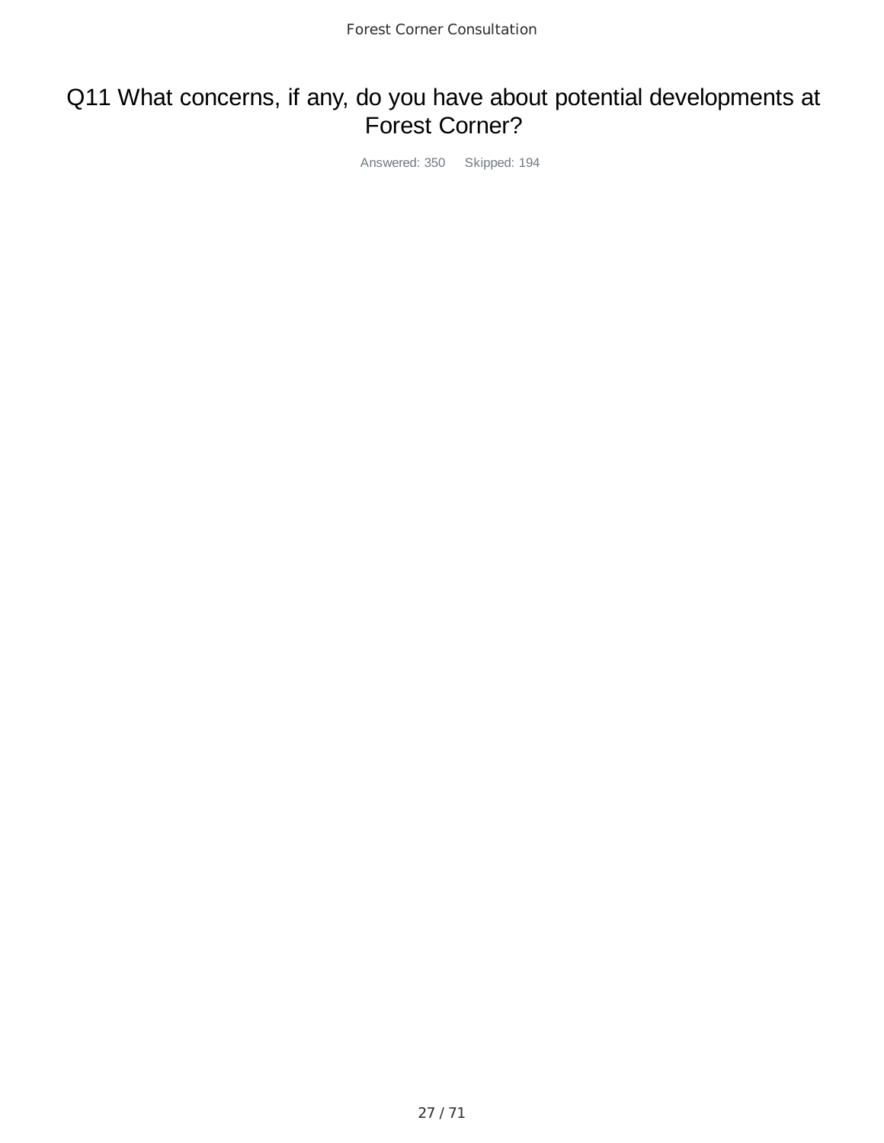## Q11 What concerns, if any, do you have about potential developments at Forest Corner?

Answered: 350 Skipped: 194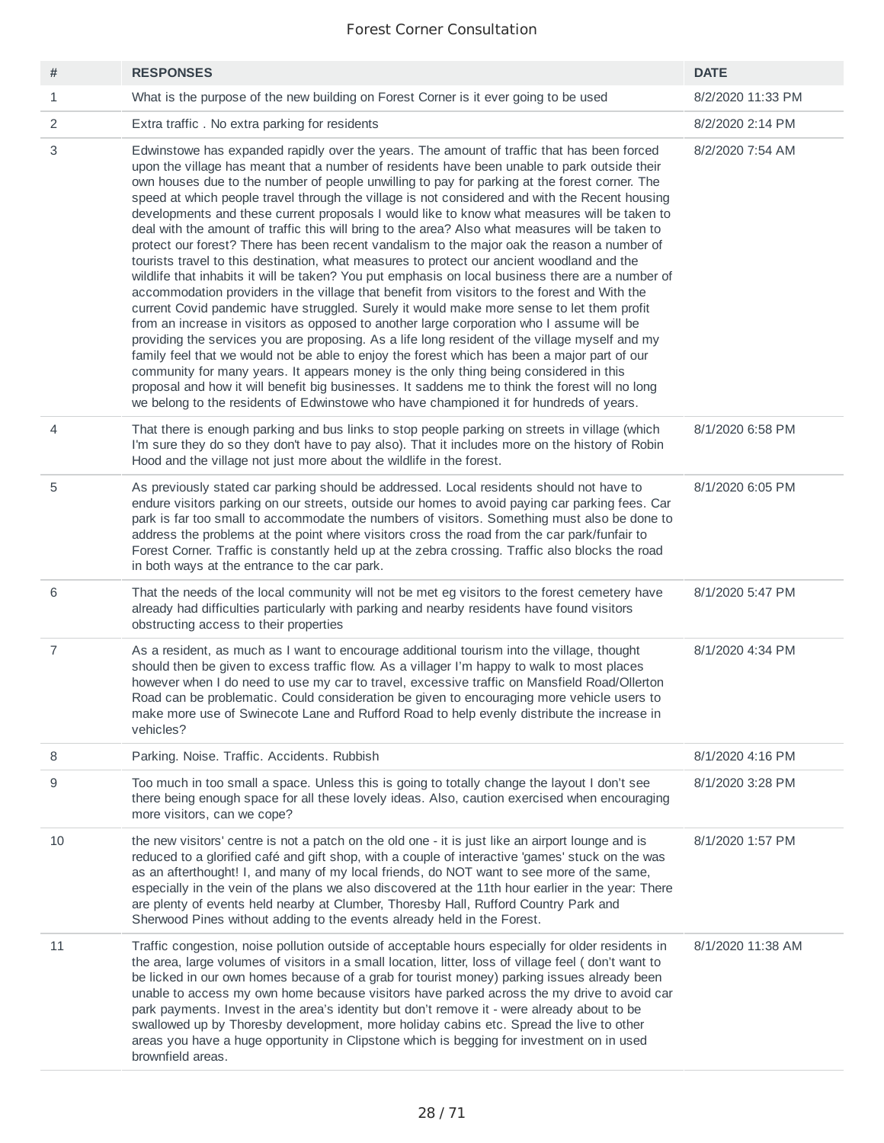| #              | <b>RESPONSES</b>                                                                                                                                                                                                                                                                                                                                                                                                                                                                                                                                                                                                                                                                                                                                                                                                                                                                                                                                                                                                                                                                                                                                                                                                                                                                                                                                                                                                                                                                                                                                                                                                                                                                      | <b>DATE</b>       |
|----------------|---------------------------------------------------------------------------------------------------------------------------------------------------------------------------------------------------------------------------------------------------------------------------------------------------------------------------------------------------------------------------------------------------------------------------------------------------------------------------------------------------------------------------------------------------------------------------------------------------------------------------------------------------------------------------------------------------------------------------------------------------------------------------------------------------------------------------------------------------------------------------------------------------------------------------------------------------------------------------------------------------------------------------------------------------------------------------------------------------------------------------------------------------------------------------------------------------------------------------------------------------------------------------------------------------------------------------------------------------------------------------------------------------------------------------------------------------------------------------------------------------------------------------------------------------------------------------------------------------------------------------------------------------------------------------------------|-------------------|
| $\mathbf 1$    | What is the purpose of the new building on Forest Corner is it ever going to be used                                                                                                                                                                                                                                                                                                                                                                                                                                                                                                                                                                                                                                                                                                                                                                                                                                                                                                                                                                                                                                                                                                                                                                                                                                                                                                                                                                                                                                                                                                                                                                                                  | 8/2/2020 11:33 PM |
| 2              | Extra traffic. No extra parking for residents                                                                                                                                                                                                                                                                                                                                                                                                                                                                                                                                                                                                                                                                                                                                                                                                                                                                                                                                                                                                                                                                                                                                                                                                                                                                                                                                                                                                                                                                                                                                                                                                                                         | 8/2/2020 2:14 PM  |
| 3              | Edwinstowe has expanded rapidly over the years. The amount of traffic that has been forced<br>upon the village has meant that a number of residents have been unable to park outside their<br>own houses due to the number of people unwilling to pay for parking at the forest corner. The<br>speed at which people travel through the village is not considered and with the Recent housing<br>developments and these current proposals I would like to know what measures will be taken to<br>deal with the amount of traffic this will bring to the area? Also what measures will be taken to<br>protect our forest? There has been recent vandalism to the major oak the reason a number of<br>tourists travel to this destination, what measures to protect our ancient woodland and the<br>wildlife that inhabits it will be taken? You put emphasis on local business there are a number of<br>accommodation providers in the village that benefit from visitors to the forest and With the<br>current Covid pandemic have struggled. Surely it would make more sense to let them profit<br>from an increase in visitors as opposed to another large corporation who I assume will be<br>providing the services you are proposing. As a life long resident of the village myself and my<br>family feel that we would not be able to enjoy the forest which has been a major part of our<br>community for many years. It appears money is the only thing being considered in this<br>proposal and how it will benefit big businesses. It saddens me to think the forest will no long<br>we belong to the residents of Edwinstowe who have championed it for hundreds of years. | 8/2/2020 7:54 AM  |
| $\overline{4}$ | That there is enough parking and bus links to stop people parking on streets in village (which<br>I'm sure they do so they don't have to pay also). That it includes more on the history of Robin<br>Hood and the village not just more about the wildlife in the forest.                                                                                                                                                                                                                                                                                                                                                                                                                                                                                                                                                                                                                                                                                                                                                                                                                                                                                                                                                                                                                                                                                                                                                                                                                                                                                                                                                                                                             | 8/1/2020 6:58 PM  |
| 5              | As previously stated car parking should be addressed. Local residents should not have to<br>endure visitors parking on our streets, outside our homes to avoid paying car parking fees. Car<br>park is far too small to accommodate the numbers of visitors. Something must also be done to<br>address the problems at the point where visitors cross the road from the car park/funfair to<br>Forest Corner. Traffic is constantly held up at the zebra crossing. Traffic also blocks the road<br>in both ways at the entrance to the car park.                                                                                                                                                                                                                                                                                                                                                                                                                                                                                                                                                                                                                                                                                                                                                                                                                                                                                                                                                                                                                                                                                                                                      | 8/1/2020 6:05 PM  |
| 6              | That the needs of the local community will not be met eg visitors to the forest cemetery have<br>already had difficulties particularly with parking and nearby residents have found visitors<br>obstructing access to their properties                                                                                                                                                                                                                                                                                                                                                                                                                                                                                                                                                                                                                                                                                                                                                                                                                                                                                                                                                                                                                                                                                                                                                                                                                                                                                                                                                                                                                                                | 8/1/2020 5:47 PM  |
| $\overline{7}$ | As a resident, as much as I want to encourage additional tourism into the village, thought<br>should then be given to excess traffic flow. As a villager I'm happy to walk to most places<br>however when I do need to use my car to travel, excessive traffic on Mansfield Road/Ollerton<br>Road can be problematic. Could consideration be given to encouraging more vehicle users to<br>make more use of Swinecote Lane and Rufford Road to help evenly distribute the increase in<br>vehicles?                                                                                                                                                                                                                                                                                                                                                                                                                                                                                                                                                                                                                                                                                                                                                                                                                                                                                                                                                                                                                                                                                                                                                                                    | 8/1/2020 4:34 PM  |
| 8              | Parking. Noise. Traffic. Accidents. Rubbish                                                                                                                                                                                                                                                                                                                                                                                                                                                                                                                                                                                                                                                                                                                                                                                                                                                                                                                                                                                                                                                                                                                                                                                                                                                                                                                                                                                                                                                                                                                                                                                                                                           | 8/1/2020 4:16 PM  |
| 9              | Too much in too small a space. Unless this is going to totally change the layout I don't see<br>there being enough space for all these lovely ideas. Also, caution exercised when encouraging<br>more visitors, can we cope?                                                                                                                                                                                                                                                                                                                                                                                                                                                                                                                                                                                                                                                                                                                                                                                                                                                                                                                                                                                                                                                                                                                                                                                                                                                                                                                                                                                                                                                          | 8/1/2020 3:28 PM  |
| 10             | the new visitors' centre is not a patch on the old one - it is just like an airport lounge and is<br>reduced to a glorified café and gift shop, with a couple of interactive 'games' stuck on the was<br>as an afterthought! I, and many of my local friends, do NOT want to see more of the same,<br>especially in the vein of the plans we also discovered at the 11th hour earlier in the year: There<br>are plenty of events held nearby at Clumber, Thoresby Hall, Rufford Country Park and<br>Sherwood Pines without adding to the events already held in the Forest.                                                                                                                                                                                                                                                                                                                                                                                                                                                                                                                                                                                                                                                                                                                                                                                                                                                                                                                                                                                                                                                                                                           | 8/1/2020 1:57 PM  |
| 11             | Traffic congestion, noise pollution outside of acceptable hours especially for older residents in<br>the area, large volumes of visitors in a small location, litter, loss of village feel (don't want to<br>be licked in our own homes because of a grab for tourist money) parking issues already been<br>unable to access my own home because visitors have parked across the my drive to avoid car<br>park payments. Invest in the area's identity but don't remove it - were already about to be<br>swallowed up by Thoresby development, more holiday cabins etc. Spread the live to other<br>areas you have a huge opportunity in Clipstone which is begging for investment on in used<br>brownfield areas.                                                                                                                                                                                                                                                                                                                                                                                                                                                                                                                                                                                                                                                                                                                                                                                                                                                                                                                                                                    | 8/1/2020 11:38 AM |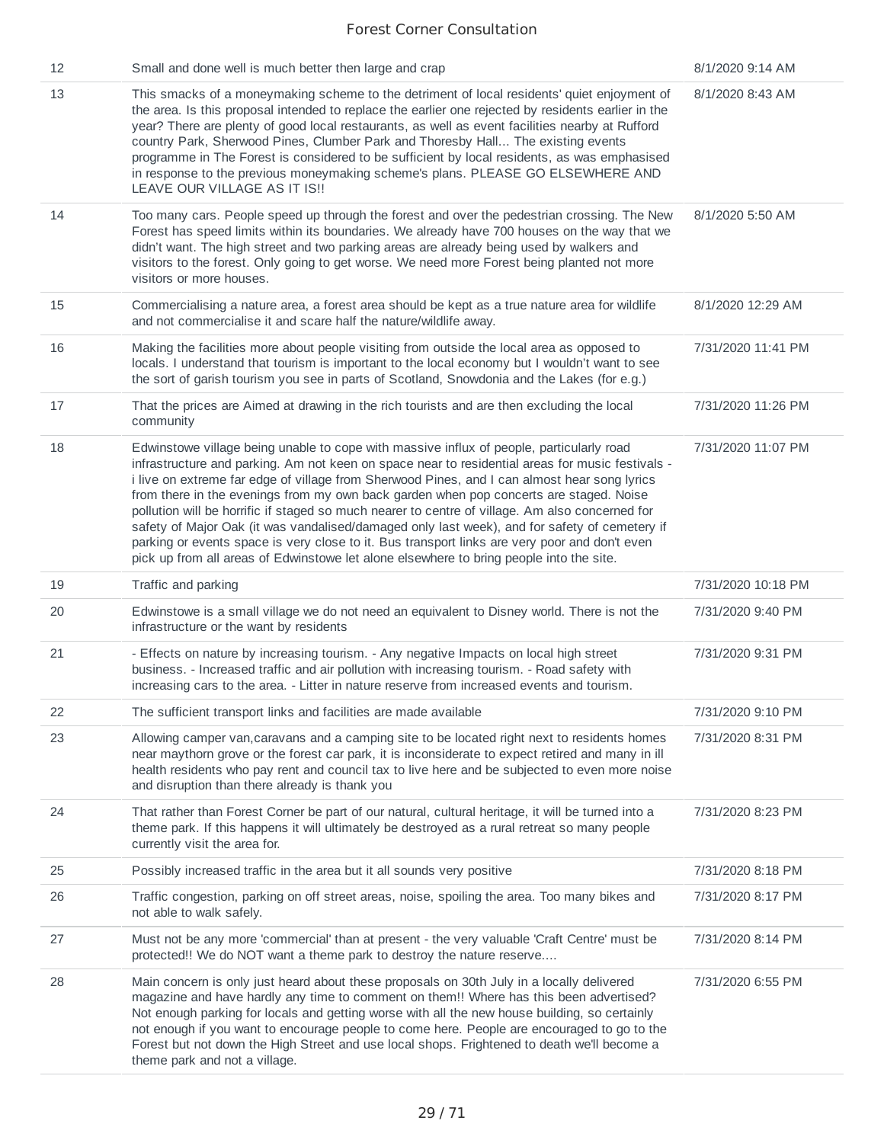| 12 | Small and done well is much better then large and crap                                                                                                                                                                                                                                                                                                                                                                                                                                                                                                                                                                                                                                                                                                                                 | 8/1/2020 9:14 AM   |
|----|----------------------------------------------------------------------------------------------------------------------------------------------------------------------------------------------------------------------------------------------------------------------------------------------------------------------------------------------------------------------------------------------------------------------------------------------------------------------------------------------------------------------------------------------------------------------------------------------------------------------------------------------------------------------------------------------------------------------------------------------------------------------------------------|--------------------|
| 13 | This smacks of a moneymaking scheme to the detriment of local residents' quiet enjoyment of<br>the area. Is this proposal intended to replace the earlier one rejected by residents earlier in the<br>year? There are plenty of good local restaurants, as well as event facilities nearby at Rufford<br>country Park, Sherwood Pines, Clumber Park and Thoresby Hall The existing events<br>programme in The Forest is considered to be sufficient by local residents, as was emphasised<br>in response to the previous moneymaking scheme's plans. PLEASE GO ELSEWHERE AND<br>LEAVE OUR VILLAGE AS IT IS !!                                                                                                                                                                          | 8/1/2020 8:43 AM   |
| 14 | Too many cars. People speed up through the forest and over the pedestrian crossing. The New<br>Forest has speed limits within its boundaries. We already have 700 houses on the way that we<br>didn't want. The high street and two parking areas are already being used by walkers and<br>visitors to the forest. Only going to get worse. We need more Forest being planted not more<br>visitors or more houses.                                                                                                                                                                                                                                                                                                                                                                     | 8/1/2020 5:50 AM   |
| 15 | Commercialising a nature area, a forest area should be kept as a true nature area for wildlife<br>and not commercialise it and scare half the nature/wildlife away.                                                                                                                                                                                                                                                                                                                                                                                                                                                                                                                                                                                                                    | 8/1/2020 12:29 AM  |
| 16 | Making the facilities more about people visiting from outside the local area as opposed to<br>locals. I understand that tourism is important to the local economy but I wouldn't want to see<br>the sort of garish tourism you see in parts of Scotland, Snowdonia and the Lakes (for e.g.)                                                                                                                                                                                                                                                                                                                                                                                                                                                                                            | 7/31/2020 11:41 PM |
| 17 | That the prices are Aimed at drawing in the rich tourists and are then excluding the local<br>community                                                                                                                                                                                                                                                                                                                                                                                                                                                                                                                                                                                                                                                                                | 7/31/2020 11:26 PM |
| 18 | Edwinstowe village being unable to cope with massive influx of people, particularly road<br>infrastructure and parking. Am not keen on space near to residential areas for music festivals -<br>i live on extreme far edge of village from Sherwood Pines, and I can almost hear song lyrics<br>from there in the evenings from my own back garden when pop concerts are staged. Noise<br>pollution will be horrific if staged so much nearer to centre of village. Am also concerned for<br>safety of Major Oak (it was vandalised/damaged only last week), and for safety of cemetery if<br>parking or events space is very close to it. Bus transport links are very poor and don't even<br>pick up from all areas of Edwinstowe let alone elsewhere to bring people into the site. | 7/31/2020 11:07 PM |
| 19 | Traffic and parking                                                                                                                                                                                                                                                                                                                                                                                                                                                                                                                                                                                                                                                                                                                                                                    | 7/31/2020 10:18 PM |
| 20 | Edwinstowe is a small village we do not need an equivalent to Disney world. There is not the<br>infrastructure or the want by residents                                                                                                                                                                                                                                                                                                                                                                                                                                                                                                                                                                                                                                                | 7/31/2020 9:40 PM  |
| 21 | - Effects on nature by increasing tourism. - Any negative Impacts on local high street<br>business. - Increased traffic and air pollution with increasing tourism. - Road safety with<br>increasing cars to the area. - Litter in nature reserve from increased events and tourism.                                                                                                                                                                                                                                                                                                                                                                                                                                                                                                    | 7/31/2020 9:31 PM  |
| 22 | The sufficient transport links and facilities are made available                                                                                                                                                                                                                                                                                                                                                                                                                                                                                                                                                                                                                                                                                                                       | 7/31/2020 9:10 PM  |
| 23 | Allowing camper van, caravans and a camping site to be located right next to residents homes<br>near maythorn grove or the forest car park, it is inconsiderate to expect retired and many in ill<br>health residents who pay rent and council tax to live here and be subjected to even more noise<br>and disruption than there already is thank you                                                                                                                                                                                                                                                                                                                                                                                                                                  | 7/31/2020 8:31 PM  |
| 24 | That rather than Forest Corner be part of our natural, cultural heritage, it will be turned into a<br>theme park. If this happens it will ultimately be destroyed as a rural retreat so many people<br>currently visit the area for.                                                                                                                                                                                                                                                                                                                                                                                                                                                                                                                                                   | 7/31/2020 8:23 PM  |
| 25 | Possibly increased traffic in the area but it all sounds very positive                                                                                                                                                                                                                                                                                                                                                                                                                                                                                                                                                                                                                                                                                                                 | 7/31/2020 8:18 PM  |
| 26 | Traffic congestion, parking on off street areas, noise, spoiling the area. Too many bikes and<br>not able to walk safely.                                                                                                                                                                                                                                                                                                                                                                                                                                                                                                                                                                                                                                                              | 7/31/2020 8:17 PM  |
| 27 | Must not be any more 'commercial' than at present - the very valuable 'Craft Centre' must be<br>protected!! We do NOT want a theme park to destroy the nature reserve                                                                                                                                                                                                                                                                                                                                                                                                                                                                                                                                                                                                                  | 7/31/2020 8:14 PM  |
| 28 | Main concern is only just heard about these proposals on 30th July in a locally delivered<br>magazine and have hardly any time to comment on them!! Where has this been advertised?<br>Not enough parking for locals and getting worse with all the new house building, so certainly<br>not enough if you want to encourage people to come here. People are encouraged to go to the<br>Forest but not down the High Street and use local shops. Frightened to death we'll become a<br>theme park and not a village.                                                                                                                                                                                                                                                                    | 7/31/2020 6:55 PM  |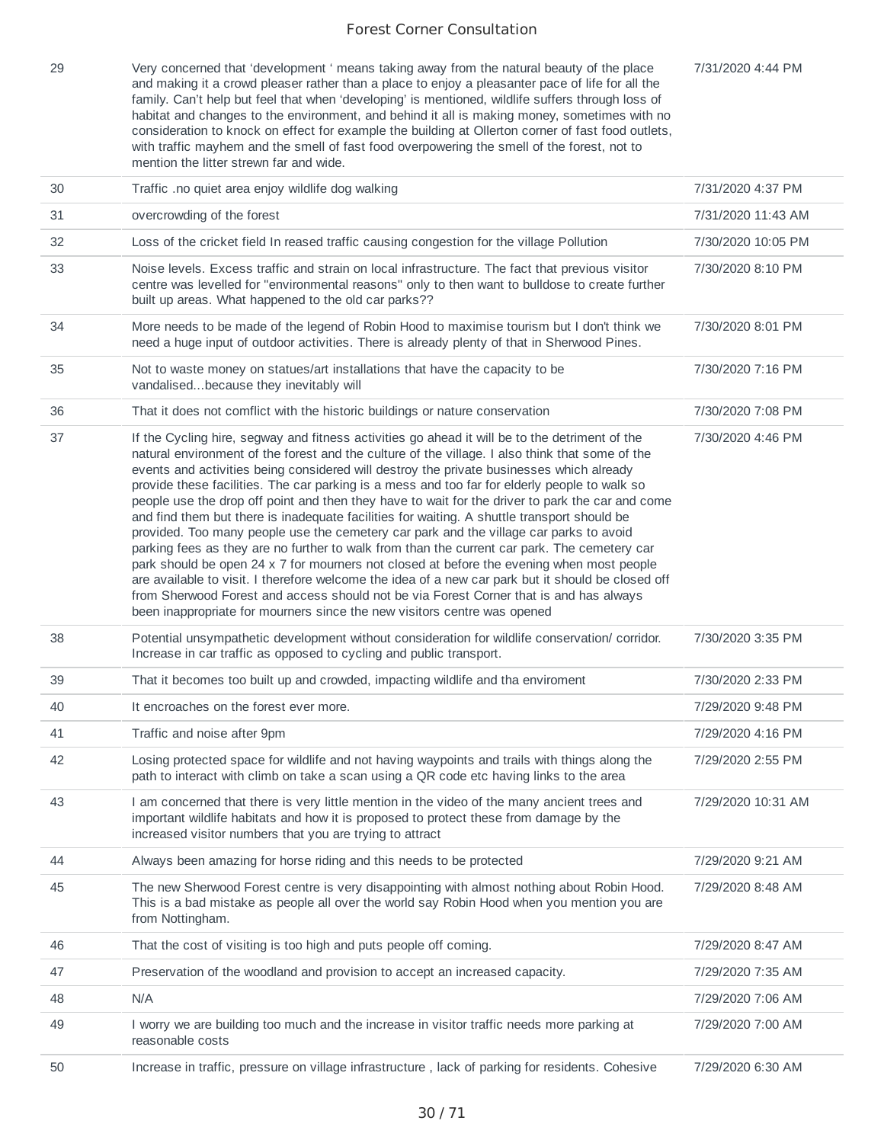7/31/2020 4:44 PM

29 Very concerned that 'development ' means taking away from the natural beauty of the place and making it a crowd pleaser rather than a place to enjoy a pleasanter pace of life for all the family. Can't help but feel that when 'developing' is mentioned, wildlife suffers through loss of habitat and changes to the environment, and behind it all is making money, sometimes with no consideration to knock on effect for example the building at Ollerton corner of fast food outlets, with traffic mayhem and the smell of fast food overpowering the smell of the forest, not to mention the litter strewn far and wide.

| 30 | Traffic .no quiet area enjoy wildlife dog walking                                                                                                                                                                                                                                                                                                                                                                                                                                                                                                                                                                                                                                                                                                                                                                                                                                                                                                                                                                                                                                                                                                                    | 7/31/2020 4:37 PM  |
|----|----------------------------------------------------------------------------------------------------------------------------------------------------------------------------------------------------------------------------------------------------------------------------------------------------------------------------------------------------------------------------------------------------------------------------------------------------------------------------------------------------------------------------------------------------------------------------------------------------------------------------------------------------------------------------------------------------------------------------------------------------------------------------------------------------------------------------------------------------------------------------------------------------------------------------------------------------------------------------------------------------------------------------------------------------------------------------------------------------------------------------------------------------------------------|--------------------|
| 31 | overcrowding of the forest                                                                                                                                                                                                                                                                                                                                                                                                                                                                                                                                                                                                                                                                                                                                                                                                                                                                                                                                                                                                                                                                                                                                           | 7/31/2020 11:43 AM |
| 32 | Loss of the cricket field In reased traffic causing congestion for the village Pollution                                                                                                                                                                                                                                                                                                                                                                                                                                                                                                                                                                                                                                                                                                                                                                                                                                                                                                                                                                                                                                                                             | 7/30/2020 10:05 PM |
| 33 | Noise levels. Excess traffic and strain on local infrastructure. The fact that previous visitor<br>centre was levelled for "environmental reasons" only to then want to bulldose to create further<br>built up areas. What happened to the old car parks??                                                                                                                                                                                                                                                                                                                                                                                                                                                                                                                                                                                                                                                                                                                                                                                                                                                                                                           | 7/30/2020 8:10 PM  |
| 34 | More needs to be made of the legend of Robin Hood to maximise tourism but I don't think we<br>need a huge input of outdoor activities. There is already plenty of that in Sherwood Pines.                                                                                                                                                                                                                                                                                                                                                                                                                                                                                                                                                                                                                                                                                                                                                                                                                                                                                                                                                                            | 7/30/2020 8:01 PM  |
| 35 | Not to waste money on statues/art installations that have the capacity to be<br>vandalisedbecause they inevitably will                                                                                                                                                                                                                                                                                                                                                                                                                                                                                                                                                                                                                                                                                                                                                                                                                                                                                                                                                                                                                                               | 7/30/2020 7:16 PM  |
| 36 | That it does not comflict with the historic buildings or nature conservation                                                                                                                                                                                                                                                                                                                                                                                                                                                                                                                                                                                                                                                                                                                                                                                                                                                                                                                                                                                                                                                                                         | 7/30/2020 7:08 PM  |
| 37 | If the Cycling hire, segway and fitness activities go ahead it will be to the detriment of the<br>natural environment of the forest and the culture of the village. I also think that some of the<br>events and activities being considered will destroy the private businesses which already<br>provide these facilities. The car parking is a mess and too far for elderly people to walk so<br>people use the drop off point and then they have to wait for the driver to park the car and come<br>and find them but there is inadequate facilities for waiting. A shuttle transport should be<br>provided. Too many people use the cemetery car park and the village car parks to avoid<br>parking fees as they are no further to walk from than the current car park. The cemetery car<br>park should be open 24 x 7 for mourners not closed at before the evening when most people<br>are available to visit. I therefore welcome the idea of a new car park but it should be closed off<br>from Sherwood Forest and access should not be via Forest Corner that is and has always<br>been inappropriate for mourners since the new visitors centre was opened | 7/30/2020 4:46 PM  |
| 38 | Potential unsympathetic development without consideration for wildlife conservation/ corridor.<br>Increase in car traffic as opposed to cycling and public transport.                                                                                                                                                                                                                                                                                                                                                                                                                                                                                                                                                                                                                                                                                                                                                                                                                                                                                                                                                                                                | 7/30/2020 3:35 PM  |
| 39 | That it becomes too built up and crowded, impacting wildlife and tha enviroment                                                                                                                                                                                                                                                                                                                                                                                                                                                                                                                                                                                                                                                                                                                                                                                                                                                                                                                                                                                                                                                                                      | 7/30/2020 2:33 PM  |
| 40 | It encroaches on the forest ever more.                                                                                                                                                                                                                                                                                                                                                                                                                                                                                                                                                                                                                                                                                                                                                                                                                                                                                                                                                                                                                                                                                                                               | 7/29/2020 9:48 PM  |
| 41 | Traffic and noise after 9pm                                                                                                                                                                                                                                                                                                                                                                                                                                                                                                                                                                                                                                                                                                                                                                                                                                                                                                                                                                                                                                                                                                                                          | 7/29/2020 4:16 PM  |
| 42 | Losing protected space for wildlife and not having waypoints and trails with things along the<br>path to interact with climb on take a scan using a QR code etc having links to the area                                                                                                                                                                                                                                                                                                                                                                                                                                                                                                                                                                                                                                                                                                                                                                                                                                                                                                                                                                             | 7/29/2020 2:55 PM  |
| 43 | I am concerned that there is very little mention in the video of the many ancient trees and<br>important wildlife habitats and how it is proposed to protect these from damage by the<br>increased visitor numbers that you are trying to attract                                                                                                                                                                                                                                                                                                                                                                                                                                                                                                                                                                                                                                                                                                                                                                                                                                                                                                                    | 7/29/2020 10:31 AM |
| 44 | Always been amazing for horse riding and this needs to be protected                                                                                                                                                                                                                                                                                                                                                                                                                                                                                                                                                                                                                                                                                                                                                                                                                                                                                                                                                                                                                                                                                                  | 7/29/2020 9:21 AM  |
| 45 | The new Sherwood Forest centre is very disappointing with almost nothing about Robin Hood.<br>This is a bad mistake as people all over the world say Robin Hood when you mention you are<br>from Nottingham.                                                                                                                                                                                                                                                                                                                                                                                                                                                                                                                                                                                                                                                                                                                                                                                                                                                                                                                                                         | 7/29/2020 8:48 AM  |
| 46 | That the cost of visiting is too high and puts people off coming.                                                                                                                                                                                                                                                                                                                                                                                                                                                                                                                                                                                                                                                                                                                                                                                                                                                                                                                                                                                                                                                                                                    | 7/29/2020 8:47 AM  |
| 47 | Preservation of the woodland and provision to accept an increased capacity.                                                                                                                                                                                                                                                                                                                                                                                                                                                                                                                                                                                                                                                                                                                                                                                                                                                                                                                                                                                                                                                                                          | 7/29/2020 7:35 AM  |
| 48 | N/A                                                                                                                                                                                                                                                                                                                                                                                                                                                                                                                                                                                                                                                                                                                                                                                                                                                                                                                                                                                                                                                                                                                                                                  | 7/29/2020 7:06 AM  |
| 49 | I worry we are building too much and the increase in visitor traffic needs more parking at<br>reasonable costs                                                                                                                                                                                                                                                                                                                                                                                                                                                                                                                                                                                                                                                                                                                                                                                                                                                                                                                                                                                                                                                       | 7/29/2020 7:00 AM  |
| 50 | Increase in traffic, pressure on village infrastructure, lack of parking for residents. Cohesive                                                                                                                                                                                                                                                                                                                                                                                                                                                                                                                                                                                                                                                                                                                                                                                                                                                                                                                                                                                                                                                                     | 7/29/2020 6:30 AM  |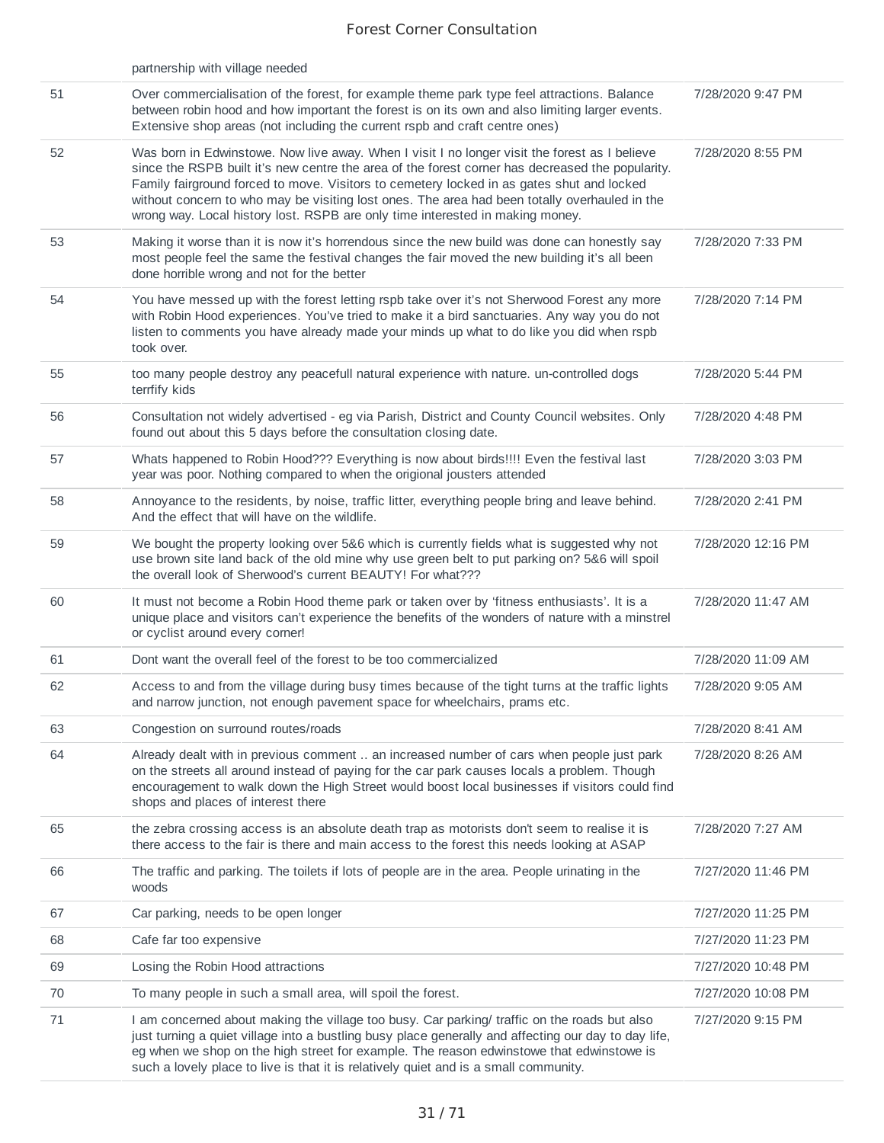|    | partnership with village needed                                                                                                                                                                                                                                                                                                                                                                                                                                                  |                    |
|----|----------------------------------------------------------------------------------------------------------------------------------------------------------------------------------------------------------------------------------------------------------------------------------------------------------------------------------------------------------------------------------------------------------------------------------------------------------------------------------|--------------------|
| 51 | Over commercialisation of the forest, for example theme park type feel attractions. Balance<br>between robin hood and how important the forest is on its own and also limiting larger events.<br>Extensive shop areas (not including the current rspb and craft centre ones)                                                                                                                                                                                                     | 7/28/2020 9:47 PM  |
| 52 | Was born in Edwinstowe. Now live away. When I visit I no longer visit the forest as I believe<br>since the RSPB built it's new centre the area of the forest corner has decreased the popularity.<br>Family fairground forced to move. Visitors to cemetery locked in as gates shut and locked<br>without concern to who may be visiting lost ones. The area had been totally overhauled in the<br>wrong way. Local history lost. RSPB are only time interested in making money. | 7/28/2020 8:55 PM  |
| 53 | Making it worse than it is now it's horrendous since the new build was done can honestly say<br>most people feel the same the festival changes the fair moved the new building it's all been<br>done horrible wrong and not for the better                                                                                                                                                                                                                                       | 7/28/2020 7:33 PM  |
| 54 | You have messed up with the forest letting rspb take over it's not Sherwood Forest any more<br>with Robin Hood experiences. You've tried to make it a bird sanctuaries. Any way you do not<br>listen to comments you have already made your minds up what to do like you did when rspb<br>took over.                                                                                                                                                                             | 7/28/2020 7:14 PM  |
| 55 | too many people destroy any peacefull natural experience with nature. un-controlled dogs<br>terrfify kids                                                                                                                                                                                                                                                                                                                                                                        | 7/28/2020 5:44 PM  |
| 56 | Consultation not widely advertised - eg via Parish, District and County Council websites. Only<br>found out about this 5 days before the consultation closing date.                                                                                                                                                                                                                                                                                                              | 7/28/2020 4:48 PM  |
| 57 | Whats happened to Robin Hood??? Everything is now about birds!!!! Even the festival last<br>year was poor. Nothing compared to when the origional jousters attended                                                                                                                                                                                                                                                                                                              | 7/28/2020 3:03 PM  |
| 58 | Annoyance to the residents, by noise, traffic litter, everything people bring and leave behind.<br>And the effect that will have on the wildlife.                                                                                                                                                                                                                                                                                                                                | 7/28/2020 2:41 PM  |
| 59 | We bought the property looking over 5&6 which is currently fields what is suggested why not<br>use brown site land back of the old mine why use green belt to put parking on? 5&6 will spoil<br>the overall look of Sherwood's current BEAUTY! For what???                                                                                                                                                                                                                       | 7/28/2020 12:16 PM |
| 60 | It must not become a Robin Hood theme park or taken over by 'fitness enthusiasts'. It is a<br>unique place and visitors can't experience the benefits of the wonders of nature with a minstrel<br>or cyclist around every corner!                                                                                                                                                                                                                                                | 7/28/2020 11:47 AM |
| 61 | Dont want the overall feel of the forest to be too commercialized                                                                                                                                                                                                                                                                                                                                                                                                                | 7/28/2020 11:09 AM |
| 62 | Access to and from the village during busy times because of the tight turns at the traffic lights<br>and narrow junction, not enough pavement space for wheelchairs, prams etc.                                                                                                                                                                                                                                                                                                  | 7/28/2020 9:05 AM  |
| 63 | Congestion on surround routes/roads                                                                                                                                                                                                                                                                                                                                                                                                                                              | 7/28/2020 8:41 AM  |
| 64 | Already dealt with in previous comment  an increased number of cars when people just park<br>on the streets all around instead of paying for the car park causes locals a problem. Though<br>encouragement to walk down the High Street would boost local businesses if visitors could find<br>shops and places of interest there                                                                                                                                                | 7/28/2020 8:26 AM  |
| 65 | the zebra crossing access is an absolute death trap as motorists don't seem to realise it is<br>there access to the fair is there and main access to the forest this needs looking at ASAP                                                                                                                                                                                                                                                                                       | 7/28/2020 7:27 AM  |
| 66 | The traffic and parking. The toilets if lots of people are in the area. People urinating in the<br>woods                                                                                                                                                                                                                                                                                                                                                                         | 7/27/2020 11:46 PM |
| 67 | Car parking, needs to be open longer                                                                                                                                                                                                                                                                                                                                                                                                                                             | 7/27/2020 11:25 PM |
| 68 | Cafe far too expensive                                                                                                                                                                                                                                                                                                                                                                                                                                                           | 7/27/2020 11:23 PM |
| 69 | Losing the Robin Hood attractions                                                                                                                                                                                                                                                                                                                                                                                                                                                | 7/27/2020 10:48 PM |
| 70 | To many people in such a small area, will spoil the forest.                                                                                                                                                                                                                                                                                                                                                                                                                      | 7/27/2020 10:08 PM |
| 71 | I am concerned about making the village too busy. Car parking/ traffic on the roads but also<br>just turning a quiet village into a bustling busy place generally and affecting our day to day life,<br>eg when we shop on the high street for example. The reason edwinstowe that edwinstowe is<br>such a lovely place to live is that it is relatively quiet and is a small community.                                                                                         | 7/27/2020 9:15 PM  |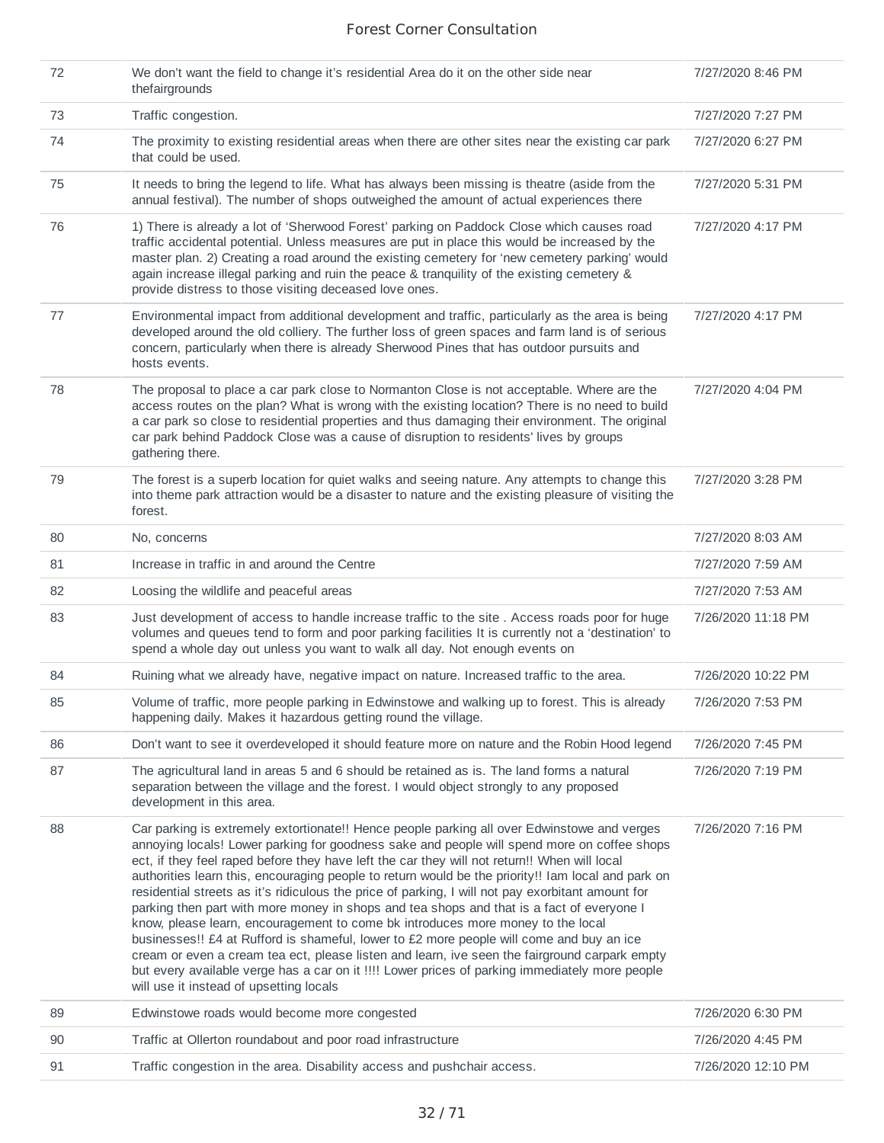| 72 | We don't want the field to change it's residential Area do it on the other side near<br>thefairgrounds                                                                                                                                                                                                                                                                                                                                                                                                                                                                                                                                                                                                                                                                                                                                                                                                                                                                                                                          | 7/27/2020 8:46 PM  |
|----|---------------------------------------------------------------------------------------------------------------------------------------------------------------------------------------------------------------------------------------------------------------------------------------------------------------------------------------------------------------------------------------------------------------------------------------------------------------------------------------------------------------------------------------------------------------------------------------------------------------------------------------------------------------------------------------------------------------------------------------------------------------------------------------------------------------------------------------------------------------------------------------------------------------------------------------------------------------------------------------------------------------------------------|--------------------|
| 73 | Traffic congestion.                                                                                                                                                                                                                                                                                                                                                                                                                                                                                                                                                                                                                                                                                                                                                                                                                                                                                                                                                                                                             | 7/27/2020 7:27 PM  |
| 74 | The proximity to existing residential areas when there are other sites near the existing car park<br>that could be used.                                                                                                                                                                                                                                                                                                                                                                                                                                                                                                                                                                                                                                                                                                                                                                                                                                                                                                        | 7/27/2020 6:27 PM  |
| 75 | It needs to bring the legend to life. What has always been missing is theatre (aside from the<br>annual festival). The number of shops outweighed the amount of actual experiences there                                                                                                                                                                                                                                                                                                                                                                                                                                                                                                                                                                                                                                                                                                                                                                                                                                        | 7/27/2020 5:31 PM  |
| 76 | 1) There is already a lot of 'Sherwood Forest' parking on Paddock Close which causes road<br>traffic accidental potential. Unless measures are put in place this would be increased by the<br>master plan. 2) Creating a road around the existing cemetery for 'new cemetery parking' would<br>again increase illegal parking and ruin the peace & tranquility of the existing cemetery &<br>provide distress to those visiting deceased love ones.                                                                                                                                                                                                                                                                                                                                                                                                                                                                                                                                                                             | 7/27/2020 4:17 PM  |
| 77 | Environmental impact from additional development and traffic, particularly as the area is being<br>developed around the old colliery. The further loss of green spaces and farm land is of serious<br>concern, particularly when there is already Sherwood Pines that has outdoor pursuits and<br>hosts events.                                                                                                                                                                                                                                                                                                                                                                                                                                                                                                                                                                                                                                                                                                                 | 7/27/2020 4:17 PM  |
| 78 | The proposal to place a car park close to Normanton Close is not acceptable. Where are the<br>access routes on the plan? What is wrong with the existing location? There is no need to build<br>a car park so close to residential properties and thus damaging their environment. The original<br>car park behind Paddock Close was a cause of disruption to residents' lives by groups<br>gathering there.                                                                                                                                                                                                                                                                                                                                                                                                                                                                                                                                                                                                                    | 7/27/2020 4:04 PM  |
| 79 | The forest is a superb location for quiet walks and seeing nature. Any attempts to change this<br>into theme park attraction would be a disaster to nature and the existing pleasure of visiting the<br>forest.                                                                                                                                                                                                                                                                                                                                                                                                                                                                                                                                                                                                                                                                                                                                                                                                                 | 7/27/2020 3:28 PM  |
| 80 | No, concerns                                                                                                                                                                                                                                                                                                                                                                                                                                                                                                                                                                                                                                                                                                                                                                                                                                                                                                                                                                                                                    | 7/27/2020 8:03 AM  |
| 81 | Increase in traffic in and around the Centre                                                                                                                                                                                                                                                                                                                                                                                                                                                                                                                                                                                                                                                                                                                                                                                                                                                                                                                                                                                    | 7/27/2020 7:59 AM  |
| 82 | Loosing the wildlife and peaceful areas                                                                                                                                                                                                                                                                                                                                                                                                                                                                                                                                                                                                                                                                                                                                                                                                                                                                                                                                                                                         | 7/27/2020 7:53 AM  |
| 83 | Just development of access to handle increase traffic to the site . Access roads poor for huge<br>volumes and queues tend to form and poor parking facilities It is currently not a 'destination' to<br>spend a whole day out unless you want to walk all day. Not enough events on                                                                                                                                                                                                                                                                                                                                                                                                                                                                                                                                                                                                                                                                                                                                             | 7/26/2020 11:18 PM |
| 84 | Ruining what we already have, negative impact on nature. Increased traffic to the area.                                                                                                                                                                                                                                                                                                                                                                                                                                                                                                                                                                                                                                                                                                                                                                                                                                                                                                                                         | 7/26/2020 10:22 PM |
| 85 | Volume of traffic, more people parking in Edwinstowe and walking up to forest. This is already<br>happening daily. Makes it hazardous getting round the village.                                                                                                                                                                                                                                                                                                                                                                                                                                                                                                                                                                                                                                                                                                                                                                                                                                                                | 7/26/2020 7:53 PM  |
| 86 | Don't want to see it overdeveloped it should feature more on nature and the Robin Hood legend                                                                                                                                                                                                                                                                                                                                                                                                                                                                                                                                                                                                                                                                                                                                                                                                                                                                                                                                   | 7/26/2020 7:45 PM  |
| 87 | The agricultural land in areas 5 and 6 should be retained as is. The land forms a natural<br>separation between the village and the forest. I would object strongly to any proposed<br>development in this area.                                                                                                                                                                                                                                                                                                                                                                                                                                                                                                                                                                                                                                                                                                                                                                                                                | 7/26/2020 7:19 PM  |
| 88 | Car parking is extremely extortionate!! Hence people parking all over Edwinstowe and verges<br>annoying locals! Lower parking for goodness sake and people will spend more on coffee shops<br>ect, if they feel raped before they have left the car they will not return!! When will local<br>authorities learn this, encouraging people to return would be the priority!! Iam local and park on<br>residential streets as it's ridiculous the price of parking, I will not pay exorbitant amount for<br>parking then part with more money in shops and tea shops and that is a fact of everyone I<br>know, please learn, encouragement to come bk introduces more money to the local<br>businesses!! £4 at Rufford is shameful, lower to £2 more people will come and buy an ice<br>cream or even a cream tea ect, please listen and learn, ive seen the fairground carpark empty<br>but every available verge has a car on it !!!! Lower prices of parking immediately more people<br>will use it instead of upsetting locals | 7/26/2020 7:16 PM  |
| 89 | Edwinstowe roads would become more congested                                                                                                                                                                                                                                                                                                                                                                                                                                                                                                                                                                                                                                                                                                                                                                                                                                                                                                                                                                                    | 7/26/2020 6:30 PM  |
| 90 | Traffic at Ollerton roundabout and poor road infrastructure                                                                                                                                                                                                                                                                                                                                                                                                                                                                                                                                                                                                                                                                                                                                                                                                                                                                                                                                                                     | 7/26/2020 4:45 PM  |
| 91 | Traffic congestion in the area. Disability access and pushchair access.                                                                                                                                                                                                                                                                                                                                                                                                                                                                                                                                                                                                                                                                                                                                                                                                                                                                                                                                                         | 7/26/2020 12:10 PM |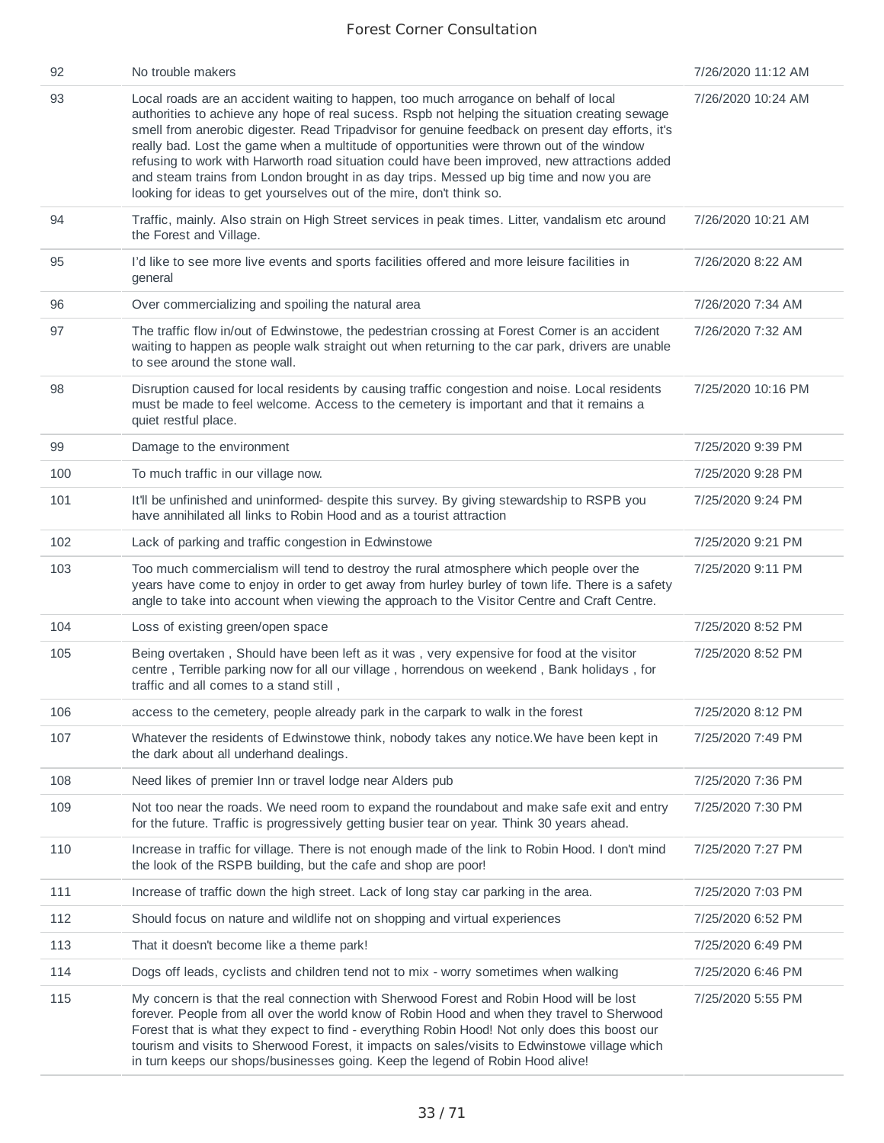| 92  | No trouble makers                                                                                                                                                                                                                                                                                                                                                                                                                                                                                                                                                                                                                                            | 7/26/2020 11:12 AM |
|-----|--------------------------------------------------------------------------------------------------------------------------------------------------------------------------------------------------------------------------------------------------------------------------------------------------------------------------------------------------------------------------------------------------------------------------------------------------------------------------------------------------------------------------------------------------------------------------------------------------------------------------------------------------------------|--------------------|
| 93  | Local roads are an accident waiting to happen, too much arrogance on behalf of local<br>authorities to achieve any hope of real sucess. Rspb not helping the situation creating sewage<br>smell from anerobic digester. Read Tripadvisor for genuine feedback on present day efforts, it's<br>really bad. Lost the game when a multitude of opportunities were thrown out of the window<br>refusing to work with Harworth road situation could have been improved, new attractions added<br>and steam trains from London brought in as day trips. Messed up big time and now you are<br>looking for ideas to get yourselves out of the mire, don't think so. | 7/26/2020 10:24 AM |
| 94  | Traffic, mainly. Also strain on High Street services in peak times. Litter, vandalism etc around<br>the Forest and Village.                                                                                                                                                                                                                                                                                                                                                                                                                                                                                                                                  | 7/26/2020 10:21 AM |
| 95  | I'd like to see more live events and sports facilities offered and more leisure facilities in<br>general                                                                                                                                                                                                                                                                                                                                                                                                                                                                                                                                                     | 7/26/2020 8:22 AM  |
| 96  | Over commercializing and spoiling the natural area                                                                                                                                                                                                                                                                                                                                                                                                                                                                                                                                                                                                           | 7/26/2020 7:34 AM  |
| 97  | The traffic flow in/out of Edwinstowe, the pedestrian crossing at Forest Corner is an accident<br>waiting to happen as people walk straight out when returning to the car park, drivers are unable<br>to see around the stone wall.                                                                                                                                                                                                                                                                                                                                                                                                                          | 7/26/2020 7:32 AM  |
| 98  | Disruption caused for local residents by causing traffic congestion and noise. Local residents<br>must be made to feel welcome. Access to the cemetery is important and that it remains a<br>quiet restful place.                                                                                                                                                                                                                                                                                                                                                                                                                                            | 7/25/2020 10:16 PM |
| 99  | Damage to the environment                                                                                                                                                                                                                                                                                                                                                                                                                                                                                                                                                                                                                                    | 7/25/2020 9:39 PM  |
| 100 | To much traffic in our village now.                                                                                                                                                                                                                                                                                                                                                                                                                                                                                                                                                                                                                          | 7/25/2020 9:28 PM  |
| 101 | It'll be unfinished and uninformed- despite this survey. By giving stewardship to RSPB you<br>have annihilated all links to Robin Hood and as a tourist attraction                                                                                                                                                                                                                                                                                                                                                                                                                                                                                           | 7/25/2020 9:24 PM  |
| 102 | Lack of parking and traffic congestion in Edwinstowe                                                                                                                                                                                                                                                                                                                                                                                                                                                                                                                                                                                                         | 7/25/2020 9:21 PM  |
| 103 | Too much commercialism will tend to destroy the rural atmosphere which people over the<br>years have come to enjoy in order to get away from hurley burley of town life. There is a safety<br>angle to take into account when viewing the approach to the Visitor Centre and Craft Centre.                                                                                                                                                                                                                                                                                                                                                                   | 7/25/2020 9:11 PM  |
| 104 | Loss of existing green/open space                                                                                                                                                                                                                                                                                                                                                                                                                                                                                                                                                                                                                            | 7/25/2020 8:52 PM  |
| 105 | Being overtaken, Should have been left as it was, very expensive for food at the visitor<br>centre, Terrible parking now for all our village, horrendous on weekend, Bank holidays, for<br>traffic and all comes to a stand still,                                                                                                                                                                                                                                                                                                                                                                                                                           | 7/25/2020 8:52 PM  |
| 106 | access to the cemetery, people already park in the carpark to walk in the forest                                                                                                                                                                                                                                                                                                                                                                                                                                                                                                                                                                             | 7/25/2020 8:12 PM  |
| 107 | Whatever the residents of Edwinstowe think, nobody takes any notice. We have been kept in<br>the dark about all underhand dealings.                                                                                                                                                                                                                                                                                                                                                                                                                                                                                                                          | 7/25/2020 7:49 PM  |
| 108 | Need likes of premier Inn or travel lodge near Alders pub                                                                                                                                                                                                                                                                                                                                                                                                                                                                                                                                                                                                    | 7/25/2020 7:36 PM  |
| 109 | Not too near the roads. We need room to expand the roundabout and make safe exit and entry<br>for the future. Traffic is progressively getting busier tear on year. Think 30 years ahead.                                                                                                                                                                                                                                                                                                                                                                                                                                                                    | 7/25/2020 7:30 PM  |
| 110 | Increase in traffic for village. There is not enough made of the link to Robin Hood. I don't mind<br>the look of the RSPB building, but the cafe and shop are poor!                                                                                                                                                                                                                                                                                                                                                                                                                                                                                          | 7/25/2020 7:27 PM  |
| 111 | Increase of traffic down the high street. Lack of long stay car parking in the area.                                                                                                                                                                                                                                                                                                                                                                                                                                                                                                                                                                         | 7/25/2020 7:03 PM  |
| 112 | Should focus on nature and wildlife not on shopping and virtual experiences                                                                                                                                                                                                                                                                                                                                                                                                                                                                                                                                                                                  | 7/25/2020 6:52 PM  |
| 113 | That it doesn't become like a theme park!                                                                                                                                                                                                                                                                                                                                                                                                                                                                                                                                                                                                                    | 7/25/2020 6:49 PM  |
| 114 | Dogs off leads, cyclists and children tend not to mix - worry sometimes when walking                                                                                                                                                                                                                                                                                                                                                                                                                                                                                                                                                                         | 7/25/2020 6:46 PM  |
| 115 | My concern is that the real connection with Sherwood Forest and Robin Hood will be lost<br>forever. People from all over the world know of Robin Hood and when they travel to Sherwood<br>Forest that is what they expect to find - everything Robin Hood! Not only does this boost our<br>tourism and visits to Sherwood Forest, it impacts on sales/visits to Edwinstowe village which<br>in turn keeps our shops/businesses going. Keep the legend of Robin Hood alive!                                                                                                                                                                                   | 7/25/2020 5:55 PM  |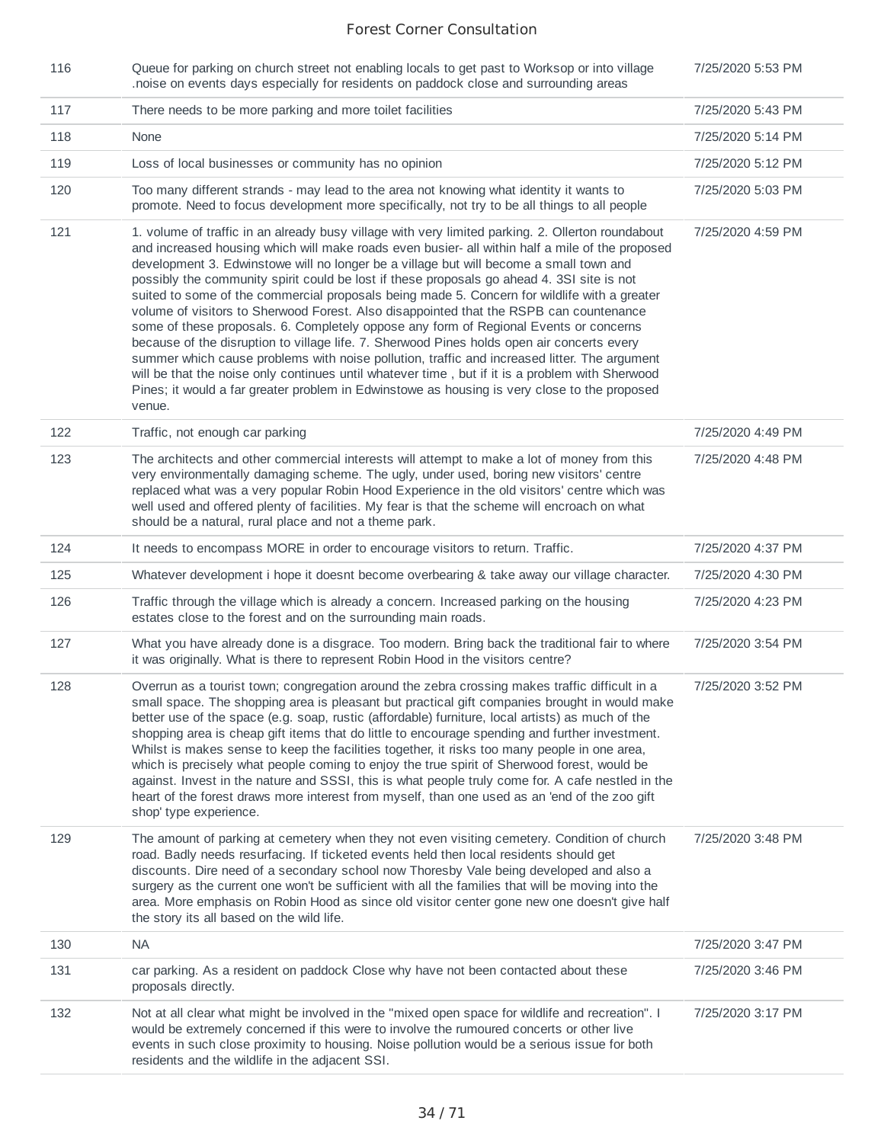| 116 | Queue for parking on church street not enabling locals to get past to Worksop or into village<br>noise on events days especially for residents on paddock close and surrounding areas.                                                                                                                                                                                                                                                                                                                                                                                                                                                                                                                                                                                                                                                                                                                                                                                                                                                                                                     | 7/25/2020 5:53 PM |
|-----|--------------------------------------------------------------------------------------------------------------------------------------------------------------------------------------------------------------------------------------------------------------------------------------------------------------------------------------------------------------------------------------------------------------------------------------------------------------------------------------------------------------------------------------------------------------------------------------------------------------------------------------------------------------------------------------------------------------------------------------------------------------------------------------------------------------------------------------------------------------------------------------------------------------------------------------------------------------------------------------------------------------------------------------------------------------------------------------------|-------------------|
| 117 | There needs to be more parking and more toilet facilities                                                                                                                                                                                                                                                                                                                                                                                                                                                                                                                                                                                                                                                                                                                                                                                                                                                                                                                                                                                                                                  | 7/25/2020 5:43 PM |
| 118 | None                                                                                                                                                                                                                                                                                                                                                                                                                                                                                                                                                                                                                                                                                                                                                                                                                                                                                                                                                                                                                                                                                       | 7/25/2020 5:14 PM |
| 119 | Loss of local businesses or community has no opinion                                                                                                                                                                                                                                                                                                                                                                                                                                                                                                                                                                                                                                                                                                                                                                                                                                                                                                                                                                                                                                       | 7/25/2020 5:12 PM |
| 120 | Too many different strands - may lead to the area not knowing what identity it wants to<br>promote. Need to focus development more specifically, not try to be all things to all people                                                                                                                                                                                                                                                                                                                                                                                                                                                                                                                                                                                                                                                                                                                                                                                                                                                                                                    | 7/25/2020 5:03 PM |
| 121 | 1. volume of traffic in an already busy village with very limited parking. 2. Ollerton roundabout<br>and increased housing which will make roads even busier- all within half a mile of the proposed<br>development 3. Edwinstowe will no longer be a village but will become a small town and<br>possibly the community spirit could be lost if these proposals go ahead 4. 3SI site is not<br>suited to some of the commercial proposals being made 5. Concern for wildlife with a greater<br>volume of visitors to Sherwood Forest. Also disappointed that the RSPB can countenance<br>some of these proposals. 6. Completely oppose any form of Regional Events or concerns<br>because of the disruption to village life. 7. Sherwood Pines holds open air concerts every<br>summer which cause problems with noise pollution, traffic and increased litter. The argument<br>will be that the noise only continues until whatever time, but if it is a problem with Sherwood<br>Pines; it would a far greater problem in Edwinstowe as housing is very close to the proposed<br>venue. | 7/25/2020 4:59 PM |
| 122 | Traffic, not enough car parking                                                                                                                                                                                                                                                                                                                                                                                                                                                                                                                                                                                                                                                                                                                                                                                                                                                                                                                                                                                                                                                            | 7/25/2020 4:49 PM |
| 123 | The architects and other commercial interests will attempt to make a lot of money from this<br>very environmentally damaging scheme. The ugly, under used, boring new visitors' centre<br>replaced what was a very popular Robin Hood Experience in the old visitors' centre which was<br>well used and offered plenty of facilities. My fear is that the scheme will encroach on what<br>should be a natural, rural place and not a theme park.                                                                                                                                                                                                                                                                                                                                                                                                                                                                                                                                                                                                                                           | 7/25/2020 4:48 PM |
| 124 | It needs to encompass MORE in order to encourage visitors to return. Traffic.                                                                                                                                                                                                                                                                                                                                                                                                                                                                                                                                                                                                                                                                                                                                                                                                                                                                                                                                                                                                              | 7/25/2020 4:37 PM |
| 125 | Whatever development i hope it doesnt become overbearing & take away our village character.                                                                                                                                                                                                                                                                                                                                                                                                                                                                                                                                                                                                                                                                                                                                                                                                                                                                                                                                                                                                | 7/25/2020 4:30 PM |
| 126 | Traffic through the village which is already a concern. Increased parking on the housing<br>estates close to the forest and on the surrounding main roads.                                                                                                                                                                                                                                                                                                                                                                                                                                                                                                                                                                                                                                                                                                                                                                                                                                                                                                                                 | 7/25/2020 4:23 PM |
| 127 | What you have already done is a disgrace. Too modern. Bring back the traditional fair to where<br>it was originally. What is there to represent Robin Hood in the visitors centre?                                                                                                                                                                                                                                                                                                                                                                                                                                                                                                                                                                                                                                                                                                                                                                                                                                                                                                         | 7/25/2020 3:54 PM |
| 128 | Overrun as a tourist town; congregation around the zebra crossing makes traffic difficult in a<br>small space. The shopping area is pleasant but practical gift companies brought in would make<br>better use of the space (e.g. soap, rustic (affordable) furniture, local artists) as much of the<br>shopping area is cheap gift items that do little to encourage spending and further investment.<br>Whilst is makes sense to keep the facilities together, it risks too many people in one area,<br>which is precisely what people coming to enjoy the true spirit of Sherwood forest, would be<br>against. Invest in the nature and SSSI, this is what people truly come for. A cafe nestled in the<br>heart of the forest draws more interest from myself, than one used as an 'end of the zoo gift<br>shop' type experience.                                                                                                                                                                                                                                                       | 7/25/2020 3:52 PM |
| 129 | The amount of parking at cemetery when they not even visiting cemetery. Condition of church<br>road. Badly needs resurfacing. If ticketed events held then local residents should get<br>discounts. Dire need of a secondary school now Thoresby Vale being developed and also a<br>surgery as the current one won't be sufficient with all the families that will be moving into the<br>area. More emphasis on Robin Hood as since old visitor center gone new one doesn't give half<br>the story its all based on the wild life.                                                                                                                                                                                                                                                                                                                                                                                                                                                                                                                                                         | 7/25/2020 3:48 PM |
| 130 | <b>NA</b>                                                                                                                                                                                                                                                                                                                                                                                                                                                                                                                                                                                                                                                                                                                                                                                                                                                                                                                                                                                                                                                                                  | 7/25/2020 3:47 PM |
| 131 | car parking. As a resident on paddock Close why have not been contacted about these<br>proposals directly.                                                                                                                                                                                                                                                                                                                                                                                                                                                                                                                                                                                                                                                                                                                                                                                                                                                                                                                                                                                 | 7/25/2020 3:46 PM |
| 132 | Not at all clear what might be involved in the "mixed open space for wildlife and recreation". I<br>would be extremely concerned if this were to involve the rumoured concerts or other live<br>events in such close proximity to housing. Noise pollution would be a serious issue for both<br>residents and the wildlife in the adjacent SSI.                                                                                                                                                                                                                                                                                                                                                                                                                                                                                                                                                                                                                                                                                                                                            | 7/25/2020 3:17 PM |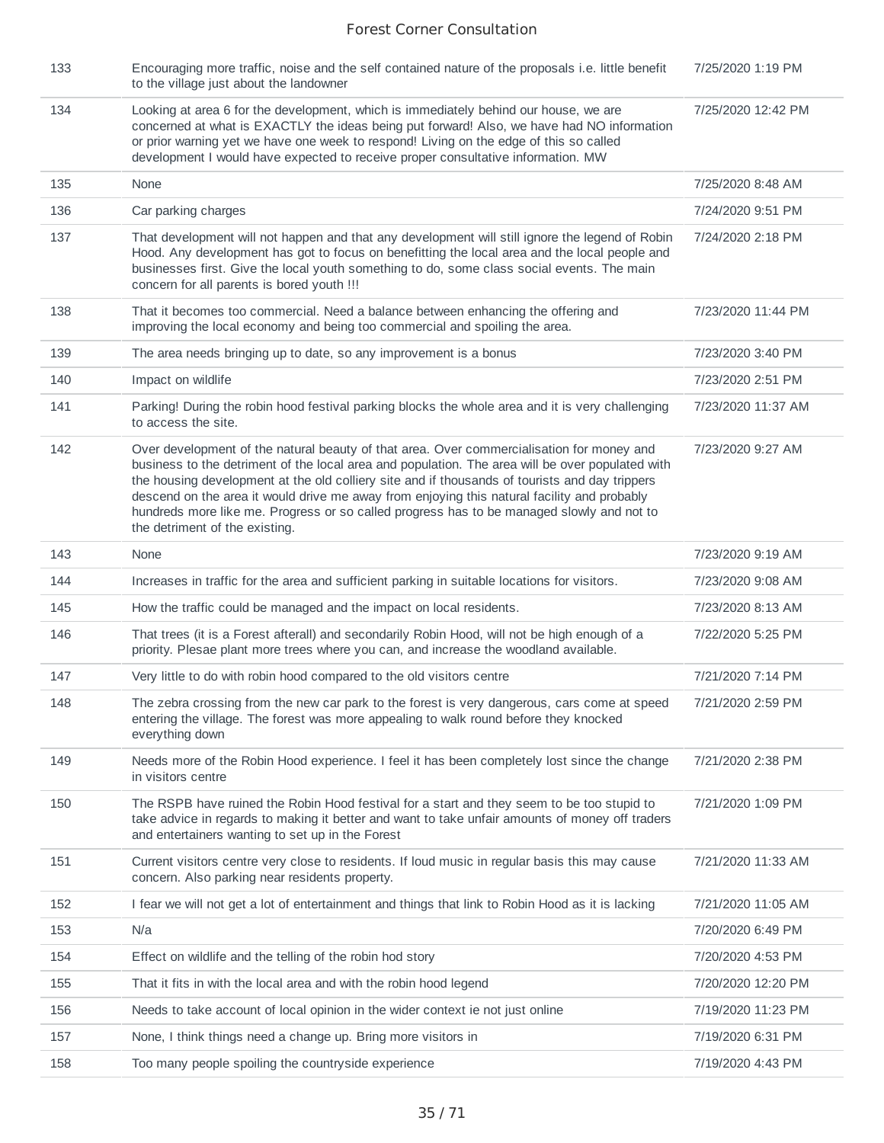| 133 | Encouraging more traffic, noise and the self contained nature of the proposals i.e. little benefit<br>to the village just about the landowner                                                                                                                                                                                                                                                                                                                                                                                 | 7/25/2020 1:19 PM  |
|-----|-------------------------------------------------------------------------------------------------------------------------------------------------------------------------------------------------------------------------------------------------------------------------------------------------------------------------------------------------------------------------------------------------------------------------------------------------------------------------------------------------------------------------------|--------------------|
| 134 | Looking at area 6 for the development, which is immediately behind our house, we are<br>concerned at what is EXACTLY the ideas being put forward! Also, we have had NO information<br>or prior warning yet we have one week to respond! Living on the edge of this so called<br>development I would have expected to receive proper consultative information. MW                                                                                                                                                              | 7/25/2020 12:42 PM |
| 135 | None                                                                                                                                                                                                                                                                                                                                                                                                                                                                                                                          | 7/25/2020 8:48 AM  |
| 136 | Car parking charges                                                                                                                                                                                                                                                                                                                                                                                                                                                                                                           | 7/24/2020 9:51 PM  |
| 137 | That development will not happen and that any development will still ignore the legend of Robin<br>Hood. Any development has got to focus on benefitting the local area and the local people and<br>businesses first. Give the local youth something to do, some class social events. The main<br>concern for all parents is bored youth !!!                                                                                                                                                                                  | 7/24/2020 2:18 PM  |
| 138 | That it becomes too commercial. Need a balance between enhancing the offering and<br>improving the local economy and being too commercial and spoiling the area.                                                                                                                                                                                                                                                                                                                                                              | 7/23/2020 11:44 PM |
| 139 | The area needs bringing up to date, so any improvement is a bonus                                                                                                                                                                                                                                                                                                                                                                                                                                                             | 7/23/2020 3:40 PM  |
| 140 | Impact on wildlife                                                                                                                                                                                                                                                                                                                                                                                                                                                                                                            | 7/23/2020 2:51 PM  |
| 141 | Parking! During the robin hood festival parking blocks the whole area and it is very challenging<br>to access the site.                                                                                                                                                                                                                                                                                                                                                                                                       | 7/23/2020 11:37 AM |
| 142 | Over development of the natural beauty of that area. Over commercialisation for money and<br>business to the detriment of the local area and population. The area will be over populated with<br>the housing development at the old colliery site and if thousands of tourists and day trippers<br>descend on the area it would drive me away from enjoying this natural facility and probably<br>hundreds more like me. Progress or so called progress has to be managed slowly and not to<br>the detriment of the existing. | 7/23/2020 9:27 AM  |
| 143 | None                                                                                                                                                                                                                                                                                                                                                                                                                                                                                                                          | 7/23/2020 9:19 AM  |
| 144 | Increases in traffic for the area and sufficient parking in suitable locations for visitors.                                                                                                                                                                                                                                                                                                                                                                                                                                  | 7/23/2020 9:08 AM  |
| 145 | How the traffic could be managed and the impact on local residents.                                                                                                                                                                                                                                                                                                                                                                                                                                                           | 7/23/2020 8:13 AM  |
| 146 | That trees (it is a Forest afterall) and secondarily Robin Hood, will not be high enough of a<br>priority. Plesae plant more trees where you can, and increase the woodland available.                                                                                                                                                                                                                                                                                                                                        | 7/22/2020 5:25 PM  |
| 147 | Very little to do with robin hood compared to the old visitors centre                                                                                                                                                                                                                                                                                                                                                                                                                                                         | 7/21/2020 7:14 PM  |
| 148 | The zebra crossing from the new car park to the forest is very dangerous, cars come at speed<br>entering the village. The forest was more appealing to walk round before they knocked<br>everything down                                                                                                                                                                                                                                                                                                                      | 7/21/2020 2:59 PM  |
| 149 | Needs more of the Robin Hood experience. I feel it has been completely lost since the change<br>in visitors centre                                                                                                                                                                                                                                                                                                                                                                                                            | 7/21/2020 2:38 PM  |
| 150 | The RSPB have ruined the Robin Hood festival for a start and they seem to be too stupid to<br>take advice in regards to making it better and want to take unfair amounts of money off traders<br>and entertainers wanting to set up in the Forest                                                                                                                                                                                                                                                                             | 7/21/2020 1:09 PM  |
| 151 | Current visitors centre very close to residents. If loud music in regular basis this may cause<br>concern. Also parking near residents property.                                                                                                                                                                                                                                                                                                                                                                              | 7/21/2020 11:33 AM |
| 152 | I fear we will not get a lot of entertainment and things that link to Robin Hood as it is lacking                                                                                                                                                                                                                                                                                                                                                                                                                             | 7/21/2020 11:05 AM |
| 153 | N/a                                                                                                                                                                                                                                                                                                                                                                                                                                                                                                                           | 7/20/2020 6:49 PM  |
| 154 | Effect on wildlife and the telling of the robin hod story                                                                                                                                                                                                                                                                                                                                                                                                                                                                     | 7/20/2020 4:53 PM  |
| 155 | That it fits in with the local area and with the robin hood legend                                                                                                                                                                                                                                                                                                                                                                                                                                                            | 7/20/2020 12:20 PM |
| 156 | Needs to take account of local opinion in the wider context ie not just online                                                                                                                                                                                                                                                                                                                                                                                                                                                | 7/19/2020 11:23 PM |
| 157 | None, I think things need a change up. Bring more visitors in                                                                                                                                                                                                                                                                                                                                                                                                                                                                 | 7/19/2020 6:31 PM  |
| 158 | Too many people spoiling the countryside experience                                                                                                                                                                                                                                                                                                                                                                                                                                                                           | 7/19/2020 4:43 PM  |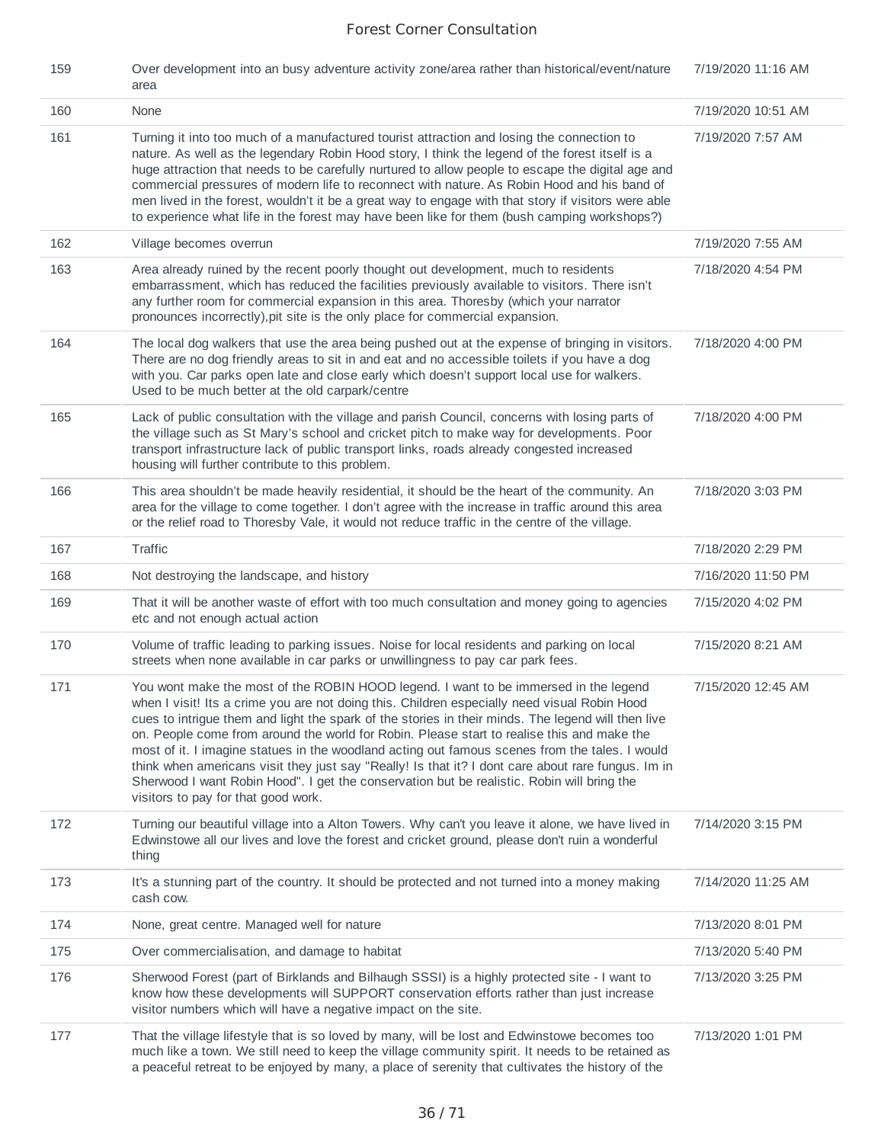| 159 | Over development into an busy adventure activity zone/area rather than historical/event/nature<br>area                                                                                                                                                                                                                                                                                                                                                                                                                                                                                                                                                                                                                                | 7/19/2020 11:16 AM |
|-----|---------------------------------------------------------------------------------------------------------------------------------------------------------------------------------------------------------------------------------------------------------------------------------------------------------------------------------------------------------------------------------------------------------------------------------------------------------------------------------------------------------------------------------------------------------------------------------------------------------------------------------------------------------------------------------------------------------------------------------------|--------------------|
| 160 | None                                                                                                                                                                                                                                                                                                                                                                                                                                                                                                                                                                                                                                                                                                                                  | 7/19/2020 10:51 AM |
| 161 | Turning it into too much of a manufactured tourist attraction and losing the connection to<br>nature. As well as the legendary Robin Hood story, I think the legend of the forest itself is a<br>huge attraction that needs to be carefully nurtured to allow people to escape the digital age and<br>commercial pressures of modern life to reconnect with nature. As Robin Hood and his band of<br>men lived in the forest, wouldn't it be a great way to engage with that story if visitors were able<br>to experience what life in the forest may have been like for them (bush camping workshops?)                                                                                                                               | 7/19/2020 7:57 AM  |
| 162 | Village becomes overrun                                                                                                                                                                                                                                                                                                                                                                                                                                                                                                                                                                                                                                                                                                               | 7/19/2020 7:55 AM  |
| 163 | Area already ruined by the recent poorly thought out development, much to residents<br>embarrassment, which has reduced the facilities previously available to visitors. There isn't<br>any further room for commercial expansion in this area. Thoresby (which your narrator<br>pronounces incorrectly), pit site is the only place for commercial expansion.                                                                                                                                                                                                                                                                                                                                                                        | 7/18/2020 4:54 PM  |
| 164 | The local dog walkers that use the area being pushed out at the expense of bringing in visitors.<br>There are no dog friendly areas to sit in and eat and no accessible toilets if you have a dog<br>with you. Car parks open late and close early which doesn't support local use for walkers.<br>Used to be much better at the old carpark/centre                                                                                                                                                                                                                                                                                                                                                                                   | 7/18/2020 4:00 PM  |
| 165 | Lack of public consultation with the village and parish Council, concerns with losing parts of<br>the village such as St Mary's school and cricket pitch to make way for developments. Poor<br>transport infrastructure lack of public transport links, roads already congested increased<br>housing will further contribute to this problem.                                                                                                                                                                                                                                                                                                                                                                                         | 7/18/2020 4:00 PM  |
| 166 | This area shouldn't be made heavily residential, it should be the heart of the community. An<br>area for the village to come together. I don't agree with the increase in traffic around this area<br>or the relief road to Thoresby Vale, it would not reduce traffic in the centre of the village.                                                                                                                                                                                                                                                                                                                                                                                                                                  | 7/18/2020 3:03 PM  |
| 167 | Traffic                                                                                                                                                                                                                                                                                                                                                                                                                                                                                                                                                                                                                                                                                                                               | 7/18/2020 2:29 PM  |
| 168 | Not destroying the landscape, and history                                                                                                                                                                                                                                                                                                                                                                                                                                                                                                                                                                                                                                                                                             | 7/16/2020 11:50 PM |
| 169 | That it will be another waste of effort with too much consultation and money going to agencies<br>etc and not enough actual action                                                                                                                                                                                                                                                                                                                                                                                                                                                                                                                                                                                                    | 7/15/2020 4:02 PM  |
| 170 | Volume of traffic leading to parking issues. Noise for local residents and parking on local<br>streets when none available in car parks or unwillingness to pay car park fees.                                                                                                                                                                                                                                                                                                                                                                                                                                                                                                                                                        | 7/15/2020 8:21 AM  |
| 171 | You wont make the most of the ROBIN HOOD legend. I want to be immersed in the legend<br>when I visit! Its a crime you are not doing this. Children especially need visual Robin Hood<br>cues to intrigue them and light the spark of the stories in their minds. The legend will then live<br>on. People come from around the world for Robin. Please start to realise this and make the<br>most of it. I imagine statues in the woodland acting out famous scenes from the tales. I would<br>think when americans visit they just say "Really! Is that it? I dont care about rare fungus. Im in<br>Sherwood I want Robin Hood". I get the conservation but be realistic. Robin will bring the<br>visitors to pay for that good work. | 7/15/2020 12:45 AM |
| 172 | Turning our beautiful village into a Alton Towers. Why can't you leave it alone, we have lived in<br>Edwinstowe all our lives and love the forest and cricket ground, please don't ruin a wonderful<br>thing                                                                                                                                                                                                                                                                                                                                                                                                                                                                                                                          | 7/14/2020 3:15 PM  |
| 173 | It's a stunning part of the country. It should be protected and not turned into a money making<br>cash cow.                                                                                                                                                                                                                                                                                                                                                                                                                                                                                                                                                                                                                           | 7/14/2020 11:25 AM |
| 174 | None, great centre. Managed well for nature                                                                                                                                                                                                                                                                                                                                                                                                                                                                                                                                                                                                                                                                                           | 7/13/2020 8:01 PM  |
| 175 | Over commercialisation, and damage to habitat                                                                                                                                                                                                                                                                                                                                                                                                                                                                                                                                                                                                                                                                                         | 7/13/2020 5:40 PM  |
| 176 | Sherwood Forest (part of Birklands and Bilhaugh SSSI) is a highly protected site - I want to<br>know how these developments will SUPPORT conservation efforts rather than just increase<br>visitor numbers which will have a negative impact on the site.                                                                                                                                                                                                                                                                                                                                                                                                                                                                             | 7/13/2020 3:25 PM  |
| 177 | That the village lifestyle that is so loved by many, will be lost and Edwinstowe becomes too<br>much like a town. We still need to keep the village community spirit. It needs to be retained as<br>a peaceful retreat to be enjoyed by many, a place of serenity that cultivates the history of the                                                                                                                                                                                                                                                                                                                                                                                                                                  | 7/13/2020 1:01 PM  |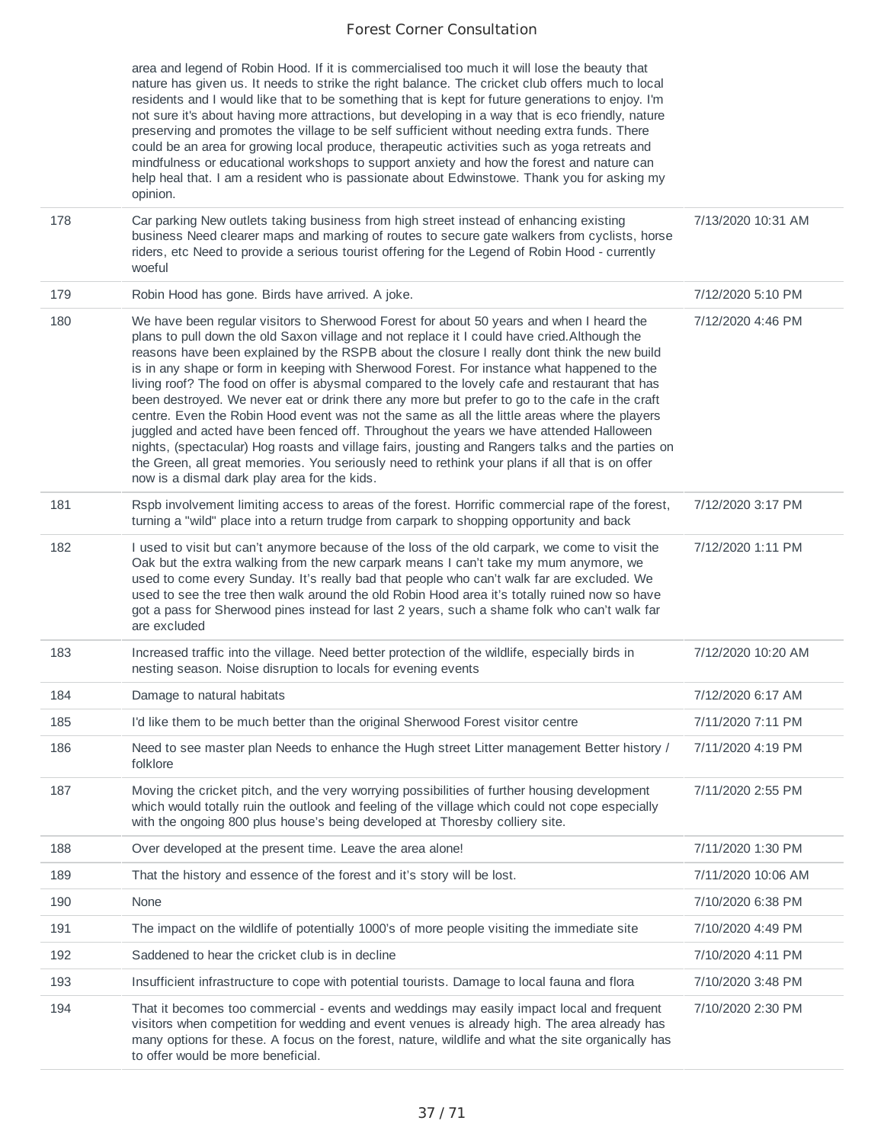area and legend of Robin Hood. If it is commercialised too much it will lose the beauty that nature has given us. It needs to strike the right balance. The cricket club offers much to local residents and I would like that to be something that is kept for future generations to enjoy. I'm not sure it's about having more attractions, but developing in a way that is eco friendly, nature preserving and promotes the village to be self sufficient without needing extra funds. There could be an area for growing local produce, therapeutic activities such as yoga retreats and mindfulness or educational workshops to support anxiety and how the forest and nature can help heal that. I am a resident who is passionate about Edwinstowe. Thank you for asking my opinion.

| 178 | Car parking New outlets taking business from high street instead of enhancing existing<br>business Need clearer maps and marking of routes to secure gate walkers from cyclists, horse<br>riders, etc Need to provide a serious tourist offering for the Legend of Robin Hood - currently<br>woeful                                                                                                                                                                                                                                                                                                                                                                                                                                                                                                                                                                                                                                                                                                                                         | 7/13/2020 10:31 AM |
|-----|---------------------------------------------------------------------------------------------------------------------------------------------------------------------------------------------------------------------------------------------------------------------------------------------------------------------------------------------------------------------------------------------------------------------------------------------------------------------------------------------------------------------------------------------------------------------------------------------------------------------------------------------------------------------------------------------------------------------------------------------------------------------------------------------------------------------------------------------------------------------------------------------------------------------------------------------------------------------------------------------------------------------------------------------|--------------------|
| 179 | Robin Hood has gone. Birds have arrived. A joke.                                                                                                                                                                                                                                                                                                                                                                                                                                                                                                                                                                                                                                                                                                                                                                                                                                                                                                                                                                                            | 7/12/2020 5:10 PM  |
| 180 | We have been regular visitors to Sherwood Forest for about 50 years and when I heard the<br>plans to pull down the old Saxon village and not replace it I could have cried. Although the<br>reasons have been explained by the RSPB about the closure I really dont think the new build<br>is in any shape or form in keeping with Sherwood Forest. For instance what happened to the<br>living roof? The food on offer is abysmal compared to the lovely cafe and restaurant that has<br>been destroyed. We never eat or drink there any more but prefer to go to the cafe in the craft<br>centre. Even the Robin Hood event was not the same as all the little areas where the players<br>juggled and acted have been fenced off. Throughout the years we have attended Halloween<br>nights, (spectacular) Hog roasts and village fairs, jousting and Rangers talks and the parties on<br>the Green, all great memories. You seriously need to rethink your plans if all that is on offer<br>now is a dismal dark play area for the kids. | 7/12/2020 4:46 PM  |
| 181 | Rspb involvement limiting access to areas of the forest. Horrific commercial rape of the forest,<br>turning a "wild" place into a return trudge from carpark to shopping opportunity and back                                                                                                                                                                                                                                                                                                                                                                                                                                                                                                                                                                                                                                                                                                                                                                                                                                               | 7/12/2020 3:17 PM  |
| 182 | I used to visit but can't anymore because of the loss of the old carpark, we come to visit the<br>Oak but the extra walking from the new carpark means I can't take my mum anymore, we<br>used to come every Sunday. It's really bad that people who can't walk far are excluded. We<br>used to see the tree then walk around the old Robin Hood area it's totally ruined now so have<br>got a pass for Sherwood pines instead for last 2 years, such a shame folk who can't walk far<br>are excluded                                                                                                                                                                                                                                                                                                                                                                                                                                                                                                                                       | 7/12/2020 1:11 PM  |
| 183 | Increased traffic into the village. Need better protection of the wildlife, especially birds in<br>nesting season. Noise disruption to locals for evening events                                                                                                                                                                                                                                                                                                                                                                                                                                                                                                                                                                                                                                                                                                                                                                                                                                                                            | 7/12/2020 10:20 AM |
| 184 | Damage to natural habitats                                                                                                                                                                                                                                                                                                                                                                                                                                                                                                                                                                                                                                                                                                                                                                                                                                                                                                                                                                                                                  | 7/12/2020 6:17 AM  |
| 185 | I'd like them to be much better than the original Sherwood Forest visitor centre                                                                                                                                                                                                                                                                                                                                                                                                                                                                                                                                                                                                                                                                                                                                                                                                                                                                                                                                                            | 7/11/2020 7:11 PM  |
| 186 | Need to see master plan Needs to enhance the Hugh street Litter management Better history /<br>folklore                                                                                                                                                                                                                                                                                                                                                                                                                                                                                                                                                                                                                                                                                                                                                                                                                                                                                                                                     | 7/11/2020 4:19 PM  |
| 187 | Moving the cricket pitch, and the very worrying possibilities of further housing development<br>which would totally ruin the outlook and feeling of the village which could not cope especially<br>with the ongoing 800 plus house's being developed at Thoresby colliery site.                                                                                                                                                                                                                                                                                                                                                                                                                                                                                                                                                                                                                                                                                                                                                             | 7/11/2020 2:55 PM  |
| 188 | Over developed at the present time. Leave the area alone!                                                                                                                                                                                                                                                                                                                                                                                                                                                                                                                                                                                                                                                                                                                                                                                                                                                                                                                                                                                   | 7/11/2020 1:30 PM  |
| 189 | That the history and essence of the forest and it's story will be lost.                                                                                                                                                                                                                                                                                                                                                                                                                                                                                                                                                                                                                                                                                                                                                                                                                                                                                                                                                                     | 7/11/2020 10:06 AM |
| 190 | None                                                                                                                                                                                                                                                                                                                                                                                                                                                                                                                                                                                                                                                                                                                                                                                                                                                                                                                                                                                                                                        | 7/10/2020 6:38 PM  |
| 191 | The impact on the wildlife of potentially 1000's of more people visiting the immediate site                                                                                                                                                                                                                                                                                                                                                                                                                                                                                                                                                                                                                                                                                                                                                                                                                                                                                                                                                 | 7/10/2020 4:49 PM  |
| 192 | Saddened to hear the cricket club is in decline                                                                                                                                                                                                                                                                                                                                                                                                                                                                                                                                                                                                                                                                                                                                                                                                                                                                                                                                                                                             | 7/10/2020 4:11 PM  |
| 193 | Insufficient infrastructure to cope with potential tourists. Damage to local fauna and flora                                                                                                                                                                                                                                                                                                                                                                                                                                                                                                                                                                                                                                                                                                                                                                                                                                                                                                                                                | 7/10/2020 3:48 PM  |
| 194 | That it becomes too commercial - events and weddings may easily impact local and frequent<br>visitors when competition for wedding and event venues is already high. The area already has<br>many options for these. A focus on the forest, nature, wildlife and what the site organically has<br>to offer would be more beneficial.                                                                                                                                                                                                                                                                                                                                                                                                                                                                                                                                                                                                                                                                                                        | 7/10/2020 2:30 PM  |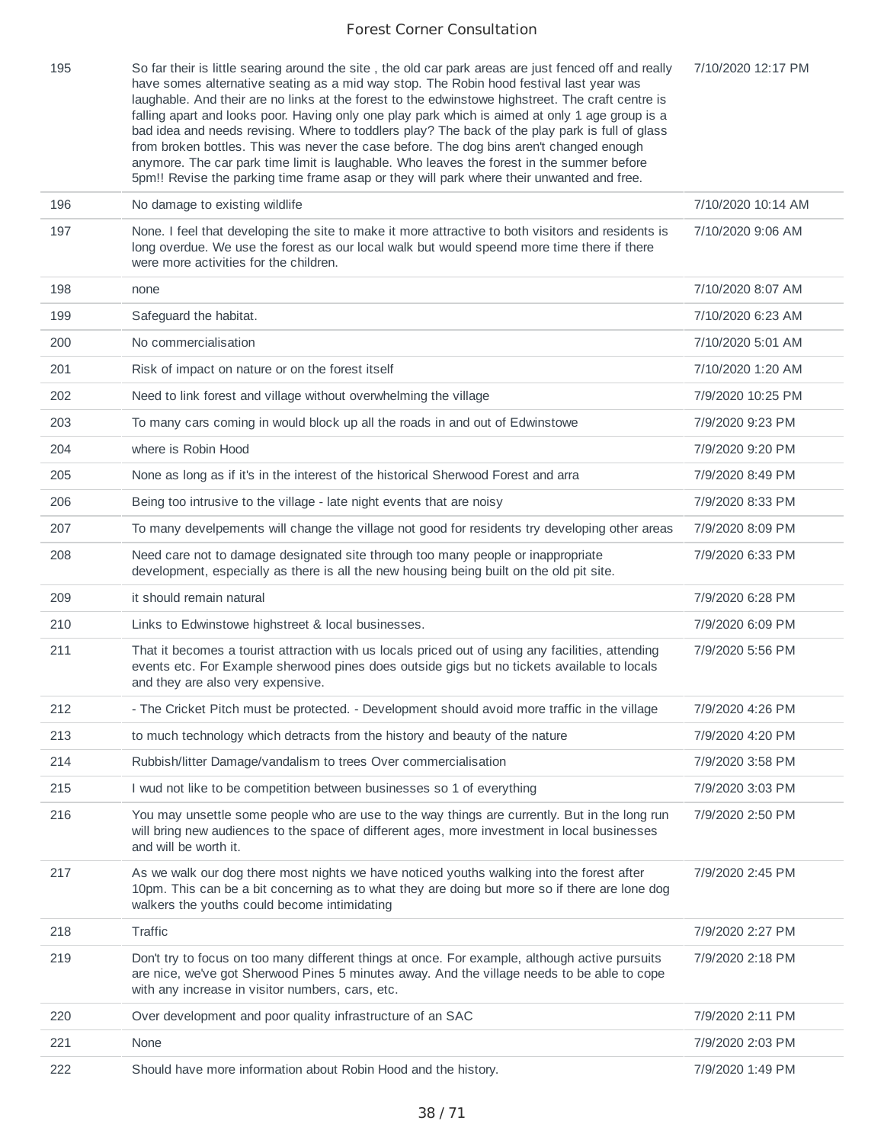| 195 | So far their is little searing around the site, the old car park areas are just fenced off and really<br>have somes alternative seating as a mid way stop. The Robin hood festival last year was<br>laughable. And their are no links at the forest to the edwinstowe highstreet. The craft centre is<br>falling apart and looks poor. Having only one play park which is aimed at only 1 age group is a<br>bad idea and needs revising. Where to toddlers play? The back of the play park is full of glass<br>from broken bottles. This was never the case before. The dog bins aren't changed enough<br>anymore. The car park time limit is laughable. Who leaves the forest in the summer before<br>5pm!! Revise the parking time frame asap or they will park where their unwanted and free. | 7/10/2020 12:17 PM |
|-----|--------------------------------------------------------------------------------------------------------------------------------------------------------------------------------------------------------------------------------------------------------------------------------------------------------------------------------------------------------------------------------------------------------------------------------------------------------------------------------------------------------------------------------------------------------------------------------------------------------------------------------------------------------------------------------------------------------------------------------------------------------------------------------------------------|--------------------|
| 196 | No damage to existing wildlife                                                                                                                                                                                                                                                                                                                                                                                                                                                                                                                                                                                                                                                                                                                                                                   | 7/10/2020 10:14 AM |
| 197 | None. I feel that developing the site to make it more attractive to both visitors and residents is<br>long overdue. We use the forest as our local walk but would speend more time there if there<br>were more activities for the children.                                                                                                                                                                                                                                                                                                                                                                                                                                                                                                                                                      | 7/10/2020 9:06 AM  |
| 198 | none                                                                                                                                                                                                                                                                                                                                                                                                                                                                                                                                                                                                                                                                                                                                                                                             | 7/10/2020 8:07 AM  |
| 199 | Safeguard the habitat.                                                                                                                                                                                                                                                                                                                                                                                                                                                                                                                                                                                                                                                                                                                                                                           | 7/10/2020 6:23 AM  |
| 200 | No commercialisation                                                                                                                                                                                                                                                                                                                                                                                                                                                                                                                                                                                                                                                                                                                                                                             | 7/10/2020 5:01 AM  |
| 201 | Risk of impact on nature or on the forest itself                                                                                                                                                                                                                                                                                                                                                                                                                                                                                                                                                                                                                                                                                                                                                 | 7/10/2020 1:20 AM  |
| 202 | Need to link forest and village without overwhelming the village                                                                                                                                                                                                                                                                                                                                                                                                                                                                                                                                                                                                                                                                                                                                 | 7/9/2020 10:25 PM  |
| 203 | To many cars coming in would block up all the roads in and out of Edwinstowe                                                                                                                                                                                                                                                                                                                                                                                                                                                                                                                                                                                                                                                                                                                     | 7/9/2020 9:23 PM   |
| 204 | where is Robin Hood                                                                                                                                                                                                                                                                                                                                                                                                                                                                                                                                                                                                                                                                                                                                                                              | 7/9/2020 9:20 PM   |
| 205 | None as long as if it's in the interest of the historical Sherwood Forest and arra                                                                                                                                                                                                                                                                                                                                                                                                                                                                                                                                                                                                                                                                                                               | 7/9/2020 8:49 PM   |
| 206 | Being too intrusive to the village - late night events that are noisy                                                                                                                                                                                                                                                                                                                                                                                                                                                                                                                                                                                                                                                                                                                            | 7/9/2020 8:33 PM   |
| 207 | To many develpements will change the village not good for residents try developing other areas                                                                                                                                                                                                                                                                                                                                                                                                                                                                                                                                                                                                                                                                                                   | 7/9/2020 8:09 PM   |
| 208 | Need care not to damage designated site through too many people or inappropriate<br>development, especially as there is all the new housing being built on the old pit site.                                                                                                                                                                                                                                                                                                                                                                                                                                                                                                                                                                                                                     | 7/9/2020 6:33 PM   |
| 209 | it should remain natural                                                                                                                                                                                                                                                                                                                                                                                                                                                                                                                                                                                                                                                                                                                                                                         | 7/9/2020 6:28 PM   |
| 210 | Links to Edwinstowe highstreet & local businesses.                                                                                                                                                                                                                                                                                                                                                                                                                                                                                                                                                                                                                                                                                                                                               | 7/9/2020 6:09 PM   |
| 211 | That it becomes a tourist attraction with us locals priced out of using any facilities, attending<br>events etc. For Example sherwood pines does outside gigs but no tickets available to locals<br>and they are also very expensive.                                                                                                                                                                                                                                                                                                                                                                                                                                                                                                                                                            | 7/9/2020 5:56 PM   |
| 212 | - The Cricket Pitch must be protected. - Development should avoid more traffic in the village                                                                                                                                                                                                                                                                                                                                                                                                                                                                                                                                                                                                                                                                                                    | 7/9/2020 4:26 PM   |
| 213 | to much technology which detracts from the history and beauty of the nature                                                                                                                                                                                                                                                                                                                                                                                                                                                                                                                                                                                                                                                                                                                      | 7/9/2020 4:20 PM   |
| 214 | Rubbish/litter Damage/vandalism to trees Over commercialisation                                                                                                                                                                                                                                                                                                                                                                                                                                                                                                                                                                                                                                                                                                                                  | 7/9/2020 3:58 PM   |
| 215 | I wud not like to be competition between businesses so 1 of everything                                                                                                                                                                                                                                                                                                                                                                                                                                                                                                                                                                                                                                                                                                                           | 7/9/2020 3:03 PM   |
| 216 | You may unsettle some people who are use to the way things are currently. But in the long run<br>will bring new audiences to the space of different ages, more investment in local businesses<br>and will be worth it.                                                                                                                                                                                                                                                                                                                                                                                                                                                                                                                                                                           | 7/9/2020 2:50 PM   |
| 217 | As we walk our dog there most nights we have noticed youths walking into the forest after<br>10pm. This can be a bit concerning as to what they are doing but more so if there are lone dog<br>walkers the youths could become intimidating                                                                                                                                                                                                                                                                                                                                                                                                                                                                                                                                                      | 7/9/2020 2:45 PM   |
| 218 | Traffic                                                                                                                                                                                                                                                                                                                                                                                                                                                                                                                                                                                                                                                                                                                                                                                          | 7/9/2020 2:27 PM   |
| 219 | Don't try to focus on too many different things at once. For example, although active pursuits<br>are nice, we've got Sherwood Pines 5 minutes away. And the village needs to be able to cope<br>with any increase in visitor numbers, cars, etc.                                                                                                                                                                                                                                                                                                                                                                                                                                                                                                                                                | 7/9/2020 2:18 PM   |
| 220 | Over development and poor quality infrastructure of an SAC                                                                                                                                                                                                                                                                                                                                                                                                                                                                                                                                                                                                                                                                                                                                       | 7/9/2020 2:11 PM   |
| 221 | None                                                                                                                                                                                                                                                                                                                                                                                                                                                                                                                                                                                                                                                                                                                                                                                             | 7/9/2020 2:03 PM   |
| 222 | Should have more information about Robin Hood and the history.                                                                                                                                                                                                                                                                                                                                                                                                                                                                                                                                                                                                                                                                                                                                   | 7/9/2020 1:49 PM   |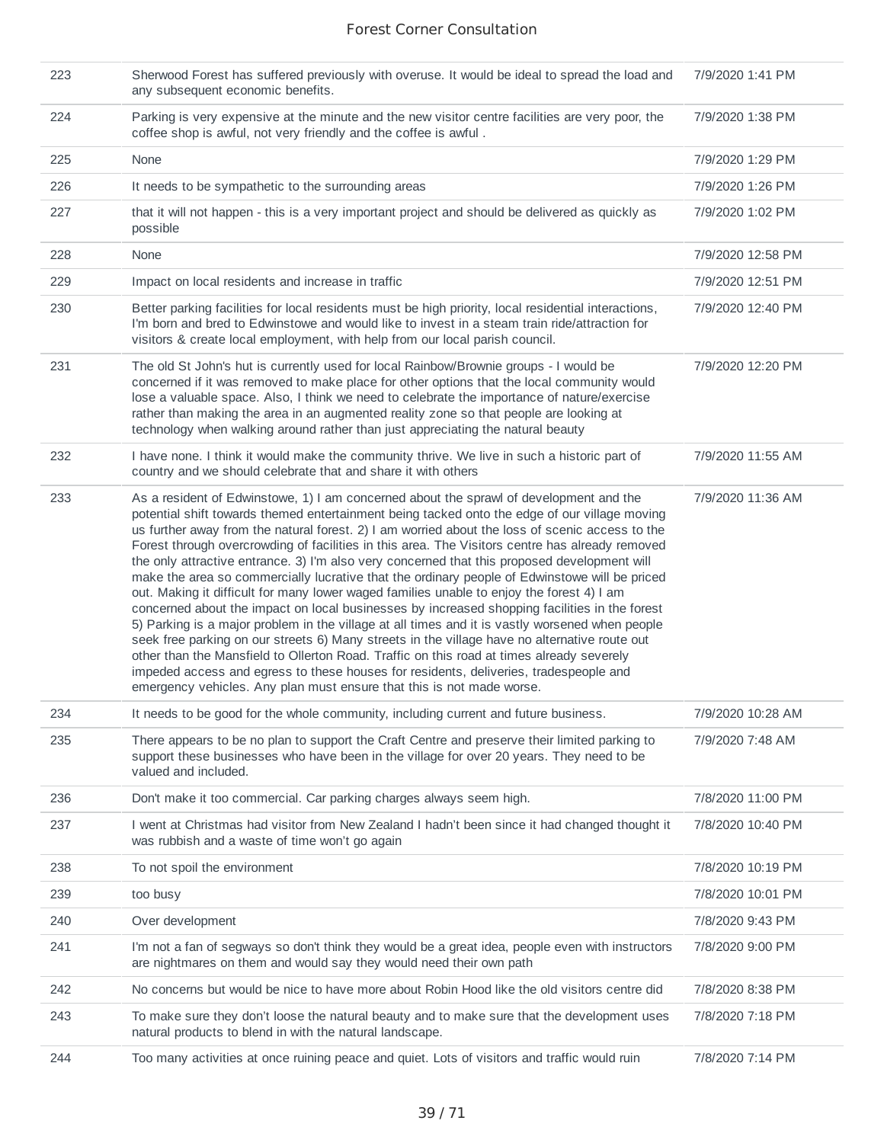| 223 | Sherwood Forest has suffered previously with overuse. It would be ideal to spread the load and<br>any subsequent economic benefits.                                                                                                                                                                                                                                                                                                                                                                                                                                                                                                                                                                                                                                                                                                                                                                                                                                                                                                                                                                                                                                                                                                                             | 7/9/2020 1:41 PM  |
|-----|-----------------------------------------------------------------------------------------------------------------------------------------------------------------------------------------------------------------------------------------------------------------------------------------------------------------------------------------------------------------------------------------------------------------------------------------------------------------------------------------------------------------------------------------------------------------------------------------------------------------------------------------------------------------------------------------------------------------------------------------------------------------------------------------------------------------------------------------------------------------------------------------------------------------------------------------------------------------------------------------------------------------------------------------------------------------------------------------------------------------------------------------------------------------------------------------------------------------------------------------------------------------|-------------------|
| 224 | Parking is very expensive at the minute and the new visitor centre facilities are very poor, the<br>coffee shop is awful, not very friendly and the coffee is awful.                                                                                                                                                                                                                                                                                                                                                                                                                                                                                                                                                                                                                                                                                                                                                                                                                                                                                                                                                                                                                                                                                            | 7/9/2020 1:38 PM  |
| 225 | None                                                                                                                                                                                                                                                                                                                                                                                                                                                                                                                                                                                                                                                                                                                                                                                                                                                                                                                                                                                                                                                                                                                                                                                                                                                            | 7/9/2020 1:29 PM  |
| 226 | It needs to be sympathetic to the surrounding areas                                                                                                                                                                                                                                                                                                                                                                                                                                                                                                                                                                                                                                                                                                                                                                                                                                                                                                                                                                                                                                                                                                                                                                                                             | 7/9/2020 1:26 PM  |
| 227 | that it will not happen - this is a very important project and should be delivered as quickly as<br>possible                                                                                                                                                                                                                                                                                                                                                                                                                                                                                                                                                                                                                                                                                                                                                                                                                                                                                                                                                                                                                                                                                                                                                    | 7/9/2020 1:02 PM  |
| 228 | None                                                                                                                                                                                                                                                                                                                                                                                                                                                                                                                                                                                                                                                                                                                                                                                                                                                                                                                                                                                                                                                                                                                                                                                                                                                            | 7/9/2020 12:58 PM |
| 229 | Impact on local residents and increase in traffic                                                                                                                                                                                                                                                                                                                                                                                                                                                                                                                                                                                                                                                                                                                                                                                                                                                                                                                                                                                                                                                                                                                                                                                                               | 7/9/2020 12:51 PM |
| 230 | Better parking facilities for local residents must be high priority, local residential interactions,<br>I'm born and bred to Edwinstowe and would like to invest in a steam train ride/attraction for<br>visitors & create local employment, with help from our local parish council.                                                                                                                                                                                                                                                                                                                                                                                                                                                                                                                                                                                                                                                                                                                                                                                                                                                                                                                                                                           | 7/9/2020 12:40 PM |
| 231 | The old St John's hut is currently used for local Rainbow/Brownie groups - I would be<br>concerned if it was removed to make place for other options that the local community would<br>lose a valuable space. Also, I think we need to celebrate the importance of nature/exercise<br>rather than making the area in an augmented reality zone so that people are looking at<br>technology when walking around rather than just appreciating the natural beauty                                                                                                                                                                                                                                                                                                                                                                                                                                                                                                                                                                                                                                                                                                                                                                                                 | 7/9/2020 12:20 PM |
| 232 | I have none. I think it would make the community thrive. We live in such a historic part of<br>country and we should celebrate that and share it with others                                                                                                                                                                                                                                                                                                                                                                                                                                                                                                                                                                                                                                                                                                                                                                                                                                                                                                                                                                                                                                                                                                    | 7/9/2020 11:55 AM |
| 233 | As a resident of Edwinstowe, 1) I am concerned about the sprawl of development and the<br>potential shift towards themed entertainment being tacked onto the edge of our village moving<br>us further away from the natural forest. 2) I am worried about the loss of scenic access to the<br>Forest through overcrowding of facilities in this area. The Visitors centre has already removed<br>the only attractive entrance. 3) I'm also very concerned that this proposed development will<br>make the area so commercially lucrative that the ordinary people of Edwinstowe will be priced<br>out. Making it difficult for many lower waged families unable to enjoy the forest 4) I am<br>concerned about the impact on local businesses by increased shopping facilities in the forest<br>5) Parking is a major problem in the village at all times and it is vastly worsened when people<br>seek free parking on our streets 6) Many streets in the village have no alternative route out<br>other than the Mansfield to Ollerton Road. Traffic on this road at times already severely<br>impeded access and egress to these houses for residents, deliveries, tradespeople and<br>emergency vehicles. Any plan must ensure that this is not made worse. | 7/9/2020 11:36 AM |
| 234 | It needs to be good for the whole community, including current and future business.                                                                                                                                                                                                                                                                                                                                                                                                                                                                                                                                                                                                                                                                                                                                                                                                                                                                                                                                                                                                                                                                                                                                                                             | 7/9/2020 10:28 AM |
| 235 | There appears to be no plan to support the Craft Centre and preserve their limited parking to<br>support these businesses who have been in the village for over 20 years. They need to be<br>valued and included.                                                                                                                                                                                                                                                                                                                                                                                                                                                                                                                                                                                                                                                                                                                                                                                                                                                                                                                                                                                                                                               | 7/9/2020 7:48 AM  |
| 236 | Don't make it too commercial. Car parking charges always seem high.                                                                                                                                                                                                                                                                                                                                                                                                                                                                                                                                                                                                                                                                                                                                                                                                                                                                                                                                                                                                                                                                                                                                                                                             | 7/8/2020 11:00 PM |
| 237 | I went at Christmas had visitor from New Zealand I hadn't been since it had changed thought it<br>was rubbish and a waste of time won't go again                                                                                                                                                                                                                                                                                                                                                                                                                                                                                                                                                                                                                                                                                                                                                                                                                                                                                                                                                                                                                                                                                                                | 7/8/2020 10:40 PM |
| 238 | To not spoil the environment                                                                                                                                                                                                                                                                                                                                                                                                                                                                                                                                                                                                                                                                                                                                                                                                                                                                                                                                                                                                                                                                                                                                                                                                                                    | 7/8/2020 10:19 PM |
| 239 | too busy                                                                                                                                                                                                                                                                                                                                                                                                                                                                                                                                                                                                                                                                                                                                                                                                                                                                                                                                                                                                                                                                                                                                                                                                                                                        | 7/8/2020 10:01 PM |
| 240 | Over development                                                                                                                                                                                                                                                                                                                                                                                                                                                                                                                                                                                                                                                                                                                                                                                                                                                                                                                                                                                                                                                                                                                                                                                                                                                | 7/8/2020 9:43 PM  |
| 241 | I'm not a fan of segways so don't think they would be a great idea, people even with instructors<br>are nightmares on them and would say they would need their own path                                                                                                                                                                                                                                                                                                                                                                                                                                                                                                                                                                                                                                                                                                                                                                                                                                                                                                                                                                                                                                                                                         | 7/8/2020 9:00 PM  |
| 242 | No concerns but would be nice to have more about Robin Hood like the old visitors centre did                                                                                                                                                                                                                                                                                                                                                                                                                                                                                                                                                                                                                                                                                                                                                                                                                                                                                                                                                                                                                                                                                                                                                                    | 7/8/2020 8:38 PM  |
| 243 | To make sure they don't loose the natural beauty and to make sure that the development uses<br>natural products to blend in with the natural landscape.                                                                                                                                                                                                                                                                                                                                                                                                                                                                                                                                                                                                                                                                                                                                                                                                                                                                                                                                                                                                                                                                                                         | 7/8/2020 7:18 PM  |
| 244 | Too many activities at once ruining peace and quiet. Lots of visitors and traffic would ruin                                                                                                                                                                                                                                                                                                                                                                                                                                                                                                                                                                                                                                                                                                                                                                                                                                                                                                                                                                                                                                                                                                                                                                    | 7/8/2020 7:14 PM  |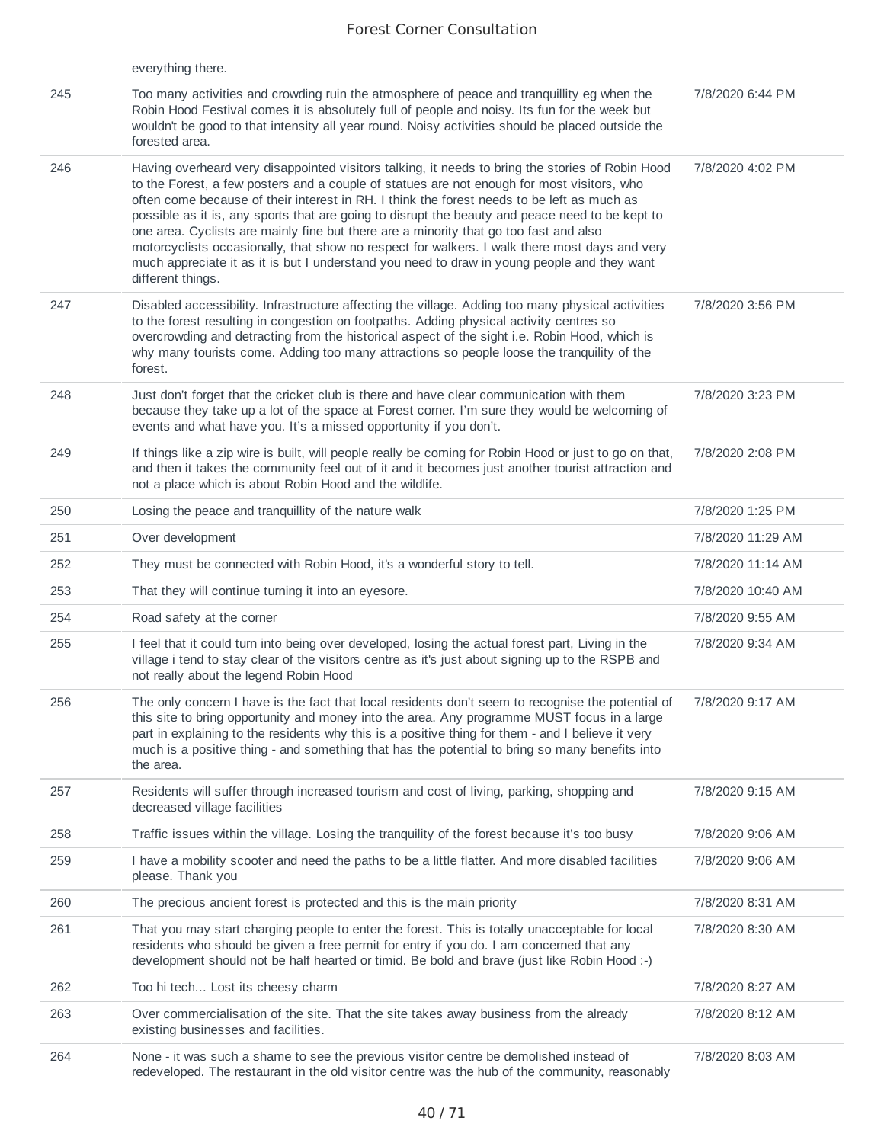|     | everything there.                                                                                                                                                                                                                                                                                                                                                                                                                                                                                                                                                                                                                                                                                             |                   |
|-----|---------------------------------------------------------------------------------------------------------------------------------------------------------------------------------------------------------------------------------------------------------------------------------------------------------------------------------------------------------------------------------------------------------------------------------------------------------------------------------------------------------------------------------------------------------------------------------------------------------------------------------------------------------------------------------------------------------------|-------------------|
| 245 | Too many activities and crowding ruin the atmosphere of peace and tranquillity eg when the<br>Robin Hood Festival comes it is absolutely full of people and noisy. Its fun for the week but<br>wouldn't be good to that intensity all year round. Noisy activities should be placed outside the<br>forested area.                                                                                                                                                                                                                                                                                                                                                                                             | 7/8/2020 6:44 PM  |
| 246 | Having overheard very disappointed visitors talking, it needs to bring the stories of Robin Hood<br>to the Forest, a few posters and a couple of statues are not enough for most visitors, who<br>often come because of their interest in RH. I think the forest needs to be left as much as<br>possible as it is, any sports that are going to disrupt the beauty and peace need to be kept to<br>one area. Cyclists are mainly fine but there are a minority that go too fast and also<br>motorcyclists occasionally, that show no respect for walkers. I walk there most days and very<br>much appreciate it as it is but I understand you need to draw in young people and they want<br>different things. | 7/8/2020 4:02 PM  |
| 247 | Disabled accessibility. Infrastructure affecting the village. Adding too many physical activities<br>to the forest resulting in congestion on footpaths. Adding physical activity centres so<br>overcrowding and detracting from the historical aspect of the sight i.e. Robin Hood, which is<br>why many tourists come. Adding too many attractions so people loose the tranquility of the<br>forest.                                                                                                                                                                                                                                                                                                        | 7/8/2020 3:56 PM  |
| 248 | Just don't forget that the cricket club is there and have clear communication with them<br>because they take up a lot of the space at Forest corner. I'm sure they would be welcoming of<br>events and what have you. It's a missed opportunity if you don't.                                                                                                                                                                                                                                                                                                                                                                                                                                                 | 7/8/2020 3:23 PM  |
| 249 | If things like a zip wire is built, will people really be coming for Robin Hood or just to go on that,<br>and then it takes the community feel out of it and it becomes just another tourist attraction and<br>not a place which is about Robin Hood and the wildlife.                                                                                                                                                                                                                                                                                                                                                                                                                                        | 7/8/2020 2:08 PM  |
| 250 | Losing the peace and tranquillity of the nature walk                                                                                                                                                                                                                                                                                                                                                                                                                                                                                                                                                                                                                                                          | 7/8/2020 1:25 PM  |
| 251 | Over development                                                                                                                                                                                                                                                                                                                                                                                                                                                                                                                                                                                                                                                                                              | 7/8/2020 11:29 AM |
| 252 | They must be connected with Robin Hood, it's a wonderful story to tell.                                                                                                                                                                                                                                                                                                                                                                                                                                                                                                                                                                                                                                       | 7/8/2020 11:14 AM |
| 253 | That they will continue turning it into an eyesore.                                                                                                                                                                                                                                                                                                                                                                                                                                                                                                                                                                                                                                                           | 7/8/2020 10:40 AM |
| 254 | Road safety at the corner                                                                                                                                                                                                                                                                                                                                                                                                                                                                                                                                                                                                                                                                                     | 7/8/2020 9:55 AM  |
| 255 | I feel that it could turn into being over developed, losing the actual forest part, Living in the<br>village i tend to stay clear of the visitors centre as it's just about signing up to the RSPB and<br>not really about the legend Robin Hood                                                                                                                                                                                                                                                                                                                                                                                                                                                              | 7/8/2020 9:34 AM  |
| 256 | The only concern I have is the fact that local residents don't seem to recognise the potential of<br>this site to bring opportunity and money into the area. Any programme MUST focus in a large<br>part in explaining to the residents why this is a positive thing for them - and I believe it very<br>much is a positive thing - and something that has the potential to bring so many benefits into<br>the area.                                                                                                                                                                                                                                                                                          | 7/8/2020 9:17 AM  |
| 257 | Residents will suffer through increased tourism and cost of living, parking, shopping and<br>decreased village facilities                                                                                                                                                                                                                                                                                                                                                                                                                                                                                                                                                                                     | 7/8/2020 9:15 AM  |
| 258 | Traffic issues within the village. Losing the tranquility of the forest because it's too busy                                                                                                                                                                                                                                                                                                                                                                                                                                                                                                                                                                                                                 | 7/8/2020 9:06 AM  |
| 259 | I have a mobility scooter and need the paths to be a little flatter. And more disabled facilities<br>please. Thank you                                                                                                                                                                                                                                                                                                                                                                                                                                                                                                                                                                                        | 7/8/2020 9:06 AM  |
| 260 | The precious ancient forest is protected and this is the main priority                                                                                                                                                                                                                                                                                                                                                                                                                                                                                                                                                                                                                                        | 7/8/2020 8:31 AM  |
| 261 | That you may start charging people to enter the forest. This is totally unacceptable for local<br>residents who should be given a free permit for entry if you do. I am concerned that any<br>development should not be half hearted or timid. Be bold and brave (just like Robin Hood :-)                                                                                                                                                                                                                                                                                                                                                                                                                    | 7/8/2020 8:30 AM  |
| 262 | Too hi tech Lost its cheesy charm                                                                                                                                                                                                                                                                                                                                                                                                                                                                                                                                                                                                                                                                             | 7/8/2020 8:27 AM  |
| 263 | Over commercialisation of the site. That the site takes away business from the already<br>existing businesses and facilities.                                                                                                                                                                                                                                                                                                                                                                                                                                                                                                                                                                                 | 7/8/2020 8:12 AM  |
| 264 | None - it was such a shame to see the previous visitor centre be demolished instead of<br>redeveloped. The restaurant in the old visitor centre was the hub of the community, reasonably                                                                                                                                                                                                                                                                                                                                                                                                                                                                                                                      | 7/8/2020 8:03 AM  |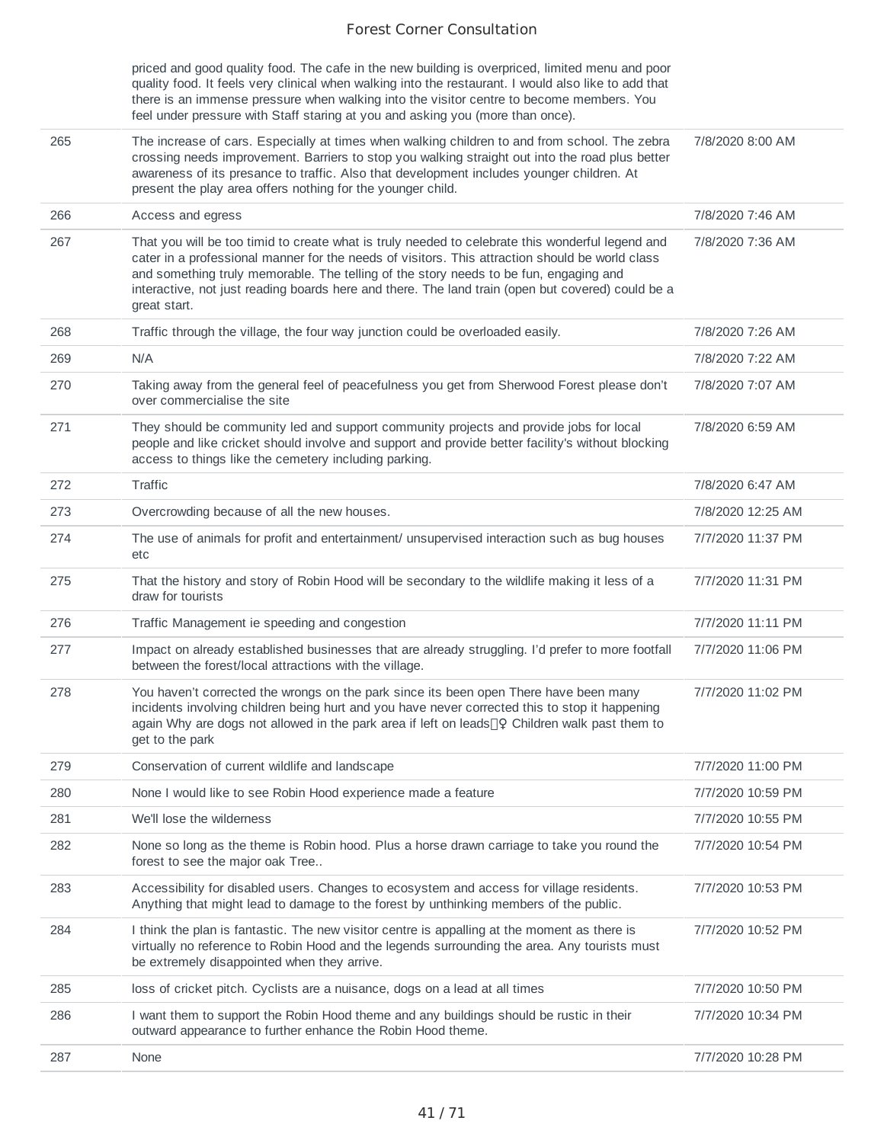|     | priced and good quality food. The cafe in the new building is overpriced, limited menu and poor<br>quality food. It feels very clinical when walking into the restaurant. I would also like to add that<br>there is an immense pressure when walking into the visitor centre to become members. You<br>feel under pressure with Staff staring at you and asking you (more than once).                             |                   |
|-----|-------------------------------------------------------------------------------------------------------------------------------------------------------------------------------------------------------------------------------------------------------------------------------------------------------------------------------------------------------------------------------------------------------------------|-------------------|
| 265 | The increase of cars. Especially at times when walking children to and from school. The zebra<br>crossing needs improvement. Barriers to stop you walking straight out into the road plus better<br>awareness of its presance to traffic. Also that development includes younger children. At<br>present the play area offers nothing for the younger child.                                                      | 7/8/2020 8:00 AM  |
| 266 | Access and egress                                                                                                                                                                                                                                                                                                                                                                                                 | 7/8/2020 7:46 AM  |
| 267 | That you will be too timid to create what is truly needed to celebrate this wonderful legend and<br>cater in a professional manner for the needs of visitors. This attraction should be world class<br>and something truly memorable. The telling of the story needs to be fun, engaging and<br>interactive, not just reading boards here and there. The land train (open but covered) could be a<br>great start. | 7/8/2020 7:36 AM  |
| 268 | Traffic through the village, the four way junction could be overloaded easily.                                                                                                                                                                                                                                                                                                                                    | 7/8/2020 7:26 AM  |
| 269 | N/A                                                                                                                                                                                                                                                                                                                                                                                                               | 7/8/2020 7:22 AM  |
| 270 | Taking away from the general feel of peacefulness you get from Sherwood Forest please don't<br>over commercialise the site                                                                                                                                                                                                                                                                                        | 7/8/2020 7:07 AM  |
| 271 | They should be community led and support community projects and provide jobs for local<br>people and like cricket should involve and support and provide better facility's without blocking<br>access to things like the cemetery including parking.                                                                                                                                                              | 7/8/2020 6:59 AM  |
| 272 | Traffic                                                                                                                                                                                                                                                                                                                                                                                                           | 7/8/2020 6:47 AM  |
| 273 | Overcrowding because of all the new houses.                                                                                                                                                                                                                                                                                                                                                                       | 7/8/2020 12:25 AM |
| 274 | The use of animals for profit and entertainment/ unsupervised interaction such as bug houses<br>etc                                                                                                                                                                                                                                                                                                               | 7/7/2020 11:37 PM |
| 275 | That the history and story of Robin Hood will be secondary to the wildlife making it less of a<br>draw for tourists                                                                                                                                                                                                                                                                                               | 7/7/2020 11:31 PM |
| 276 | Traffic Management ie speeding and congestion                                                                                                                                                                                                                                                                                                                                                                     | 7/7/2020 11:11 PM |
| 277 | Impact on already established businesses that are already struggling. I'd prefer to more footfall<br>between the forest/local attractions with the village.                                                                                                                                                                                                                                                       | 7/7/2020 11:06 PM |
| 278 | You haven't corrected the wrongs on the park since its been open There have been many<br>incidents involving children being hurt and you have never corrected this to stop it happening<br>again Why are dogs not allowed in the park area if left on leads[]? Children walk past them to<br>get to the park                                                                                                      | 7/7/2020 11:02 PM |
| 279 | Conservation of current wildlife and landscape                                                                                                                                                                                                                                                                                                                                                                    | 7/7/2020 11:00 PM |
| 280 | None I would like to see Robin Hood experience made a feature                                                                                                                                                                                                                                                                                                                                                     | 7/7/2020 10:59 PM |
| 281 | We'll lose the wilderness                                                                                                                                                                                                                                                                                                                                                                                         | 7/7/2020 10:55 PM |
| 282 | None so long as the theme is Robin hood. Plus a horse drawn carriage to take you round the<br>forest to see the major oak Tree                                                                                                                                                                                                                                                                                    | 7/7/2020 10:54 PM |
| 283 | Accessibility for disabled users. Changes to ecosystem and access for village residents.<br>Anything that might lead to damage to the forest by unthinking members of the public.                                                                                                                                                                                                                                 | 7/7/2020 10:53 PM |
| 284 | I think the plan is fantastic. The new visitor centre is appalling at the moment as there is<br>virtually no reference to Robin Hood and the legends surrounding the area. Any tourists must<br>be extremely disappointed when they arrive.                                                                                                                                                                       | 7/7/2020 10:52 PM |
| 285 | loss of cricket pitch. Cyclists are a nuisance, dogs on a lead at all times                                                                                                                                                                                                                                                                                                                                       | 7/7/2020 10:50 PM |
| 286 | I want them to support the Robin Hood theme and any buildings should be rustic in their<br>outward appearance to further enhance the Robin Hood theme.                                                                                                                                                                                                                                                            | 7/7/2020 10:34 PM |
| 287 | None                                                                                                                                                                                                                                                                                                                                                                                                              | 7/7/2020 10:28 PM |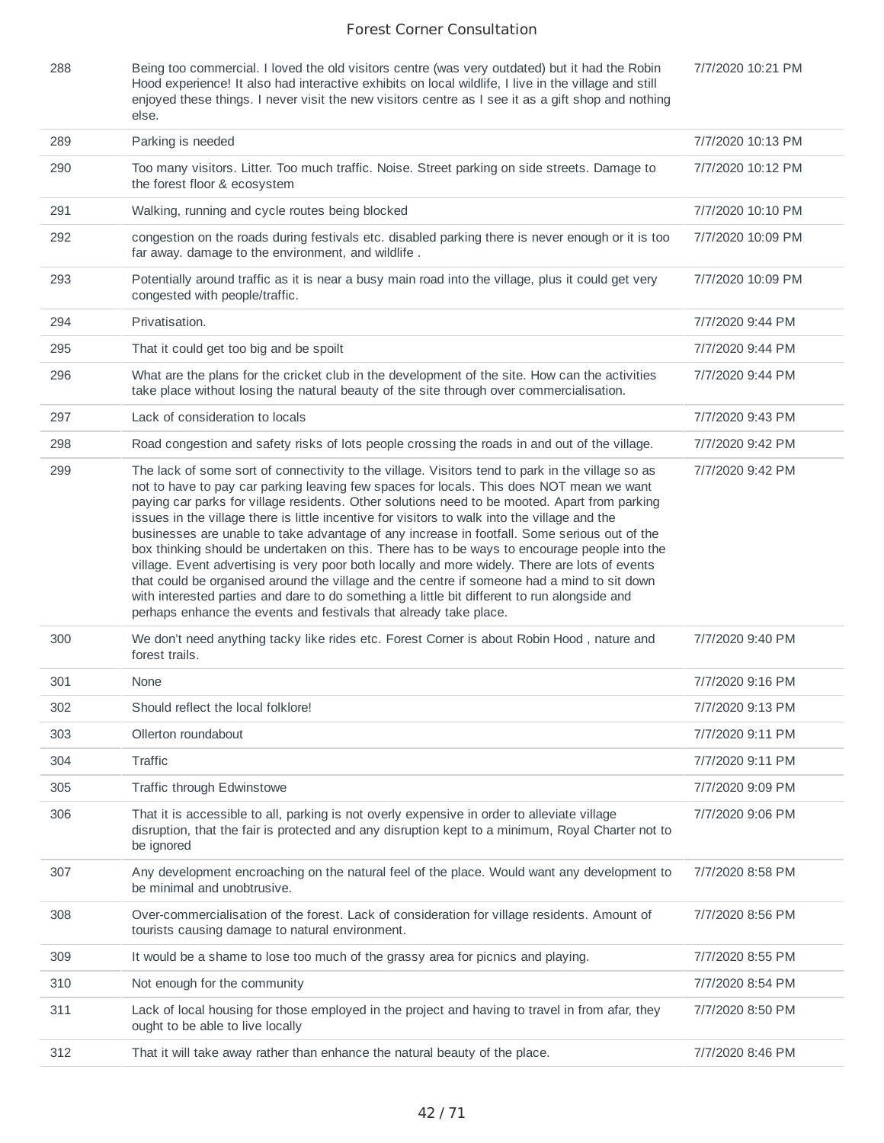| 288 | Being too commercial. I loved the old visitors centre (was very outdated) but it had the Robin       | 7/7/2020 10:21 PM |
|-----|------------------------------------------------------------------------------------------------------|-------------------|
|     | Hood experience! It also had interactive exhibits on local wildlife, I live in the village and still |                   |
|     | enjoyed these things. I never visit the new visitors centre as I see it as a gift shop and nothing   |                   |
|     | else.                                                                                                |                   |

| 289 | Parking is needed                                                                                                                                                                                                                                                                                                                                                                                                                                                                                                                                                                                                                                                                                                                                                                                                                                                                                                                                                    | 7/7/2020 10:13 PM |
|-----|----------------------------------------------------------------------------------------------------------------------------------------------------------------------------------------------------------------------------------------------------------------------------------------------------------------------------------------------------------------------------------------------------------------------------------------------------------------------------------------------------------------------------------------------------------------------------------------------------------------------------------------------------------------------------------------------------------------------------------------------------------------------------------------------------------------------------------------------------------------------------------------------------------------------------------------------------------------------|-------------------|
| 290 | Too many visitors. Litter. Too much traffic. Noise. Street parking on side streets. Damage to<br>the forest floor & ecosystem                                                                                                                                                                                                                                                                                                                                                                                                                                                                                                                                                                                                                                                                                                                                                                                                                                        | 7/7/2020 10:12 PM |
| 291 | Walking, running and cycle routes being blocked                                                                                                                                                                                                                                                                                                                                                                                                                                                                                                                                                                                                                                                                                                                                                                                                                                                                                                                      | 7/7/2020 10:10 PM |
| 292 | congestion on the roads during festivals etc. disabled parking there is never enough or it is too<br>far away. damage to the environment, and wildlife.                                                                                                                                                                                                                                                                                                                                                                                                                                                                                                                                                                                                                                                                                                                                                                                                              | 7/7/2020 10:09 PM |
| 293 | Potentially around traffic as it is near a busy main road into the village, plus it could get very<br>congested with people/traffic.                                                                                                                                                                                                                                                                                                                                                                                                                                                                                                                                                                                                                                                                                                                                                                                                                                 | 7/7/2020 10:09 PM |
| 294 | Privatisation.                                                                                                                                                                                                                                                                                                                                                                                                                                                                                                                                                                                                                                                                                                                                                                                                                                                                                                                                                       | 7/7/2020 9:44 PM  |
| 295 | That it could get too big and be spoilt                                                                                                                                                                                                                                                                                                                                                                                                                                                                                                                                                                                                                                                                                                                                                                                                                                                                                                                              | 7/7/2020 9:44 PM  |
| 296 | What are the plans for the cricket club in the development of the site. How can the activities<br>take place without losing the natural beauty of the site through over commercialisation.                                                                                                                                                                                                                                                                                                                                                                                                                                                                                                                                                                                                                                                                                                                                                                           | 7/7/2020 9:44 PM  |
| 297 | Lack of consideration to locals                                                                                                                                                                                                                                                                                                                                                                                                                                                                                                                                                                                                                                                                                                                                                                                                                                                                                                                                      | 7/7/2020 9:43 PM  |
| 298 | Road congestion and safety risks of lots people crossing the roads in and out of the village.                                                                                                                                                                                                                                                                                                                                                                                                                                                                                                                                                                                                                                                                                                                                                                                                                                                                        | 7/7/2020 9:42 PM  |
| 299 | The lack of some sort of connectivity to the village. Visitors tend to park in the village so as<br>not to have to pay car parking leaving few spaces for locals. This does NOT mean we want<br>paying car parks for village residents. Other solutions need to be mooted. Apart from parking<br>issues in the village there is little incentive for visitors to walk into the village and the<br>businesses are unable to take advantage of any increase in footfall. Some serious out of the<br>box thinking should be undertaken on this. There has to be ways to encourage people into the<br>village. Event advertising is very poor both locally and more widely. There are lots of events<br>that could be organised around the village and the centre if someone had a mind to sit down<br>with interested parties and dare to do something a little bit different to run alongside and<br>perhaps enhance the events and festivals that already take place. | 7/7/2020 9:42 PM  |
| 300 | We don't need anything tacky like rides etc. Forest Corner is about Robin Hood, nature and<br>forest trails.                                                                                                                                                                                                                                                                                                                                                                                                                                                                                                                                                                                                                                                                                                                                                                                                                                                         | 7/7/2020 9:40 PM  |
| 301 | None                                                                                                                                                                                                                                                                                                                                                                                                                                                                                                                                                                                                                                                                                                                                                                                                                                                                                                                                                                 | 7/7/2020 9:16 PM  |
| 302 | Should reflect the local folklore!                                                                                                                                                                                                                                                                                                                                                                                                                                                                                                                                                                                                                                                                                                                                                                                                                                                                                                                                   | 7/7/2020 9:13 PM  |
| 303 | Ollerton roundabout                                                                                                                                                                                                                                                                                                                                                                                                                                                                                                                                                                                                                                                                                                                                                                                                                                                                                                                                                  | 7/7/2020 9:11 PM  |
| 304 | Traffic                                                                                                                                                                                                                                                                                                                                                                                                                                                                                                                                                                                                                                                                                                                                                                                                                                                                                                                                                              | 7/7/2020 9:11 PM  |
| 305 | Traffic through Edwinstowe                                                                                                                                                                                                                                                                                                                                                                                                                                                                                                                                                                                                                                                                                                                                                                                                                                                                                                                                           | 7/7/2020 9:09 PM  |
| 306 | That it is accessible to all, parking is not overly expensive in order to alleviate village<br>disruption, that the fair is protected and any disruption kept to a minimum, Royal Charter not to<br>be ignored                                                                                                                                                                                                                                                                                                                                                                                                                                                                                                                                                                                                                                                                                                                                                       | 7/7/2020 9:06 PM  |
| 307 | Any development encroaching on the natural feel of the place. Would want any development to<br>be minimal and unobtrusive.                                                                                                                                                                                                                                                                                                                                                                                                                                                                                                                                                                                                                                                                                                                                                                                                                                           | 7/7/2020 8:58 PM  |
| 308 | Over-commercialisation of the forest. Lack of consideration for village residents. Amount of<br>tourists causing damage to natural environment.                                                                                                                                                                                                                                                                                                                                                                                                                                                                                                                                                                                                                                                                                                                                                                                                                      | 7/7/2020 8:56 PM  |
| 309 | It would be a shame to lose too much of the grassy area for picnics and playing.                                                                                                                                                                                                                                                                                                                                                                                                                                                                                                                                                                                                                                                                                                                                                                                                                                                                                     | 7/7/2020 8:55 PM  |
| 310 | Not enough for the community                                                                                                                                                                                                                                                                                                                                                                                                                                                                                                                                                                                                                                                                                                                                                                                                                                                                                                                                         | 7/7/2020 8:54 PM  |
| 311 | Lack of local housing for those employed in the project and having to travel in from afar, they<br>ought to be able to live locally                                                                                                                                                                                                                                                                                                                                                                                                                                                                                                                                                                                                                                                                                                                                                                                                                                  | 7/7/2020 8:50 PM  |
| 312 | That it will take away rather than enhance the natural beauty of the place.                                                                                                                                                                                                                                                                                                                                                                                                                                                                                                                                                                                                                                                                                                                                                                                                                                                                                          | 7/7/2020 8:46 PM  |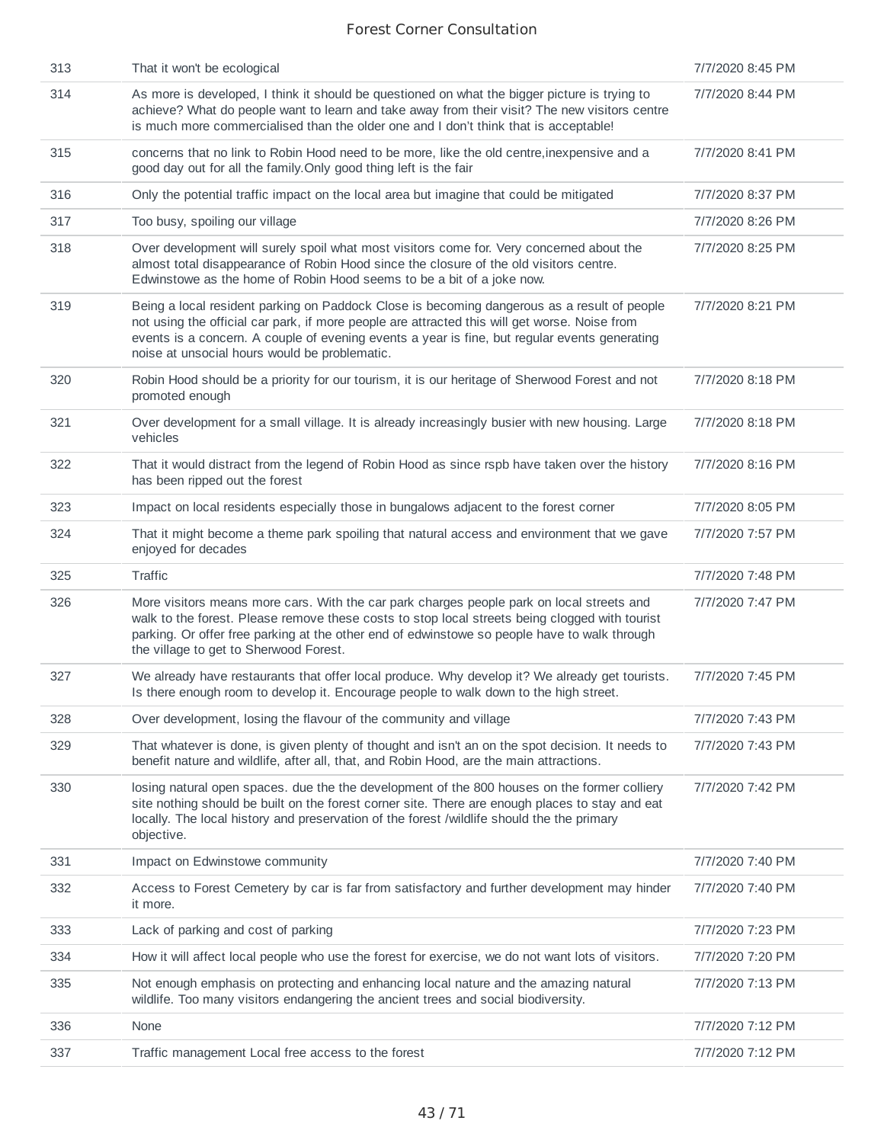| 313 | That it won't be ecological                                                                                                                                                                                                                                                                                                                    | 7/7/2020 8:45 PM |
|-----|------------------------------------------------------------------------------------------------------------------------------------------------------------------------------------------------------------------------------------------------------------------------------------------------------------------------------------------------|------------------|
| 314 | As more is developed, I think it should be questioned on what the bigger picture is trying to<br>achieve? What do people want to learn and take away from their visit? The new visitors centre<br>is much more commercialised than the older one and I don't think that is acceptable!                                                         | 7/7/2020 8:44 PM |
| 315 | concerns that no link to Robin Hood need to be more, like the old centre, inexpensive and a<br>good day out for all the family. Only good thing left is the fair                                                                                                                                                                               | 7/7/2020 8:41 PM |
| 316 | Only the potential traffic impact on the local area but imagine that could be mitigated                                                                                                                                                                                                                                                        | 7/7/2020 8:37 PM |
| 317 | Too busy, spoiling our village                                                                                                                                                                                                                                                                                                                 | 7/7/2020 8:26 PM |
| 318 | Over development will surely spoil what most visitors come for. Very concerned about the<br>almost total disappearance of Robin Hood since the closure of the old visitors centre.<br>Edwinstowe as the home of Robin Hood seems to be a bit of a joke now.                                                                                    | 7/7/2020 8:25 PM |
| 319 | Being a local resident parking on Paddock Close is becoming dangerous as a result of people<br>not using the official car park, if more people are attracted this will get worse. Noise from<br>events is a concern. A couple of evening events a year is fine, but regular events generating<br>noise at unsocial hours would be problematic. | 7/7/2020 8:21 PM |
| 320 | Robin Hood should be a priority for our tourism, it is our heritage of Sherwood Forest and not<br>promoted enough                                                                                                                                                                                                                              | 7/7/2020 8:18 PM |
| 321 | Over development for a small village. It is already increasingly busier with new housing. Large<br>vehicles                                                                                                                                                                                                                                    | 7/7/2020 8:18 PM |
| 322 | That it would distract from the legend of Robin Hood as since rspb have taken over the history<br>has been ripped out the forest                                                                                                                                                                                                               | 7/7/2020 8:16 PM |
| 323 | Impact on local residents especially those in bungalows adjacent to the forest corner                                                                                                                                                                                                                                                          | 7/7/2020 8:05 PM |
| 324 | That it might become a theme park spoiling that natural access and environment that we gave<br>enjoyed for decades                                                                                                                                                                                                                             | 7/7/2020 7:57 PM |
| 325 | Traffic                                                                                                                                                                                                                                                                                                                                        | 7/7/2020 7:48 PM |
| 326 | More visitors means more cars. With the car park charges people park on local streets and<br>walk to the forest. Please remove these costs to stop local streets being clogged with tourist<br>parking. Or offer free parking at the other end of edwinstowe so people have to walk through<br>the village to get to Sherwood Forest.          | 7/7/2020 7:47 PM |
| 327 | We already have restaurants that offer local produce. Why develop it? We already get tourists.<br>Is there enough room to develop it. Encourage people to walk down to the high street.                                                                                                                                                        | 7/7/2020 7:45 PM |
| 328 | Over development, losing the flavour of the community and village                                                                                                                                                                                                                                                                              | 7/7/2020 7:43 PM |
| 329 | That whatever is done, is given plenty of thought and isn't an on the spot decision. It needs to<br>benefit nature and wildlife, after all, that, and Robin Hood, are the main attractions.                                                                                                                                                    | 7/7/2020 7:43 PM |
| 330 | losing natural open spaces. due the the development of the 800 houses on the former colliery<br>site nothing should be built on the forest corner site. There are enough places to stay and eat<br>locally. The local history and preservation of the forest /wildlife should the the primary<br>objective.                                    | 7/7/2020 7:42 PM |
| 331 | Impact on Edwinstowe community                                                                                                                                                                                                                                                                                                                 | 7/7/2020 7:40 PM |
| 332 | Access to Forest Cemetery by car is far from satisfactory and further development may hinder<br>it more.                                                                                                                                                                                                                                       | 7/7/2020 7:40 PM |
| 333 | Lack of parking and cost of parking                                                                                                                                                                                                                                                                                                            | 7/7/2020 7:23 PM |
|     |                                                                                                                                                                                                                                                                                                                                                |                  |
| 334 | How it will affect local people who use the forest for exercise, we do not want lots of visitors.                                                                                                                                                                                                                                              | 7/7/2020 7:20 PM |
| 335 | Not enough emphasis on protecting and enhancing local nature and the amazing natural<br>wildlife. Too many visitors endangering the ancient trees and social biodiversity.                                                                                                                                                                     | 7/7/2020 7:13 PM |
| 336 | None                                                                                                                                                                                                                                                                                                                                           | 7/7/2020 7:12 PM |
| 337 | Traffic management Local free access to the forest                                                                                                                                                                                                                                                                                             | 7/7/2020 7:12 PM |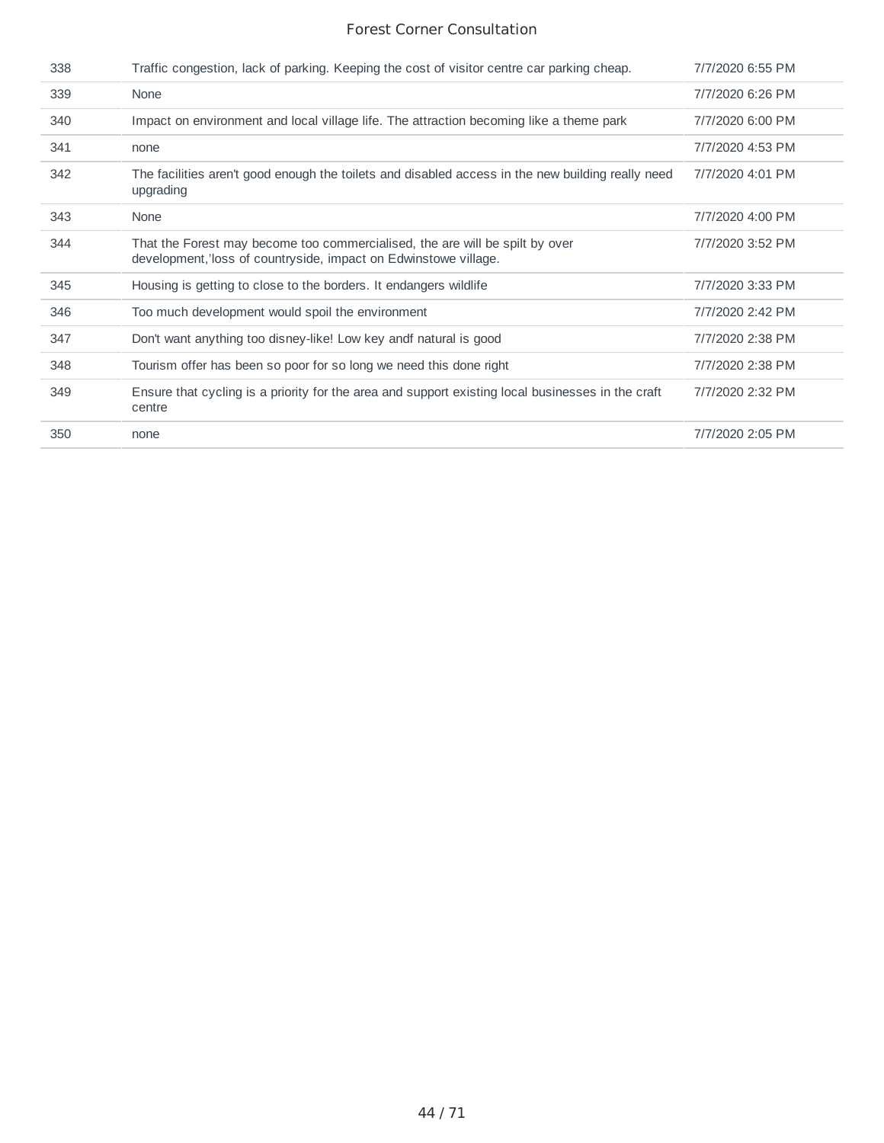| 338 | Traffic congestion, lack of parking. Keeping the cost of visitor centre car parking cheap.                                                      | 7/7/2020 6:55 PM |
|-----|-------------------------------------------------------------------------------------------------------------------------------------------------|------------------|
| 339 | None                                                                                                                                            | 7/7/2020 6:26 PM |
| 340 | Impact on environment and local village life. The attraction becoming like a theme park                                                         | 7/7/2020 6:00 PM |
| 341 | none                                                                                                                                            | 7/7/2020 4:53 PM |
| 342 | The facilities aren't good enough the toilets and disabled access in the new building really need<br>upgrading                                  | 7/7/2020 4:01 PM |
| 343 | None                                                                                                                                            | 7/7/2020 4:00 PM |
| 344 | That the Forest may become too commercialised, the are will be spilt by over<br>development, loss of countryside, impact on Edwinstowe village. | 7/7/2020 3:52 PM |
| 345 | Housing is getting to close to the borders. It endangers wildlife                                                                               | 7/7/2020 3:33 PM |
| 346 | Too much development would spoil the environment                                                                                                | 7/7/2020 2:42 PM |
| 347 | Don't want anything too disney-like! Low key and natural is good                                                                                | 7/7/2020 2:38 PM |
| 348 | Tourism offer has been so poor for so long we need this done right                                                                              | 7/7/2020 2:38 PM |
| 349 | Ensure that cycling is a priority for the area and support existing local businesses in the craft<br>centre                                     | 7/7/2020 2:32 PM |
| 350 | none                                                                                                                                            | 7/7/2020 2:05 PM |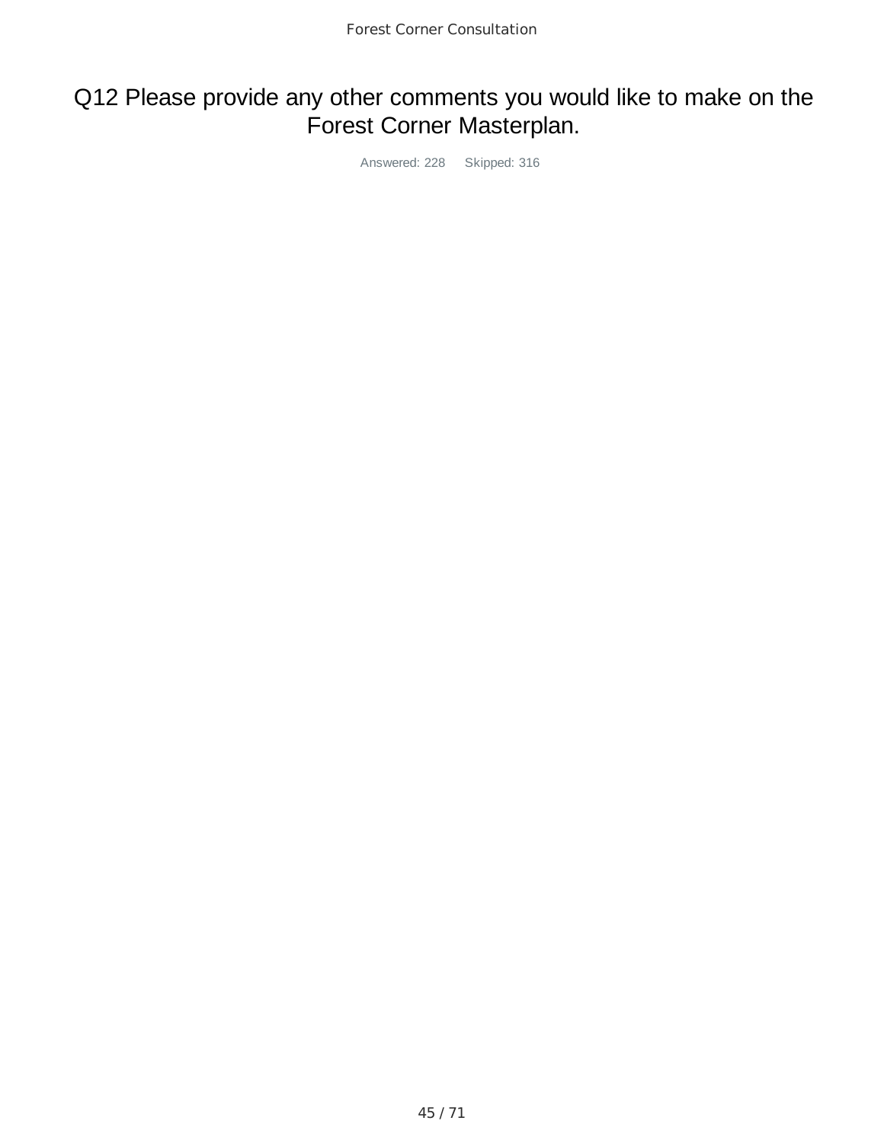# Q12 Please provide any other comments you would like to make on the Forest Corner Masterplan.

Answered: 228 Skipped: 316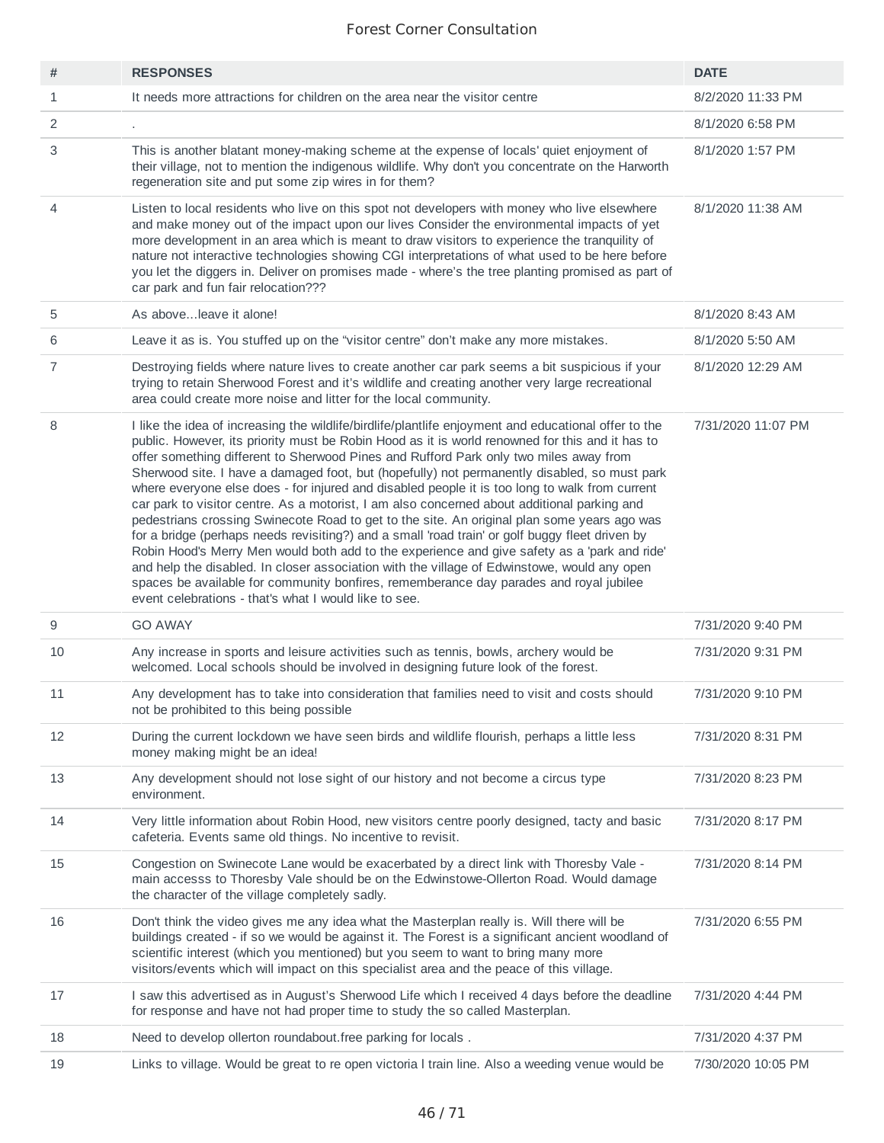| #              | <b>RESPONSES</b>                                                                                                                                                                                                                                                                                                                                                                                                                                                                                                                                                                                                                                                                                                                                                                                                                                                                                                                                                                                                                                                                                                                                      | <b>DATE</b>        |
|----------------|-------------------------------------------------------------------------------------------------------------------------------------------------------------------------------------------------------------------------------------------------------------------------------------------------------------------------------------------------------------------------------------------------------------------------------------------------------------------------------------------------------------------------------------------------------------------------------------------------------------------------------------------------------------------------------------------------------------------------------------------------------------------------------------------------------------------------------------------------------------------------------------------------------------------------------------------------------------------------------------------------------------------------------------------------------------------------------------------------------------------------------------------------------|--------------------|
| $\mathbf{1}$   | It needs more attractions for children on the area near the visitor centre                                                                                                                                                                                                                                                                                                                                                                                                                                                                                                                                                                                                                                                                                                                                                                                                                                                                                                                                                                                                                                                                            | 8/2/2020 11:33 PM  |
| $\overline{c}$ |                                                                                                                                                                                                                                                                                                                                                                                                                                                                                                                                                                                                                                                                                                                                                                                                                                                                                                                                                                                                                                                                                                                                                       | 8/1/2020 6:58 PM   |
| 3              | This is another blatant money-making scheme at the expense of locals' quiet enjoyment of<br>their village, not to mention the indigenous wildlife. Why don't you concentrate on the Harworth<br>regeneration site and put some zip wires in for them?                                                                                                                                                                                                                                                                                                                                                                                                                                                                                                                                                                                                                                                                                                                                                                                                                                                                                                 | 8/1/2020 1:57 PM   |
| 4              | Listen to local residents who live on this spot not developers with money who live elsewhere<br>and make money out of the impact upon our lives Consider the environmental impacts of yet<br>more development in an area which is meant to draw visitors to experience the tranquility of<br>nature not interactive technologies showing CGI interpretations of what used to be here before<br>you let the diggers in. Deliver on promises made - where's the tree planting promised as part of<br>car park and fun fair relocation???                                                                                                                                                                                                                                                                                                                                                                                                                                                                                                                                                                                                                | 8/1/2020 11:38 AM  |
| 5              | As aboveleave it alone!                                                                                                                                                                                                                                                                                                                                                                                                                                                                                                                                                                                                                                                                                                                                                                                                                                                                                                                                                                                                                                                                                                                               | 8/1/2020 8:43 AM   |
| 6              | Leave it as is. You stuffed up on the "visitor centre" don't make any more mistakes.                                                                                                                                                                                                                                                                                                                                                                                                                                                                                                                                                                                                                                                                                                                                                                                                                                                                                                                                                                                                                                                                  | 8/1/2020 5:50 AM   |
| 7              | Destroying fields where nature lives to create another car park seems a bit suspicious if your<br>trying to retain Sherwood Forest and it's wildlife and creating another very large recreational<br>area could create more noise and litter for the local community.                                                                                                                                                                                                                                                                                                                                                                                                                                                                                                                                                                                                                                                                                                                                                                                                                                                                                 | 8/1/2020 12:29 AM  |
| 8              | I like the idea of increasing the wildlife/birdlife/plantlife enjoyment and educational offer to the<br>public. However, its priority must be Robin Hood as it is world renowned for this and it has to<br>offer something different to Sherwood Pines and Rufford Park only two miles away from<br>Sherwood site. I have a damaged foot, but (hopefully) not permanently disabled, so must park<br>where everyone else does - for injured and disabled people it is too long to walk from current<br>car park to visitor centre. As a motorist, I am also concerned about additional parking and<br>pedestrians crossing Swinecote Road to get to the site. An original plan some years ago was<br>for a bridge (perhaps needs revisiting?) and a small 'road train' or golf buggy fleet driven by<br>Robin Hood's Merry Men would both add to the experience and give safety as a 'park and ride'<br>and help the disabled. In closer association with the village of Edwinstowe, would any open<br>spaces be available for community bonfires, rememberance day parades and royal jubilee<br>event celebrations - that's what I would like to see. | 7/31/2020 11:07 PM |
| 9              | <b>GO AWAY</b>                                                                                                                                                                                                                                                                                                                                                                                                                                                                                                                                                                                                                                                                                                                                                                                                                                                                                                                                                                                                                                                                                                                                        | 7/31/2020 9:40 PM  |
| 10             | Any increase in sports and leisure activities such as tennis, bowls, archery would be<br>welcomed. Local schools should be involved in designing future look of the forest.                                                                                                                                                                                                                                                                                                                                                                                                                                                                                                                                                                                                                                                                                                                                                                                                                                                                                                                                                                           | 7/31/2020 9:31 PM  |
| 11             | Any development has to take into consideration that families need to visit and costs should<br>not be prohibited to this being possible                                                                                                                                                                                                                                                                                                                                                                                                                                                                                                                                                                                                                                                                                                                                                                                                                                                                                                                                                                                                               | 7/31/2020 9:10 PM  |
| 12             | During the current lockdown we have seen birds and wildlife flourish, perhaps a little less<br>money making might be an idea!                                                                                                                                                                                                                                                                                                                                                                                                                                                                                                                                                                                                                                                                                                                                                                                                                                                                                                                                                                                                                         | 7/31/2020 8:31 PM  |
| 13             | Any development should not lose sight of our history and not become a circus type<br>environment.                                                                                                                                                                                                                                                                                                                                                                                                                                                                                                                                                                                                                                                                                                                                                                                                                                                                                                                                                                                                                                                     | 7/31/2020 8:23 PM  |
| 14             | Very little information about Robin Hood, new visitors centre poorly designed, tacty and basic<br>cafeteria. Events same old things. No incentive to revisit.                                                                                                                                                                                                                                                                                                                                                                                                                                                                                                                                                                                                                                                                                                                                                                                                                                                                                                                                                                                         | 7/31/2020 8:17 PM  |
| 15             | Congestion on Swinecote Lane would be exacerbated by a direct link with Thoresby Vale -<br>main accesss to Thoresby Vale should be on the Edwinstowe-Ollerton Road. Would damage<br>the character of the village completely sadly.                                                                                                                                                                                                                                                                                                                                                                                                                                                                                                                                                                                                                                                                                                                                                                                                                                                                                                                    | 7/31/2020 8:14 PM  |
| 16             | Don't think the video gives me any idea what the Masterplan really is. Will there will be<br>buildings created - if so we would be against it. The Forest is a significant ancient woodland of<br>scientific interest (which you mentioned) but you seem to want to bring many more<br>visitors/events which will impact on this specialist area and the peace of this village.                                                                                                                                                                                                                                                                                                                                                                                                                                                                                                                                                                                                                                                                                                                                                                       | 7/31/2020 6:55 PM  |
| 17             | I saw this advertised as in August's Sherwood Life which I received 4 days before the deadline<br>for response and have not had proper time to study the so called Masterplan.                                                                                                                                                                                                                                                                                                                                                                                                                                                                                                                                                                                                                                                                                                                                                                                                                                                                                                                                                                        | 7/31/2020 4:44 PM  |
| 18             | Need to develop ollerton roundabout free parking for locals.                                                                                                                                                                                                                                                                                                                                                                                                                                                                                                                                                                                                                                                                                                                                                                                                                                                                                                                                                                                                                                                                                          | 7/31/2020 4:37 PM  |
| 19             | Links to village. Would be great to re open victoria I train line. Also a weeding venue would be                                                                                                                                                                                                                                                                                                                                                                                                                                                                                                                                                                                                                                                                                                                                                                                                                                                                                                                                                                                                                                                      | 7/30/2020 10:05 PM |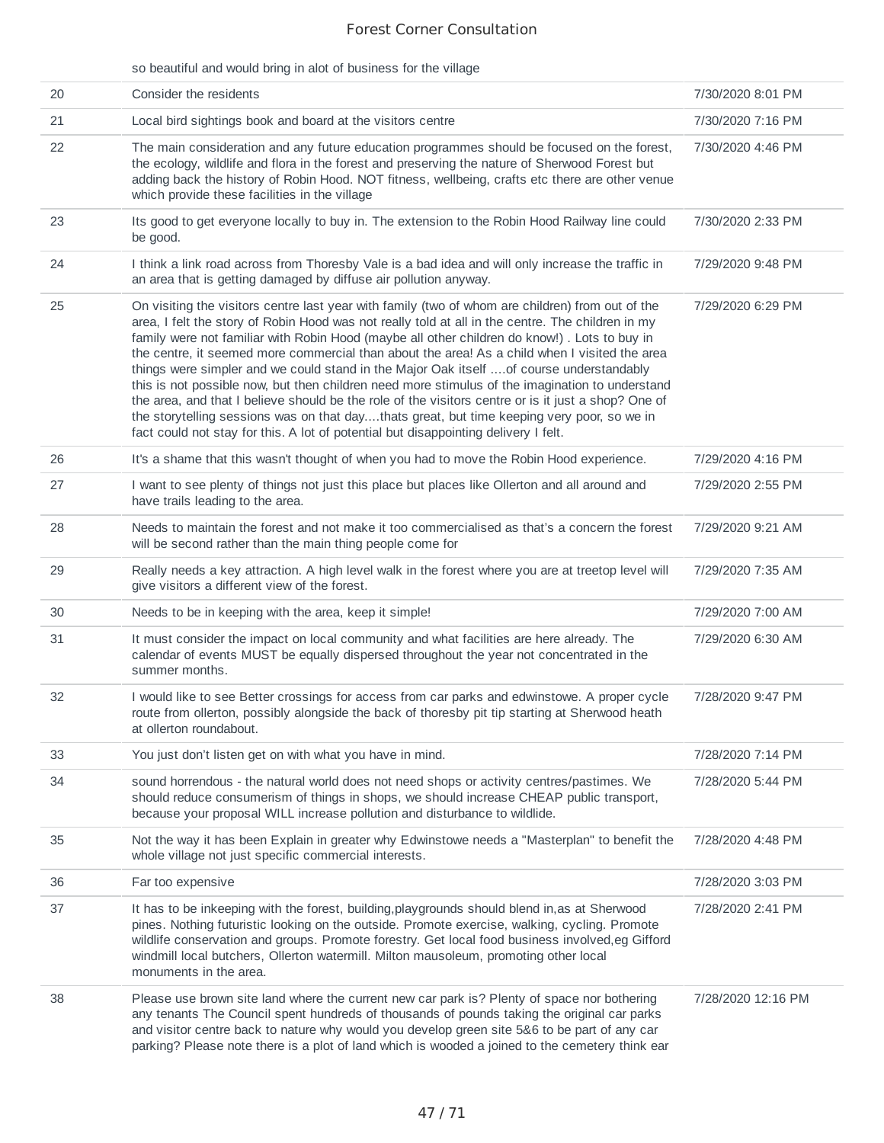|    | so beautiful and would bring in alot of business for the village                                                                                                                                                                                                                                                                                                                                                                                                                                                                                                                                                                                                                                                                                                                                                                                                                                  |                    |
|----|---------------------------------------------------------------------------------------------------------------------------------------------------------------------------------------------------------------------------------------------------------------------------------------------------------------------------------------------------------------------------------------------------------------------------------------------------------------------------------------------------------------------------------------------------------------------------------------------------------------------------------------------------------------------------------------------------------------------------------------------------------------------------------------------------------------------------------------------------------------------------------------------------|--------------------|
| 20 | Consider the residents                                                                                                                                                                                                                                                                                                                                                                                                                                                                                                                                                                                                                                                                                                                                                                                                                                                                            | 7/30/2020 8:01 PM  |
| 21 | Local bird sightings book and board at the visitors centre                                                                                                                                                                                                                                                                                                                                                                                                                                                                                                                                                                                                                                                                                                                                                                                                                                        | 7/30/2020 7:16 PM  |
| 22 | The main consideration and any future education programmes should be focused on the forest,<br>the ecology, wildlife and flora in the forest and preserving the nature of Sherwood Forest but<br>adding back the history of Robin Hood. NOT fitness, wellbeing, crafts etc there are other venue<br>which provide these facilities in the village                                                                                                                                                                                                                                                                                                                                                                                                                                                                                                                                                 | 7/30/2020 4:46 PM  |
| 23 | Its good to get everyone locally to buy in. The extension to the Robin Hood Railway line could<br>be good.                                                                                                                                                                                                                                                                                                                                                                                                                                                                                                                                                                                                                                                                                                                                                                                        | 7/30/2020 2:33 PM  |
| 24 | I think a link road across from Thoresby Vale is a bad idea and will only increase the traffic in<br>an area that is getting damaged by diffuse air pollution anyway.                                                                                                                                                                                                                                                                                                                                                                                                                                                                                                                                                                                                                                                                                                                             | 7/29/2020 9:48 PM  |
| 25 | On visiting the visitors centre last year with family (two of whom are children) from out of the<br>area, I felt the story of Robin Hood was not really told at all in the centre. The children in my<br>family were not familiar with Robin Hood (maybe all other children do know!). Lots to buy in<br>the centre, it seemed more commercial than about the area! As a child when I visited the area<br>things were simpler and we could stand in the Major Oak itself  of course understandably<br>this is not possible now, but then children need more stimulus of the imagination to understand<br>the area, and that I believe should be the role of the visitors centre or is it just a shop? One of<br>the storytelling sessions was on that daythats great, but time keeping very poor, so we in<br>fact could not stay for this. A lot of potential but disappointing delivery I felt. | 7/29/2020 6:29 PM  |
| 26 | It's a shame that this wasn't thought of when you had to move the Robin Hood experience.                                                                                                                                                                                                                                                                                                                                                                                                                                                                                                                                                                                                                                                                                                                                                                                                          | 7/29/2020 4:16 PM  |
| 27 | I want to see plenty of things not just this place but places like Ollerton and all around and<br>have trails leading to the area.                                                                                                                                                                                                                                                                                                                                                                                                                                                                                                                                                                                                                                                                                                                                                                | 7/29/2020 2:55 PM  |
| 28 | Needs to maintain the forest and not make it too commercialised as that's a concern the forest<br>will be second rather than the main thing people come for                                                                                                                                                                                                                                                                                                                                                                                                                                                                                                                                                                                                                                                                                                                                       | 7/29/2020 9:21 AM  |
| 29 | Really needs a key attraction. A high level walk in the forest where you are at treetop level will<br>give visitors a different view of the forest.                                                                                                                                                                                                                                                                                                                                                                                                                                                                                                                                                                                                                                                                                                                                               | 7/29/2020 7:35 AM  |
| 30 | Needs to be in keeping with the area, keep it simple!                                                                                                                                                                                                                                                                                                                                                                                                                                                                                                                                                                                                                                                                                                                                                                                                                                             | 7/29/2020 7:00 AM  |
| 31 | It must consider the impact on local community and what facilities are here already. The<br>calendar of events MUST be equally dispersed throughout the year not concentrated in the<br>summer months.                                                                                                                                                                                                                                                                                                                                                                                                                                                                                                                                                                                                                                                                                            | 7/29/2020 6:30 AM  |
| 32 | I would like to see Better crossings for access from car parks and edwinstowe. A proper cycle<br>route from ollerton, possibly alongside the back of thoresby pit tip starting at Sherwood heath<br>at ollerton roundabout.                                                                                                                                                                                                                                                                                                                                                                                                                                                                                                                                                                                                                                                                       | 7/28/2020 9:47 PM  |
| 33 | You just don't listen get on with what you have in mind.                                                                                                                                                                                                                                                                                                                                                                                                                                                                                                                                                                                                                                                                                                                                                                                                                                          | 7/28/2020 7:14 PM  |
| 34 | sound horrendous - the natural world does not need shops or activity centres/pastimes. We<br>should reduce consumerism of things in shops, we should increase CHEAP public transport,<br>because your proposal WILL increase pollution and disturbance to wildlide.                                                                                                                                                                                                                                                                                                                                                                                                                                                                                                                                                                                                                               | 7/28/2020 5:44 PM  |
| 35 | Not the way it has been Explain in greater why Edwinstowe needs a "Masterplan" to benefit the<br>whole village not just specific commercial interests.                                                                                                                                                                                                                                                                                                                                                                                                                                                                                                                                                                                                                                                                                                                                            | 7/28/2020 4:48 PM  |
| 36 | Far too expensive                                                                                                                                                                                                                                                                                                                                                                                                                                                                                                                                                                                                                                                                                                                                                                                                                                                                                 | 7/28/2020 3:03 PM  |
| 37 | It has to be inkeeping with the forest, building, playgrounds should blend in, as at Sherwood<br>pines. Nothing futuristic looking on the outside. Promote exercise, walking, cycling. Promote<br>wildlife conservation and groups. Promote forestry. Get local food business involved,eg Gifford<br>windmill local butchers, Ollerton watermill. Milton mausoleum, promoting other local<br>monuments in the area.                                                                                                                                                                                                                                                                                                                                                                                                                                                                               | 7/28/2020 2:41 PM  |
| 38 | Please use brown site land where the current new car park is? Plenty of space nor bothering<br>any tenants The Council spent hundreds of thousands of pounds taking the original car parks<br>and visitor centre back to nature why would you develop green site 5&6 to be part of any car<br>parking? Please note there is a plot of land which is wooded a joined to the cemetery think ear                                                                                                                                                                                                                                                                                                                                                                                                                                                                                                     | 7/28/2020 12:16 PM |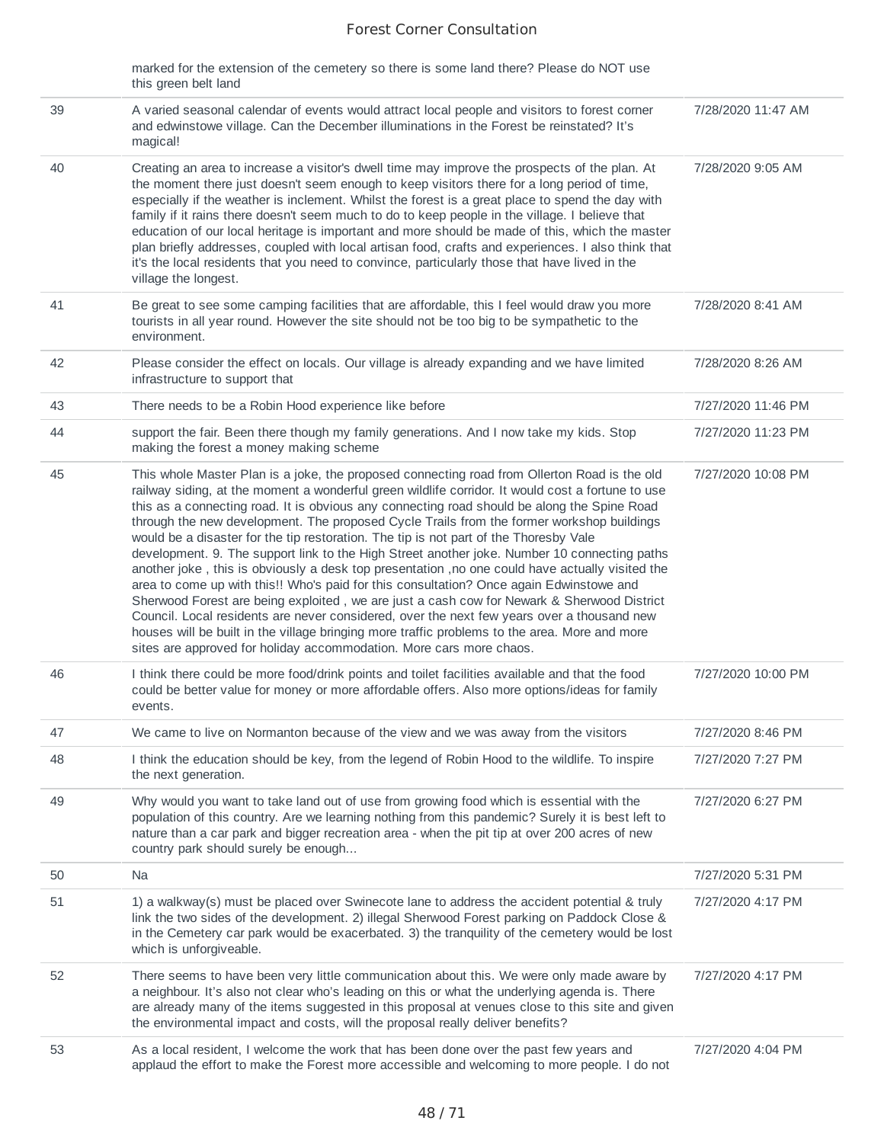marked for the extension of the cemetery so there is some land there? Please do NOT use this green belt land

| 39 | A varied seasonal calendar of events would attract local people and visitors to forest corner<br>and edwinstowe village. Can the December illuminations in the Forest be reinstated? It's<br>magical!                                                                                                                                                                                                                                                                                                                                                                                                                                                                                                                                                                                                                                                                                                                                                                                                                                                                                                                                                    | 7/28/2020 11:47 AM |
|----|----------------------------------------------------------------------------------------------------------------------------------------------------------------------------------------------------------------------------------------------------------------------------------------------------------------------------------------------------------------------------------------------------------------------------------------------------------------------------------------------------------------------------------------------------------------------------------------------------------------------------------------------------------------------------------------------------------------------------------------------------------------------------------------------------------------------------------------------------------------------------------------------------------------------------------------------------------------------------------------------------------------------------------------------------------------------------------------------------------------------------------------------------------|--------------------|
| 40 | Creating an area to increase a visitor's dwell time may improve the prospects of the plan. At<br>the moment there just doesn't seem enough to keep visitors there for a long period of time,<br>especially if the weather is inclement. Whilst the forest is a great place to spend the day with<br>family if it rains there doesn't seem much to do to keep people in the village. I believe that<br>education of our local heritage is important and more should be made of this, which the master<br>plan briefly addresses, coupled with local artisan food, crafts and experiences. I also think that<br>it's the local residents that you need to convince, particularly those that have lived in the<br>village the longest.                                                                                                                                                                                                                                                                                                                                                                                                                      | 7/28/2020 9:05 AM  |
| 41 | Be great to see some camping facilities that are affordable, this I feel would draw you more<br>tourists in all year round. However the site should not be too big to be sympathetic to the<br>environment.                                                                                                                                                                                                                                                                                                                                                                                                                                                                                                                                                                                                                                                                                                                                                                                                                                                                                                                                              | 7/28/2020 8:41 AM  |
| 42 | Please consider the effect on locals. Our village is already expanding and we have limited<br>infrastructure to support that                                                                                                                                                                                                                                                                                                                                                                                                                                                                                                                                                                                                                                                                                                                                                                                                                                                                                                                                                                                                                             | 7/28/2020 8:26 AM  |
| 43 | There needs to be a Robin Hood experience like before                                                                                                                                                                                                                                                                                                                                                                                                                                                                                                                                                                                                                                                                                                                                                                                                                                                                                                                                                                                                                                                                                                    | 7/27/2020 11:46 PM |
| 44 | support the fair. Been there though my family generations. And I now take my kids. Stop<br>making the forest a money making scheme                                                                                                                                                                                                                                                                                                                                                                                                                                                                                                                                                                                                                                                                                                                                                                                                                                                                                                                                                                                                                       | 7/27/2020 11:23 PM |
| 45 | This whole Master Plan is a joke, the proposed connecting road from Ollerton Road is the old<br>railway siding, at the moment a wonderful green wildlife corridor. It would cost a fortune to use<br>this as a connecting road. It is obvious any connecting road should be along the Spine Road<br>through the new development. The proposed Cycle Trails from the former workshop buildings<br>would be a disaster for the tip restoration. The tip is not part of the Thoresby Vale<br>development. 9. The support link to the High Street another joke. Number 10 connecting paths<br>another joke, this is obviously a desk top presentation, no one could have actually visited the<br>area to come up with this!! Who's paid for this consultation? Once again Edwinstowe and<br>Sherwood Forest are being exploited, we are just a cash cow for Newark & Sherwood District<br>Council. Local residents are never considered, over the next few years over a thousand new<br>houses will be built in the village bringing more traffic problems to the area. More and more<br>sites are approved for holiday accommodation. More cars more chaos. | 7/27/2020 10:08 PM |
| 46 | I think there could be more food/drink points and toilet facilities available and that the food<br>could be better value for money or more affordable offers. Also more options/ideas for family<br>events.                                                                                                                                                                                                                                                                                                                                                                                                                                                                                                                                                                                                                                                                                                                                                                                                                                                                                                                                              | 7/27/2020 10:00 PM |
| 47 | We came to live on Normanton because of the view and we was away from the visitors                                                                                                                                                                                                                                                                                                                                                                                                                                                                                                                                                                                                                                                                                                                                                                                                                                                                                                                                                                                                                                                                       | 7/27/2020 8:46 PM  |
| 48 | I think the education should be key, from the legend of Robin Hood to the wildlife. To inspire<br>the next generation.                                                                                                                                                                                                                                                                                                                                                                                                                                                                                                                                                                                                                                                                                                                                                                                                                                                                                                                                                                                                                                   | 7/27/2020 7:27 PM  |
| 49 | Why would you want to take land out of use from growing food which is essential with the<br>population of this country. Are we learning nothing from this pandemic? Surely it is best left to<br>nature than a car park and bigger recreation area - when the pit tip at over 200 acres of new<br>country park should surely be enough                                                                                                                                                                                                                                                                                                                                                                                                                                                                                                                                                                                                                                                                                                                                                                                                                   | 7/27/2020 6:27 PM  |
| 50 | Na                                                                                                                                                                                                                                                                                                                                                                                                                                                                                                                                                                                                                                                                                                                                                                                                                                                                                                                                                                                                                                                                                                                                                       | 7/27/2020 5:31 PM  |
| 51 | 1) a walkway(s) must be placed over Swinecote lane to address the accident potential & truly<br>link the two sides of the development. 2) illegal Sherwood Forest parking on Paddock Close &<br>in the Cemetery car park would be exacerbated. 3) the tranquility of the cemetery would be lost<br>which is unforgiveable.                                                                                                                                                                                                                                                                                                                                                                                                                                                                                                                                                                                                                                                                                                                                                                                                                               | 7/27/2020 4:17 PM  |
| 52 | There seems to have been very little communication about this. We were only made aware by<br>a neighbour. It's also not clear who's leading on this or what the underlying agenda is. There<br>are already many of the items suggested in this proposal at venues close to this site and given<br>the environmental impact and costs, will the proposal really deliver benefits?                                                                                                                                                                                                                                                                                                                                                                                                                                                                                                                                                                                                                                                                                                                                                                         | 7/27/2020 4:17 PM  |
| 53 | As a local resident, I welcome the work that has been done over the past few years and<br>applaud the effort to make the Forest more accessible and welcoming to more people. I do not                                                                                                                                                                                                                                                                                                                                                                                                                                                                                                                                                                                                                                                                                                                                                                                                                                                                                                                                                                   | 7/27/2020 4:04 PM  |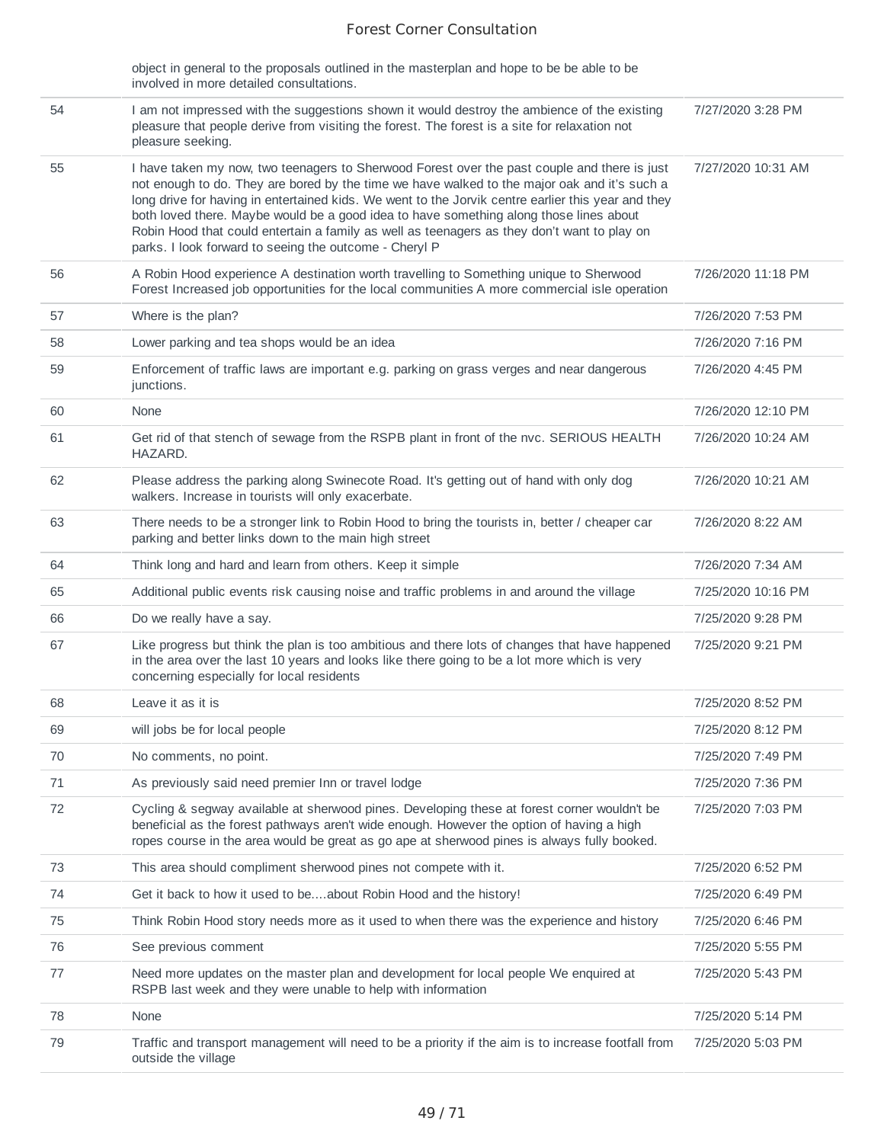|    | object in general to the proposals outlined in the masterplan and hope to be be able to be<br>involved in more detailed consultations.                                                                                                                                                                                                                                                                                                                                                                                                                |                    |
|----|-------------------------------------------------------------------------------------------------------------------------------------------------------------------------------------------------------------------------------------------------------------------------------------------------------------------------------------------------------------------------------------------------------------------------------------------------------------------------------------------------------------------------------------------------------|--------------------|
| 54 | I am not impressed with the suggestions shown it would destroy the ambience of the existing<br>pleasure that people derive from visiting the forest. The forest is a site for relaxation not<br>pleasure seeking.                                                                                                                                                                                                                                                                                                                                     | 7/27/2020 3:28 PM  |
| 55 | I have taken my now, two teenagers to Sherwood Forest over the past couple and there is just<br>not enough to do. They are bored by the time we have walked to the major oak and it's such a<br>long drive for having in entertained kids. We went to the Jorvik centre earlier this year and they<br>both loved there. Maybe would be a good idea to have something along those lines about<br>Robin Hood that could entertain a family as well as teenagers as they don't want to play on<br>parks. I look forward to seeing the outcome - Cheryl P | 7/27/2020 10:31 AM |
| 56 | A Robin Hood experience A destination worth travelling to Something unique to Sherwood<br>Forest Increased job opportunities for the local communities A more commercial isle operation                                                                                                                                                                                                                                                                                                                                                               | 7/26/2020 11:18 PM |
| 57 | Where is the plan?                                                                                                                                                                                                                                                                                                                                                                                                                                                                                                                                    | 7/26/2020 7:53 PM  |
| 58 | Lower parking and tea shops would be an idea                                                                                                                                                                                                                                                                                                                                                                                                                                                                                                          | 7/26/2020 7:16 PM  |
| 59 | Enforcement of traffic laws are important e.g. parking on grass verges and near dangerous<br>junctions.                                                                                                                                                                                                                                                                                                                                                                                                                                               | 7/26/2020 4:45 PM  |
| 60 | <b>None</b>                                                                                                                                                                                                                                                                                                                                                                                                                                                                                                                                           | 7/26/2020 12:10 PM |
| 61 | Get rid of that stench of sewage from the RSPB plant in front of the nvc. SERIOUS HEALTH<br>HAZARD.                                                                                                                                                                                                                                                                                                                                                                                                                                                   | 7/26/2020 10:24 AM |
| 62 | Please address the parking along Swinecote Road. It's getting out of hand with only dog<br>walkers. Increase in tourists will only exacerbate.                                                                                                                                                                                                                                                                                                                                                                                                        | 7/26/2020 10:21 AM |
| 63 | There needs to be a stronger link to Robin Hood to bring the tourists in, better / cheaper car<br>parking and better links down to the main high street                                                                                                                                                                                                                                                                                                                                                                                               | 7/26/2020 8:22 AM  |
| 64 | Think long and hard and learn from others. Keep it simple                                                                                                                                                                                                                                                                                                                                                                                                                                                                                             | 7/26/2020 7:34 AM  |
| 65 | Additional public events risk causing noise and traffic problems in and around the village                                                                                                                                                                                                                                                                                                                                                                                                                                                            | 7/25/2020 10:16 PM |
| 66 | Do we really have a say.                                                                                                                                                                                                                                                                                                                                                                                                                                                                                                                              | 7/25/2020 9:28 PM  |
| 67 | Like progress but think the plan is too ambitious and there lots of changes that have happened<br>in the area over the last 10 years and looks like there going to be a lot more which is very<br>concerning especially for local residents                                                                                                                                                                                                                                                                                                           | 7/25/2020 9:21 PM  |
| 68 | Leave it as it is                                                                                                                                                                                                                                                                                                                                                                                                                                                                                                                                     | 7/25/2020 8:52 PM  |
| 69 | will jobs be for local people                                                                                                                                                                                                                                                                                                                                                                                                                                                                                                                         | 7/25/2020 8:12 PM  |
| 70 | No comments, no point.                                                                                                                                                                                                                                                                                                                                                                                                                                                                                                                                | 7/25/2020 7:49 PM  |
| 71 | As previously said need premier Inn or travel lodge                                                                                                                                                                                                                                                                                                                                                                                                                                                                                                   | 7/25/2020 7:36 PM  |
| 72 | Cycling & segway available at sherwood pines. Developing these at forest corner wouldn't be<br>beneficial as the forest pathways aren't wide enough. However the option of having a high<br>ropes course in the area would be great as go ape at sherwood pines is always fully booked.                                                                                                                                                                                                                                                               | 7/25/2020 7:03 PM  |
| 73 | This area should compliment sherwood pines not compete with it.                                                                                                                                                                                                                                                                                                                                                                                                                                                                                       | 7/25/2020 6:52 PM  |
| 74 | Get it back to how it used to beabout Robin Hood and the history!                                                                                                                                                                                                                                                                                                                                                                                                                                                                                     | 7/25/2020 6:49 PM  |
| 75 | Think Robin Hood story needs more as it used to when there was the experience and history                                                                                                                                                                                                                                                                                                                                                                                                                                                             | 7/25/2020 6:46 PM  |
| 76 | See previous comment                                                                                                                                                                                                                                                                                                                                                                                                                                                                                                                                  | 7/25/2020 5:55 PM  |
| 77 | Need more updates on the master plan and development for local people We enquired at<br>RSPB last week and they were unable to help with information                                                                                                                                                                                                                                                                                                                                                                                                  | 7/25/2020 5:43 PM  |
| 78 | None                                                                                                                                                                                                                                                                                                                                                                                                                                                                                                                                                  | 7/25/2020 5:14 PM  |
| 79 | Traffic and transport management will need to be a priority if the aim is to increase footfall from<br>outside the village                                                                                                                                                                                                                                                                                                                                                                                                                            | 7/25/2020 5:03 PM  |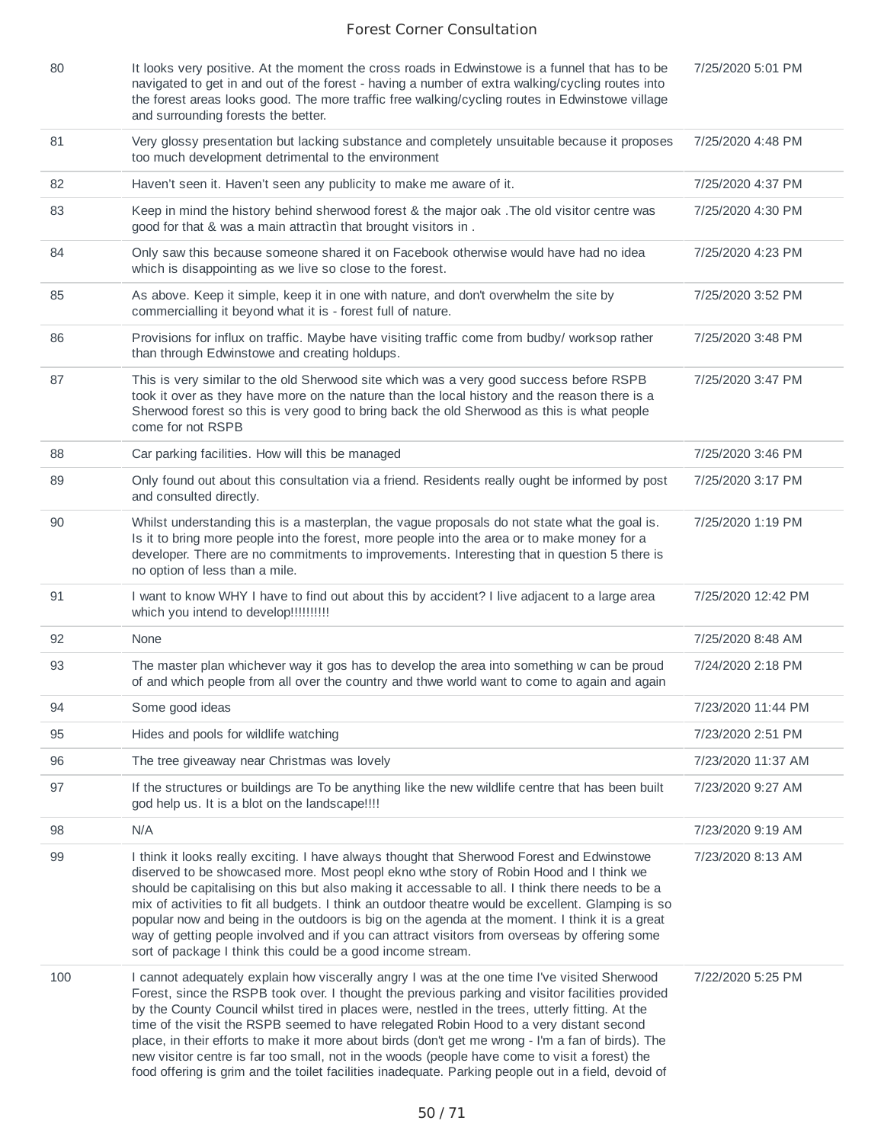| 80  | It looks very positive. At the moment the cross roads in Edwinstowe is a funnel that has to be<br>navigated to get in and out of the forest - having a number of extra walking/cycling routes into<br>the forest areas looks good. The more traffic free walking/cycling routes in Edwinstowe village<br>and surrounding forests the better.                                                                                                                                                                                                                                                                                                                                                                    | 7/25/2020 5:01 PM  |
|-----|-----------------------------------------------------------------------------------------------------------------------------------------------------------------------------------------------------------------------------------------------------------------------------------------------------------------------------------------------------------------------------------------------------------------------------------------------------------------------------------------------------------------------------------------------------------------------------------------------------------------------------------------------------------------------------------------------------------------|--------------------|
| 81  | Very glossy presentation but lacking substance and completely unsuitable because it proposes<br>too much development detrimental to the environment                                                                                                                                                                                                                                                                                                                                                                                                                                                                                                                                                             | 7/25/2020 4:48 PM  |
| 82  | Haven't seen it. Haven't seen any publicity to make me aware of it.                                                                                                                                                                                                                                                                                                                                                                                                                                                                                                                                                                                                                                             | 7/25/2020 4:37 PM  |
| 83  | Keep in mind the history behind sherwood forest & the major oak . The old visitor centre was<br>good for that & was a main attractin that brought visitors in.                                                                                                                                                                                                                                                                                                                                                                                                                                                                                                                                                  | 7/25/2020 4:30 PM  |
| 84  | Only saw this because someone shared it on Facebook otherwise would have had no idea<br>which is disappointing as we live so close to the forest.                                                                                                                                                                                                                                                                                                                                                                                                                                                                                                                                                               | 7/25/2020 4:23 PM  |
| 85  | As above. Keep it simple, keep it in one with nature, and don't overwhelm the site by<br>commercialling it beyond what it is - forest full of nature.                                                                                                                                                                                                                                                                                                                                                                                                                                                                                                                                                           | 7/25/2020 3:52 PM  |
| 86  | Provisions for influx on traffic. Maybe have visiting traffic come from budby/ worksop rather<br>than through Edwinstowe and creating holdups.                                                                                                                                                                                                                                                                                                                                                                                                                                                                                                                                                                  | 7/25/2020 3:48 PM  |
| 87  | This is very similar to the old Sherwood site which was a very good success before RSPB<br>took it over as they have more on the nature than the local history and the reason there is a<br>Sherwood forest so this is very good to bring back the old Sherwood as this is what people<br>come for not RSPB                                                                                                                                                                                                                                                                                                                                                                                                     | 7/25/2020 3:47 PM  |
| 88  | Car parking facilities. How will this be managed                                                                                                                                                                                                                                                                                                                                                                                                                                                                                                                                                                                                                                                                | 7/25/2020 3:46 PM  |
| 89  | Only found out about this consultation via a friend. Residents really ought be informed by post<br>and consulted directly.                                                                                                                                                                                                                                                                                                                                                                                                                                                                                                                                                                                      | 7/25/2020 3:17 PM  |
| 90  | Whilst understanding this is a masterplan, the vague proposals do not state what the goal is.<br>Is it to bring more people into the forest, more people into the area or to make money for a<br>developer. There are no commitments to improvements. Interesting that in question 5 there is<br>no option of less than a mile.                                                                                                                                                                                                                                                                                                                                                                                 | 7/25/2020 1:19 PM  |
| 91  | I want to know WHY I have to find out about this by accident? I live adjacent to a large area<br>which you intend to develop!!!!!!!!!!                                                                                                                                                                                                                                                                                                                                                                                                                                                                                                                                                                          | 7/25/2020 12:42 PM |
| 92  | None                                                                                                                                                                                                                                                                                                                                                                                                                                                                                                                                                                                                                                                                                                            | 7/25/2020 8:48 AM  |
| 93  | The master plan whichever way it gos has to develop the area into something w can be proud<br>of and which people from all over the country and thwe world want to come to again and again                                                                                                                                                                                                                                                                                                                                                                                                                                                                                                                      | 7/24/2020 2:18 PM  |
| 94  | Some good ideas                                                                                                                                                                                                                                                                                                                                                                                                                                                                                                                                                                                                                                                                                                 | 7/23/2020 11:44 PM |
| 95  | Hides and pools for wildlife watching                                                                                                                                                                                                                                                                                                                                                                                                                                                                                                                                                                                                                                                                           | 7/23/2020 2:51 PM  |
| 96  | The tree giveaway near Christmas was lovely                                                                                                                                                                                                                                                                                                                                                                                                                                                                                                                                                                                                                                                                     | 7/23/2020 11:37 AM |
| 97  | If the structures or buildings are To be anything like the new wildlife centre that has been built<br>god help us. It is a blot on the landscape!!!!                                                                                                                                                                                                                                                                                                                                                                                                                                                                                                                                                            | 7/23/2020 9:27 AM  |
| 98  | N/A                                                                                                                                                                                                                                                                                                                                                                                                                                                                                                                                                                                                                                                                                                             | 7/23/2020 9:19 AM  |
| 99  | I think it looks really exciting. I have always thought that Sherwood Forest and Edwinstowe<br>diserved to be showcased more. Most peopl ekno wthe story of Robin Hood and I think we<br>should be capitalising on this but also making it accessable to all. I think there needs to be a<br>mix of activities to fit all budgets. I think an outdoor theatre would be excellent. Glamping is so<br>popular now and being in the outdoors is big on the agenda at the moment. I think it is a great<br>way of getting people involved and if you can attract visitors from overseas by offering some<br>sort of package I think this could be a good income stream.                                             | 7/23/2020 8:13 AM  |
| 100 | I cannot adequately explain how viscerally angry I was at the one time I've visited Sherwood<br>Forest, since the RSPB took over. I thought the previous parking and visitor facilities provided<br>by the County Council whilst tired in places were, nestled in the trees, utterly fitting. At the<br>time of the visit the RSPB seemed to have relegated Robin Hood to a very distant second<br>place, in their efforts to make it more about birds (don't get me wrong - I'm a fan of birds). The<br>new visitor centre is far too small, not in the woods (people have come to visit a forest) the<br>food offering is grim and the toilet facilities inadequate. Parking people out in a field, devoid of | 7/22/2020 5:25 PM  |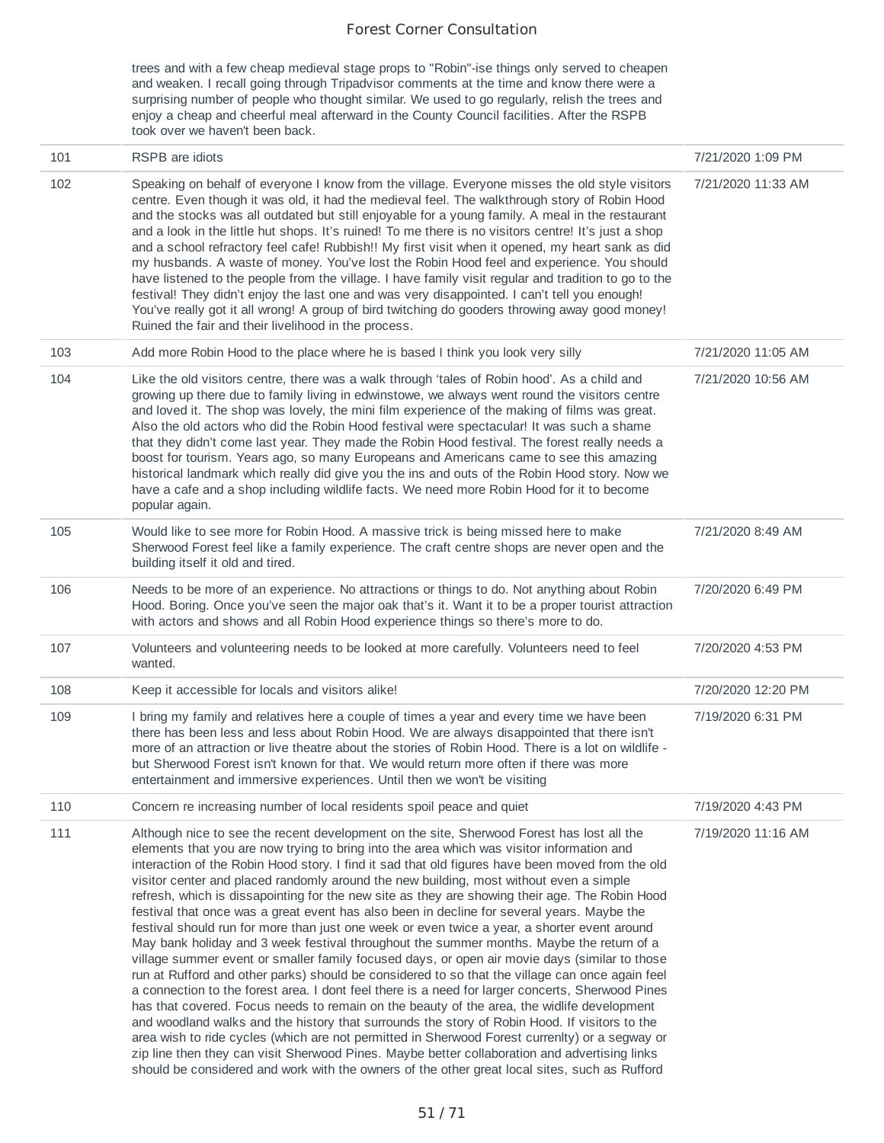trees and with a few cheap medieval stage props to "Robin"-ise things only served to cheapen and weaken. I recall going through Tripadvisor comments at the time and know there were a surprising number of people who thought similar. We used to go regularly, relish the trees and enjoy a cheap and cheerful meal afterward in the County Council facilities. After the RSPB took over we haven't been back.

| 101 | RSPB are idiots                                                                                                                                                                                                                                                                                                                                                                                                                                                                                                                                                                                                                                                                                                                                                                                                                                                                                                                                                                                                                                                                                                                                                                                                                                                                                                                                                                                                                                                                                                                                                                             | 7/21/2020 1:09 PM  |
|-----|---------------------------------------------------------------------------------------------------------------------------------------------------------------------------------------------------------------------------------------------------------------------------------------------------------------------------------------------------------------------------------------------------------------------------------------------------------------------------------------------------------------------------------------------------------------------------------------------------------------------------------------------------------------------------------------------------------------------------------------------------------------------------------------------------------------------------------------------------------------------------------------------------------------------------------------------------------------------------------------------------------------------------------------------------------------------------------------------------------------------------------------------------------------------------------------------------------------------------------------------------------------------------------------------------------------------------------------------------------------------------------------------------------------------------------------------------------------------------------------------------------------------------------------------------------------------------------------------|--------------------|
| 102 | Speaking on behalf of everyone I know from the village. Everyone misses the old style visitors<br>centre. Even though it was old, it had the medieval feel. The walkthrough story of Robin Hood<br>and the stocks was all outdated but still enjoyable for a young family. A meal in the restaurant<br>and a look in the little hut shops. It's ruined! To me there is no visitors centre! It's just a shop<br>and a school refractory feel cafe! Rubbish!! My first visit when it opened, my heart sank as did<br>my husbands. A waste of money. You've lost the Robin Hood feel and experience. You should<br>have listened to the people from the village. I have family visit regular and tradition to go to the<br>festival! They didn't enjoy the last one and was very disappointed. I can't tell you enough!<br>You've really got it all wrong! A group of bird twitching do gooders throwing away good money!<br>Ruined the fair and their livelihood in the process.                                                                                                                                                                                                                                                                                                                                                                                                                                                                                                                                                                                                              | 7/21/2020 11:33 AM |
| 103 | Add more Robin Hood to the place where he is based I think you look very silly                                                                                                                                                                                                                                                                                                                                                                                                                                                                                                                                                                                                                                                                                                                                                                                                                                                                                                                                                                                                                                                                                                                                                                                                                                                                                                                                                                                                                                                                                                              | 7/21/2020 11:05 AM |
| 104 | Like the old visitors centre, there was a walk through 'tales of Robin hood'. As a child and<br>growing up there due to family living in edwinstowe, we always went round the visitors centre<br>and loved it. The shop was lovely, the mini film experience of the making of films was great.<br>Also the old actors who did the Robin Hood festival were spectacular! It was such a shame<br>that they didn't come last year. They made the Robin Hood festival. The forest really needs a<br>boost for tourism. Years ago, so many Europeans and Americans came to see this amazing<br>historical landmark which really did give you the ins and outs of the Robin Hood story. Now we<br>have a cafe and a shop including wildlife facts. We need more Robin Hood for it to become<br>popular again.                                                                                                                                                                                                                                                                                                                                                                                                                                                                                                                                                                                                                                                                                                                                                                                     | 7/21/2020 10:56 AM |
| 105 | Would like to see more for Robin Hood. A massive trick is being missed here to make<br>Sherwood Forest feel like a family experience. The craft centre shops are never open and the<br>building itself it old and tired.                                                                                                                                                                                                                                                                                                                                                                                                                                                                                                                                                                                                                                                                                                                                                                                                                                                                                                                                                                                                                                                                                                                                                                                                                                                                                                                                                                    | 7/21/2020 8:49 AM  |
| 106 | Needs to be more of an experience. No attractions or things to do. Not anything about Robin<br>Hood. Boring. Once you've seen the major oak that's it. Want it to be a proper tourist attraction<br>with actors and shows and all Robin Hood experience things so there's more to do.                                                                                                                                                                                                                                                                                                                                                                                                                                                                                                                                                                                                                                                                                                                                                                                                                                                                                                                                                                                                                                                                                                                                                                                                                                                                                                       | 7/20/2020 6:49 PM  |
| 107 | Volunteers and volunteering needs to be looked at more carefully. Volunteers need to feel<br>wanted.                                                                                                                                                                                                                                                                                                                                                                                                                                                                                                                                                                                                                                                                                                                                                                                                                                                                                                                                                                                                                                                                                                                                                                                                                                                                                                                                                                                                                                                                                        | 7/20/2020 4:53 PM  |
| 108 | Keep it accessible for locals and visitors alike!                                                                                                                                                                                                                                                                                                                                                                                                                                                                                                                                                                                                                                                                                                                                                                                                                                                                                                                                                                                                                                                                                                                                                                                                                                                                                                                                                                                                                                                                                                                                           | 7/20/2020 12:20 PM |
| 109 | I bring my family and relatives here a couple of times a year and every time we have been<br>there has been less and less about Robin Hood. We are always disappointed that there isn't<br>more of an attraction or live theatre about the stories of Robin Hood. There is a lot on wildlife -<br>but Sherwood Forest isn't known for that. We would return more often if there was more<br>entertainment and immersive experiences. Until then we won't be visiting                                                                                                                                                                                                                                                                                                                                                                                                                                                                                                                                                                                                                                                                                                                                                                                                                                                                                                                                                                                                                                                                                                                        | 7/19/2020 6:31 PM  |
| 110 | Concern re increasing number of local residents spoil peace and quiet                                                                                                                                                                                                                                                                                                                                                                                                                                                                                                                                                                                                                                                                                                                                                                                                                                                                                                                                                                                                                                                                                                                                                                                                                                                                                                                                                                                                                                                                                                                       | 7/19/2020 4:43 PM  |
| 111 | Although nice to see the recent development on the site, Sherwood Forest has lost all the<br>elements that you are now trying to bring into the area which was visitor information and<br>interaction of the Robin Hood story. I find it sad that old figures have been moved from the old<br>visitor center and placed randomly around the new building, most without even a simple<br>refresh, which is dissapointing for the new site as they are showing their age. The Robin Hood<br>festival that once was a great event has also been in decline for several years. Maybe the<br>festival should run for more than just one week or even twice a year, a shorter event around<br>May bank holiday and 3 week festival throughout the summer months. Maybe the return of a<br>village summer event or smaller family focused days, or open air movie days (similar to those<br>run at Rufford and other parks) should be considered to so that the village can once again feel<br>a connection to the forest area. I dont feel there is a need for larger concerts, Sherwood Pines<br>has that covered. Focus needs to remain on the beauty of the area, the widlife development<br>and woodland walks and the history that surrounds the story of Robin Hood. If visitors to the<br>area wish to ride cycles (which are not permitted in Sherwood Forest currenlty) or a segway or<br>zip line then they can visit Sherwood Pines. Maybe better collaboration and advertising links<br>should be considered and work with the owners of the other great local sites, such as Rufford | 7/19/2020 11:16 AM |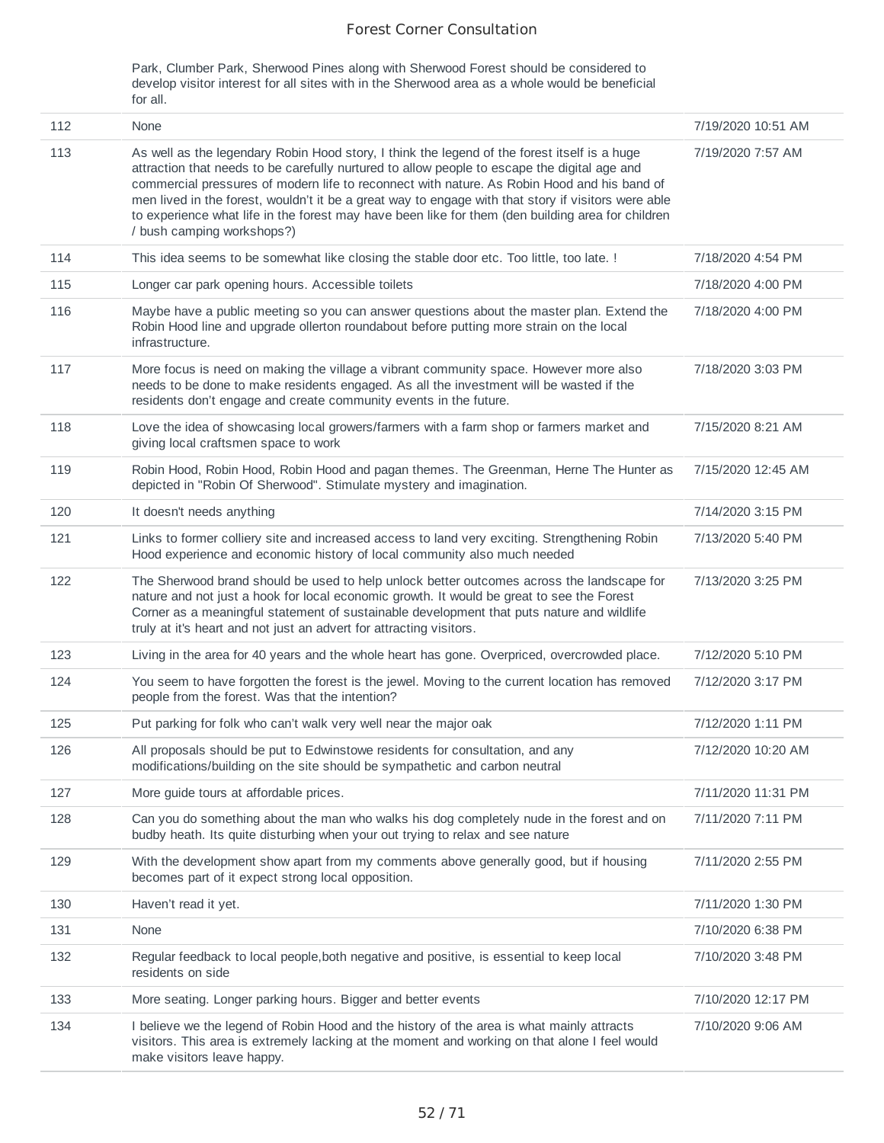Park, Clumber Park, Sherwood Pines along with Sherwood Forest should be considered to develop visitor interest for all sites with in the Sherwood area as a whole would be beneficial for all.

| 112 | None                                                                                                                                                                                                                                                                                                                                                                                                                                                                                                                                  | 7/19/2020 10:51 AM |
|-----|---------------------------------------------------------------------------------------------------------------------------------------------------------------------------------------------------------------------------------------------------------------------------------------------------------------------------------------------------------------------------------------------------------------------------------------------------------------------------------------------------------------------------------------|--------------------|
| 113 | As well as the legendary Robin Hood story, I think the legend of the forest itself is a huge<br>attraction that needs to be carefully nurtured to allow people to escape the digital age and<br>commercial pressures of modern life to reconnect with nature. As Robin Hood and his band of<br>men lived in the forest, wouldn't it be a great way to engage with that story if visitors were able<br>to experience what life in the forest may have been like for them (den building area for children<br>/ bush camping workshops?) | 7/19/2020 7:57 AM  |
| 114 | This idea seems to be somewhat like closing the stable door etc. Too little, too late. !                                                                                                                                                                                                                                                                                                                                                                                                                                              | 7/18/2020 4:54 PM  |
| 115 | Longer car park opening hours. Accessible toilets                                                                                                                                                                                                                                                                                                                                                                                                                                                                                     | 7/18/2020 4:00 PM  |
| 116 | Maybe have a public meeting so you can answer questions about the master plan. Extend the<br>Robin Hood line and upgrade ollerton roundabout before putting more strain on the local<br>infrastructure.                                                                                                                                                                                                                                                                                                                               | 7/18/2020 4:00 PM  |
| 117 | More focus is need on making the village a vibrant community space. However more also<br>needs to be done to make residents engaged. As all the investment will be wasted if the<br>residents don't engage and create community events in the future.                                                                                                                                                                                                                                                                                 | 7/18/2020 3:03 PM  |
| 118 | Love the idea of showcasing local growers/farmers with a farm shop or farmers market and<br>giving local craftsmen space to work                                                                                                                                                                                                                                                                                                                                                                                                      | 7/15/2020 8:21 AM  |
| 119 | Robin Hood, Robin Hood, Robin Hood and pagan themes. The Greenman, Herne The Hunter as<br>depicted in "Robin Of Sherwood". Stimulate mystery and imagination.                                                                                                                                                                                                                                                                                                                                                                         | 7/15/2020 12:45 AM |
| 120 | It doesn't needs anything                                                                                                                                                                                                                                                                                                                                                                                                                                                                                                             | 7/14/2020 3:15 PM  |
| 121 | Links to former colliery site and increased access to land very exciting. Strengthening Robin<br>Hood experience and economic history of local community also much needed                                                                                                                                                                                                                                                                                                                                                             | 7/13/2020 5:40 PM  |
| 122 | The Sherwood brand should be used to help unlock better outcomes across the landscape for<br>nature and not just a hook for local economic growth. It would be great to see the Forest<br>Corner as a meaningful statement of sustainable development that puts nature and wildlife<br>truly at it's heart and not just an advert for attracting visitors.                                                                                                                                                                            | 7/13/2020 3:25 PM  |
| 123 | Living in the area for 40 years and the whole heart has gone. Overpriced, overcrowded place.                                                                                                                                                                                                                                                                                                                                                                                                                                          | 7/12/2020 5:10 PM  |
| 124 | You seem to have forgotten the forest is the jewel. Moving to the current location has removed<br>people from the forest. Was that the intention?                                                                                                                                                                                                                                                                                                                                                                                     | 7/12/2020 3:17 PM  |
| 125 | Put parking for folk who can't walk very well near the major oak                                                                                                                                                                                                                                                                                                                                                                                                                                                                      | 7/12/2020 1:11 PM  |
| 126 | All proposals should be put to Edwinstowe residents for consultation, and any<br>modifications/building on the site should be sympathetic and carbon neutral                                                                                                                                                                                                                                                                                                                                                                          | 7/12/2020 10:20 AM |
| 127 | More guide tours at affordable prices.                                                                                                                                                                                                                                                                                                                                                                                                                                                                                                | 7/11/2020 11:31 PM |
| 128 | Can you do something about the man who walks his dog completely nude in the forest and on<br>budby heath. Its quite disturbing when your out trying to relax and see nature                                                                                                                                                                                                                                                                                                                                                           | 7/11/2020 7:11 PM  |
| 129 | With the development show apart from my comments above generally good, but if housing<br>becomes part of it expect strong local opposition.                                                                                                                                                                                                                                                                                                                                                                                           | 7/11/2020 2:55 PM  |
| 130 | Haven't read it yet.                                                                                                                                                                                                                                                                                                                                                                                                                                                                                                                  | 7/11/2020 1:30 PM  |
| 131 | None                                                                                                                                                                                                                                                                                                                                                                                                                                                                                                                                  | 7/10/2020 6:38 PM  |
| 132 | Regular feedback to local people, both negative and positive, is essential to keep local<br>residents on side                                                                                                                                                                                                                                                                                                                                                                                                                         | 7/10/2020 3:48 PM  |
| 133 | More seating. Longer parking hours. Bigger and better events                                                                                                                                                                                                                                                                                                                                                                                                                                                                          | 7/10/2020 12:17 PM |
| 134 | I believe we the legend of Robin Hood and the history of the area is what mainly attracts<br>visitors. This area is extremely lacking at the moment and working on that alone I feel would<br>make visitors leave happy.                                                                                                                                                                                                                                                                                                              | 7/10/2020 9:06 AM  |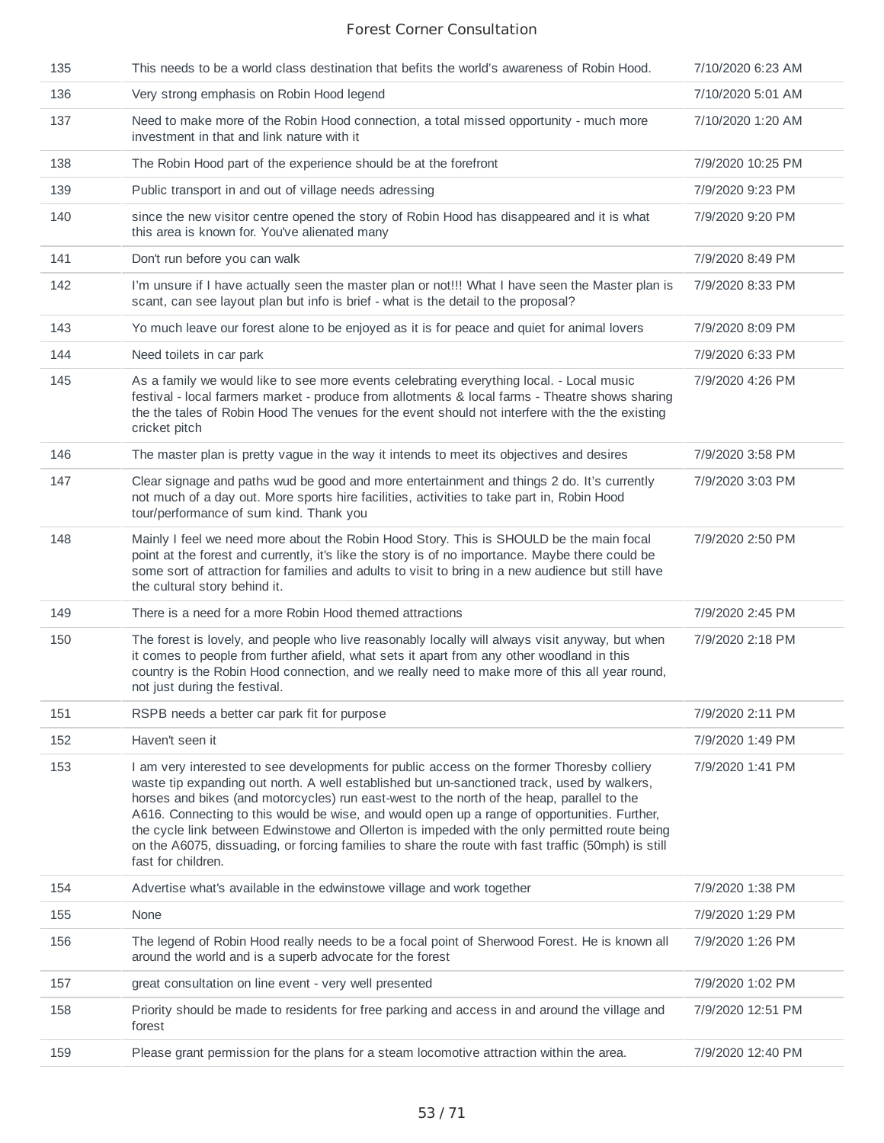| 135 | This needs to be a world class destination that befits the world's awareness of Robin Hood.                                                                                                                                                                                                                                                                                                                                                                                                                                                                                                                           | 7/10/2020 6:23 AM |
|-----|-----------------------------------------------------------------------------------------------------------------------------------------------------------------------------------------------------------------------------------------------------------------------------------------------------------------------------------------------------------------------------------------------------------------------------------------------------------------------------------------------------------------------------------------------------------------------------------------------------------------------|-------------------|
| 136 | Very strong emphasis on Robin Hood legend                                                                                                                                                                                                                                                                                                                                                                                                                                                                                                                                                                             | 7/10/2020 5:01 AM |
| 137 | Need to make more of the Robin Hood connection, a total missed opportunity - much more<br>investment in that and link nature with it                                                                                                                                                                                                                                                                                                                                                                                                                                                                                  | 7/10/2020 1:20 AM |
| 138 | The Robin Hood part of the experience should be at the forefront                                                                                                                                                                                                                                                                                                                                                                                                                                                                                                                                                      | 7/9/2020 10:25 PM |
| 139 | Public transport in and out of village needs adressing                                                                                                                                                                                                                                                                                                                                                                                                                                                                                                                                                                | 7/9/2020 9:23 PM  |
| 140 | since the new visitor centre opened the story of Robin Hood has disappeared and it is what<br>this area is known for. You've alienated many                                                                                                                                                                                                                                                                                                                                                                                                                                                                           | 7/9/2020 9:20 PM  |
| 141 | Don't run before you can walk                                                                                                                                                                                                                                                                                                                                                                                                                                                                                                                                                                                         | 7/9/2020 8:49 PM  |
| 142 | I'm unsure if I have actually seen the master plan or not!!! What I have seen the Master plan is<br>scant, can see layout plan but info is brief - what is the detail to the proposal?                                                                                                                                                                                                                                                                                                                                                                                                                                | 7/9/2020 8:33 PM  |
| 143 | Yo much leave our forest alone to be enjoyed as it is for peace and quiet for animal lovers                                                                                                                                                                                                                                                                                                                                                                                                                                                                                                                           | 7/9/2020 8:09 PM  |
| 144 | Need toilets in car park                                                                                                                                                                                                                                                                                                                                                                                                                                                                                                                                                                                              | 7/9/2020 6:33 PM  |
| 145 | As a family we would like to see more events celebrating everything local. - Local music<br>festival - local farmers market - produce from allotments & local farms - Theatre shows sharing<br>the the tales of Robin Hood The venues for the event should not interfere with the the existing<br>cricket pitch                                                                                                                                                                                                                                                                                                       | 7/9/2020 4:26 PM  |
| 146 | The master plan is pretty vague in the way it intends to meet its objectives and desires                                                                                                                                                                                                                                                                                                                                                                                                                                                                                                                              | 7/9/2020 3:58 PM  |
| 147 | Clear signage and paths wud be good and more entertainment and things 2 do. It's currently<br>not much of a day out. More sports hire facilities, activities to take part in, Robin Hood<br>tour/performance of sum kind. Thank you                                                                                                                                                                                                                                                                                                                                                                                   | 7/9/2020 3:03 PM  |
| 148 | Mainly I feel we need more about the Robin Hood Story. This is SHOULD be the main focal<br>point at the forest and currently, it's like the story is of no importance. Maybe there could be<br>some sort of attraction for families and adults to visit to bring in a new audience but still have<br>the cultural story behind it.                                                                                                                                                                                                                                                                                    | 7/9/2020 2:50 PM  |
| 149 | There is a need for a more Robin Hood themed attractions                                                                                                                                                                                                                                                                                                                                                                                                                                                                                                                                                              | 7/9/2020 2:45 PM  |
| 150 | The forest is lovely, and people who live reasonably locally will always visit anyway, but when<br>it comes to people from further afield, what sets it apart from any other woodland in this<br>country is the Robin Hood connection, and we really need to make more of this all year round,<br>not just during the festival.                                                                                                                                                                                                                                                                                       | 7/9/2020 2:18 PM  |
| 151 | RSPB needs a better car park fit for purpose                                                                                                                                                                                                                                                                                                                                                                                                                                                                                                                                                                          | 7/9/2020 2:11 PM  |
| 152 | Haven't seen it                                                                                                                                                                                                                                                                                                                                                                                                                                                                                                                                                                                                       | 7/9/2020 1:49 PM  |
| 153 | I am very interested to see developments for public access on the former Thoresby colliery<br>waste tip expanding out north. A well established but un-sanctioned track, used by walkers,<br>horses and bikes (and motorcycles) run east-west to the north of the heap, parallel to the<br>A616. Connecting to this would be wise, and would open up a range of opportunities. Further,<br>the cycle link between Edwinstowe and Ollerton is impeded with the only permitted route being<br>on the A6075, dissuading, or forcing families to share the route with fast traffic (50mph) is still<br>fast for children. | 7/9/2020 1:41 PM  |
| 154 | Advertise what's available in the edwinstowe village and work together                                                                                                                                                                                                                                                                                                                                                                                                                                                                                                                                                | 7/9/2020 1:38 PM  |
| 155 | None                                                                                                                                                                                                                                                                                                                                                                                                                                                                                                                                                                                                                  | 7/9/2020 1:29 PM  |
| 156 | The legend of Robin Hood really needs to be a focal point of Sherwood Forest. He is known all<br>around the world and is a superb advocate for the forest                                                                                                                                                                                                                                                                                                                                                                                                                                                             | 7/9/2020 1:26 PM  |
| 157 | great consultation on line event - very well presented                                                                                                                                                                                                                                                                                                                                                                                                                                                                                                                                                                | 7/9/2020 1:02 PM  |
| 158 | Priority should be made to residents for free parking and access in and around the village and<br>forest                                                                                                                                                                                                                                                                                                                                                                                                                                                                                                              | 7/9/2020 12:51 PM |
| 159 | Please grant permission for the plans for a steam locomotive attraction within the area.                                                                                                                                                                                                                                                                                                                                                                                                                                                                                                                              | 7/9/2020 12:40 PM |
|     |                                                                                                                                                                                                                                                                                                                                                                                                                                                                                                                                                                                                                       |                   |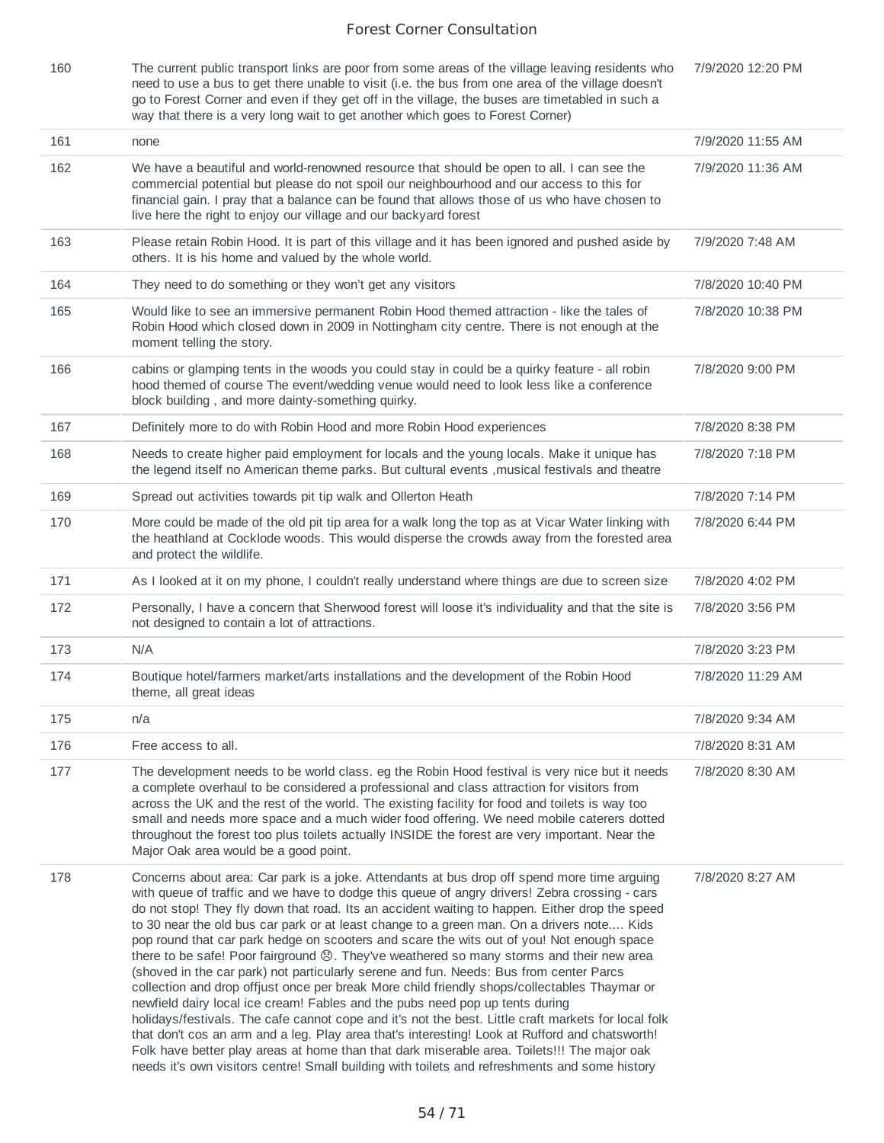| 160 | The current public transport links are poor from some areas of the village leaving residents who  | 7/9/2020 12:20 PM |
|-----|---------------------------------------------------------------------------------------------------|-------------------|
|     | need to use a bus to get there unable to visit (i.e. the bus from one area of the village doesn't |                   |
|     | go to Forest Corner and even if they get off in the village, the buses are timetabled in such a   |                   |
|     | way that there is a very long wait to get another which goes to Forest Corner)                    |                   |

| 161 | none                                                                                                                                                                                                                                                                                                                                                                                                                                                                                                                                                                                                                                                                                                                                                                                                                                                                                                                                                                                                                                                                                                                                                                                                                                                                      | 7/9/2020 11:55 AM |
|-----|---------------------------------------------------------------------------------------------------------------------------------------------------------------------------------------------------------------------------------------------------------------------------------------------------------------------------------------------------------------------------------------------------------------------------------------------------------------------------------------------------------------------------------------------------------------------------------------------------------------------------------------------------------------------------------------------------------------------------------------------------------------------------------------------------------------------------------------------------------------------------------------------------------------------------------------------------------------------------------------------------------------------------------------------------------------------------------------------------------------------------------------------------------------------------------------------------------------------------------------------------------------------------|-------------------|
| 162 | We have a beautiful and world-renowned resource that should be open to all. I can see the<br>commercial potential but please do not spoil our neighbourhood and our access to this for<br>financial gain. I pray that a balance can be found that allows those of us who have chosen to<br>live here the right to enjoy our village and our backyard forest                                                                                                                                                                                                                                                                                                                                                                                                                                                                                                                                                                                                                                                                                                                                                                                                                                                                                                               | 7/9/2020 11:36 AM |
| 163 | Please retain Robin Hood. It is part of this village and it has been ignored and pushed aside by<br>others. It is his home and valued by the whole world.                                                                                                                                                                                                                                                                                                                                                                                                                                                                                                                                                                                                                                                                                                                                                                                                                                                                                                                                                                                                                                                                                                                 | 7/9/2020 7:48 AM  |
| 164 | They need to do something or they won't get any visitors                                                                                                                                                                                                                                                                                                                                                                                                                                                                                                                                                                                                                                                                                                                                                                                                                                                                                                                                                                                                                                                                                                                                                                                                                  | 7/8/2020 10:40 PM |
| 165 | Would like to see an immersive permanent Robin Hood themed attraction - like the tales of<br>Robin Hood which closed down in 2009 in Nottingham city centre. There is not enough at the<br>moment telling the story.                                                                                                                                                                                                                                                                                                                                                                                                                                                                                                                                                                                                                                                                                                                                                                                                                                                                                                                                                                                                                                                      | 7/8/2020 10:38 PM |
| 166 | cabins or glamping tents in the woods you could stay in could be a quirky feature - all robin<br>hood themed of course The event/wedding venue would need to look less like a conference<br>block building, and more dainty-something quirky.                                                                                                                                                                                                                                                                                                                                                                                                                                                                                                                                                                                                                                                                                                                                                                                                                                                                                                                                                                                                                             | 7/8/2020 9:00 PM  |
| 167 | Definitely more to do with Robin Hood and more Robin Hood experiences                                                                                                                                                                                                                                                                                                                                                                                                                                                                                                                                                                                                                                                                                                                                                                                                                                                                                                                                                                                                                                                                                                                                                                                                     | 7/8/2020 8:38 PM  |
| 168 | Needs to create higher paid employment for locals and the young locals. Make it unique has<br>the legend itself no American theme parks. But cultural events , musical festivals and theatre                                                                                                                                                                                                                                                                                                                                                                                                                                                                                                                                                                                                                                                                                                                                                                                                                                                                                                                                                                                                                                                                              | 7/8/2020 7:18 PM  |
| 169 | Spread out activities towards pit tip walk and Ollerton Heath                                                                                                                                                                                                                                                                                                                                                                                                                                                                                                                                                                                                                                                                                                                                                                                                                                                                                                                                                                                                                                                                                                                                                                                                             | 7/8/2020 7:14 PM  |
| 170 | More could be made of the old pit tip area for a walk long the top as at Vicar Water linking with<br>the heathland at Cocklode woods. This would disperse the crowds away from the forested area<br>and protect the wildlife.                                                                                                                                                                                                                                                                                                                                                                                                                                                                                                                                                                                                                                                                                                                                                                                                                                                                                                                                                                                                                                             | 7/8/2020 6:44 PM  |
| 171 | As I looked at it on my phone, I couldn't really understand where things are due to screen size                                                                                                                                                                                                                                                                                                                                                                                                                                                                                                                                                                                                                                                                                                                                                                                                                                                                                                                                                                                                                                                                                                                                                                           | 7/8/2020 4:02 PM  |
| 172 | Personally, I have a concern that Sherwood forest will loose it's individuality and that the site is<br>not designed to contain a lot of attractions.                                                                                                                                                                                                                                                                                                                                                                                                                                                                                                                                                                                                                                                                                                                                                                                                                                                                                                                                                                                                                                                                                                                     | 7/8/2020 3:56 PM  |
| 173 | N/A                                                                                                                                                                                                                                                                                                                                                                                                                                                                                                                                                                                                                                                                                                                                                                                                                                                                                                                                                                                                                                                                                                                                                                                                                                                                       | 7/8/2020 3:23 PM  |
| 174 | Boutique hotel/farmers market/arts installations and the development of the Robin Hood<br>theme, all great ideas                                                                                                                                                                                                                                                                                                                                                                                                                                                                                                                                                                                                                                                                                                                                                                                                                                                                                                                                                                                                                                                                                                                                                          | 7/8/2020 11:29 AM |
| 175 | n/a                                                                                                                                                                                                                                                                                                                                                                                                                                                                                                                                                                                                                                                                                                                                                                                                                                                                                                                                                                                                                                                                                                                                                                                                                                                                       | 7/8/2020 9:34 AM  |
| 176 | Free access to all.                                                                                                                                                                                                                                                                                                                                                                                                                                                                                                                                                                                                                                                                                                                                                                                                                                                                                                                                                                                                                                                                                                                                                                                                                                                       | 7/8/2020 8:31 AM  |
| 177 | The development needs to be world class, eq the Robin Hood festival is very nice but it needs<br>a complete overhaul to be considered a professional and class attraction for visitors from<br>across the UK and the rest of the world. The existing facility for food and toilets is way too<br>small and needs more space and a much wider food offering. We need mobile caterers dotted<br>throughout the forest too plus toilets actually INSIDE the forest are very important. Near the<br>Major Oak area would be a good point.                                                                                                                                                                                                                                                                                                                                                                                                                                                                                                                                                                                                                                                                                                                                     | 7/8/2020 8:30 AM  |
| 178 | Concerns about area: Car park is a joke. Attendants at bus drop off spend more time arguing<br>with queue of traffic and we have to dodge this queue of angry drivers! Zebra crossing - cars<br>do not stop! They fly down that road. Its an accident waiting to happen. Either drop the speed<br>to 30 near the old bus car park or at least change to a green man. On a drivers note Kids<br>pop round that car park hedge on scooters and scare the wits out of you! Not enough space<br>there to be safe! Poor fairground (3). They've weathered so many storms and their new area<br>(shoved in the car park) not particularly serene and fun. Needs: Bus from center Parcs<br>collection and drop offjust once per break More child friendly shops/collectables Thaymar or<br>newfield dairy local ice cream! Fables and the pubs need pop up tents during<br>holidays/festivals. The cafe cannot cope and it's not the best. Little craft markets for local folk<br>that don't cos an arm and a leg. Play area that's interesting! Look at Rufford and chatsworth!<br>Folk have better play areas at home than that dark miserable area. Toilets!!! The major oak<br>needs it's own visitors centre! Small building with toilets and refreshments and some history | 7/8/2020 8:27 AM  |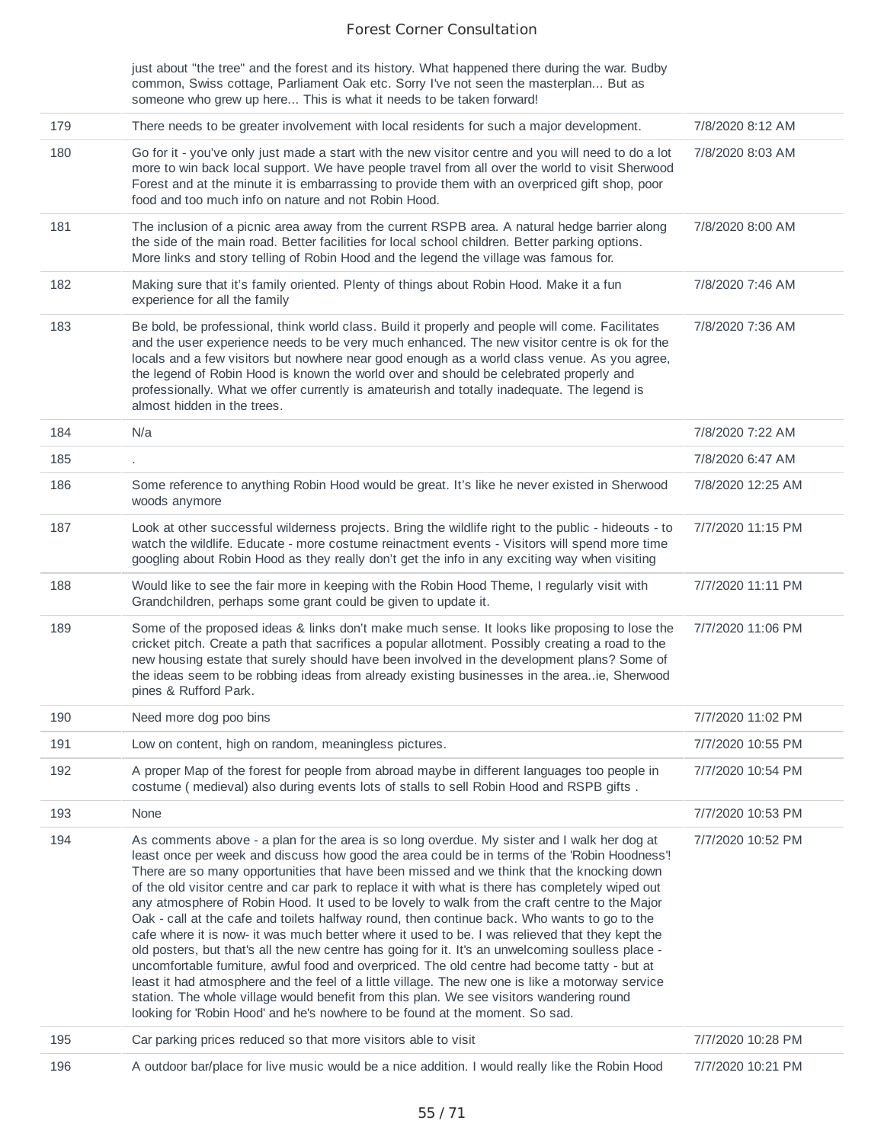|     | just about "the tree" and the forest and its history. What happened there during the war. Budby<br>common, Swiss cottage, Parliament Oak etc. Sorry I've not seen the masterplan But as<br>someone who grew up here This is what it needs to be taken forward!                                                                                                                                                                                                                                                                                                                                                                                                                                                                                                                                                                                                                                                                                                                                                                                                                                                                                                                        |                   |
|-----|---------------------------------------------------------------------------------------------------------------------------------------------------------------------------------------------------------------------------------------------------------------------------------------------------------------------------------------------------------------------------------------------------------------------------------------------------------------------------------------------------------------------------------------------------------------------------------------------------------------------------------------------------------------------------------------------------------------------------------------------------------------------------------------------------------------------------------------------------------------------------------------------------------------------------------------------------------------------------------------------------------------------------------------------------------------------------------------------------------------------------------------------------------------------------------------|-------------------|
| 179 | There needs to be greater involvement with local residents for such a major development.                                                                                                                                                                                                                                                                                                                                                                                                                                                                                                                                                                                                                                                                                                                                                                                                                                                                                                                                                                                                                                                                                              | 7/8/2020 8:12 AM  |
| 180 | Go for it - you've only just made a start with the new visitor centre and you will need to do a lot<br>more to win back local support. We have people travel from all over the world to visit Sherwood<br>Forest and at the minute it is embarrassing to provide them with an overpriced gift shop, poor<br>food and too much info on nature and not Robin Hood.                                                                                                                                                                                                                                                                                                                                                                                                                                                                                                                                                                                                                                                                                                                                                                                                                      | 7/8/2020 8:03 AM  |
| 181 | The inclusion of a picnic area away from the current RSPB area. A natural hedge barrier along<br>the side of the main road. Better facilities for local school children. Better parking options.<br>More links and story telling of Robin Hood and the legend the village was famous for.                                                                                                                                                                                                                                                                                                                                                                                                                                                                                                                                                                                                                                                                                                                                                                                                                                                                                             | 7/8/2020 8:00 AM  |
| 182 | Making sure that it's family oriented. Plenty of things about Robin Hood. Make it a fun<br>experience for all the family                                                                                                                                                                                                                                                                                                                                                                                                                                                                                                                                                                                                                                                                                                                                                                                                                                                                                                                                                                                                                                                              | 7/8/2020 7:46 AM  |
| 183 | Be bold, be professional, think world class. Build it properly and people will come. Facilitates<br>and the user experience needs to be very much enhanced. The new visitor centre is ok for the<br>locals and a few visitors but nowhere near good enough as a world class venue. As you agree,<br>the legend of Robin Hood is known the world over and should be celebrated properly and<br>professionally. What we offer currently is amateurish and totally inadequate. The legend is<br>almost hidden in the trees.                                                                                                                                                                                                                                                                                                                                                                                                                                                                                                                                                                                                                                                              | 7/8/2020 7:36 AM  |
| 184 | N/a                                                                                                                                                                                                                                                                                                                                                                                                                                                                                                                                                                                                                                                                                                                                                                                                                                                                                                                                                                                                                                                                                                                                                                                   | 7/8/2020 7:22 AM  |
| 185 |                                                                                                                                                                                                                                                                                                                                                                                                                                                                                                                                                                                                                                                                                                                                                                                                                                                                                                                                                                                                                                                                                                                                                                                       | 7/8/2020 6:47 AM  |
| 186 | Some reference to anything Robin Hood would be great. It's like he never existed in Sherwood<br>woods anymore                                                                                                                                                                                                                                                                                                                                                                                                                                                                                                                                                                                                                                                                                                                                                                                                                                                                                                                                                                                                                                                                         | 7/8/2020 12:25 AM |
| 187 | Look at other successful wilderness projects. Bring the wildlife right to the public - hideouts - to<br>watch the wildlife. Educate - more costume reinactment events - Visitors will spend more time<br>googling about Robin Hood as they really don't get the info in any exciting way when visiting                                                                                                                                                                                                                                                                                                                                                                                                                                                                                                                                                                                                                                                                                                                                                                                                                                                                                | 7/7/2020 11:15 PM |
| 188 | Would like to see the fair more in keeping with the Robin Hood Theme, I regularly visit with<br>Grandchildren, perhaps some grant could be given to update it.                                                                                                                                                                                                                                                                                                                                                                                                                                                                                                                                                                                                                                                                                                                                                                                                                                                                                                                                                                                                                        | 7/7/2020 11:11 PM |
| 189 | Some of the proposed ideas & links don't make much sense. It looks like proposing to lose the<br>cricket pitch. Create a path that sacrifices a popular allotment. Possibly creating a road to the<br>new housing estate that surely should have been involved in the development plans? Some of<br>the ideas seem to be robbing ideas from already existing businesses in the areaie, Sherwood<br>pines & Rufford Park.                                                                                                                                                                                                                                                                                                                                                                                                                                                                                                                                                                                                                                                                                                                                                              | 7/7/2020 11:06 PM |
| 190 | Need more dog poo bins                                                                                                                                                                                                                                                                                                                                                                                                                                                                                                                                                                                                                                                                                                                                                                                                                                                                                                                                                                                                                                                                                                                                                                | 7/7/2020 11:02 PM |
| 191 | Low on content, high on random, meaningless pictures.                                                                                                                                                                                                                                                                                                                                                                                                                                                                                                                                                                                                                                                                                                                                                                                                                                                                                                                                                                                                                                                                                                                                 | 7/7/2020 10:55 PM |
| 192 | A proper Map of the forest for people from abroad maybe in different languages too people in<br>costume (medieval) also during events lots of stalls to sell Robin Hood and RSPB gifts.                                                                                                                                                                                                                                                                                                                                                                                                                                                                                                                                                                                                                                                                                                                                                                                                                                                                                                                                                                                               | 7/7/2020 10:54 PM |
| 193 | None                                                                                                                                                                                                                                                                                                                                                                                                                                                                                                                                                                                                                                                                                                                                                                                                                                                                                                                                                                                                                                                                                                                                                                                  | 7/7/2020 10:53 PM |
| 194 | As comments above - a plan for the area is so long overdue. My sister and I walk her dog at<br>least once per week and discuss how good the area could be in terms of the 'Robin Hoodness'!<br>There are so many opportunities that have been missed and we think that the knocking down<br>of the old visitor centre and car park to replace it with what is there has completely wiped out<br>any atmosphere of Robin Hood. It used to be lovely to walk from the craft centre to the Major<br>Oak - call at the cafe and toilets halfway round, then continue back. Who wants to go to the<br>cafe where it is now- it was much better where it used to be. I was relieved that they kept the<br>old posters, but that's all the new centre has going for it. It's an unwelcoming soulless place -<br>uncomfortable furniture, awful food and overpriced. The old centre had become tatty - but at<br>least it had atmosphere and the feel of a little village. The new one is like a motorway service<br>station. The whole village would benefit from this plan. We see visitors wandering round<br>looking for 'Robin Hood' and he's nowhere to be found at the moment. So sad. | 7/7/2020 10:52 PM |
| 195 | Car parking prices reduced so that more visitors able to visit                                                                                                                                                                                                                                                                                                                                                                                                                                                                                                                                                                                                                                                                                                                                                                                                                                                                                                                                                                                                                                                                                                                        | 7/7/2020 10:28 PM |
| 196 | A outdoor bar/place for live music would be a nice addition. I would really like the Robin Hood                                                                                                                                                                                                                                                                                                                                                                                                                                                                                                                                                                                                                                                                                                                                                                                                                                                                                                                                                                                                                                                                                       | 7/7/2020 10:21 PM |
|     |                                                                                                                                                                                                                                                                                                                                                                                                                                                                                                                                                                                                                                                                                                                                                                                                                                                                                                                                                                                                                                                                                                                                                                                       |                   |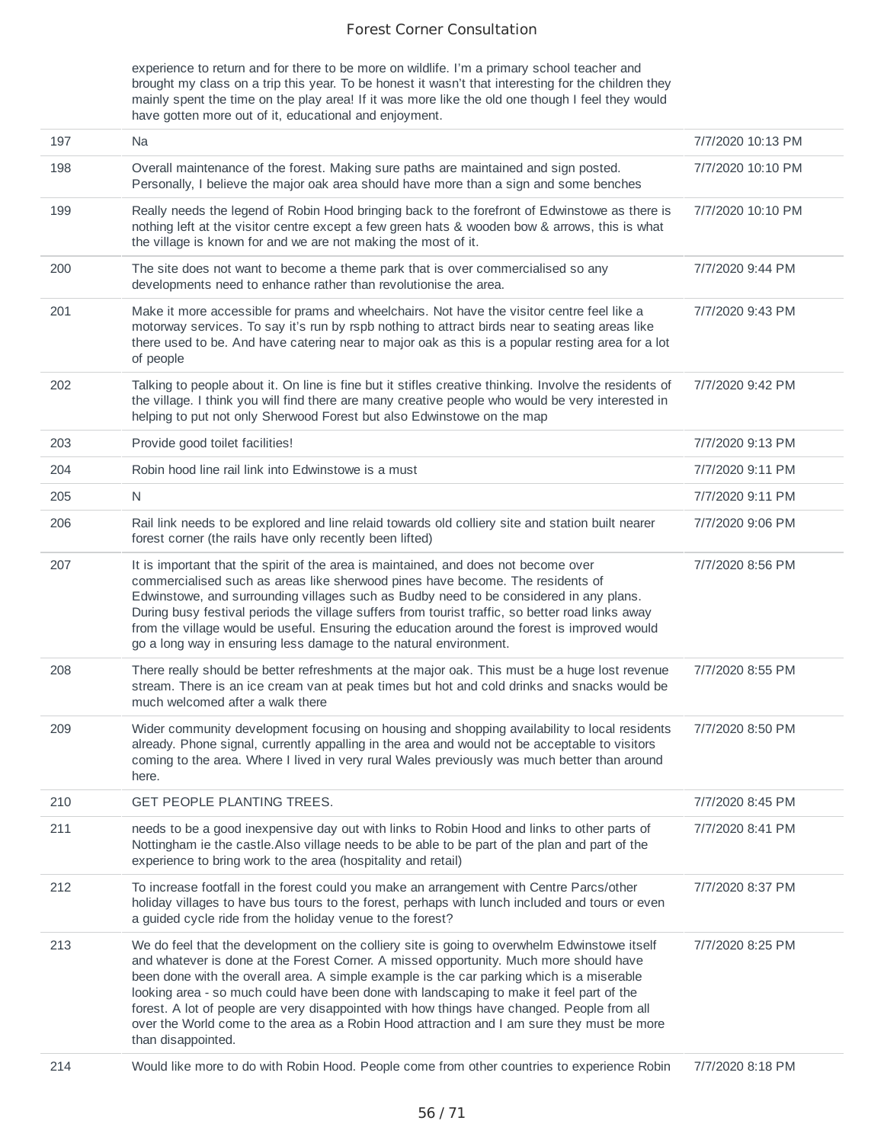experience to return and for there to be more on wildlife. I'm a primary school teacher and brought my class on a trip this year. To be honest it wasn't that interesting for the children they mainly spent the time on the play area! If it was more like the old one though I feel they would have gotten more out of it, educational and enjoyment.

| 197 | Na                                                                                                                                                                                                                                                                                                                                                                                                                                                                                                                                                                                                 | 7/7/2020 10:13 PM |
|-----|----------------------------------------------------------------------------------------------------------------------------------------------------------------------------------------------------------------------------------------------------------------------------------------------------------------------------------------------------------------------------------------------------------------------------------------------------------------------------------------------------------------------------------------------------------------------------------------------------|-------------------|
| 198 | Overall maintenance of the forest. Making sure paths are maintained and sign posted.<br>Personally, I believe the major oak area should have more than a sign and some benches                                                                                                                                                                                                                                                                                                                                                                                                                     | 7/7/2020 10:10 PM |
| 199 | Really needs the legend of Robin Hood bringing back to the forefront of Edwinstowe as there is<br>nothing left at the visitor centre except a few green hats & wooden bow & arrows, this is what<br>the village is known for and we are not making the most of it.                                                                                                                                                                                                                                                                                                                                 | 7/7/2020 10:10 PM |
| 200 | The site does not want to become a theme park that is over commercialised so any<br>developments need to enhance rather than revolutionise the area.                                                                                                                                                                                                                                                                                                                                                                                                                                               | 7/7/2020 9:44 PM  |
| 201 | Make it more accessible for prams and wheelchairs. Not have the visitor centre feel like a<br>motorway services. To say it's run by rspb nothing to attract birds near to seating areas like<br>there used to be. And have catering near to major oak as this is a popular resting area for a lot<br>of people                                                                                                                                                                                                                                                                                     | 7/7/2020 9:43 PM  |
| 202 | Talking to people about it. On line is fine but it stifles creative thinking. Involve the residents of<br>the village. I think you will find there are many creative people who would be very interested in<br>helping to put not only Sherwood Forest but also Edwinstowe on the map                                                                                                                                                                                                                                                                                                              | 7/7/2020 9:42 PM  |
| 203 | Provide good toilet facilities!                                                                                                                                                                                                                                                                                                                                                                                                                                                                                                                                                                    | 7/7/2020 9:13 PM  |
| 204 | Robin hood line rail link into Edwinstowe is a must                                                                                                                                                                                                                                                                                                                                                                                                                                                                                                                                                | 7/7/2020 9:11 PM  |
| 205 | N                                                                                                                                                                                                                                                                                                                                                                                                                                                                                                                                                                                                  | 7/7/2020 9:11 PM  |
| 206 | Rail link needs to be explored and line relaid towards old colliery site and station built nearer<br>forest corner (the rails have only recently been lifted)                                                                                                                                                                                                                                                                                                                                                                                                                                      | 7/7/2020 9:06 PM  |
| 207 | It is important that the spirit of the area is maintained, and does not become over<br>commercialised such as areas like sherwood pines have become. The residents of<br>Edwinstowe, and surrounding villages such as Budby need to be considered in any plans.<br>During busy festival periods the village suffers from tourist traffic, so better road links away<br>from the village would be useful. Ensuring the education around the forest is improved would<br>go a long way in ensuring less damage to the natural environment.                                                           | 7/7/2020 8:56 PM  |
| 208 | There really should be better refreshments at the major oak. This must be a huge lost revenue<br>stream. There is an ice cream van at peak times but hot and cold drinks and snacks would be<br>much welcomed after a walk there                                                                                                                                                                                                                                                                                                                                                                   | 7/7/2020 8:55 PM  |
| 209 | Wider community development focusing on housing and shopping availability to local residents<br>already. Phone signal, currently appalling in the area and would not be acceptable to visitors<br>coming to the area. Where I lived in very rural Wales previously was much better than around<br>here.                                                                                                                                                                                                                                                                                            | 7/7/2020 8:50 PM  |
| 210 | <b>GET PEOPLE PLANTING TREES.</b>                                                                                                                                                                                                                                                                                                                                                                                                                                                                                                                                                                  | 7/7/2020 8:45 PM  |
| 211 | needs to be a good inexpensive day out with links to Robin Hood and links to other parts of<br>Nottingham ie the castle. Also village needs to be able to be part of the plan and part of the<br>experience to bring work to the area (hospitality and retail)                                                                                                                                                                                                                                                                                                                                     | 7/7/2020 8:41 PM  |
| 212 | To increase footfall in the forest could you make an arrangement with Centre Parcs/other<br>holiday villages to have bus tours to the forest, perhaps with lunch included and tours or even<br>a guided cycle ride from the holiday venue to the forest?                                                                                                                                                                                                                                                                                                                                           | 7/7/2020 8:37 PM  |
| 213 | We do feel that the development on the colliery site is going to overwhelm Edwinstowe itself<br>and whatever is done at the Forest Corner. A missed opportunity. Much more should have<br>been done with the overall area. A simple example is the car parking which is a miserable<br>looking area - so much could have been done with landscaping to make it feel part of the<br>forest. A lot of people are very disappointed with how things have changed. People from all<br>over the World come to the area as a Robin Hood attraction and I am sure they must be more<br>than disappointed. | 7/7/2020 8:25 PM  |
| 214 | Would like more to do with Robin Hood. People come from other countries to experience Robin                                                                                                                                                                                                                                                                                                                                                                                                                                                                                                        | 7/7/2020 8:18 PM  |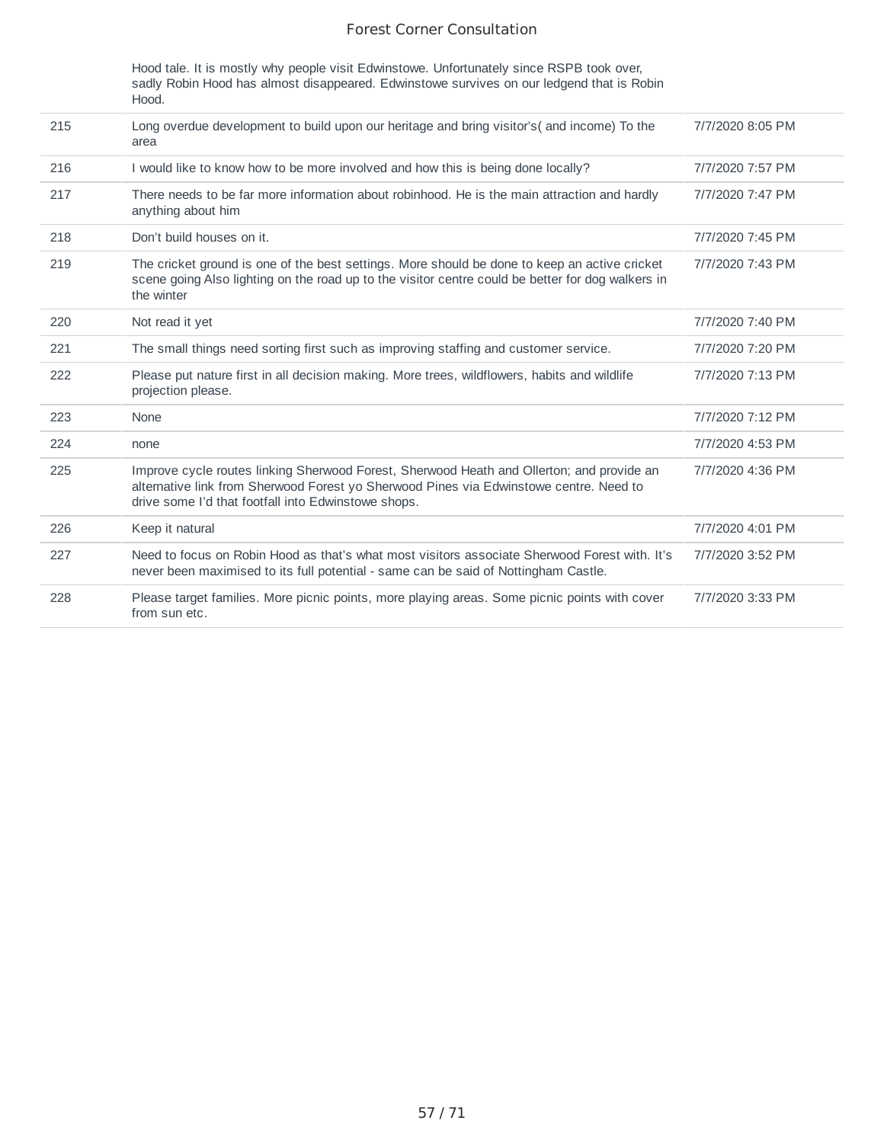Hood tale. It is mostly why people visit Edwinstowe. Unfortunately since RSPB took over, sadly Robin Hood has almost disappeared. Edwinstowe survives on our ledgend that is Robin Hood.

| 215 | Long overdue development to build upon our heritage and bring visitor's (and income) To the<br>area                                                                                                                                        | 7/7/2020 8:05 PM |
|-----|--------------------------------------------------------------------------------------------------------------------------------------------------------------------------------------------------------------------------------------------|------------------|
| 216 | I would like to know how to be more involved and how this is being done locally?                                                                                                                                                           | 7/7/2020 7:57 PM |
| 217 | There needs to be far more information about robinhood. He is the main attraction and hardly<br>anything about him                                                                                                                         | 7/7/2020 7:47 PM |
| 218 | Don't build houses on it.                                                                                                                                                                                                                  | 7/7/2020 7:45 PM |
| 219 | The cricket ground is one of the best settings. More should be done to keep an active cricket<br>scene going Also lighting on the road up to the visitor centre could be better for dog walkers in<br>the winter                           | 7/7/2020 7:43 PM |
| 220 | Not read it yet                                                                                                                                                                                                                            | 7/7/2020 7:40 PM |
| 221 | The small things need sorting first such as improving staffing and customer service.                                                                                                                                                       | 7/7/2020 7:20 PM |
| 222 | Please put nature first in all decision making. More trees, wildflowers, habits and wildlife<br>projection please.                                                                                                                         | 7/7/2020 7:13 PM |
| 223 | None                                                                                                                                                                                                                                       | 7/7/2020 7:12 PM |
| 224 | none                                                                                                                                                                                                                                       | 7/7/2020 4:53 PM |
| 225 | Improve cycle routes linking Sherwood Forest, Sherwood Heath and Ollerton; and provide an<br>alternative link from Sherwood Forest yo Sherwood Pines via Edwinstowe centre. Need to<br>drive some I'd that footfall into Edwinstowe shops. | 7/7/2020 4:36 PM |
| 226 | Keep it natural                                                                                                                                                                                                                            | 7/7/2020 4:01 PM |
| 227 | Need to focus on Robin Hood as that's what most visitors associate Sherwood Forest with. It's<br>never been maximised to its full potential - same can be said of Nottingham Castle.                                                       | 7/7/2020 3:52 PM |
| 228 | Please target families. More picnic points, more playing areas. Some picnic points with cover<br>from sun etc.                                                                                                                             | 7/7/2020 3:33 PM |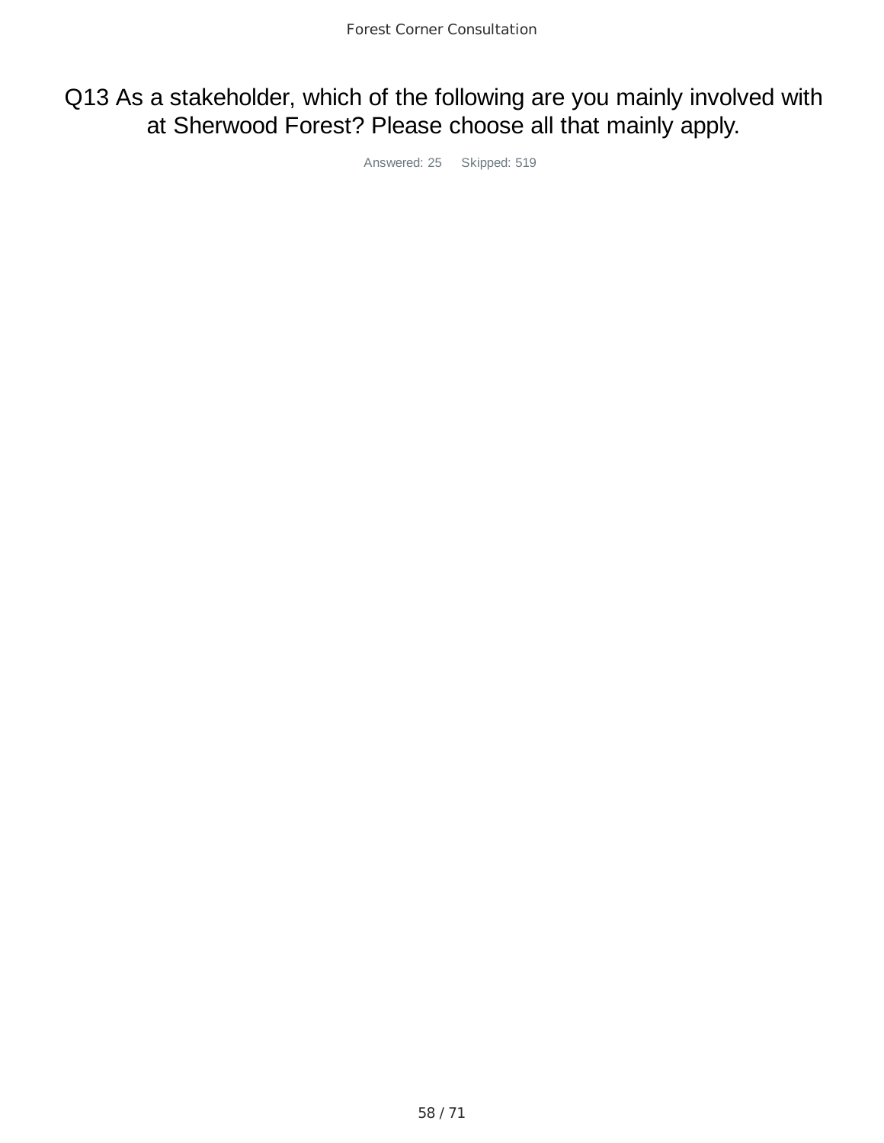# Q13 As a stakeholder, which of the following are you mainly involved with at Sherwood Forest? Please choose all that mainly apply.

Answered: 25 Skipped: 519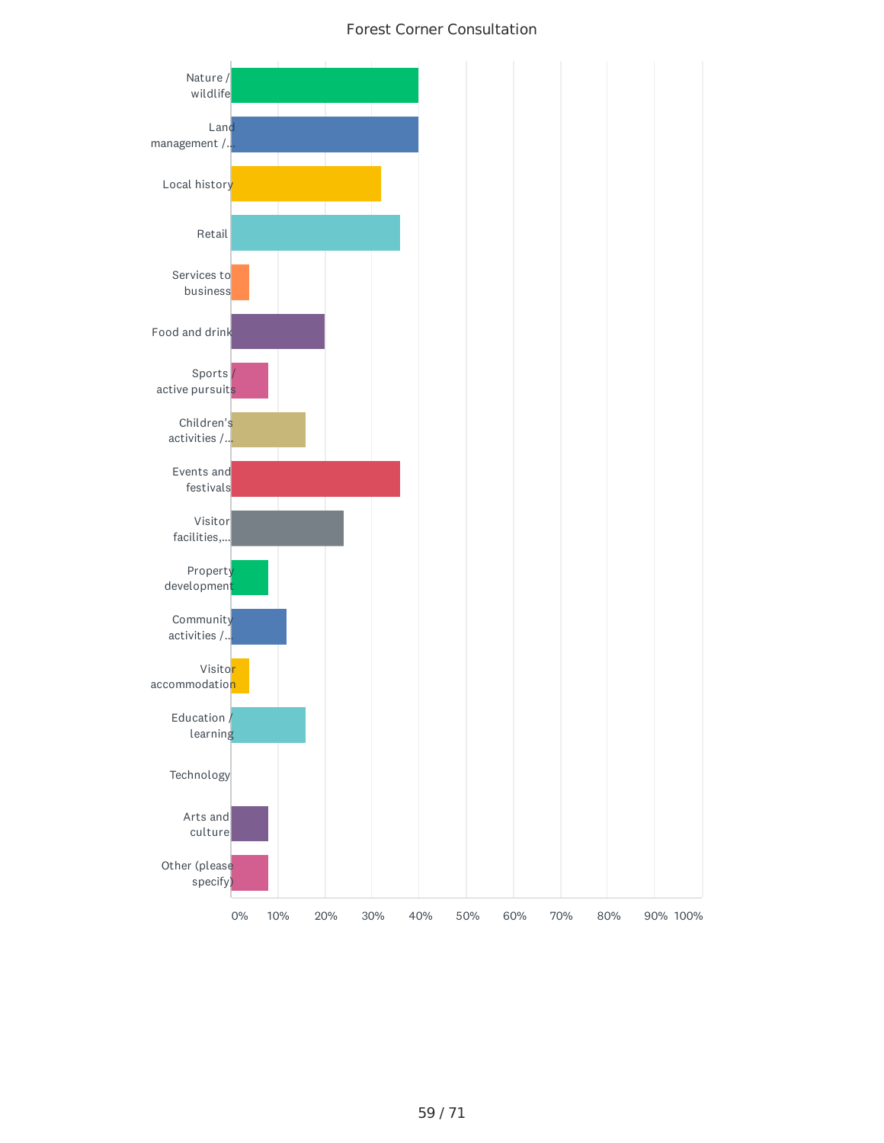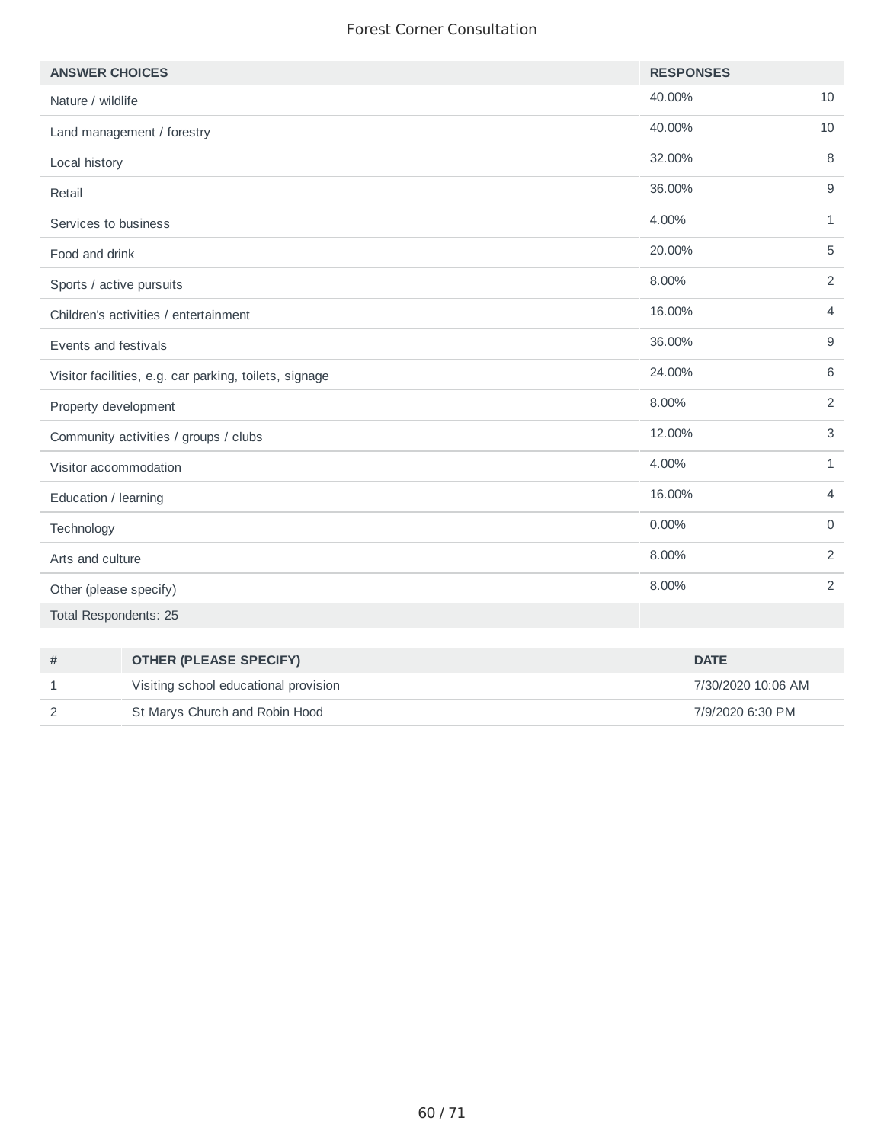| <b>ANSWER CHOICES</b>                                  |                                       |        | <b>RESPONSES</b>   |                |
|--------------------------------------------------------|---------------------------------------|--------|--------------------|----------------|
| Nature / wildlife                                      |                                       | 40.00% |                    | 10             |
|                                                        | Land management / forestry            | 40.00% |                    | 10             |
| Local history                                          |                                       | 32.00% |                    | 8              |
| Retail                                                 |                                       | 36.00% |                    | 9              |
| Services to business                                   |                                       | 4.00%  |                    | $\mathbf{1}$   |
| Food and drink                                         |                                       | 20.00% |                    | 5              |
| Sports / active pursuits                               |                                       | 8.00%  |                    | 2              |
|                                                        | Children's activities / entertainment | 16.00% |                    | $\overline{4}$ |
| Events and festivals                                   |                                       | 36.00% |                    | 9              |
| Visitor facilities, e.g. car parking, toilets, signage |                                       | 24.00% |                    | 6              |
| Property development                                   |                                       | 8.00%  |                    | 2              |
| Community activities / groups / clubs                  |                                       | 12.00% |                    | 3              |
| Visitor accommodation                                  |                                       | 4.00%  |                    | $\mathbf{1}$   |
| Education / learning                                   |                                       | 16.00% |                    | $\overline{4}$ |
| Technology                                             |                                       | 0.00%  |                    | $\mathbf 0$    |
| Arts and culture                                       |                                       | 8.00%  |                    | 2              |
| Other (please specify)                                 |                                       | 8.00%  |                    | 2              |
| <b>Total Respondents: 25</b>                           |                                       |        |                    |                |
|                                                        |                                       |        |                    |                |
| #                                                      | <b>OTHER (PLEASE SPECIFY)</b>         |        | <b>DATE</b>        |                |
| 1                                                      | Visiting school educational provision |        | 7/30/2020 10:06 AM |                |

2 St Marys Church and Robin Hood **7/9/2020 6:30 PM**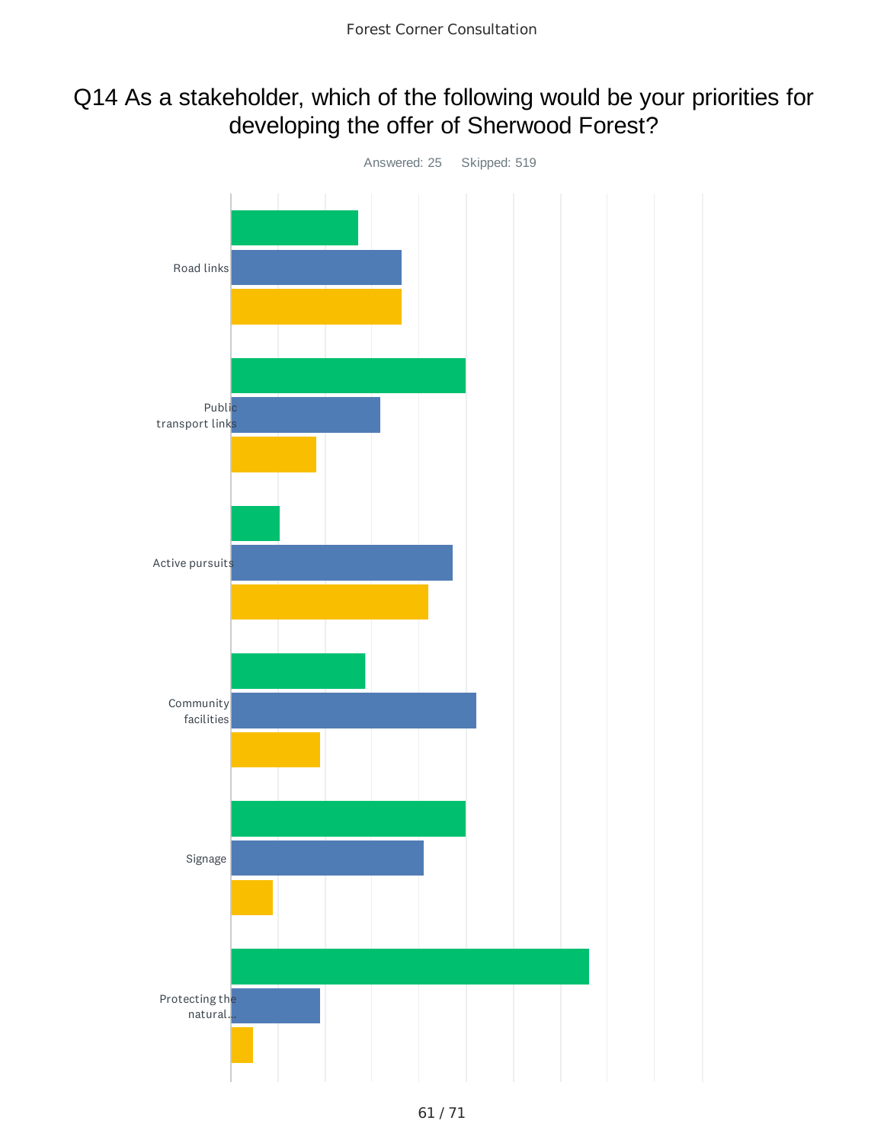# Q14 As a stakeholder, which of the following would be your priorities for developing the offer of Sherwood Forest?

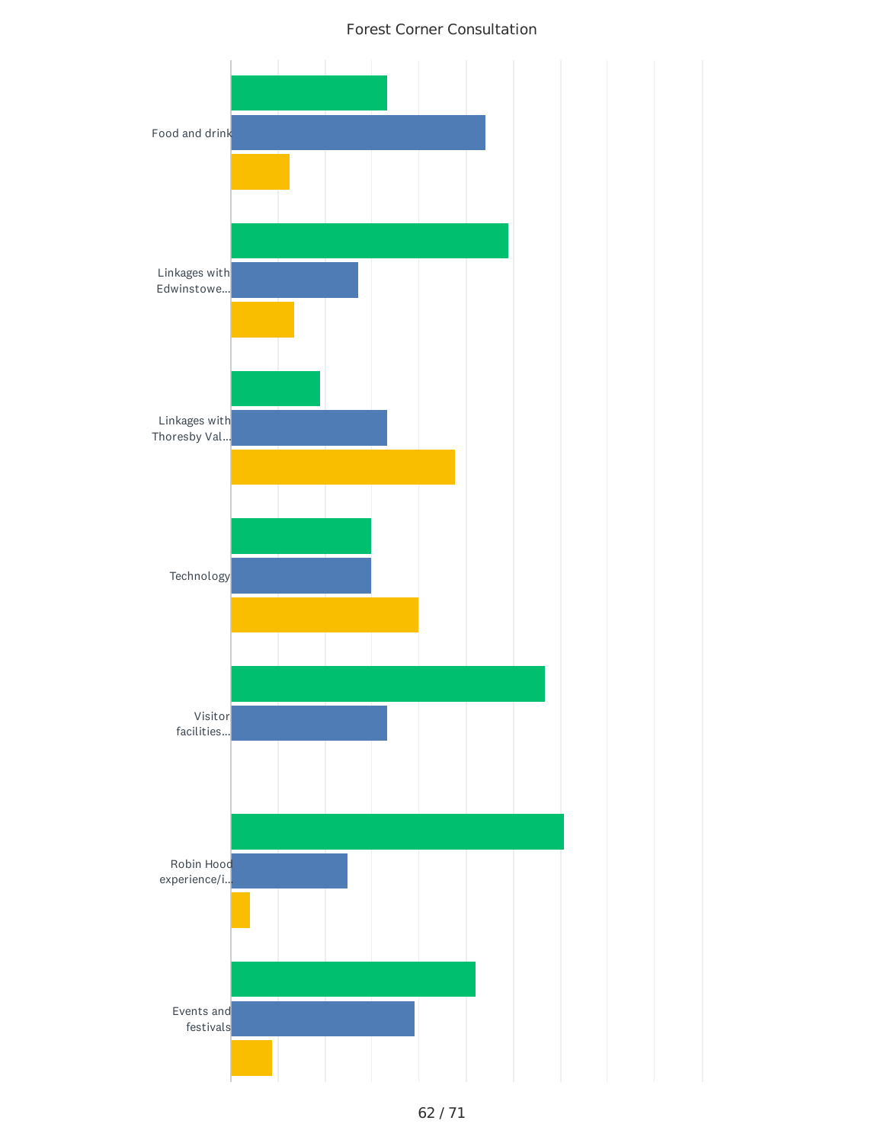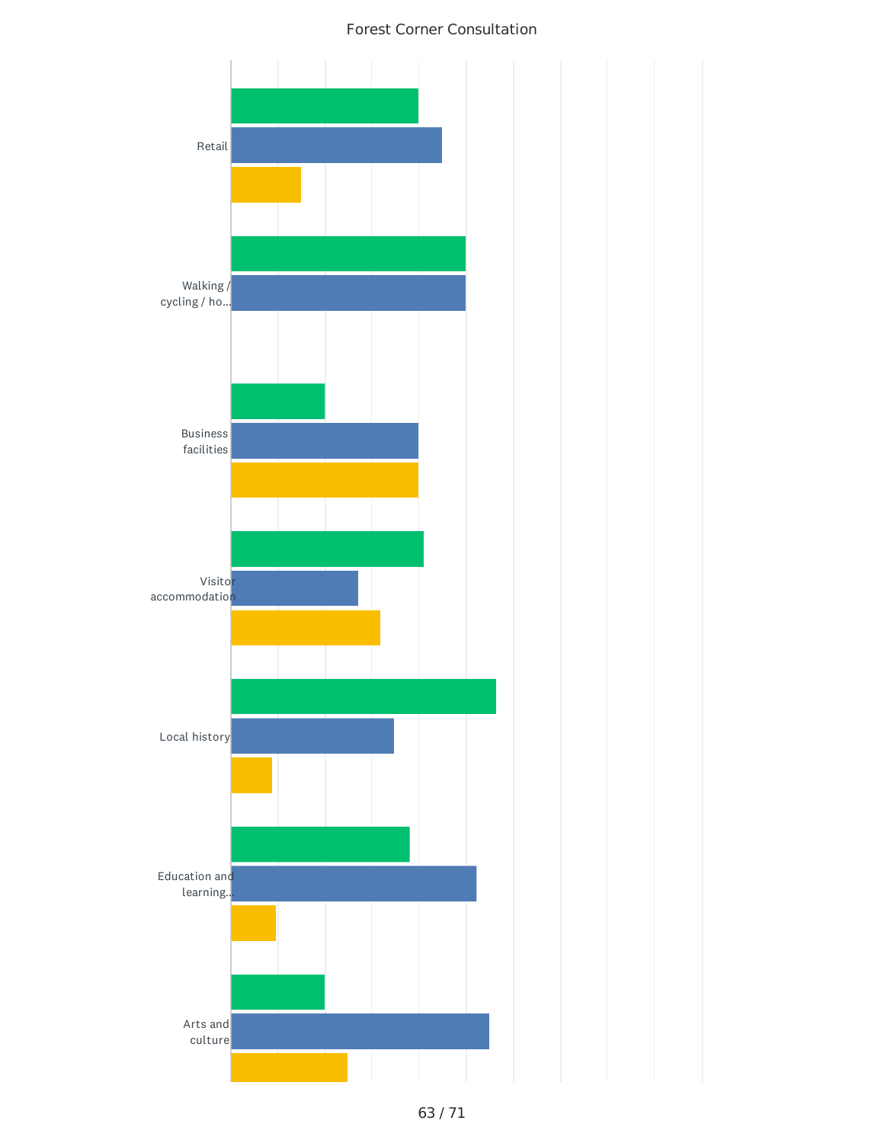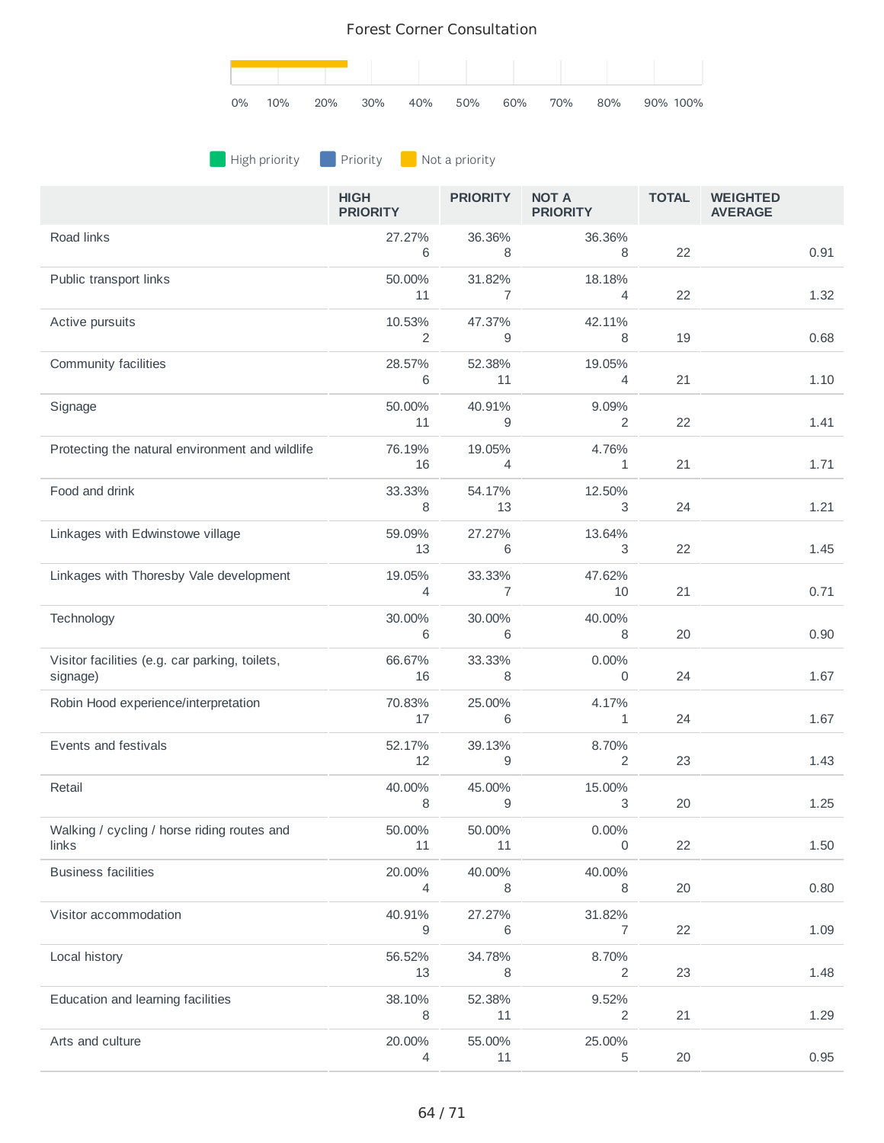

## **A** High priority **Priority A** Not a priority

|                                                            | <b>HIGH</b><br><b>PRIORITY</b> | <b>PRIORITY</b>          | <b>NOT A</b><br><b>PRIORITY</b> | <b>TOTAL</b> | <b>WEIGHTED</b><br><b>AVERAGE</b> |
|------------------------------------------------------------|--------------------------------|--------------------------|---------------------------------|--------------|-----------------------------------|
| Road links                                                 | 27.27%<br>6                    | 36.36%<br>8              | 36.36%<br>8                     | 22           | 0.91                              |
| Public transport links                                     | 50.00%<br>11                   | 31.82%<br>$\overline{7}$ | 18.18%<br>$\overline{4}$        | 22           | 1.32                              |
| Active pursuits                                            | 10.53%<br>2                    | 47.37%<br>9              | 42.11%<br>8                     | 19           | 0.68                              |
| Community facilities                                       | 28.57%<br>6                    | 52.38%<br>11             | 19.05%<br>4                     | 21           | 1.10                              |
| Signage                                                    | 50.00%<br>11                   | 40.91%<br>9              | 9.09%<br>2                      | 22           | 1.41                              |
| Protecting the natural environment and wildlife            | 76.19%<br>16                   | 19.05%<br>4              | 4.76%<br>1                      | 21           | 1.71                              |
| Food and drink                                             | 33.33%<br>8                    | 54.17%<br>13             | 12.50%<br>3                     | 24           | 1.21                              |
| Linkages with Edwinstowe village                           | 59.09%<br>13                   | 27.27%<br>6              | 13.64%<br>3                     | 22           | 1.45                              |
| Linkages with Thoresby Vale development                    | 19.05%<br>4                    | 33.33%<br>7              | 47.62%<br>10                    | 21           | 0.71                              |
| Technology                                                 | 30.00%<br>6                    | 30.00%<br>6              | 40.00%<br>8                     | 20           | 0.90                              |
| Visitor facilities (e.g. car parking, toilets,<br>signage) | 66.67%<br>16                   | 33.33%<br>8              | 0.00%<br>0                      | 24           | 1.67                              |
| Robin Hood experience/interpretation                       | 70.83%<br>17                   | 25.00%<br>6              | 4.17%<br>1                      | 24           | 1.67                              |
| Events and festivals                                       | 52.17%<br>12                   | 39.13%<br>9              | 8.70%<br>2                      | 23           | 1.43                              |
| Retail                                                     | 40.00%<br>8                    | 45.00%<br>9              | 15.00%<br>3                     | 20           | 1.25                              |
| Walking / cycling / horse riding routes and<br>links       | 50.00%<br>11                   | 50.00%<br>11             | 0.00%<br>0                      | 22           | 1.50                              |
| <b>Business facilities</b>                                 | 20.00%<br>4                    | 40.00%<br>8              | 40.00%<br>8                     | 20           | 0.80                              |
| Visitor accommodation                                      | 40.91%<br>9                    | 27.27%<br>6              | 31.82%<br>$\overline{7}$        | 22           | 1.09                              |
| Local history                                              | 56.52%<br>13                   | 34.78%<br>8              | 8.70%<br>2                      | 23           | 1.48                              |
| Education and learning facilities                          | 38.10%<br>8                    | 52.38%<br>11             | 9.52%<br>2                      | 21           | 1.29                              |
| Arts and culture                                           | 20.00%<br>4                    | 55.00%<br>11             | 25.00%<br>5                     | $20\,$       | 0.95                              |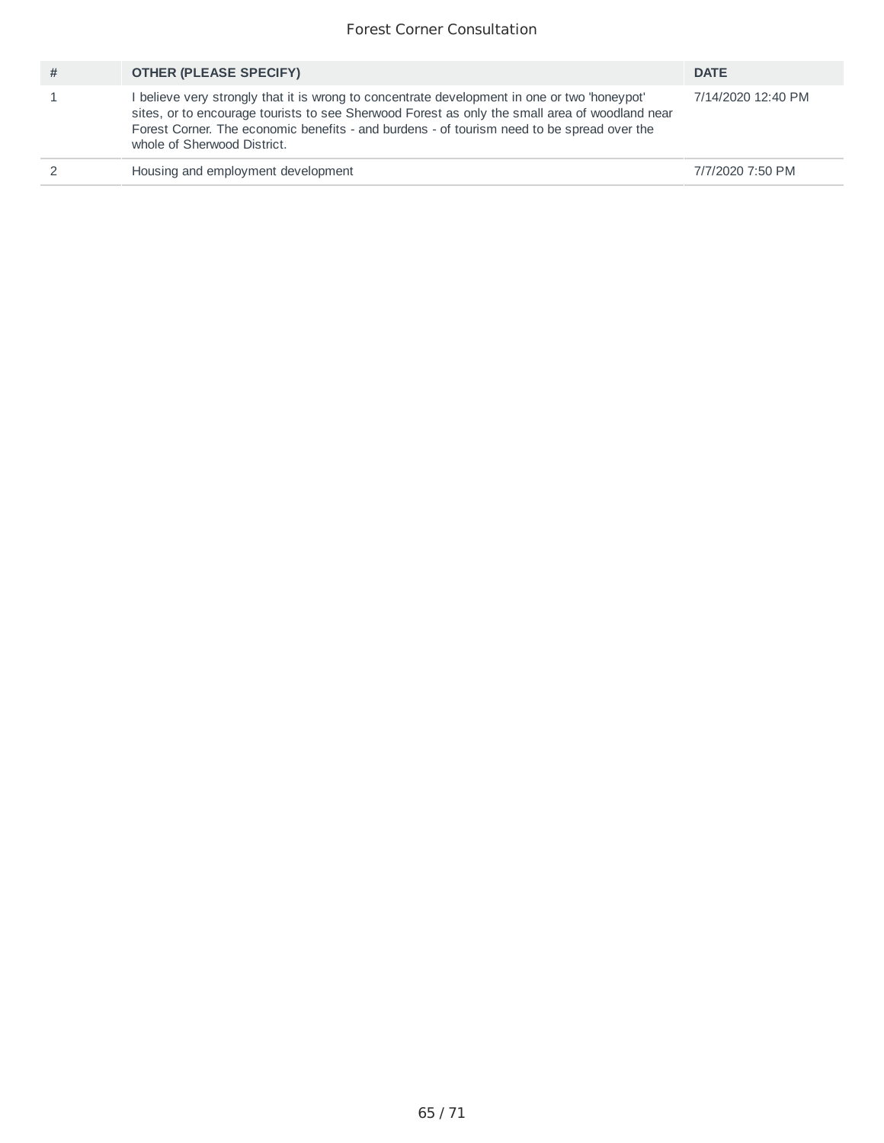| # | <b>OTHER (PLEASE SPECIFY)</b>                                                                                                                                                                                                                                                                                             | <b>DATE</b>        |
|---|---------------------------------------------------------------------------------------------------------------------------------------------------------------------------------------------------------------------------------------------------------------------------------------------------------------------------|--------------------|
|   | believe very strongly that it is wrong to concentrate development in one or two 'honeypot'<br>sites, or to encourage tourists to see Sherwood Forest as only the small area of woodland near<br>Forest Corner. The economic benefits - and burdens - of tourism need to be spread over the<br>whole of Sherwood District. | 7/14/2020 12:40 PM |
|   | Housing and employment development                                                                                                                                                                                                                                                                                        | 7/7/2020 7:50 PM   |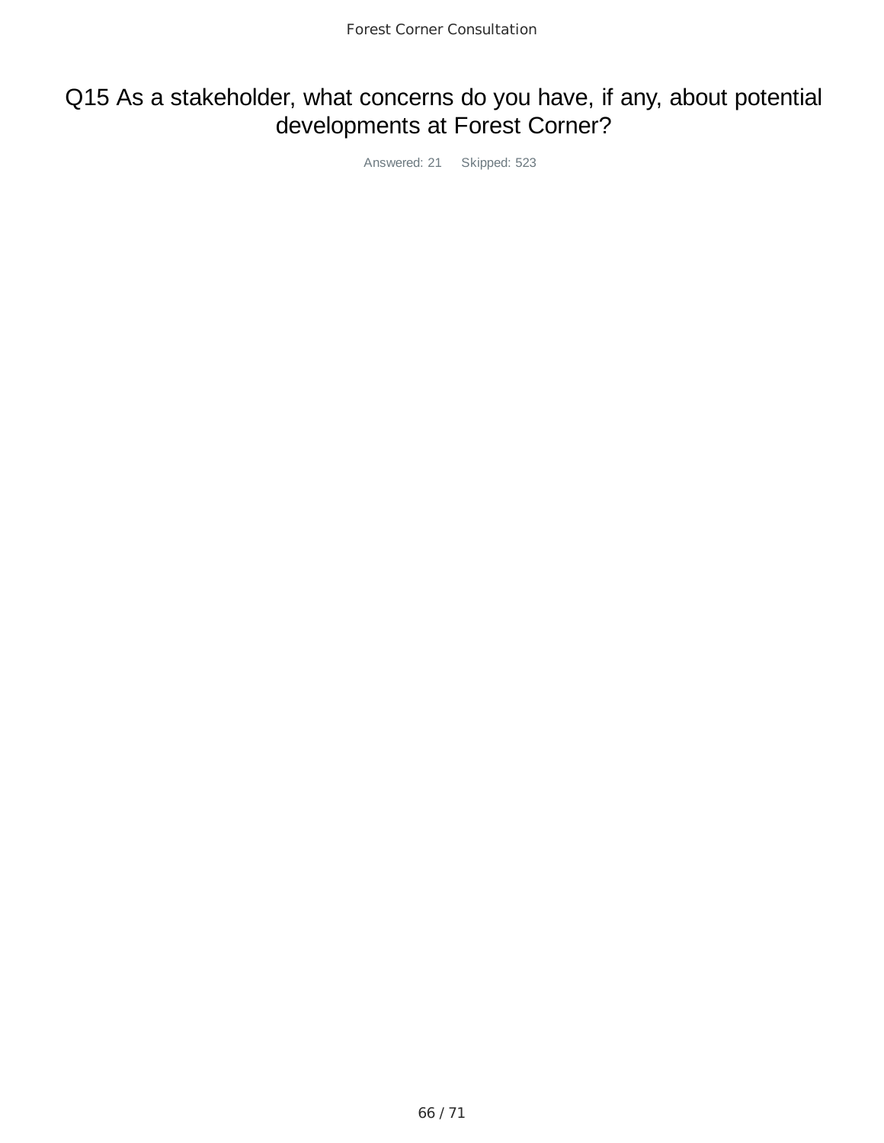# Q15 As a stakeholder, what concerns do you have, if any, about potential developments at Forest Corner?

Answered: 21 Skipped: 523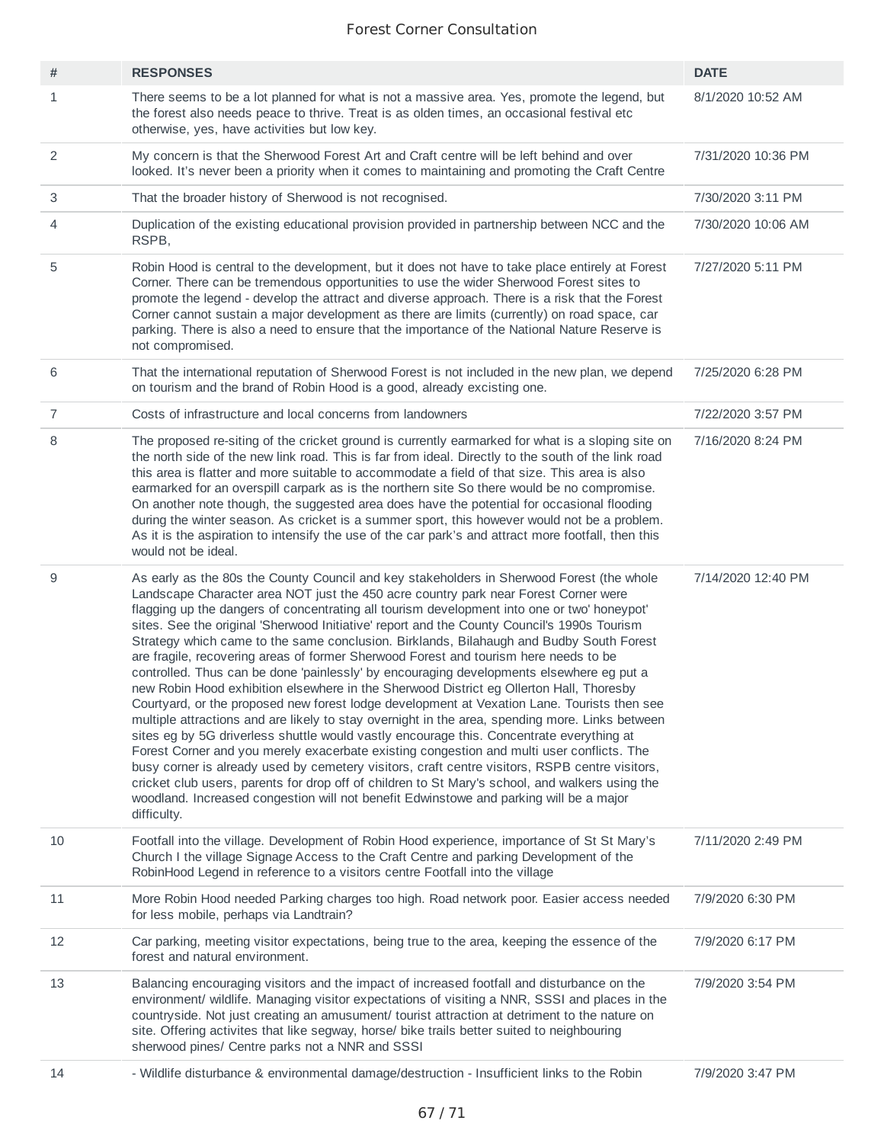| #              | <b>RESPONSES</b>                                                                                                                                                                                                                                                                                                                                                                                                                                                                                                                                                                                                                                                                                                                                                                                                                                                                                                                                                                                                                                                                                                                                                                                                                                                                                                                                                                                                                                                  | <b>DATE</b>        |
|----------------|-------------------------------------------------------------------------------------------------------------------------------------------------------------------------------------------------------------------------------------------------------------------------------------------------------------------------------------------------------------------------------------------------------------------------------------------------------------------------------------------------------------------------------------------------------------------------------------------------------------------------------------------------------------------------------------------------------------------------------------------------------------------------------------------------------------------------------------------------------------------------------------------------------------------------------------------------------------------------------------------------------------------------------------------------------------------------------------------------------------------------------------------------------------------------------------------------------------------------------------------------------------------------------------------------------------------------------------------------------------------------------------------------------------------------------------------------------------------|--------------------|
| $\mathbf{1}$   | There seems to be a lot planned for what is not a massive area. Yes, promote the legend, but<br>the forest also needs peace to thrive. Treat is as olden times, an occasional festival etc<br>otherwise, yes, have activities but low key.                                                                                                                                                                                                                                                                                                                                                                                                                                                                                                                                                                                                                                                                                                                                                                                                                                                                                                                                                                                                                                                                                                                                                                                                                        | 8/1/2020 10:52 AM  |
| 2              | My concern is that the Sherwood Forest Art and Craft centre will be left behind and over<br>looked. It's never been a priority when it comes to maintaining and promoting the Craft Centre                                                                                                                                                                                                                                                                                                                                                                                                                                                                                                                                                                                                                                                                                                                                                                                                                                                                                                                                                                                                                                                                                                                                                                                                                                                                        | 7/31/2020 10:36 PM |
| 3              | That the broader history of Sherwood is not recognised.                                                                                                                                                                                                                                                                                                                                                                                                                                                                                                                                                                                                                                                                                                                                                                                                                                                                                                                                                                                                                                                                                                                                                                                                                                                                                                                                                                                                           | 7/30/2020 3:11 PM  |
| 4              | Duplication of the existing educational provision provided in partnership between NCC and the<br>RSPB,                                                                                                                                                                                                                                                                                                                                                                                                                                                                                                                                                                                                                                                                                                                                                                                                                                                                                                                                                                                                                                                                                                                                                                                                                                                                                                                                                            | 7/30/2020 10:06 AM |
| 5              | Robin Hood is central to the development, but it does not have to take place entirely at Forest<br>Corner. There can be tremendous opportunities to use the wider Sherwood Forest sites to<br>promote the legend - develop the attract and diverse approach. There is a risk that the Forest<br>Corner cannot sustain a major development as there are limits (currently) on road space, car<br>parking. There is also a need to ensure that the importance of the National Nature Reserve is<br>not compromised.                                                                                                                                                                                                                                                                                                                                                                                                                                                                                                                                                                                                                                                                                                                                                                                                                                                                                                                                                 | 7/27/2020 5:11 PM  |
| 6              | That the international reputation of Sherwood Forest is not included in the new plan, we depend<br>on tourism and the brand of Robin Hood is a good, already excisting one.                                                                                                                                                                                                                                                                                                                                                                                                                                                                                                                                                                                                                                                                                                                                                                                                                                                                                                                                                                                                                                                                                                                                                                                                                                                                                       | 7/25/2020 6:28 PM  |
| $\overline{7}$ | Costs of infrastructure and local concerns from landowners                                                                                                                                                                                                                                                                                                                                                                                                                                                                                                                                                                                                                                                                                                                                                                                                                                                                                                                                                                                                                                                                                                                                                                                                                                                                                                                                                                                                        | 7/22/2020 3:57 PM  |
| 8              | The proposed re-siting of the cricket ground is currently earmarked for what is a sloping site on<br>the north side of the new link road. This is far from ideal. Directly to the south of the link road<br>this area is flatter and more suitable to accommodate a field of that size. This area is also<br>earmarked for an overspill carpark as is the northern site So there would be no compromise.<br>On another note though, the suggested area does have the potential for occasional flooding<br>during the winter season. As cricket is a summer sport, this however would not be a problem.<br>As it is the aspiration to intensify the use of the car park's and attract more footfall, then this<br>would not be ideal.                                                                                                                                                                                                                                                                                                                                                                                                                                                                                                                                                                                                                                                                                                                              | 7/16/2020 8:24 PM  |
| 9              | As early as the 80s the County Council and key stakeholders in Sherwood Forest (the whole<br>Landscape Character area NOT just the 450 acre country park near Forest Corner were<br>flagging up the dangers of concentrating all tourism development into one or two' honeypot'<br>sites. See the original 'Sherwood Initiative' report and the County Council's 1990s Tourism<br>Strategy which came to the same conclusion. Birklands, Bilahaugh and Budby South Forest<br>are fragile, recovering areas of former Sherwood Forest and tourism here needs to be<br>controlled. Thus can be done 'painlessly' by encouraging developments elsewhere eg put a<br>new Robin Hood exhibition elsewhere in the Sherwood District eg Ollerton Hall, Thoresby<br>Courtyard, or the proposed new forest lodge development at Vexation Lane. Tourists then see<br>multiple attractions and are likely to stay overnight in the area, spending more. Links between<br>sites eg by 5G driverless shuttle would vastly encourage this. Concentrate everything at<br>Forest Corner and you merely exacerbate existing congestion and multi user conflicts. The<br>busy corner is already used by cemetery visitors, craft centre visitors, RSPB centre visitors,<br>cricket club users, parents for drop off of children to St Mary's school, and walkers using the<br>woodland. Increased congestion will not benefit Edwinstowe and parking will be a major<br>difficulty. | 7/14/2020 12:40 PM |
| 10             | Footfall into the village. Development of Robin Hood experience, importance of St St Mary's<br>Church I the village Signage Access to the Craft Centre and parking Development of the<br>RobinHood Legend in reference to a visitors centre Footfall into the village                                                                                                                                                                                                                                                                                                                                                                                                                                                                                                                                                                                                                                                                                                                                                                                                                                                                                                                                                                                                                                                                                                                                                                                             | 7/11/2020 2:49 PM  |
| 11             | More Robin Hood needed Parking charges too high. Road network poor. Easier access needed<br>for less mobile, perhaps via Landtrain?                                                                                                                                                                                                                                                                                                                                                                                                                                                                                                                                                                                                                                                                                                                                                                                                                                                                                                                                                                                                                                                                                                                                                                                                                                                                                                                               | 7/9/2020 6:30 PM   |
| 12             | Car parking, meeting visitor expectations, being true to the area, keeping the essence of the<br>forest and natural environment.                                                                                                                                                                                                                                                                                                                                                                                                                                                                                                                                                                                                                                                                                                                                                                                                                                                                                                                                                                                                                                                                                                                                                                                                                                                                                                                                  | 7/9/2020 6:17 PM   |
| 13             | Balancing encouraging visitors and the impact of increased footfall and disturbance on the<br>environment/ wildlife. Managing visitor expectations of visiting a NNR, SSSI and places in the<br>countryside. Not just creating an amusument/ tourist attraction at detriment to the nature on<br>site. Offering activites that like segway, horse/ bike trails better suited to neighbouring<br>sherwood pines/ Centre parks not a NNR and SSSI                                                                                                                                                                                                                                                                                                                                                                                                                                                                                                                                                                                                                                                                                                                                                                                                                                                                                                                                                                                                                   | 7/9/2020 3:54 PM   |
| 14             | - Wildlife disturbance & environmental damage/destruction - Insufficient links to the Robin                                                                                                                                                                                                                                                                                                                                                                                                                                                                                                                                                                                                                                                                                                                                                                                                                                                                                                                                                                                                                                                                                                                                                                                                                                                                                                                                                                       | 7/9/2020 3:47 PM   |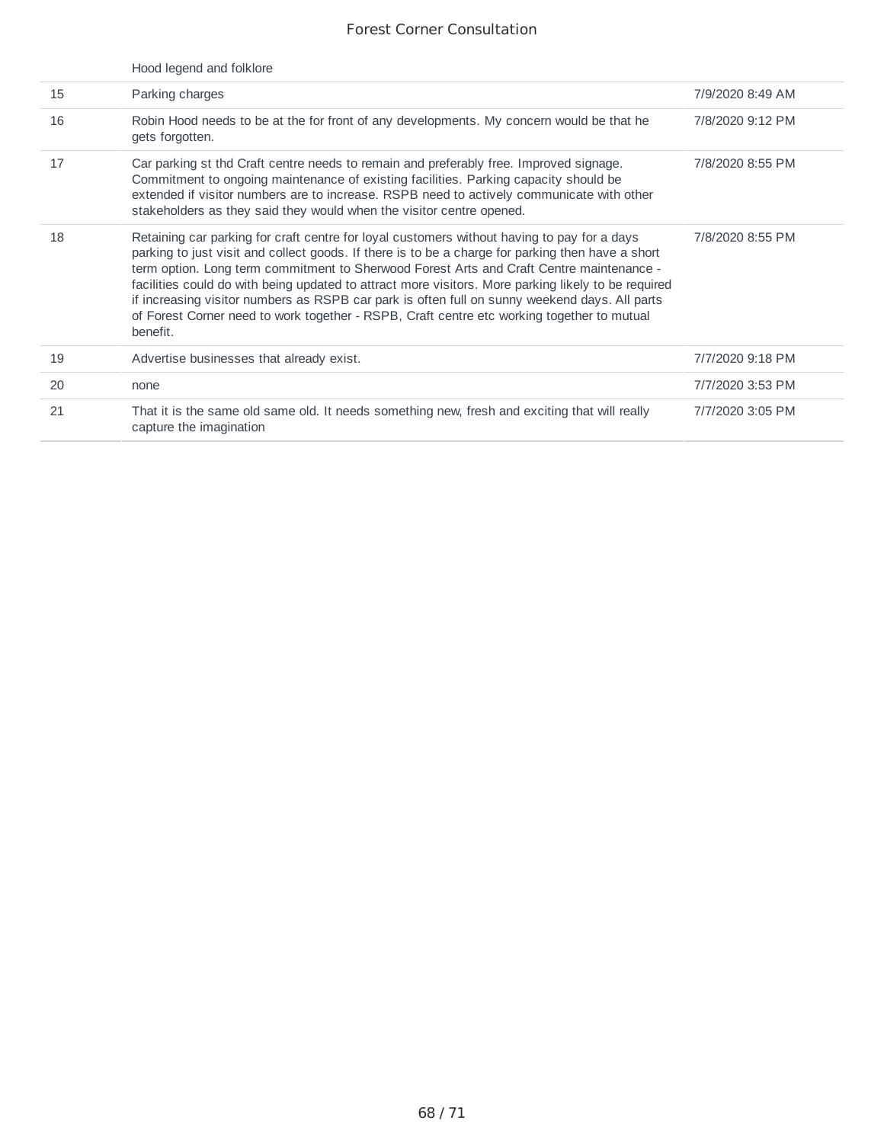|    | Hood legend and folklore                                                                                                                                                                                                                                                                                                                                                                                                                                                                                                                                                                                       |                  |
|----|----------------------------------------------------------------------------------------------------------------------------------------------------------------------------------------------------------------------------------------------------------------------------------------------------------------------------------------------------------------------------------------------------------------------------------------------------------------------------------------------------------------------------------------------------------------------------------------------------------------|------------------|
| 15 | Parking charges                                                                                                                                                                                                                                                                                                                                                                                                                                                                                                                                                                                                | 7/9/2020 8:49 AM |
| 16 | Robin Hood needs to be at the for front of any developments. My concern would be that he<br>gets forgotten.                                                                                                                                                                                                                                                                                                                                                                                                                                                                                                    | 7/8/2020 9:12 PM |
| 17 | Car parking st thd Craft centre needs to remain and preferably free. Improved signage.<br>Commitment to ongoing maintenance of existing facilities. Parking capacity should be<br>extended if visitor numbers are to increase. RSPB need to actively communicate with other<br>stakeholders as they said they would when the visitor centre opened.                                                                                                                                                                                                                                                            | 7/8/2020 8:55 PM |
| 18 | Retaining car parking for craft centre for loyal customers without having to pay for a days<br>parking to just visit and collect goods. If there is to be a charge for parking then have a short<br>term option. Long term commitment to Sherwood Forest Arts and Craft Centre maintenance -<br>facilities could do with being updated to attract more visitors. More parking likely to be required<br>if increasing visitor numbers as RSPB car park is often full on sunny weekend days. All parts<br>of Forest Corner need to work together - RSPB, Craft centre etc working together to mutual<br>benefit. | 7/8/2020 8:55 PM |
| 19 | Advertise businesses that already exist.                                                                                                                                                                                                                                                                                                                                                                                                                                                                                                                                                                       | 7/7/2020 9:18 PM |
| 20 | none                                                                                                                                                                                                                                                                                                                                                                                                                                                                                                                                                                                                           | 7/7/2020 3:53 PM |
| 21 | That it is the same old same old. It needs something new, fresh and exciting that will really<br>capture the imagination                                                                                                                                                                                                                                                                                                                                                                                                                                                                                       | 7/7/2020 3:05 PM |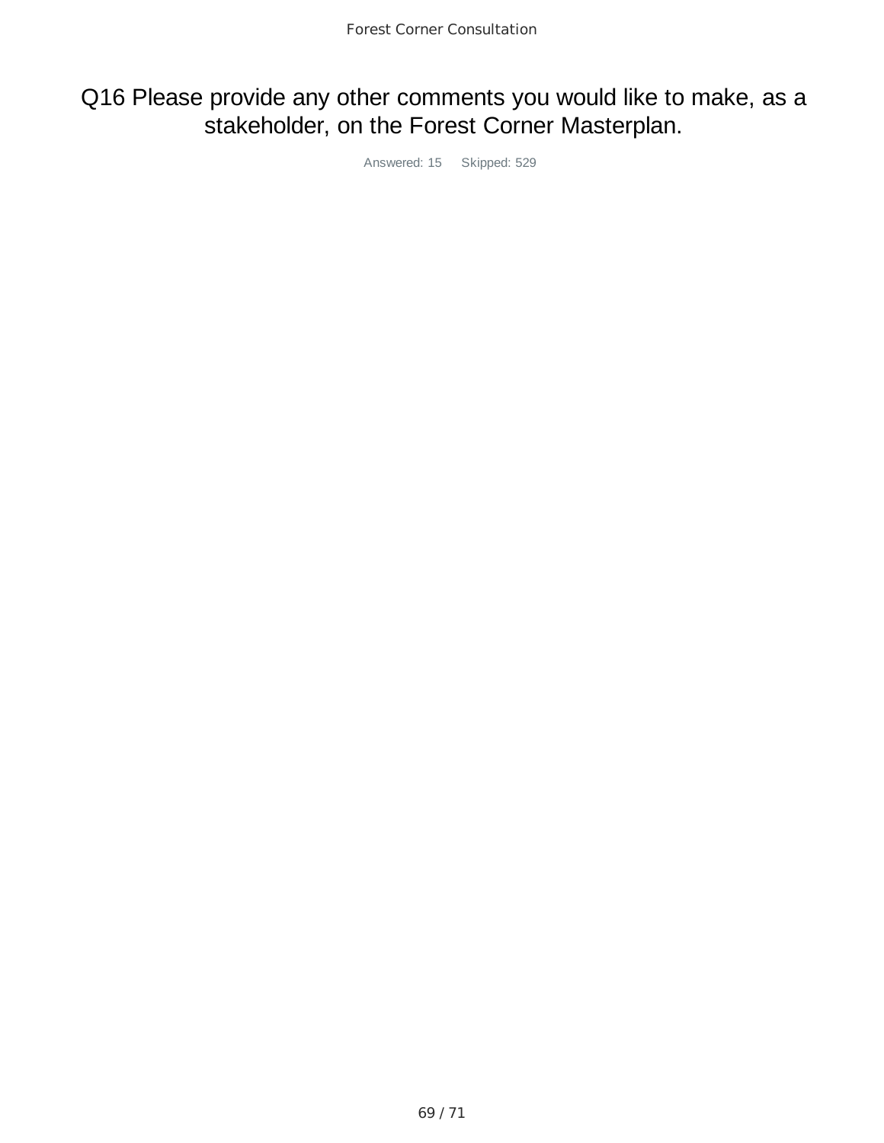## Q16 Please provide any other comments you would like to make, as a stakeholder, on the Forest Corner Masterplan.

Answered: 15 Skipped: 529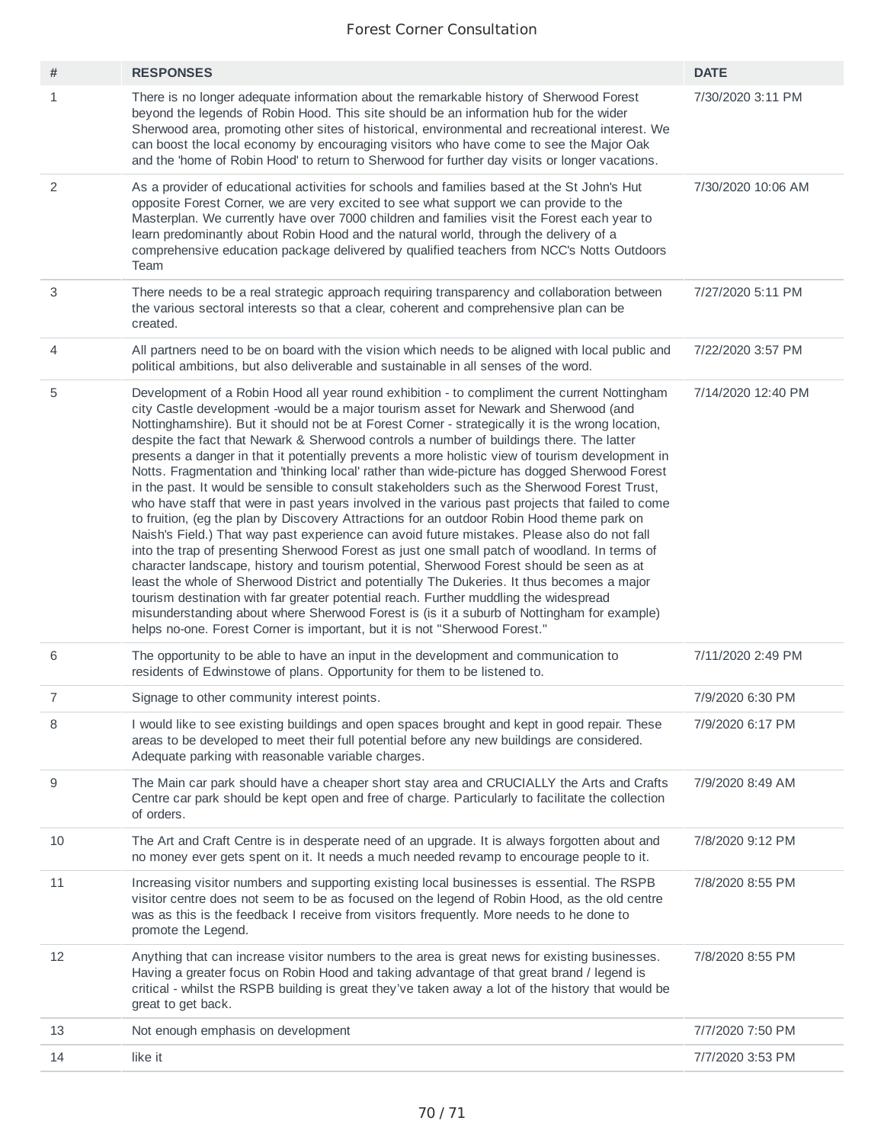| #              | <b>RESPONSES</b>                                                                                                                                                                                                                                                                                                                                                                                                                                                                                                                                                                                                                                                                                                                                                                                                                                                                                                                                                                                                                                                                                                                                                                                                                                                                                                                                                                                                                                                                                                                                           | <b>DATE</b>        |
|----------------|------------------------------------------------------------------------------------------------------------------------------------------------------------------------------------------------------------------------------------------------------------------------------------------------------------------------------------------------------------------------------------------------------------------------------------------------------------------------------------------------------------------------------------------------------------------------------------------------------------------------------------------------------------------------------------------------------------------------------------------------------------------------------------------------------------------------------------------------------------------------------------------------------------------------------------------------------------------------------------------------------------------------------------------------------------------------------------------------------------------------------------------------------------------------------------------------------------------------------------------------------------------------------------------------------------------------------------------------------------------------------------------------------------------------------------------------------------------------------------------------------------------------------------------------------------|--------------------|
| 1              | There is no longer adequate information about the remarkable history of Sherwood Forest<br>beyond the legends of Robin Hood. This site should be an information hub for the wider<br>Sherwood area, promoting other sites of historical, environmental and recreational interest. We<br>can boost the local economy by encouraging visitors who have come to see the Major Oak<br>and the 'home of Robin Hood' to return to Sherwood for further day visits or longer vacations.                                                                                                                                                                                                                                                                                                                                                                                                                                                                                                                                                                                                                                                                                                                                                                                                                                                                                                                                                                                                                                                                           | 7/30/2020 3:11 PM  |
| 2              | As a provider of educational activities for schools and families based at the St John's Hut<br>opposite Forest Corner, we are very excited to see what support we can provide to the<br>Masterplan. We currently have over 7000 children and families visit the Forest each year to<br>learn predominantly about Robin Hood and the natural world, through the delivery of a<br>comprehensive education package delivered by qualified teachers from NCC's Notts Outdoors<br>Team                                                                                                                                                                                                                                                                                                                                                                                                                                                                                                                                                                                                                                                                                                                                                                                                                                                                                                                                                                                                                                                                          | 7/30/2020 10:06 AM |
| 3              | There needs to be a real strategic approach requiring transparency and collaboration between<br>the various sectoral interests so that a clear, coherent and comprehensive plan can be<br>created.                                                                                                                                                                                                                                                                                                                                                                                                                                                                                                                                                                                                                                                                                                                                                                                                                                                                                                                                                                                                                                                                                                                                                                                                                                                                                                                                                         | 7/27/2020 5:11 PM  |
| 4              | All partners need to be on board with the vision which needs to be aligned with local public and<br>political ambitions, but also deliverable and sustainable in all senses of the word.                                                                                                                                                                                                                                                                                                                                                                                                                                                                                                                                                                                                                                                                                                                                                                                                                                                                                                                                                                                                                                                                                                                                                                                                                                                                                                                                                                   | 7/22/2020 3:57 PM  |
| 5              | Development of a Robin Hood all year round exhibition - to compliment the current Nottingham<br>city Castle development -would be a major tourism asset for Newark and Sherwood (and<br>Nottinghamshire). But it should not be at Forest Corner - strategically it is the wrong location,<br>despite the fact that Newark & Sherwood controls a number of buildings there. The latter<br>presents a danger in that it potentially prevents a more holistic view of tourism development in<br>Notts. Fragmentation and 'thinking local' rather than wide-picture has dogged Sherwood Forest<br>in the past. It would be sensible to consult stakeholders such as the Sherwood Forest Trust,<br>who have staff that were in past years involved in the various past projects that failed to come<br>to fruition, (eg the plan by Discovery Attractions for an outdoor Robin Hood theme park on<br>Naish's Field.) That way past experience can avoid future mistakes. Please also do not fall<br>into the trap of presenting Sherwood Forest as just one small patch of woodland. In terms of<br>character landscape, history and tourism potential, Sherwood Forest should be seen as at<br>least the whole of Sherwood District and potentially The Dukeries. It thus becomes a major<br>tourism destination with far greater potential reach. Further muddling the widespread<br>misunderstanding about where Sherwood Forest is (is it a suburb of Nottingham for example)<br>helps no-one. Forest Corner is important, but it is not "Sherwood Forest." | 7/14/2020 12:40 PM |
| 6              | The opportunity to be able to have an input in the development and communication to<br>residents of Edwinstowe of plans. Opportunity for them to be listened to.                                                                                                                                                                                                                                                                                                                                                                                                                                                                                                                                                                                                                                                                                                                                                                                                                                                                                                                                                                                                                                                                                                                                                                                                                                                                                                                                                                                           | 7/11/2020 2:49 PM  |
| $\overline{7}$ | Signage to other community interest points.                                                                                                                                                                                                                                                                                                                                                                                                                                                                                                                                                                                                                                                                                                                                                                                                                                                                                                                                                                                                                                                                                                                                                                                                                                                                                                                                                                                                                                                                                                                | 7/9/2020 6:30 PM   |
| 8              | I would like to see existing buildings and open spaces brought and kept in good repair. These<br>areas to be developed to meet their full potential before any new buildings are considered.<br>Adequate parking with reasonable variable charges.                                                                                                                                                                                                                                                                                                                                                                                                                                                                                                                                                                                                                                                                                                                                                                                                                                                                                                                                                                                                                                                                                                                                                                                                                                                                                                         | 7/9/2020 6:17 PM   |
| 9              | The Main car park should have a cheaper short stay area and CRUCIALLY the Arts and Crafts<br>Centre car park should be kept open and free of charge. Particularly to facilitate the collection<br>of orders.                                                                                                                                                                                                                                                                                                                                                                                                                                                                                                                                                                                                                                                                                                                                                                                                                                                                                                                                                                                                                                                                                                                                                                                                                                                                                                                                               | 7/9/2020 8:49 AM   |
| 10             | The Art and Craft Centre is in desperate need of an upgrade. It is always forgotten about and<br>no money ever gets spent on it. It needs a much needed revamp to encourage people to it.                                                                                                                                                                                                                                                                                                                                                                                                                                                                                                                                                                                                                                                                                                                                                                                                                                                                                                                                                                                                                                                                                                                                                                                                                                                                                                                                                                  | 7/8/2020 9:12 PM   |
| 11             | Increasing visitor numbers and supporting existing local businesses is essential. The RSPB<br>visitor centre does not seem to be as focused on the legend of Robin Hood, as the old centre<br>was as this is the feedback I receive from visitors frequently. More needs to he done to<br>promote the Legend.                                                                                                                                                                                                                                                                                                                                                                                                                                                                                                                                                                                                                                                                                                                                                                                                                                                                                                                                                                                                                                                                                                                                                                                                                                              | 7/8/2020 8:55 PM   |
| 12             | Anything that can increase visitor numbers to the area is great news for existing businesses.<br>Having a greater focus on Robin Hood and taking advantage of that great brand / legend is<br>critical - whilst the RSPB building is great they've taken away a lot of the history that would be<br>great to get back.                                                                                                                                                                                                                                                                                                                                                                                                                                                                                                                                                                                                                                                                                                                                                                                                                                                                                                                                                                                                                                                                                                                                                                                                                                     | 7/8/2020 8:55 PM   |
| 13             | Not enough emphasis on development                                                                                                                                                                                                                                                                                                                                                                                                                                                                                                                                                                                                                                                                                                                                                                                                                                                                                                                                                                                                                                                                                                                                                                                                                                                                                                                                                                                                                                                                                                                         | 7/7/2020 7:50 PM   |
| 14             | like it                                                                                                                                                                                                                                                                                                                                                                                                                                                                                                                                                                                                                                                                                                                                                                                                                                                                                                                                                                                                                                                                                                                                                                                                                                                                                                                                                                                                                                                                                                                                                    | 7/7/2020 3:53 PM   |